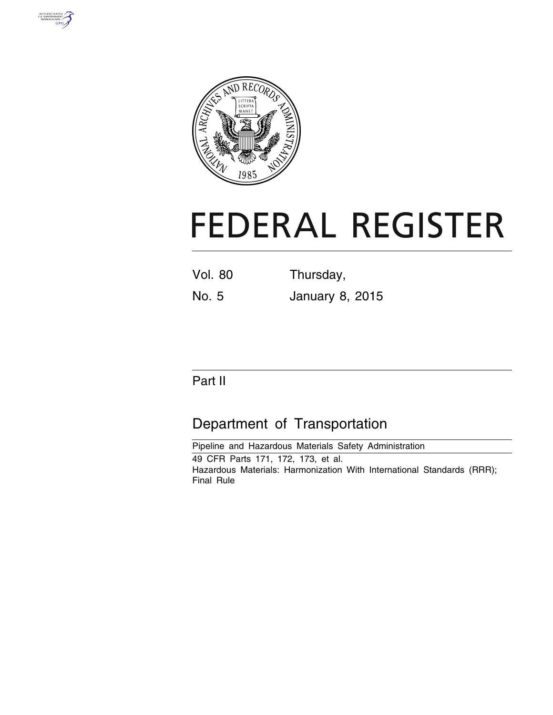



# **FEDERAL REGISTER**

Vol. 80 Thursday,

No. 5 January 8, 2015

# Part II

# Department of Transportation

Pipeline and Hazardous Materials Safety Administration 49 CFR Parts 171, 172, 173, et al. Hazardous Materials: Harmonization With International Standards (RRR); Final Rule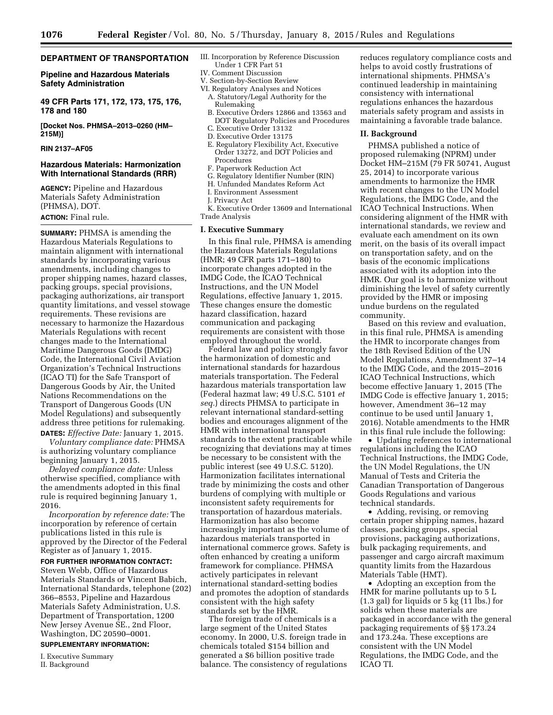# **DEPARTMENT OF TRANSPORTATION**

**Pipeline and Hazardous Materials Safety Administration** 

**49 CFR Parts 171, 172, 173, 175, 176, 178 and 180** 

**[Docket Nos. PHMSA–2013–0260 (HM– 215M)]** 

# **RIN 2137–AF05**

# **Hazardous Materials: Harmonization With International Standards (RRR)**

**AGENCY:** Pipeline and Hazardous Materials Safety Administration (PHMSA), DOT. **ACTION:** Final rule.

**SUMMARY:** PHMSA is amending the Hazardous Materials Regulations to maintain alignment with international standards by incorporating various amendments, including changes to proper shipping names, hazard classes, packing groups, special provisions, packaging authorizations, air transport quantity limitations, and vessel stowage requirements. These revisions are necessary to harmonize the Hazardous Materials Regulations with recent changes made to the International Maritime Dangerous Goods (IMDG) Code, the International Civil Aviation Organization's Technical Instructions (ICAO TI) for the Safe Transport of Dangerous Goods by Air, the United Nations Recommendations on the Transport of Dangerous Goods (UN Model Regulations) and subsequently address three petitions for rulemaking.

**DATES:** *Effective Date:* January 1, 2015. *Voluntary compliance date:* PHMSA is authorizing voluntary compliance beginning January 1, 2015.

*Delayed compliance date:* Unless otherwise specified, compliance with the amendments adopted in this final rule is required beginning January 1, 2016.

*Incorporation by reference date:* The incorporation by reference of certain publications listed in this rule is approved by the Director of the Federal Register as of January 1, 2015.

# **FOR FURTHER INFORMATION CONTACT:**

Steven Webb, Office of Hazardous Materials Standards or Vincent Babich, International Standards, telephone (202) 366–8553, Pipeline and Hazardous Materials Safety Administration, U.S. Department of Transportation, 1200 New Jersey Avenue SE., 2nd Floor, Washington, DC 20590–0001.

# **SUPPLEMENTARY INFORMATION:**

I. Executive Summary II. Background

- III. Incorporation by Reference Discussion Under 1 CFR Part 51
- IV. Comment Discussion
- V. Section-by-Section Review
- VI. Regulatory Analyses and Notices A. Statutory/Legal Authority for the Rulemaking
	- B. Executive Orders 12866 and 13563 and DOT Regulatory Policies and Procedures
	- C. Executive Order 13132
	- D. Executive Order 13175
	- E. Regulatory Flexibility Act, Executive Order 13272, and DOT Policies and Procedures
	- F. Paperwork Reduction Act
	- G. Regulatory Identifier Number (RIN)
	- H. Unfunded Mandates Reform Act
	- I. Environment Assessment
	- J. Privacy Act

K. Executive Order 13609 and International Trade Analysis

#### **I. Executive Summary**

In this final rule, PHMSA is amending the Hazardous Materials Regulations (HMR; 49 CFR parts 171–180) to incorporate changes adopted in the IMDG Code, the ICAO Technical Instructions, and the UN Model Regulations, effective January 1, 2015. These changes ensure the domestic hazard classification, hazard communication and packaging requirements are consistent with those employed throughout the world.

Federal law and policy strongly favor the harmonization of domestic and international standards for hazardous materials transportation. The Federal hazardous materials transportation law (Federal hazmat law; 49 U.S.C. 5101 *et seq.*) directs PHMSA to participate in relevant international standard-setting bodies and encourages alignment of the HMR with international transport standards to the extent practicable while recognizing that deviations may at times be necessary to be consistent with the public interest (see 49 U.S.C. 5120). Harmonization facilitates international trade by minimizing the costs and other burdens of complying with multiple or inconsistent safety requirements for transportation of hazardous materials. Harmonization has also become increasingly important as the volume of hazardous materials transported in international commerce grows. Safety is often enhanced by creating a uniform framework for compliance. PHMSA actively participates in relevant international standard-setting bodies and promotes the adoption of standards consistent with the high safety standards set by the HMR.

The foreign trade of chemicals is a large segment of the United States economy. In 2000, U.S. foreign trade in chemicals totaled \$154 billion and generated a \$6 billion positive trade balance. The consistency of regulations

reduces regulatory compliance costs and helps to avoid costly frustrations of international shipments. PHMSA's continued leadership in maintaining consistency with international regulations enhances the hazardous materials safety program and assists in maintaining a favorable trade balance.

# **II. Background**

PHMSA published a notice of proposed rulemaking (NPRM) under Docket HM–215M (79 FR 50741, August 25, 2014) to incorporate various amendments to harmonize the HMR with recent changes to the UN Model Regulations, the IMDG Code, and the ICAO Technical Instructions. When considering alignment of the HMR with international standards, we review and evaluate each amendment on its own merit, on the basis of its overall impact on transportation safety, and on the basis of the economic implications associated with its adoption into the HMR. Our goal is to harmonize without diminishing the level of safety currently provided by the HMR or imposing undue burdens on the regulated community.

Based on this review and evaluation, in this final rule, PHMSA is amending the HMR to incorporate changes from the 18th Revised Edition of the UN Model Regulations, Amendment 37–14 to the IMDG Code, and the 2015–2016 ICAO Technical Instructions, which become effective January 1, 2015 (The IMDG Code is effective January 1, 2015; however, Amendment 36–12 may continue to be used until January 1, 2016). Notable amendments to the HMR in this final rule include the following:

• Updating references to international regulations including the ICAO Technical Instructions, the IMDG Code, the UN Model Regulations, the UN Manual of Tests and Criteria the Canadian Transportation of Dangerous Goods Regulations and various technical standards.

• Adding, revising, or removing certain proper shipping names, hazard classes, packing groups, special provisions, packaging authorizations, bulk packaging requirements, and passenger and cargo aircraft maximum quantity limits from the Hazardous Materials Table (HMT).

• Adopting an exception from the HMR for marine pollutants up to 5 L (1.3 gal) for liquids or 5 kg (11 lbs.) for solids when these materials are packaged in accordance with the general packaging requirements of §§ 173.24 and 173.24a. These exceptions are consistent with the UN Model Regulations, the IMDG Code, and the ICAO TI.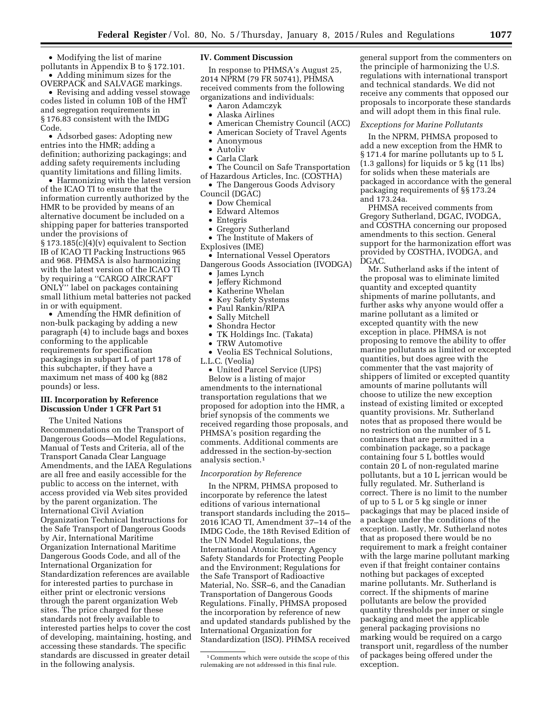• Modifying the list of marine pollutants in Appendix B to § 172.101. • Adding minimum sizes for the OVERPACK and SALVAGE markings.

• Revising and adding vessel stowage codes listed in column 10B of the HMT and segregation requirements in § 176.83 consistent with the IMDG Code.

• Adsorbed gases: Adopting new entries into the HMR; adding a definition; authorizing packagings; and adding safety requirements including quantity limitations and filling limits.

• Harmonizing with the latest version of the ICAO TI to ensure that the information currently authorized by the HMR to be provided by means of an alternative document be included on a shipping paper for batteries transported under the provisions of § 173.185(c)(4)(v) equivalent to Section IB of ICAO TI Packing Instructions 965 and 968. PHMSA is also harmonizing with the latest version of the ICAO TI by requiring a ''CARGO AIRCRAFT ONLY'' label on packages containing small lithium metal batteries not packed in or with equipment.

• Amending the HMR definition of non-bulk packaging by adding a new paragraph (4) to include bags and boxes conforming to the applicable requirements for specification packagings in subpart L of part 178 of this subchapter, if they have a maximum net mass of 400 kg (882 pounds) or less.

# **III. Incorporation by Reference Discussion Under 1 CFR Part 51**

The United Nations Recommendations on the Transport of Dangerous Goods—Model Regulations, Manual of Tests and Criteria, all of the Transport Canada Clear Language Amendments, and the IAEA Regulations are all free and easily accessible for the public to access on the internet, with access provided via Web sites provided by the parent organization. The International Civil Aviation Organization Technical Instructions for the Safe Transport of Dangerous Goods by Air, International Maritime Organization International Maritime Dangerous Goods Code, and all of the International Organization for Standardization references are available for interested parties to purchase in either print or electronic versions through the parent organization Web sites. The price charged for these standards not freely available to interested parties helps to cover the cost of developing, maintaining, hosting, and accessing these standards. The specific standards are discussed in greater detail in the following analysis.

# **IV. Comment Discussion**

In response to PHMSA's August 25, 2014 NPRM (79 FR 50741), PHMSA received comments from the following organizations and individuals:

- Aaron Adamczyk
- Alaska Airlines
- American Chemistry Council (ACC)
- American Society of Travel Agents
- Anonymous
- Autoliv
- Carla Clark
- The Council on Safe Transportation of Hazardous Articles, Inc. (COSTHA)
- The Dangerous Goods Advisory Council (DGAC)
- Dow Chemical
- Edward Altemos
- Entegris
- Gregory Sutherland
- The Institute of Makers of
- Explosives (IME)
- International Vessel Operators Dangerous Goods Association (IVODGA)
	- James Lynch
	- Jeffery Richmond
	- Katherine Whelan
	- Key Safety Systems
	- Paul Rankin/RIPA
	- Sally Mitchell<br>• Shondra Hecto
	- Shondra Hector
	- TK Holdings Inc. (Takata)
	- TRW Automotive
	- Veolia ES Technical Solutions,
- L.L.C. (Veolia)
	- United Parcel Service (UPS)

Below is a listing of major amendments to the international transportation regulations that we proposed for adoption into the HMR, a brief synopsis of the comments we received regarding those proposals, and PHMSA's position regarding the comments. Additional comments are addressed in the section-by-section analysis section.1

# *Incorporation by Reference*

In the NPRM, PHMSA proposed to incorporate by reference the latest editions of various international transport standards including the 2015– 2016 ICAO TI, Amendment 37–14 of the IMDG Code, the 18th Revised Edition of the UN Model Regulations, the International Atomic Energy Agency Safety Standards for Protecting People and the Environment; Regulations for the Safe Transport of Radioactive Material, No. SSR–6, and the Canadian Transportation of Dangerous Goods Regulations. Finally, PHMSA proposed the incorporation by reference of new and updated standards published by the International Organization for Standardization (ISO). PHMSA received

general support from the commenters on the principle of harmonizing the U.S. regulations with international transport and technical standards. We did not receive any comments that opposed our proposals to incorporate these standards and will adopt them in this final rule.

#### *Exceptions for Marine Pollutants*

In the NPRM, PHMSA proposed to add a new exception from the HMR to § 171.4 for marine pollutants up to 5 L (1.3 gallons) for liquids or 5 kg (11 lbs) for solids when these materials are packaged in accordance with the general packaging requirements of §§ 173.24 and 173.24a.

PHMSA received comments from Gregory Sutherland, DGAC, IVODGA, and COSTHA concerning our proposed amendments to this section. General support for the harmonization effort was provided by COSTHA, IVODGA, and DGAC.

Mr. Sutherland asks if the intent of the proposal was to eliminate limited quantity and excepted quantity shipments of marine pollutants, and further asks why anyone would offer a marine pollutant as a limited or excepted quantity with the new exception in place. PHMSA is not proposing to remove the ability to offer marine pollutants as limited or excepted quantities, but does agree with the commenter that the vast majority of shippers of limited or excepted quantity amounts of marine pollutants will choose to utilize the new exception instead of existing limited or excepted quantity provisions. Mr. Sutherland notes that as proposed there would be no restriction on the number of 5 L containers that are permitted in a combination package, so a package containing four 5 L bottles would contain 20 L of non-regulated marine pollutants, but a 10 L jerrican would be fully regulated. Mr. Sutherland is correct. There is no limit to the number of up to 5 L or 5 kg single or inner packagings that may be placed inside of a package under the conditions of the exception. Lastly, Mr. Sutherland notes that as proposed there would be no requirement to mark a freight container with the large marine pollutant marking even if that freight container contains nothing but packages of excepted marine pollutants. Mr. Sutherland is correct. If the shipments of marine pollutants are below the provided quantity thresholds per inner or single packaging and meet the applicable general packaging provisions no marking would be required on a cargo transport unit, regardless of the number of packages being offered under the exception.

<sup>1</sup>Comments which were outside the scope of this rulemaking are not addressed in this final rule.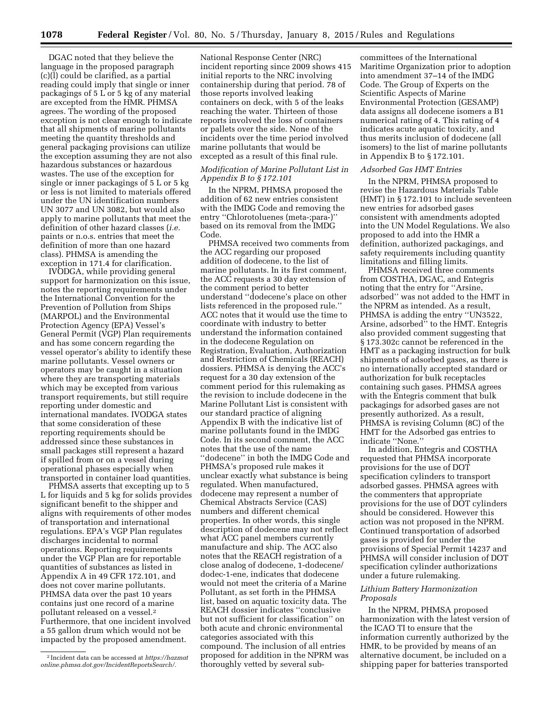DGAC noted that they believe the language in the proposed paragraph (c)(l) could be clarified, as a partial reading could imply that single or inner packagings of 5 L or 5 kg of any material are excepted from the HMR. PHMSA agrees. The wording of the proposed exception is not clear enough to indicate that all shipments of marine pollutants meeting the quantity thresholds and general packaging provisions can utilize the exception assuming they are not also hazardous substances or hazardous wastes. The use of the exception for single or inner packagings of 5 L or 5 kg or less is not limited to materials offered under the UN identification numbers UN 3077 and UN 3082, but would also apply to marine pollutants that meet the definition of other hazard classes (*i.e.*  paints or n.o.s. entries that meet the definition of more than one hazard class). PHMSA is amending the exception in 171.4 for clarification.

IVODGA, while providing general support for harmonization on this issue, notes the reporting requirements under the International Convention for the Prevention of Pollution from Ships (MARPOL) and the Environmental Protection Agency (EPA) Vessel's General Permit (VGP) Plan requirements and has some concern regarding the vessel operator's ability to identify these marine pollutants. Vessel owners or operators may be caught in a situation where they are transporting materials which may be excepted from various transport requirements, but still require reporting under domestic and international mandates. IVODGA states that some consideration of these reporting requirements should be addressed since these substances in small packages still represent a hazard if spilled from or on a vessel during operational phases especially when transported in container load quantities.

PHMSA asserts that excepting up to 5 L for liquids and 5 kg for solids provides significant benefit to the shipper and aligns with requirements of other modes of transportation and international regulations. EPA's VGP Plan regulates discharges incidental to normal operations. Reporting requirements under the VGP Plan are for reportable quantities of substances as listed in Appendix A in 49 CFR 172.101, and does not cover marine pollutants. PHMSA data over the past 10 years contains just one record of a marine pollutant released on a vessel.2 Furthermore, that one incident involved a 55 gallon drum which would not be impacted by the proposed amendment.

National Response Center (NRC) incident reporting since 2009 shows 415 initial reports to the NRC involving containership during that period. 78 of those reports involved leaking containers on deck, with 5 of the leaks reaching the water. Thirteen of those reports involved the loss of containers or pallets over the side. None of the incidents over the time period involved marine pollutants that would be excepted as a result of this final rule.

# *Modification of Marine Pollutant List in Appendix B to § 172.101*

In the NPRM, PHMSA proposed the addition of 62 new entries consistent with the IMDG Code and removing the entry ''Chlorotoluenes (meta-;para-)'' based on its removal from the IMDG Code.

PHMSA received two comments from the ACC regarding our proposed addition of dodecene, to the list of marine pollutants. In its first comment, the ACC requests a 30 day extension of the comment period to better understand ''dodecene's place on other lists referenced in the proposed rule.'' ACC notes that it would use the time to coordinate with industry to better understand the information contained in the dodecene Regulation on Registration, Evaluation, Authorization and Restriction of Chemicals (REACH) dossiers. PHMSA is denying the ACC's request for a 30 day extension of the comment period for this rulemaking as the revision to include dodecene in the Marine Pollutant List is consistent with our standard practice of aligning Appendix B with the indicative list of marine pollutants found in the IMDG Code. In its second comment, the ACC notes that the use of the name ''dodecene'' in both the IMDG Code and PHMSA's proposed rule makes it unclear exactly what substance is being regulated. When manufactured, dodecene may represent a number of Chemical Abstracts Service (CAS) numbers and different chemical properties. In other words, this single description of dodecene may not reflect what ACC panel members currently manufacture and ship. The ACC also notes that the REACH registration of a close analog of dodecene, 1-dodecene/ dodec-1-ene, indicates that dodecene would not meet the criteria of a Marine Pollutant, as set forth in the PHMSA list, based on aquatic toxicity data. The REACH dossier indicates ''conclusive but not sufficient for classification'' on both acute and chronic environmental categories associated with this compound. The inclusion of all entries proposed for addition in the NPRM was thoroughly vetted by several subcommittees of the International Maritime Organization prior to adoption into amendment 37–14 of the IMDG Code. The Group of Experts on the Scientific Aspects of Marine Environmental Protection (GESAMP) data assigns all dodecene isomers a B1 numerical rating of 4. This rating of 4 indicates acute aquatic toxicity, and thus merits inclusion of dodecene (all isomers) to the list of marine pollutants in Appendix B to § 172.101.

#### *Adsorbed Gas HMT Entries*

In the NPRM, PHMSA proposed to revise the Hazardous Materials Table (HMT) in § 172.101 to include seventeen new entries for adsorbed gases consistent with amendments adopted into the UN Model Regulations. We also proposed to add into the HMR a definition, authorized packagings, and safety requirements including quantity limitations and filling limits.

PHMSA received three comments from COSTHA, DGAC, and Entegris noting that the entry for ''Arsine, adsorbed'' was not added to the HMT in the NPRM as intended. As a result, PHMSA is adding the entry ''UN3522, Arsine, adsorbed'' to the HMT. Entegris also provided comment suggesting that § 173.302c cannot be referenced in the HMT as a packaging instruction for bulk shipments of adsorbed gases, as there is no internationally accepted standard or authorization for bulk receptacles containing such gases. PHMSA agrees with the Entegris comment that bulk packagings for adsorbed gases are not presently authorized. As a result, PHMSA is revising Column (8C) of the HMT for the Adsorbed gas entries to indicate ''None.''

In addition, Entegris and COSTHA requested that PHMSA incorporate provisions for the use of DOT specification cylinders to transport adsorbed gasses. PHMSA agrees with the commenters that appropriate provisions for the use of DOT cylinders should be considered. However this action was not proposed in the NPRM. Continued transportation of adsorbed gases is provided for under the provisions of Special Permit 14237 and PHMSA will consider inclusion of DOT specification cylinder authorizations under a future rulemaking.

# *Lithium Battery Harmonization Proposals*

In the NPRM, PHMSA proposed harmonization with the latest version of the ICAO TI to ensure that the information currently authorized by the HMR, to be provided by means of an alternative document, be included on a shipping paper for batteries transported

<sup>2</sup> Incident data can be accessed at *[https://hazmat](https://hazmatonline.phmsa.dot.gov/IncidentReportsSearch/) [online.phmsa.dot.gov/IncidentReportsSearch/.](https://hazmatonline.phmsa.dot.gov/IncidentReportsSearch/)*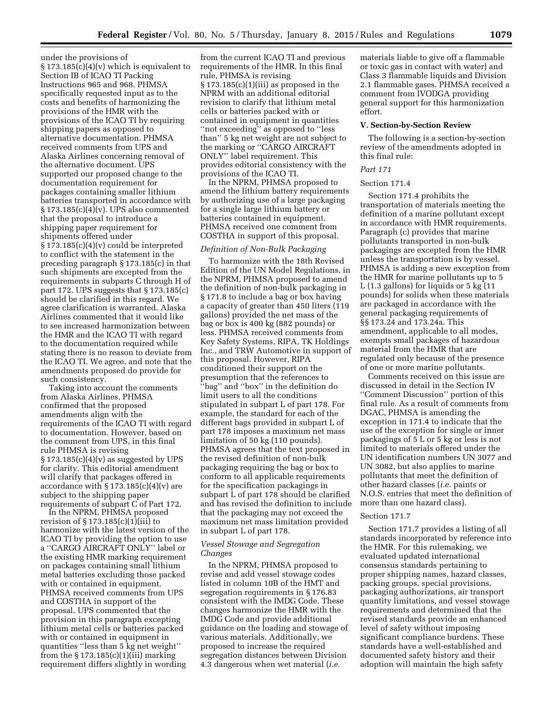under the provisions of  $\S 173.185(c)(4)(v)$  which is equivalent to Section IB of ICAO TI Packing Instructions 965 and 968. PHMSA specifically requested input as to the costs and benefits of harmonizing the provisions of the HMR with the provisions of the ICAO TI by requiring shipping papers as opposed to alternative documentation. PHMSA received comments from UPS and Alaska Airlines concerning removal of the alternative document. UPS supported our proposed change to the documentation requirement for packages containing smaller lithium batteries transported in accordance with  $\S 173.185(c)(4)(v)$ . UPS also commented that the proposal to introduce a shipping paper requirement for shipments offered under  $\S 173.185(c)(4)(v)$  could be interpreted to conflict with the statement in the preceding paragraph § 173.185(c) in that such shipments are excepted from the requirements in subparts C through H of part 172. UPS suggests that § 173.185(c) should be clarified in this regard. We agree clarification is warranted. Alaska Airlines commented that it would like to see increased harmonization between the HMR and the ICAO TI with regard to the documentation required while stating there is no reason to deviate from the ICAO TI. We agree, and note that the amendments proposed do provide for such consistency.

Taking into account the comments from Alaska Airlines, PHMSA confirmed that the proposed amendments align with the requirements of the ICAO TI with regard to documentation. However, based on the comment from UPS, in this final rule PHMSA is revising  $\S 173.185(c)(4)(v)$  as suggested by UPS for clarity. This editorial amendment will clarify that packages offered in accordance with  $\S 173.185(c)(4)(v)$  are subject to the shipping paper requirements of subpart C of Part 172.

In the NPRM, PHMSA proposed revision of  $\S 173.185(c)(1)(iii)$  to harmonize with the latest version of the ICAO TI by providing the option to use a ''CARGO AIRCRAFT ONLY'' label or the existing HMR marking requirement on packages containing small lithium metal batteries excluding those packed with or contained in equipment. PHMSA received comments from UPS and COSTHA in support of the proposal. UPS commented that the provision in this paragraph excepting lithium metal cells or batteries packed with or contained in equipment in quantities ''less than 5 kg net weight'' from the  $\S 173.185(c)(1)(iii)$  marking requirement differs slightly in wording

from the current ICAO TI and previous requirements of the HMR. In this final rule, PHMSA is revising  $\S 173.185(c)(1)(iii)$  as proposed in the NPRM with an additional editorial revision to clarify that lithium metal cells or batteries packed with or contained in equipment in quantities ''not exceeding'' as opposed to ''less than'' 5 kg net weight are not subject to the marking or ''CARGO AIRCRAFT ONLY'' label requirement. This provides editorial consistency with the provisions of the ICAO TI.

In the NPRM, PHMSA proposed to amend the lithium battery requirements by authorizing use of a large packaging for a single large lithium battery or batteries contained in equipment. PHMSA received one comment from COSTHA in support of this proposal.

#### *Definition of Non-Bulk Packaging*

To harmonize with the 18th Revised Edition of the UN Model Regulations, in the NPRM, PHMSA proposed to amend the definition of non-bulk packaging in § 171.8 to include a bag or box having a capacity of greater than 450 liters (119 gallons) provided the net mass of the bag or box is 400 kg (882 pounds) or less. PHMSA received comments from Key Safety Systems, RIPA, TK Holdings Inc., and TRW Automotive in support of this proposal. However, RIPA conditioned their support on the presumption that the references to ''bag'' and ''box'' in the definition do limit users to all the conditions stipulated in subpart L of part 178. For example, the standard for each of the different bags provided in subpart L of part 178 imposes a maximum net mass limitation of 50 kg (110 pounds). PHMSA agrees that the text proposed in the revised definition of non-bulk packaging requiring the bag or box to conform to all applicable requirements for the specification packagings in subpart L of part 178 should be clarified and has revised the definition to include that the packaging may not exceed the maximum net mass limitation provided in subpart L of part 178.

# *Vessel Stowage and Segregation Changes*

In the NPRM, PHMSA proposed to revise and add vessel stowage codes listed in column 10B of the HMT and segregation requirements in § 176.83 consistent with the IMDG Code. These changes harmonize the HMR with the IMDG Code and provide additional guidance on the loading and stowage of various materials. Additionally, we proposed to increase the required segregation distances between Division 4.3 dangerous when wet material (*i.e.* 

materials liable to give off a flammable or toxic gas in contact with water) and Class 3 flammable liquids and Division 2.1 flammable gases. PHMSA received a comment from IVODGA providing general support for this harmonization effort.

#### **V. Section-by-Section Review**

The following is a section-by-section review of the amendments adopted in this final rule:

# *Part 171*

# Section 171.4

Section 171.4 prohibits the transportation of materials meeting the definition of a marine pollutant except in accordance with HMR requirements. Paragraph (c) provides that marine pollutants transported in non-bulk packagings are excepted from the HMR unless the transportation is by vessel. PHMSA is adding a new exception from the HMR for marine pollutants up to 5 L (1.3 gallons) for liquids or 5 kg (11 pounds) for solids when these materials are packaged in accordance with the general packaging requirements of §§ 173.24 and 173.24a. This amendment, applicable to all modes, exempts small packages of hazardous material from the HMR that are regulated only because of the presence of one or more marine pollutants.

Comments received on this issue are discussed in detail in the Section IV ''Comment Discussion'' portion of this final rule. As a result of comments from DGAC, PHMSA is amending the exception in 171.4 to indicate that the use of the exception for single or inner packagings of 5 L or 5 kg or less is not limited to materials offered under the UN identification numbers UN 3077 and UN 3082, but also applies to marine pollutants that meet the definition of other hazard classes (*i.e.* paints or N.O.S. entries that meet the definition of more than one hazard class).

#### Section 171.7

Section 171.7 provides a listing of all standards incorporated by reference into the HMR. For this rulemaking, we evaluated updated international consensus standards pertaining to proper shipping names, hazard classes, packing groups, special provisions, packaging authorizations, air transport quantity limitations, and vessel stowage requirements and determined that the revised standards provide an enhanced level of safety without imposing significant compliance burdens. These standards have a well-established and documented safety history and their adoption will maintain the high safety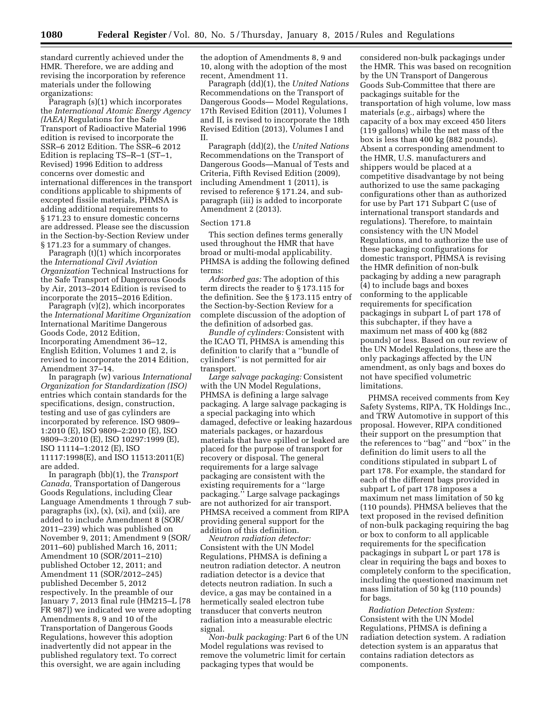standard currently achieved under the HMR. Therefore, we are adding and revising the incorporation by reference materials under the following organizations:

Paragraph (s)(1) which incorporates the *International Atomic Energy Agency (IAEA)* Regulations for the Safe Transport of Radioactive Material 1996 edition is revised to incorporate the SSR–6 2012 Edition. The SSR–6 2012 Edition is replacing TS–R–1 (ST–1, Revised) 1996 Edition to address concerns over domestic and international differences in the transport conditions applicable to shipments of excepted fissile materials, PHMSA is adding additional requirements to § 171.23 to ensure domestic concerns are addressed. Please see the discussion in the Section-by-Section Review under § 171.23 for a summary of changes.

Paragraph (t)(1) which incorporates the *International Civil Aviation Organization* Technical Instructions for the Safe Transport of Dangerous Goods by Air, 2013–2014 Edition is revised to incorporate the 2015–2016 Edition.

Paragraph (v)(2), which incorporates the *International Maritime Organization*  International Maritime Dangerous Goods Code, 2012 Edition, Incorporating Amendment 36–12, English Edition, Volumes 1 and 2, is revised to incorporate the 2014 Edition, Amendment 37–14.

In paragraph (w) various *International Organization for Standardization (ISO)*  entries which contain standards for the specifications, design, construction, testing and use of gas cylinders are incorporated by reference. ISO 9809– 1:2010 (E), ISO 9809–2:2010 (E), ISO 9809–3:2010 (E), ISO 10297:1999 (E), ISO 11114–1:2012 (E), ISO 11117:1998(E), and ISO 11513:2011(E) are added.

In paragraph (bb)(1), the *Transport Canada,* Transportation of Dangerous Goods Regulations, including Clear Language Amendments 1 through 7 subparagraphs (ix), (x), (xi), and (xii), are added to include Amendment 8 (SOR/ 2011–239) which was published on November 9, 2011; Amendment 9 (SOR/ 2011–60) published March 16, 2011; Amendment 10 (SOR/2011–210) published October 12, 2011; and Amendment 11 (SOR/2012–245) published December 5, 2012 respectively. In the preamble of our January 7, 2013 final rule (HM215–L [78 FR 987]) we indicated we were adopting Amendments 8, 9 and 10 of the Transportation of Dangerous Goods Regulations, however this adoption inadvertently did not appear in the published regulatory text. To correct this oversight, we are again including

the adoption of Amendments 8, 9 and 10, along with the adoption of the most recent, Amendment 11.

Paragraph (dd)(1), the *United Nations*  Recommendations on the Transport of Dangerous Goods— Model Regulations, 17th Revised Edition (2011), Volumes I and II, is revised to incorporate the 18th Revised Edition (2013), Volumes I and II.

Paragraph (dd)(2), the *United Nations*  Recommendations on the Transport of Dangerous Goods—Manual of Tests and Criteria, Fifth Revised Edition (2009), including Amendment 1 (2011), is revised to reference § 171.24, and subparagraph (iii) is added to incorporate Amendment 2 (2013).

# Section 171.8

This section defines terms generally used throughout the HMR that have broad or multi-modal applicability. PHMSA is adding the following defined terms:

*Adsorbed gas:* The adoption of this term directs the reader to § 173.115 for the definition. See the § 173.115 entry of the Section-by-Section Review for a complete discussion of the adoption of the definition of adsorbed gas.

*Bundle of cylinders:* Consistent with the ICAO TI, PHMSA is amending this definition to clarify that a ''bundle of cylinders'' is not permitted for air transport.

*Large salvage packaging:* Consistent with the UN Model Regulations, PHMSA is defining a large salvage packaging. A large salvage packaging is a special packaging into which damaged, defective or leaking hazardous materials packages, or hazardous materials that have spilled or leaked are placed for the purpose of transport for recovery or disposal. The general requirements for a large salvage packaging are consistent with the existing requirements for a ''large packaging.'' Large salvage packagings are not authorized for air transport. PHMSA received a comment from RIPA providing general support for the addition of this definition.

*Neutron radiation detector:*  Consistent with the UN Model Regulations, PHMSA is defining a neutron radiation detector. A neutron radiation detector is a device that detects neutron radiation. In such a device, a gas may be contained in a hermetically sealed electron tube transducer that converts neutron radiation into a measurable electric signal.

*Non-bulk packaging:* Part 6 of the UN Model regulations was revised to remove the volumetric limit for certain packaging types that would be

considered non-bulk packagings under the HMR. This was based on recognition by the UN Transport of Dangerous Goods Sub-Committee that there are packagings suitable for the transportation of high volume, low mass materials (*e.g.,* airbags) where the capacity of a box may exceed 450 liters (119 gallons) while the net mass of the box is less than 400 kg (882 pounds). Absent a corresponding amendment to the HMR, U.S. manufacturers and shippers would be placed at a competitive disadvantage by not being authorized to use the same packaging configurations other than as authorized for use by Part 171 Subpart C (use of international transport standards and regulations). Therefore, to maintain consistency with the UN Model Regulations, and to authorize the use of these packaging configurations for domestic transport, PHMSA is revising the HMR definition of non-bulk packaging by adding a new paragraph (4) to include bags and boxes conforming to the applicable requirements for specification packagings in subpart L of part 178 of this subchapter, if they have a maximum net mass of 400 kg (882 pounds) or less. Based on our review of the UN Model Regulations, these are the only packagings affected by the UN amendment, as only bags and boxes do not have specified volumetric limitations.

PHMSA received comments from Key Safety Systems, RIPA, TK Holdings Inc., and TRW Automotive in support of this proposal. However, RIPA conditioned their support on the presumption that the references to ''bag'' and ''box'' in the definition do limit users to all the conditions stipulated in subpart L of part 178. For example, the standard for each of the different bags provided in subpart L of part 178 imposes a maximum net mass limitation of 50 kg (110 pounds). PHMSA believes that the text proposed in the revised definition of non-bulk packaging requiring the bag or box to conform to all applicable requirements for the specification packagings in subpart L or part 178 is clear in requiring the bags and boxes to completely conform to the specification, including the questioned maximum net mass limitation of 50 kg (110 pounds) for bags.

*Radiation Detection System:*  Consistent with the UN Model Regulations, PHMSA is defining a radiation detection system. A radiation detection system is an apparatus that contains radiation detectors as components.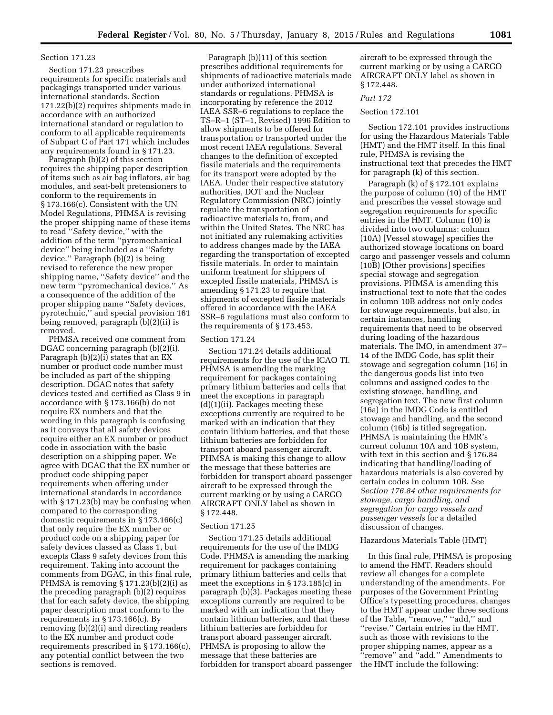#### Section 171.23

Section 171.23 prescribes requirements for specific materials and packagings transported under various international standards. Section 171.22(b)(2) requires shipments made in accordance with an authorized international standard or regulation to conform to all applicable requirements of Subpart C of Part 171 which includes any requirements found in § 171.23.

Paragraph (b)(2) of this section requires the shipping paper description of items such as air bag inflators, air bag modules, and seat-belt pretensioners to conform to the requirements in § 173.166(c). Consistent with the UN Model Regulations, PHMSA is revising the proper shipping name of these items to read ''Safety device,'' with the addition of the term ''pyromechanical device'' being included as a ''Safety device.'' Paragraph (b)(2) is being revised to reference the new proper shipping name, ''Safety device'' and the new term ''pyromechanical device.'' As a consequence of the addition of the proper shipping name ''Safety devices, pyrotechnic,'' and special provision 161 being removed, paragraph (b)(2)(ii) is removed.

PHMSA received one comment from DGAC concerning paragraph (b)(2)(i). Paragraph (b)(2)(i) states that an EX number or product code number must be included as part of the shipping description. DGAC notes that safety devices tested and certified as Class 9 in accordance with § 173.166(b) do not require EX numbers and that the wording in this paragraph is confusing as it conveys that all safety devices require either an EX number or product code in association with the basic description on a shipping paper. We agree with DGAC that the EX number or product code shipping paper requirements when offering under international standards in accordance with § 171.23(b) may be confusing when compared to the corresponding domestic requirements in § 173.166(c) that only require the EX number or product code on a shipping paper for safety devices classed as Class 1, but excepts Class 9 safety devices from this requirement. Taking into account the comments from DGAC, in this final rule, PHMSA is removing § 171.23(b)(2)(i) as the preceding paragraph (b)(2) requires that for each safety device, the shipping paper description must conform to the requirements in § 173.166(c). By removing (b)(2)(i) and directing readers to the EX number and product code requirements prescribed in § 173.166(c), any potential conflict between the two sections is removed.

Paragraph (b)(11) of this section prescribes additional requirements for shipments of radioactive materials made under authorized international standards or regulations. PHMSA is incorporating by reference the 2012 IAEA SSR–6 regulations to replace the TS–R–1 (ST–1, Revised) 1996 Edition to allow shipments to be offered for transportation or transported under the most recent IAEA regulations. Several changes to the definition of excepted fissile materials and the requirements for its transport were adopted by the IAEA. Under their respective statutory authorities, DOT and the Nuclear Regulatory Commission (NRC) jointly regulate the transportation of radioactive materials to, from, and within the United States. The NRC has not initiated any rulemaking activities to address changes made by the IAEA regarding the transportation of excepted fissile materials. In order to maintain uniform treatment for shippers of excepted fissile materials, PHMSA is amending § 171.23 to require that shipments of excepted fissile materials offered in accordance with the IAEA SSR–6 regulations must also conform to the requirements of § 173.453.

#### Section 171.24

Section 171.24 details additional requirements for the use of the ICAO TI. PHMSA is amending the marking requirement for packages containing primary lithium batteries and cells that meet the exceptions in paragraph (d)(1)(ii). Packages meeting these exceptions currently are required to be marked with an indication that they contain lithium batteries, and that these lithium batteries are forbidden for transport aboard passenger aircraft. PHMSA is making this change to allow the message that these batteries are forbidden for transport aboard passenger aircraft to be expressed through the current marking or by using a CARGO AIRCRAFT ONLY label as shown in § 172.448.

#### Section 171.25

Section 171.25 details additional requirements for the use of the IMDG Code. PHMSA is amending the marking requirement for packages containing primary lithium batteries and cells that meet the exceptions in § 173.185(c) in paragraph (b)(3). Packages meeting these exceptions currently are required to be marked with an indication that they contain lithium batteries, and that these lithium batteries are forbidden for transport aboard passenger aircraft. PHMSA is proposing to allow the message that these batteries are forbidden for transport aboard passenger aircraft to be expressed through the current marking or by using a CARGO AIRCRAFT ONLY label as shown in § 172.448.

# *Part 172*

# Section 172.101

Section 172.101 provides instructions for using the Hazardous Materials Table (HMT) and the HMT itself. In this final rule, PHMSA is revising the instructional text that precedes the HMT for paragraph (k) of this section.

Paragraph (k) of § 172.101 explains the purpose of column (10) of the HMT and prescribes the vessel stowage and segregation requirements for specific entries in the HMT. Column (10) is divided into two columns: column (10A) [Vessel stowage] specifies the authorized stowage locations on board cargo and passenger vessels and column (10B) [Other provisions] specifies special stowage and segregation provisions. PHMSA is amending this instructional text to note that the codes in column 10B address not only codes for stowage requirements, but also, in certain instances, handling requirements that need to be observed during loading of the hazardous materials. The IMO, in amendment 37– 14 of the IMDG Code, has split their stowage and segregation column (16) in the dangerous goods list into two columns and assigned codes to the existing stowage, handling, and segregation text. The new first column (16a) in the IMDG Code is entitled stowage and handling, and the second column (16b) is titled segregation. PHMSA is maintaining the HMR's current column 10A and 10B system, with text in this section and § 176.84 indicating that handling/loading of hazardous materials is also covered by certain codes in column 10B. See *Section 176.84 other requirements for stowage, cargo handling, and segregation for cargo vessels and passenger vessels* for a detailed discussion of changes.

# Hazardous Materials Table (HMT)

In this final rule, PHMSA is proposing to amend the HMT. Readers should review all changes for a complete understanding of the amendments. For purposes of the Government Printing Office's typesetting procedures, changes to the HMT appear under three sections of the Table, "remove," "add," and ''revise.'' Certain entries in the HMT, such as those with revisions to the proper shipping names, appear as a ''remove'' and ''add.'' Amendments to the HMT include the following: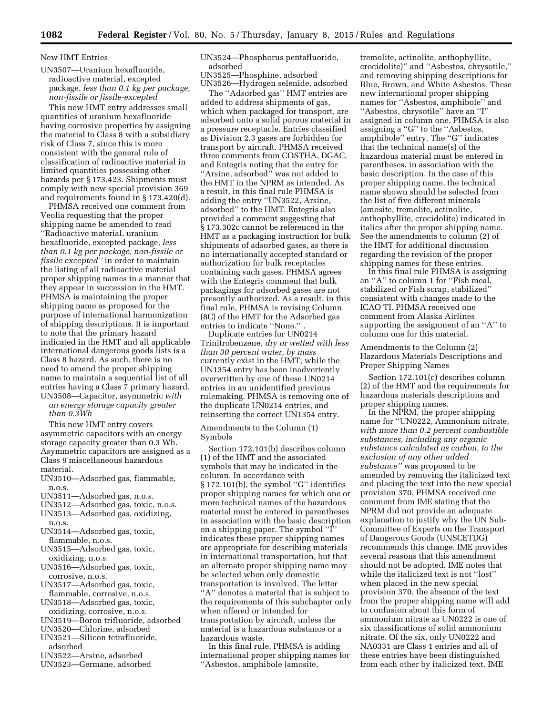# New HMT Entries

UN3507—Uranium hexafluoride, radioactive material, excepted package, *less than 0.1 kg per package, non-fissile or fissile-excepted* 

This new HMT entry addresses small quantities of uranium hexafluoride having corrosive properties by assigning the material to Class 8 with a subsidiary risk of Class 7, since this is more consistent with the general rule of classification of radioactive material in limited quantities possessing other hazards per § 173.423. Shipments must comply with new special provision 369 and requirements found in § 173.420(d).

PHMSA received one comment from Veolia requesting that the proper shipping name be amended to read ''Radioactive material, uranium hexafluoride, excepted package, *less than 0.1 kg per package, non-fissile or fissile excepted''* in order to maintain the listing of all radioactive material proper shipping names in a manner that they appear in succession in the HMT. PHMSA is maintaining the proper shipping name as proposed for the purpose of international harmonization of shipping descriptions. It is important to note that the primary hazard indicated in the HMT and all applicable international dangerous goods lists is a Class 8 hazard. As such, there is no need to amend the proper shipping name to maintain a sequential list of all entries having a Class 7 primary hazard. UN3508—Capacitor, asymmetric *with* 

*an energy storage capacity greater than 0.3Wh* 

This new HMT entry covers asymmetric capacitors with an energy storage capacity greater than 0.3 Wh. Asymmetric capacitors are assigned as a Class 9 miscellaneous hazardous material.

- UN3510—Adsorbed gas, flammable, n.o.s.
- UN3511—Adsorbed gas, n.o.s.
- UN3512—Adsorbed gas, toxic, n.o.s. UN3513—Adsorbed gas, oxidizing,
- n.o.s.
- UN3514—Adsorbed gas, toxic, flammable, n.o.s.
- UN3515—Adsorbed gas, toxic, oxidizing, n.o.s.
- UN3516—Adsorbed gas, toxic, corrosive, n.o.s.
- UN3517—Adsorbed gas, toxic, flammable, corrosive, n.o.s.
- UN3518—Adsorbed gas, toxic, oxidizing, corrosive, n.o.s.
- UN3519—Boron trifluoride, adsorbed
- UN3520—Chlorine, adsorbed
- UN3521—Silicon tetrafluoride,
- adsorbed UN3522—Arsine, adsorbed
- 
- UN3523—Germane, adsorbed

UN3524—Phosphorus pentafluoride, adsorbed

UN3525—Phosphine, adsorbed UN3526—Hydrogen selenide, adsorbed

The ''Adsorbed gas'' HMT entries are added to address shipments of gas, which when packaged for transport, are adsorbed onto a solid porous material in a pressure receptacle. Entries classified as Division 2.3 gases are forbidden for transport by aircraft. PHMSA received three comments from COSTHA, DGAC, and Entegris noting that the entry for "Arsine, adsorbed" was not added to the HMT in the NPRM as intended. As a result, in this final rule PHMSA is adding the entry ''UN3522, Arsine, adsorbed'' to the HMT. Entegris also provided a comment suggesting that § 173.302c cannot be referenced in the HMT as a packaging instruction for bulk shipments of adsorbed gases, as there is no internationally accepted standard or authorization for bulk receptacles containing such gases. PHMSA agrees with the Entegris comment that bulk packagings for adsorbed gases are not presently authorized. As a result, in this final rule, PHMSA is revising Column (8C) of the HMT for the Adsorbed gas entries to indicate "None."

Duplicate entries for UN0214 Trinitrobenzene, *dry or wetted with less than 30 percent water, by mass*  currently exist in the HMT; while the UN1354 entry has been inadvertently overwritten by one of these UN0214 entries in an unidentified previous rulemaking. PHMSA is removing one of the duplicate UN0214 entries, and reinserting the correct UN1354 entry.

Amendments to the Column (1) Symbols

Section 172.101(b) describes column (1) of the HMT and the associated symbols that may be indicated in the column. In accordance with § 172.101(b), the symbol "G" identifies proper shipping names for which one or more technical names of the hazardous material must be entered in parentheses in association with the basic description on a shipping paper. The symbol ''I'' indicates these proper shipping names are appropriate for describing materials in international transportation, but that an alternate proper shipping name may be selected when only domestic transportation is involved. The letter ''A'' denotes a material that is subject to the requirements of this subchapter only when offered or intended for transportation by aircraft, unless the material is a hazardous substance or a hazardous waste.

In this final rule, PHMSA is adding international proper shipping names for ''Asbestos, amphibole (amosite,

tremolite, actinolite, anthophyllite, crocidolite)'' and ''Asbestos, chrysotile,'' and removing shipping descriptions for Blue, Brown, and White Asbestos. These new international proper shipping names for ''Asbestos, amphibole'' and ''Asbestos, chrysotile'' have an ''I'' assigned in column one. PHMSA is also assigning a "G" to the "Asbestos, amphibole'' entry. The ''G'' indicates that the technical name(s) of the hazardous material must be entered in parentheses, in association with the basic description. In the case of this proper shipping name, the technical name shown should be selected from the list of five different minerals (amosite, tremolite, actinolite, anthophyllite, crocidolite) indicated in italics after the proper shipping name. See the amendments to column (2) of the HMT for additional discussion regarding the revision of the proper shipping names for these entries.

In this final rule PHMSA is assigning an ''A'' to column 1 for ''Fish meal, stabilized *or* Fish scrap, stabilized'' consistent with changes made to the ICAO TI. PHMSA received one comment from Alaska Airlines supporting the assignment of an ''A'' to column one for this material.

Amendments to the Column (2) Hazardous Materials Descriptions and Proper Shipping Names

Section 172.101(c) describes column (2) of the HMT and the requirements for hazardous materials descriptions and proper shipping names.

In the NPRM, the proper shipping name for ''UN0222, Ammonium nitrate, *with more than 0.2 percent combustible substances, including any organic substance calculated as carbon, to the exclusion of any other added substance''* was proposed to be amended by removing the italicized text and placing the text into the new special provision 370. PHMSA received one comment from IME stating that the NPRM did not provide an adequate explanation to justify why the UN Sub-Committee of Experts on the Transport of Dangerous Goods (UNSCETDG) recommends this change. IME provides several reasons that this amendment should not be adopted. IME notes that while the italicized text is not ''lost'' when placed in the new special provision 370, the absence of the text from the proper shipping name will add to confusion about this form of ammonium nitrate as UN0222 is one of six classifications of solid ammonium nitrate. Of the six, only UN0222 and NA0331 are Class 1 entries and all of these entries have been distinguished from each other by italicized text. IME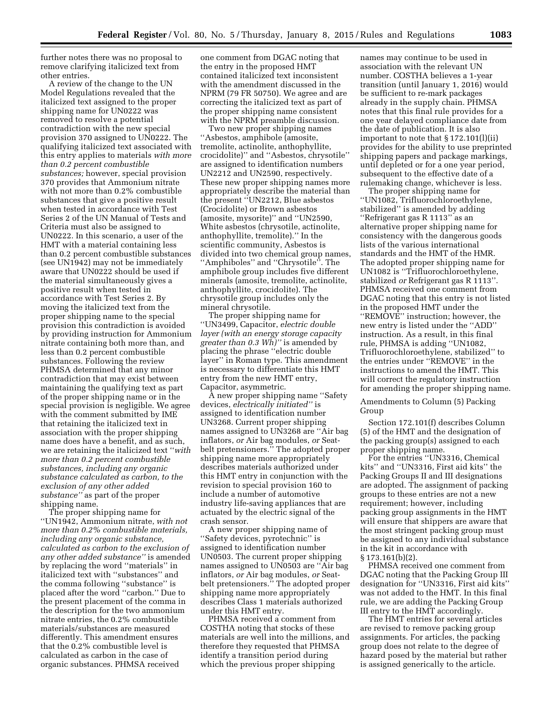further notes there was no proposal to remove clarifying italicized text from other entries.

A review of the change to the UN Model Regulations revealed that the italicized text assigned to the proper shipping name for UN0222 was removed to resolve a potential contradiction with the new special provision 370 assigned to UN0222. The qualifying italicized text associated with this entry applies to materials *with more than 0.2 percent combustible substances;* however, special provision 370 provides that Ammonium nitrate with not more than 0.2% combustible substances that give a positive result when tested in accordance with Test Series 2 of the UN Manual of Tests and Criteria must also be assigned to UN0222. In this scenario, a user of the HMT with a material containing less than 0.2 percent combustible substances (see UN1942) may not be immediately aware that UN0222 should be used if the material simultaneously gives a positive result when tested in accordance with Test Series 2. By moving the italicized text from the proper shipping name to the special provision this contradiction is avoided by providing instruction for Ammonium nitrate containing both more than, and less than 0.2 percent combustible substances. Following the review PHMSA determined that any minor contradiction that may exist between maintaining the qualifying text as part of the proper shipping name or in the special provision is negligible. We agree with the comment submitted by IME that retaining the italicized text in association with the proper shipping name does have a benefit, and as such, we are retaining the italicized text ''*with more than 0.2 percent combustible substances, including any organic substance calculated as carbon, to the exclusion of any other added substance''* as part of the proper shipping name.

The proper shipping name for ''UN1942, Ammonium nitrate, *with not more than 0.2% combustible materials, including any organic substance, calculated as carbon to the exclusion of any other added substance''* is amended by replacing the word ''materials'' in italicized text with ''substances'' and the comma following ''substance'' is placed after the word ''carbon.'' Due to the present placement of the comma in the description for the two ammonium nitrate entries, the 0.2% combustible materials/substances are measured differently. This amendment ensures that the 0.2% combustible level is calculated as carbon in the case of organic substances. PHMSA received

one comment from DGAC noting that the entry in the proposed HMT contained italicized text inconsistent with the amendment discussed in the NPRM (79 FR 50750). We agree and are correcting the italicized text as part of the proper shipping name consistent with the NPRM preamble discussion.

Two new proper shipping names ''Asbestos, amphibole (amosite, tremolite, actinolite, anthophyllite, crocidolite)'' and ''Asbestos, chrysotile'' are assigned to identification numbers UN2212 and UN2590, respectively. These new proper shipping names more appropriately describe the material than the present ''UN2212, Blue asbestos (Crocidolite) or Brown asbestos (amosite, mysorite)'' and ''UN2590, White asbestos (chrysotile, actinolite, anthophyllite, tremolite).'' In the scientific community, Asbestos is divided into two chemical group names, ''Amphiboles'' and ''Chrysotile''. The amphibole group includes five different minerals (amosite, tremolite, actinolite, anthophyllite, crocidolite). The chrysotile group includes only the mineral chrysotile.

The proper shipping name for ''UN3499, Capacitor, *electric double layer (with an energy storage capacity greater than 0.3 Wh)''* is amended by placing the phrase ''electric double layer'' in Roman type. This amendment is necessary to differentiate this HMT entry from the new HMT entry, Capacitor, asymmetric.

A new proper shipping name ''Safety devices, *electrically initiated''* is assigned to identification number UN3268. Current proper shipping names assigned to UN3268 are ''Air bag inflators, *or* Air bag modules, *or* Seatbelt pretensioners.'' The adopted proper shipping name more appropriately describes materials authorized under this HMT entry in conjunction with the revision to special provision 160 to include a number of automotive industry life-saving appliances that are actuated by the electric signal of the crash sensor.

A new proper shipping name of ''Safety devices, pyrotechnic'' is assigned to identification number UN0503. The current proper shipping names assigned to UN0503 are ''Air bag inflators, *or* Air bag modules, *or* Seatbelt pretensioners." The adopted proper shipping name more appropriately describes Class 1 materials authorized under this HMT entry.

PHMSA received a comment from COSTHA noting that stocks of these materials are well into the millions, and therefore they requested that PHMSA identify a transition period during which the previous proper shipping

names may continue to be used in association with the relevant UN number. COSTHA believes a 1-year transition (until January 1, 2016) would be sufficient to re-mark packages already in the supply chain. PHMSA notes that this final rule provides for a one year delayed compliance date from the date of publication. It is also important to note that § 172.101(l)(ii) provides for the ability to use preprinted shipping papers and package markings, until depleted or for a one year period, subsequent to the effective date of a rulemaking change, whichever is less.

The proper shipping name for ''UN1082, Trifluorochloroethylene, stabilized'' is amended by adding ''Refrigerant gas R 1113'' as an alternative proper shipping name for consistency with the dangerous goods lists of the various international standards and the HMT of the HMR. The adopted proper shipping name for UN1082 is ''Trifluorochloroethylene, stabilized *or* Refrigerant gas R 1113''. PHMSA received one comment from DGAC noting that this entry is not listed in the proposed HMT under the ''REMOVE'' instruction; however, the new entry is listed under the ''ADD'' instruction. As a result, in this final rule, PHMSA is adding ''UN1082, Trifluorochloroethylene, stabilized'' to the entries under ''REMOVE'' in the instructions to amend the HMT. This will correct the regulatory instruction for amending the proper shipping name.

Amendments to Column (5) Packing Group

Section 172.101(f) describes Column (5) of the HMT and the designation of the packing group(s) assigned to each proper shipping name.

For the entries ''UN3316, Chemical kits'' and ''UN3316, First aid kits'' the Packing Groups II and III designations are adopted. The assignment of packing groups to these entries are not a new requirement; however, including packing group assignments in the HMT will ensure that shippers are aware that the most stringent packing group must be assigned to any individual substance in the kit in accordance with § 173.161(b)(2).

PHMSA received one comment from DGAC noting that the Packing Group III designation for ''UN3316, First aid kits'' was not added to the HMT. In this final rule, we are adding the Packing Group III entry to the HMT accordingly.

The HMT entries for several articles are revised to remove packing group assignments. For articles, the packing group does not relate to the degree of hazard posed by the material but rather is assigned generically to the article.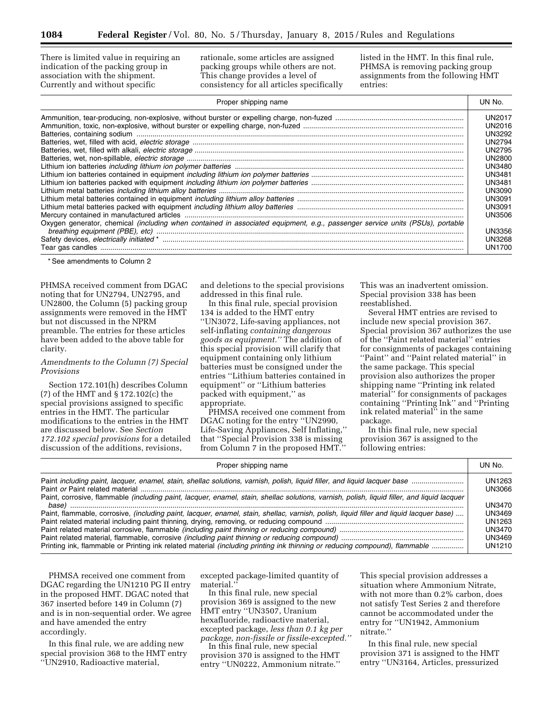There is limited value in requiring an indication of the packing group in association with the shipment. Currently and without specific

rationale, some articles are assigned packing groups while others are not. This change provides a level of consistency for all articles specifically listed in the HMT. In this final rule, PHMSA is removing packing group assignments from the following HMT entries:

| Proper shipping name                                                                                                         | UN No.        |
|------------------------------------------------------------------------------------------------------------------------------|---------------|
|                                                                                                                              | <b>UN2017</b> |
|                                                                                                                              | UN2016        |
|                                                                                                                              | <b>UN3292</b> |
|                                                                                                                              | <b>UN2794</b> |
|                                                                                                                              | <b>UN2795</b> |
|                                                                                                                              | <b>UN2800</b> |
|                                                                                                                              | <b>UN3480</b> |
|                                                                                                                              | UN3481        |
|                                                                                                                              | UN3481        |
|                                                                                                                              | UN3090        |
|                                                                                                                              | UN3091        |
|                                                                                                                              | UN3091        |
|                                                                                                                              | UN3506        |
| Oxygen generator, chemical (including when contained in associated equipment, e.g., passenger service units (PSUs), portable | <b>UN3356</b> |
|                                                                                                                              | <b>UN3268</b> |
|                                                                                                                              | <b>UN1700</b> |

\* See amendments to Column 2

PHMSA received comment from DGAC noting that for UN2794, UN2795, and UN2800, the Column (5) packing group assignments were removed in the HMT but not discussed in the NPRM preamble. The entries for these articles have been added to the above table for clarity.

# *Amendments to the Column (7) Special Provisions*

Section 172.101(h) describes Column (7) of the HMT and § 172.102(c) the special provisions assigned to specific entries in the HMT. The particular modifications to the entries in the HMT are discussed below. See *Section 172.102 special provisions* for a detailed discussion of the additions, revisions,

and deletions to the special provisions addressed in this final rule.

In this final rule, special provision 134 is added to the HMT entry ''UN3072, Life-saving appliances, not self-inflating *containing dangerous goods as equipment.''* The addition of this special provision will clarify that equipment containing only lithium batteries must be consigned under the entries ''Lithium batteries contained in equipment'' or ''Lithium batteries packed with equipment,'' as appropriate.

PHMSA received one comment from DGAC noting for the entry ''UN2990, Life-Saving Appliances, Self Inflating,'' that ''Special Provision 338 is missing from Column 7 in the proposed HMT.''

This was an inadvertent omission. Special provision 338 has been reestablished.

Several HMT entries are revised to include new special provision 367. Special provision 367 authorizes the use of the ''Paint related material'' entries for consignments of packages containing ''Paint'' and ''Paint related material'' in the same package. This special provision also authorizes the proper shipping name ''Printing ink related material'' for consignments of packages containing ''Printing Ink'' and ''Printing ink related material'' in the same package.

In this final rule, new special provision 367 is assigned to the following entries:

| Proper shipping name                                                                                                                           | UN No. |
|------------------------------------------------------------------------------------------------------------------------------------------------|--------|
|                                                                                                                                                | UN1263 |
|                                                                                                                                                | UN3066 |
| Paint, corrosive, flammable (including paint, lacquer, enamel, stain, shellac solutions, varnish, polish, liquid filler, and liquid lacquer    | UN3470 |
| Paint, flammable, corrosive, <i>(including paint, lacquer, enamel, stain, shellac, varnish, polish, liquid filler and liquid lacquer base)</i> | UN3469 |
|                                                                                                                                                | UN1263 |
|                                                                                                                                                | UN3470 |
|                                                                                                                                                | UN3469 |
| Printing ink, flammable or Printing ink related material (including printing ink thinning or reducing compound), flammable                     | UN1210 |

PHMSA received one comment from DGAC regarding the UN1210 PG II entry in the proposed HMT. DGAC noted that 367 inserted before 149 in Column (7) and is in non-sequential order. We agree and have amended the entry accordingly.

In this final rule, we are adding new special provision 368 to the HMT entry ''UN2910, Radioactive material,

excepted package-limited quantity of material.''

In this final rule, new special provision 369 is assigned to the new HMT entry ''UN3507, Uranium hexafluoride, radioactive material, excepted package, *less than 0.1 kg per package, non-fissile or fissile-excepted.''* 

In this final rule, new special provision 370 is assigned to the HMT entry ''UN0222, Ammonium nitrate.''

This special provision addresses a situation where Ammonium Nitrate, with not more than 0.2% carbon, does not satisfy Test Series 2 and therefore cannot be accommodated under the entry for ''UN1942, Ammonium nitrate.''

In this final rule, new special provision 371 is assigned to the HMT entry ''UN3164, Articles, pressurized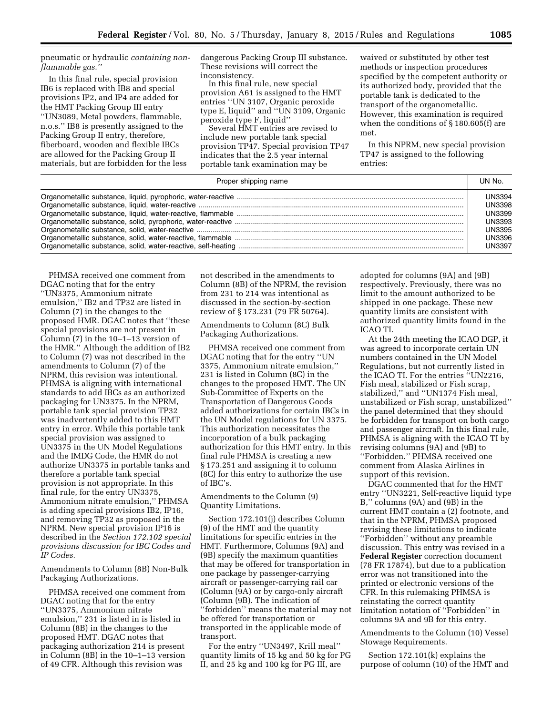pneumatic or hydraulic *containing nonflammable gas.''* 

In this final rule, special provision IB6 is replaced with IB8 and special provisions IP2, and IP4 are added for the HMT Packing Group III entry ''UN3089, Metal powders, flammable, n.o.s.'' IB8 is presently assigned to the Packing Group II entry, therefore, fiberboard, wooden and flexible IBCs are allowed for the Packing Group II materials, but are forbidden for the less dangerous Packing Group III substance. These revisions will correct the inconsistency.

In this final rule, new special provision A61 is assigned to the HMT entries ''UN 3107, Organic peroxide type E, liquid'' and ''UN 3109, Organic peroxide type F, liquid''

Several HMT entries are revised to include new portable tank special provision TP47. Special provision TP47 indicates that the 2.5 year internal portable tank examination may be

waived or substituted by other test methods or inspection procedures specified by the competent authority or its authorized body, provided that the portable tank is dedicated to the transport of the organometallic. However, this examination is required when the conditions of § 180.605(f) are met.

In this NPRM, new special provision TP47 is assigned to the following entries:

| Proper shipping name |               |
|----------------------|---------------|
|                      | <b>UN3394</b> |
|                      | <b>UN3398</b> |
|                      | <b>UN3399</b> |
|                      | <b>UN3393</b> |
|                      | <b>UN3395</b> |
|                      | <b>UN3396</b> |
|                      | <b>UN3397</b> |

PHMSA received one comment from DGAC noting that for the entry ''UN3375, Ammonium nitrate emulsion,'' IB2 and TP32 are listed in Column (7) in the changes to the proposed HMR. DGAC notes that ''these special provisions are not present in Column (7) in the 10–1–13 version of the HMR.'' Although the addition of IB2 to Column (7) was not described in the amendments to Column (7) of the NPRM, this revision was intentional. PHMSA is aligning with international standards to add IBCs as an authorized packaging for UN3375. In the NPRM, portable tank special provision TP32 was inadvertently added to this HMT entry in error. While this portable tank special provision was assigned to UN3375 in the UN Model Regulations and the IMDG Code, the HMR do not authorize UN3375 in portable tanks and therefore a portable tank special provision is not appropriate. In this final rule, for the entry UN3375, Ammonium nitrate emulsion,'' PHMSA is adding special provisions IB2, IP16, and removing TP32 as proposed in the NPRM. New special provision IP16 is described in the *Section 172.102 special provisions discussion for IBC Codes and IP Codes.* 

Amendments to Column (8B) Non-Bulk Packaging Authorizations.

PHMSA received one comment from DGAC noting that for the entry ''UN3375, Ammonium nitrate emulsion,'' 231 is listed in is listed in Column (8B) in the changes to the proposed HMT. DGAC notes that packaging authorization 214 is present in Column (8B) in the 10–1–13 version of 49 CFR. Although this revision was

not described in the amendments to Column (8B) of the NPRM, the revision from 231 to 214 was intentional as discussed in the section-by-section review of § 173.231 (79 FR 50764).

Amendments to Column (8C) Bulk Packaging Authorizations.

PHMSA received one comment from DGAC noting that for the entry ''UN 3375, Ammonium nitrate emulsion,'' 231 is listed in Column (8C) in the changes to the proposed HMT. The UN Sub-Committee of Experts on the Transportation of Dangerous Goods added authorizations for certain IBCs in the UN Model regulations for UN 3375. This authorization necessitates the incorporation of a bulk packaging authorization for this HMT entry. In this final rule PHMSA is creating a new § 173.251 and assigning it to column (8C) for this entry to authorize the use of IBC's.

Amendments to the Column (9) Quantity Limitations.

Section 172.101(j) describes Column (9) of the HMT and the quantity limitations for specific entries in the HMT. Furthermore, Columns (9A) and (9B) specify the maximum quantities that may be offered for transportation in one package by passenger-carrying aircraft or passenger-carrying rail car (Column (9A) or by cargo-only aircraft (Column (9B). The indication of ''forbidden'' means the material may not be offered for transportation or transported in the applicable mode of transport.

For the entry ''UN3497, Krill meal'' quantity limits of 15 kg and 50 kg for PG II, and 25 kg and 100 kg for PG III, are

adopted for columns (9A) and (9B) respectively. Previously, there was no limit to the amount authorized to be shipped in one package. These new quantity limits are consistent with authorized quantity limits found in the ICAO TI.

At the 24th meeting the ICAO DGP, it was agreed to incorporate certain UN numbers contained in the UN Model Regulations, but not currently listed in the ICAO TI. For the entries ''UN2216, Fish meal, stabilized or Fish scrap, stabilized,'' and ''UN1374 Fish meal, unstabilized or Fish scrap, unstabilized'' the panel determined that they should be forbidden for transport on both cargo and passenger aircraft. In this final rule, PHMSA is aligning with the ICAO TI by revising columns (9A) and (9B) to ''Forbidden.'' PHMSA received one comment from Alaska Airlines in support of this revision.

DGAC commented that for the HMT entry ''UN3221, Self-reactive liquid type B,'' columns (9A) and (9B) in the current HMT contain a (2) footnote, and that in the NPRM, PHMSA proposed revising these limitations to indicate ''Forbidden'' without any preamble discussion. This entry was revised in a **Federal Register** correction document (78 FR 17874), but due to a publication error was not transitioned into the printed or electronic versions of the CFR. In this rulemaking PHMSA is reinstating the correct quantity limitation notation of ''Forbidden'' in columns 9A and 9B for this entry.

Amendments to the Column (10) Vessel Stowage Requirements.

Section 172.101(k) explains the purpose of column (10) of the HMT and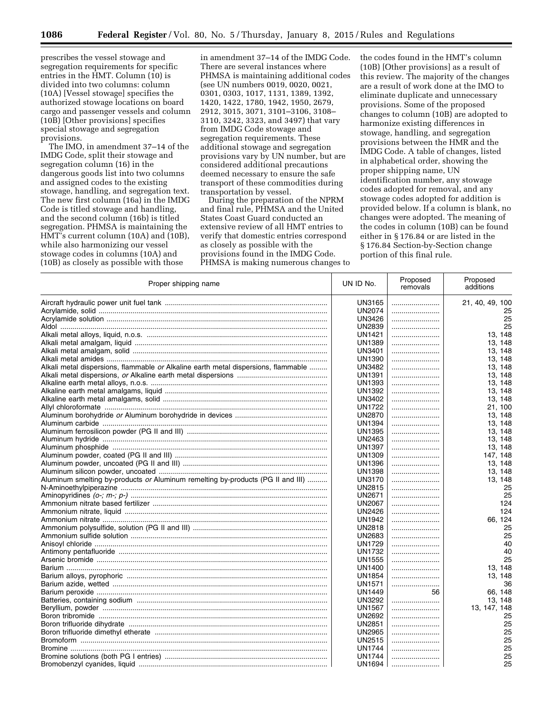prescribes the vessel stowage and segregation requirements for specific entries in the HMT. Column (10) is divided into two columns: column (10A) [Vessel stowage] specifies the authorized stowage locations on board cargo and passenger vessels and column (10B) [Other provisions] specifies special stowage and segregation provisions.

The IMO, in amendment 37–14 of the IMDG Code, split their stowage and segregation column (16) in the dangerous goods list into two columns and assigned codes to the existing stowage, handling, and segregation text. The new first column (16a) in the IMDG Code is titled stowage and handling, and the second column (16b) is titled segregation. PHMSA is maintaining the HMT's current column (10A) and (10B), while also harmonizing our vessel stowage codes in columns (10A) and (10B) as closely as possible with those

in amendment 37–14 of the IMDG Code. There are several instances where PHMSA is maintaining additional codes (see UN numbers 0019, 0020, 0021, 0301, 0303, 1017, 1131, 1389, 1392, 1420, 1422, 1780, 1942, 1950, 2679, 2912, 3015, 3071, 3101–3106, 3108– 3110, 3242, 3323, and 3497) that vary from IMDG Code stowage and segregation requirements. These additional stowage and segregation provisions vary by UN number, but are considered additional precautions deemed necessary to ensure the safe transport of these commodities during transportation by vessel.

During the preparation of the NPRM and final rule, PHMSA and the United States Coast Guard conducted an extensive review of all HMT entries to verify that domestic entries correspond as closely as possible with the provisions found in the IMDG Code. PHMSA is making numerous changes to the codes found in the HMT's column (10B) [Other provisions] as a result of this review. The majority of the changes are a result of work done at the IMO to eliminate duplicate and unnecessary provisions. Some of the proposed changes to column (10B) are adopted to harmonize existing differences in stowage, handling, and segregation provisions between the HMR and the IMDG Code. A table of changes, listed in alphabetical order, showing the proper shipping name, UN identification number, any stowage codes adopted for removal, and any stowage codes adopted for addition is provided below. If a column is blank, no changes were adopted. The meaning of the codes in column (10B) can be found either in § 176.84 or are listed in the § 176.84 Section-by-Section change portion of this final rule.

| Proper shipping name                                                               | UN ID No.     | Proposed<br>removals | Proposed<br>additions |
|------------------------------------------------------------------------------------|---------------|----------------------|-----------------------|
|                                                                                    | UN3165        |                      | 21, 40, 49, 100       |
|                                                                                    | UN2074        |                      | 25                    |
|                                                                                    | <b>UN3426</b> |                      | 25                    |
|                                                                                    | <b>UN2839</b> |                      | 25                    |
|                                                                                    | <b>UN1421</b> |                      | 13.148                |
|                                                                                    | <b>UN1389</b> |                      | 13, 148               |
|                                                                                    | <b>UN3401</b> |                      | 13.148                |
|                                                                                    | <b>UN1390</b> |                      | 13, 148               |
| Alkali metal dispersions, flammable or Alkaline earth metal dispersions, flammable | <b>UN3482</b> |                      | 13, 148               |
|                                                                                    | <b>UN1391</b> |                      | 13, 148               |
|                                                                                    | <b>UN1393</b> |                      | 13, 148               |
|                                                                                    | UN1392        |                      | 13.148                |
|                                                                                    | UN3402        |                      | 13, 148               |
|                                                                                    | <b>UN1722</b> |                      | 21, 100               |
|                                                                                    | UN2870        |                      | 13, 148               |
|                                                                                    | UN1394        |                      | 13.148                |
|                                                                                    |               |                      |                       |
|                                                                                    | UN1395        |                      | 13, 148               |
|                                                                                    | UN2463        |                      | 13.148                |
|                                                                                    | <b>UN1397</b> |                      | 13, 148               |
|                                                                                    | <b>UN1309</b> |                      | 147, 148              |
|                                                                                    | <b>UN1396</b> |                      | 13, 148               |
|                                                                                    | <b>UN1398</b> |                      | 13, 148               |
| Aluminum smelting by-products or Aluminum remelting by-products (PG II and III)    | <b>UN3170</b> |                      | 13, 148               |
|                                                                                    | <b>UN2815</b> |                      | 25                    |
|                                                                                    | <b>UN2671</b> |                      | 25                    |
|                                                                                    | <b>UN2067</b> |                      | 124                   |
|                                                                                    | <b>UN2426</b> |                      | 124                   |
|                                                                                    | UN1942        |                      | 66, 124               |
|                                                                                    | <b>UN2818</b> |                      | 25                    |
|                                                                                    | <b>UN2683</b> |                      | 25                    |
|                                                                                    | <b>UN1729</b> |                      | 40                    |
|                                                                                    | <b>UN1732</b> |                      | 40                    |
|                                                                                    | <b>UN1555</b> |                      | 25                    |
|                                                                                    | UN1400        |                      | 13, 148               |
|                                                                                    | <b>UN1854</b> |                      | 13, 148               |
|                                                                                    | <b>UN1571</b> |                      | 36                    |
|                                                                                    | <b>UN1449</b> | 56                   | 66, 148               |
|                                                                                    | <b>UN3292</b> |                      | 13.148                |
|                                                                                    | <b>UN1567</b> |                      | 13, 147, 148          |
|                                                                                    | <b>UN2692</b> |                      | 25                    |
|                                                                                    | <b>UN2851</b> |                      | 25                    |
|                                                                                    | <b>UN2965</b> |                      | 25                    |
|                                                                                    | <b>UN2515</b> |                      | 25                    |
|                                                                                    | UN1744        |                      | 25                    |
|                                                                                    | UN1744        |                      | 25                    |
|                                                                                    | UN1694        |                      | 25                    |
|                                                                                    |               |                      |                       |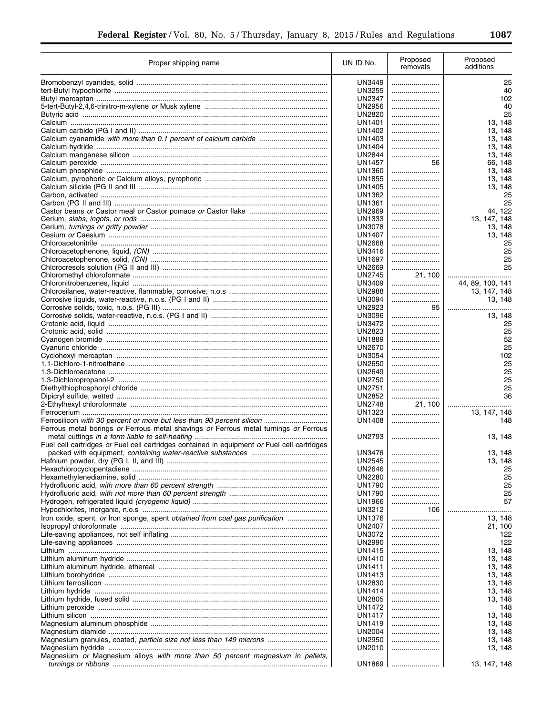| I   |               |               |     |
|-----|---------------|---------------|-----|
| --- | ٦<br>M.<br>۰. | I<br>v.<br>۰. | . . |

÷.

| Proper shipping name                                                                        | UN ID No.                      | Proposed<br>removals | Proposed<br>additions |
|---------------------------------------------------------------------------------------------|--------------------------------|----------------------|-----------------------|
|                                                                                             | UN3449                         |                      | 25                    |
|                                                                                             | UN3255                         |                      | 40                    |
|                                                                                             | <b>UN2347</b>                  |                      | 102                   |
|                                                                                             | UN2956                         |                      | 40                    |
|                                                                                             | UN2820<br><b>UN1401</b>        |                      | 25                    |
|                                                                                             | UN1402                         |                      | 13, 148<br>13, 148    |
|                                                                                             | UN1403                         |                      | 13, 148               |
|                                                                                             | UN1404                         |                      | 13, 148               |
|                                                                                             | <b>UN2844</b>                  |                      | 13, 148               |
|                                                                                             | <b>UN1457</b>                  | 56                   | 66, 148               |
|                                                                                             | UN1360                         |                      | 13, 148               |
|                                                                                             | <b>UN1855</b>                  |                      | 13, 148               |
|                                                                                             | <b>UN1405</b><br>UN1362        |                      | 13, 148<br>25         |
|                                                                                             | <b>UN1361</b>                  |                      | 25                    |
|                                                                                             | <b>UN2969</b>                  |                      | 44, 122               |
|                                                                                             | <b>UN1333</b>                  |                      | 13, 147, 148          |
|                                                                                             | <b>UN3078</b>                  |                      | 13, 148               |
|                                                                                             | <b>UN1407</b>                  |                      | 13, 148               |
|                                                                                             | <b>UN2668</b>                  |                      | 25                    |
|                                                                                             | UN3416                         |                      | 25                    |
|                                                                                             | <b>UN1697</b><br><b>UN2669</b> |                      | 25<br>25              |
|                                                                                             | <b>UN2745</b>                  | 21, 100              |                       |
|                                                                                             | UN3409                         |                      | 44, 89, 100, 141      |
|                                                                                             | <b>UN2988</b>                  |                      | 13, 147, 148          |
|                                                                                             | <b>UN3094</b>                  |                      | 13, 148               |
|                                                                                             | UN2923                         | 95                   |                       |
|                                                                                             | UN3096                         |                      | 13, 148               |
|                                                                                             | UN3472                         |                      | 25                    |
|                                                                                             | <b>UN2823</b><br>UN1889        | <br>                 | 25<br>52              |
|                                                                                             | <b>UN2670</b>                  |                      | 25                    |
|                                                                                             | UN3054                         |                      | 102                   |
|                                                                                             | <b>UN2650</b>                  |                      | 25                    |
|                                                                                             | <b>UN2649</b>                  |                      | 25                    |
|                                                                                             | <b>UN2750</b>                  |                      | 25                    |
|                                                                                             | <b>UN2751</b><br><b>UN2852</b> |                      | 25<br>36              |
|                                                                                             | <b>UN2748</b>                  | <br>21, 100          |                       |
|                                                                                             | UN1323                         |                      | 13, 147, 148          |
| Ferrosilicon with 30 percent or more but less than 90 percent silicon                       | <b>UN1408</b>                  |                      | 148                   |
| Ferrous metal borings or Ferrous metal shavings or Ferrous metal turnings or Ferrous        | <b>UN2793</b>                  |                      | 13, 148               |
| Fuel cell cartridges or Fuel cell cartridges contained in equipment or Fuel cell cartridges |                                |                      |                       |
|                                                                                             | <b>UN3476</b>                  |                      | 13.148                |
|                                                                                             | <b>UN2545</b><br>UN2646        |                      | 13, 148<br>25         |
|                                                                                             | UN2280                         | <br>                 | 25                    |
|                                                                                             | UN1790                         |                      | 25                    |
|                                                                                             | UN1790                         |                      | 25                    |
|                                                                                             | UN1966                         |                      | 57                    |
|                                                                                             | UN3212                         | 106                  |                       |
| Iron oxide, spent, or Iron sponge, spent obtained from coal gas purification                | UN1376                         |                      | 13, 148               |
|                                                                                             | UN2407                         |                      | 21, 100               |
|                                                                                             | UN3072<br><b>UN2990</b>        |                      | 122<br>122            |
|                                                                                             | UN1415                         |                      | 13, 148               |
|                                                                                             | UN1410                         |                      | 13, 148               |
|                                                                                             | <b>UN1411</b>                  |                      | 13, 148               |
|                                                                                             | UN1413                         |                      | 13, 148               |
|                                                                                             | UN2830                         |                      | 13, 148               |
|                                                                                             | UN1414                         |                      | 13, 148               |
|                                                                                             | UN2805<br>UN1472               |                      | 13, 148<br>148        |
|                                                                                             | UN1417                         |                      | 13, 148               |
|                                                                                             | UN1419                         |                      | 13, 148               |
|                                                                                             | UN2004                         |                      | 13, 148               |
| Magnesium granules, coated, particle size not less than 149 microns                         | <b>UN2950</b>                  |                      | 13, 148               |
|                                                                                             | UN2010                         |                      | 13, 148               |
| Magnesium or Magnesium alloys with more than 50 percent magnesium in pellets,               | UN1869                         |                      | 13, 147, 148          |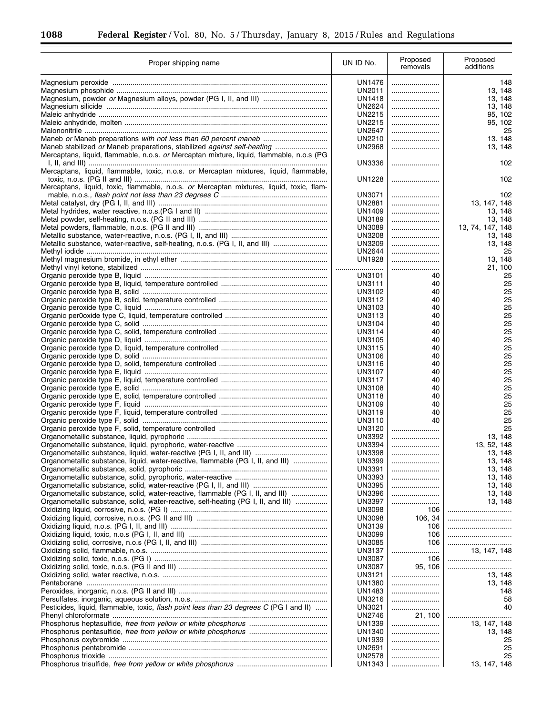Ξ

| Proper shipping name                                                                     | UN ID No.        | Proposed<br>removals | Proposed<br>additions |
|------------------------------------------------------------------------------------------|------------------|----------------------|-----------------------|
|                                                                                          | UN1476           |                      | 148                   |
|                                                                                          | UN2011           |                      | 13, 148               |
|                                                                                          | UN1418           |                      | 13, 148               |
|                                                                                          | UN2624           |                      | 13, 148               |
|                                                                                          | UN2215           |                      | 95, 102               |
|                                                                                          | UN2215           |                      | 95, 102               |
|                                                                                          | UN2647           |                      | 25                    |
|                                                                                          | UN2210           |                      | 13.148                |
| Maneb stabilized or Maneb preparations, stabilized against self-heating                  | <b>UN2968</b>    |                      | 13, 148               |
| Mercaptans, liquid, flammable, n.o.s. or Mercaptan mixture, liquid, flammable, n.o.s (PG |                  |                      |                       |
| Mercaptans, liquid, flammable, toxic, n.o.s. or Mercaptan mixtures, liquid, flammable,   | <b>UN3336</b>    |                      | 102                   |
|                                                                                          | UN1228           |                      | 102                   |
| Mercaptans, liquid, toxic, flammable, n.o.s. or Mercaptan mixtures, liquid, toxic, flam- |                  |                      |                       |
|                                                                                          | UN3071           |                      | 102                   |
|                                                                                          | UN2881           |                      | 13, 147, 148          |
|                                                                                          | UN1409           |                      | 13, 148               |
|                                                                                          | UN3189           |                      | 13, 148               |
|                                                                                          | UN3089           |                      | 13, 74, 147, 148      |
|                                                                                          | UN3208           |                      | 13, 148               |
|                                                                                          | UN3209           |                      | 13, 148               |
|                                                                                          | UN2644           |                      | 25                    |
|                                                                                          | UN1928           |                      | 13, 148               |
|                                                                                          |                  |                      | 21, 100               |
|                                                                                          | UN3101           | 40                   | 25                    |
|                                                                                          | UN3111           | 40                   | 25                    |
|                                                                                          | UN3102           | 40                   | 25                    |
|                                                                                          | UN3112           | 40                   | 25                    |
|                                                                                          | UN3103           | 40                   | 25<br>25              |
|                                                                                          | UN3113           | 40                   | 25                    |
|                                                                                          | UN3104           | 40                   | 25                    |
|                                                                                          | UN3114<br>UN3105 | 40<br>40             | 25                    |
|                                                                                          | <b>UN3115</b>    | 40                   | 25                    |
|                                                                                          | UN3106           | 40                   | 25                    |
|                                                                                          | UN3116           | 40                   | 25                    |
|                                                                                          | <b>UN3107</b>    | 40                   | 25                    |
|                                                                                          | <b>UN3117</b>    | 40                   | 25                    |
|                                                                                          | UN3108           | 40                   | 25                    |
|                                                                                          | <b>UN3118</b>    | 40                   | 25                    |
|                                                                                          | UN3109           | 40                   | 25                    |
|                                                                                          | <b>UN3119</b>    | 40                   | 25                    |
|                                                                                          | UN3110           | 40                   | 25                    |
|                                                                                          | UN3120           |                      | 25                    |
|                                                                                          | UN3392           |                      | 13, 148               |
|                                                                                          | UN3394           |                      | 13, 52, 148           |
|                                                                                          | <b>UN3398</b>    |                      | 13, 148               |
| Organometallic substance, liquid, water-reactive, flammable (PG I, II, and III)          | <b>UN3399</b>    |                      | 13, 148               |
|                                                                                          | <b>UN3391</b>    |                      | 13, 148               |
|                                                                                          | <b>UN3393</b>    |                      | 13, 148               |
|                                                                                          | <b>UN3395</b>    |                      | 13, 148               |
| Organometallic substance, solid, water-reactive, flammable (PG I, II, and III)           | <b>UN3396</b>    |                      | 13, 148               |
| Organometallic substance, solid, water-reactive, self-heating (PG I, II, and III)        | <b>UN3397</b>    |                      | 13, 148               |
|                                                                                          | <b>UN3098</b>    | 106                  |                       |
|                                                                                          | <b>UN3098</b>    | 106, 34              |                       |
|                                                                                          | UN3139           | 106                  |                       |
|                                                                                          | <b>UN3099</b>    | 106                  |                       |
|                                                                                          | <b>UN3085</b>    | 106                  |                       |
|                                                                                          | UN3137           |                      | 13, 147, 148          |
|                                                                                          | <b>UN3087</b>    | 106                  |                       |
|                                                                                          | <b>UN3087</b>    | 95, 106              |                       |
|                                                                                          | UN3121           |                      | 13, 148               |
|                                                                                          | <b>UN1380</b>    |                      | 13, 148               |
|                                                                                          | UN1483           |                      | 148                   |
|                                                                                          | UN3216           |                      | 58                    |
| Pesticides, liquid, flammable, toxic, flash point less than 23 degrees C (PG I and II)   | <b>UN3021</b>    |                      | 40                    |
|                                                                                          | <b>UN2746</b>    | 21, 100              |                       |
|                                                                                          | <b>UN1339</b>    |                      | 13, 147, 148          |
|                                                                                          | <b>UN1340</b>    |                      | 13, 148               |
|                                                                                          | <b>UN1939</b>    |                      | 25                    |
|                                                                                          | <b>UN2691</b>    |                      | 25                    |
|                                                                                          | UN2578           |                      | 25                    |
|                                                                                          | UN1343           |                      | 13, 147, 148          |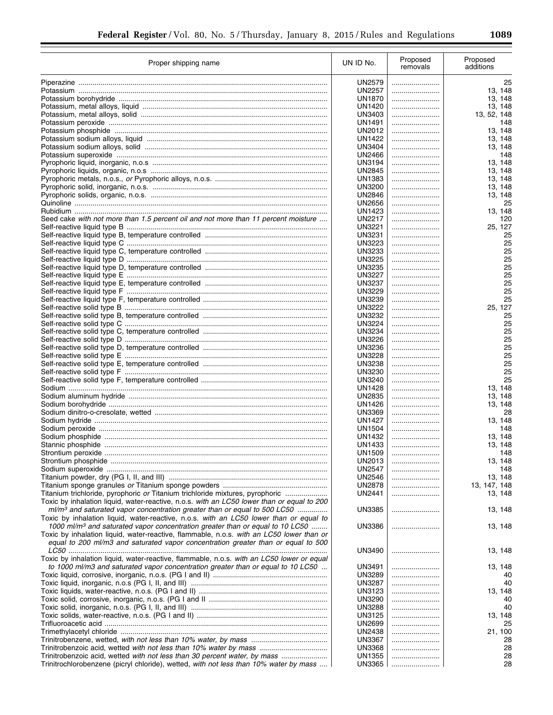÷.

| Proper shipping name                                                                                                                                                          | UN ID No.                      | Proposed<br>removals | Proposed<br>additions |
|-------------------------------------------------------------------------------------------------------------------------------------------------------------------------------|--------------------------------|----------------------|-----------------------|
|                                                                                                                                                                               | UN2579                         |                      | 25                    |
|                                                                                                                                                                               | <b>UN2257</b>                  |                      | 13, 148               |
|                                                                                                                                                                               | UN1870                         |                      | 13, 148               |
|                                                                                                                                                                               | <b>UN1420</b>                  |                      | 13, 148               |
|                                                                                                                                                                               | UN3403                         |                      | 13, 52, 148           |
|                                                                                                                                                                               | <b>UN1491</b>                  |                      | 148                   |
|                                                                                                                                                                               | UN2012<br>UN1422               |                      | 13, 148<br>13, 148    |
|                                                                                                                                                                               | <b>UN3404</b>                  |                      | 13, 148               |
|                                                                                                                                                                               | <b>UN2466</b>                  |                      | 148                   |
|                                                                                                                                                                               | <b>UN3194</b>                  |                      | 13, 148               |
|                                                                                                                                                                               | UN2845                         |                      | 13, 148               |
|                                                                                                                                                                               | UN1383                         |                      | 13.148                |
|                                                                                                                                                                               | UN3200                         |                      | 13, 148               |
|                                                                                                                                                                               | UN2846                         |                      | 13, 148               |
|                                                                                                                                                                               | <b>UN2656</b>                  |                      | 25                    |
| Seed cake with not more than 1.5 percent oil and not more than 11 percent moisture                                                                                            | UN1423<br><b>UN2217</b>        | <br>                 | 13, 148<br>120        |
|                                                                                                                                                                               | UN3221                         |                      | 25, 127               |
|                                                                                                                                                                               | UN3231                         |                      | 25                    |
|                                                                                                                                                                               | <b>UN3223</b>                  |                      | 25                    |
|                                                                                                                                                                               | <b>UN3233</b>                  |                      | 25                    |
|                                                                                                                                                                               | UN3225                         |                      | 25                    |
|                                                                                                                                                                               | <b>UN3235</b>                  |                      | 25                    |
|                                                                                                                                                                               | <b>UN3227</b>                  |                      | 25                    |
|                                                                                                                                                                               | <b>UN3237</b><br>UN3229        |                      | 25<br>25              |
|                                                                                                                                                                               | <b>UN3239</b>                  |                      | 25                    |
|                                                                                                                                                                               | <b>UN3222</b>                  |                      | 25, 127               |
|                                                                                                                                                                               | UN3232                         |                      | 25                    |
|                                                                                                                                                                               | UN3224                         |                      | 25                    |
|                                                                                                                                                                               | <b>UN3234</b>                  |                      | 25                    |
|                                                                                                                                                                               | <b>UN3226</b>                  |                      | 25                    |
|                                                                                                                                                                               | <b>UN3236</b><br><b>UN3228</b> |                      | 25<br>25              |
|                                                                                                                                                                               | <b>UN3238</b>                  |                      | 25                    |
|                                                                                                                                                                               | UN3230                         |                      | 25                    |
|                                                                                                                                                                               | UN3240                         |                      | 25                    |
|                                                                                                                                                                               | <b>UN1428</b>                  |                      | 13, 148               |
|                                                                                                                                                                               | <b>UN2835</b>                  |                      | 13, 148               |
|                                                                                                                                                                               | <b>UN1426</b>                  |                      | 13, 148               |
|                                                                                                                                                                               | <b>UN3369</b><br><b>UN1427</b> |                      | 28                    |
|                                                                                                                                                                               | <b>UN1504</b>                  |                      | 13, 148<br>148        |
|                                                                                                                                                                               | UN1432                         |                      | 13, 148               |
|                                                                                                                                                                               | <b>UN1433</b>                  |                      | 13, 148               |
|                                                                                                                                                                               | <b>UN1509</b>                  |                      | 148                   |
|                                                                                                                                                                               | <b>UN2013</b>                  |                      | 13, 148               |
|                                                                                                                                                                               | <b>UN2547</b>                  |                      | 148                   |
|                                                                                                                                                                               | <b>UN2546</b>                  |                      | 13, 148               |
|                                                                                                                                                                               | <b>UN2878</b>                  |                      | 13, 147, 148          |
| Titanium trichloride, pyrophoric or Titanium trichloride mixtures, pyrophoric<br>Toxic by inhalation liquid, water-reactive, n.o.s. with an LC50 lower than or equal to 200   | <b>UN2441</b>                  |                      | 13, 148               |
| $m/m3$ and saturated vapor concentration greater than or equal to 500 LC50                                                                                                    | <b>UN3385</b>                  |                      | 13, 148               |
| Toxic by inhalation liquid, water-reactive, n.o.s. with an LC50 lower than or equal to                                                                                        |                                |                      |                       |
| 1000 ml/m <sup>3</sup> and saturated vapor concentration greater than or equal to 10 LC50                                                                                     | <b>UN3386</b>                  |                      | 13, 148               |
| Toxic by inhalation liquid, water-reactive, flammable, n.o.s. with an LC50 lower than or<br>equal to 200 ml/m3 and saturated vapor concentration greater than or equal to 500 |                                |                      |                       |
| Toxic by inhalation liquid, water-reactive, flammable, n.o.s. with an LC50 lower or equal                                                                                     | UN3490                         |                      | 13, 148               |
| to 1000 ml/m3 and saturated vapor concentration greater than or equal to 10 LC50                                                                                              | UN3491                         |                      | 13, 148               |
|                                                                                                                                                                               | UN3289                         |                      | 40                    |
|                                                                                                                                                                               | <b>UN3287</b><br><b>UN3123</b> |                      | 40                    |
|                                                                                                                                                                               | <b>UN3290</b>                  |                      | 13, 148<br>40         |
|                                                                                                                                                                               | <b>UN3288</b>                  |                      | 40                    |
|                                                                                                                                                                               | <b>UN3125</b>                  |                      | 13, 148               |
|                                                                                                                                                                               | <b>UN2699</b>                  |                      | 25                    |
|                                                                                                                                                                               | <b>UN2438</b>                  |                      | 21, 100               |
|                                                                                                                                                                               | <b>UN3367</b>                  |                      | 28                    |
| Trinitrobenzoic acid, wetted with not less than 10% water by mass<br>Trinitrobenzoic acid, wetted with not less than 30 percent water, by mass                                | <b>UN3368</b><br><b>UN1355</b> |                      | 28<br>28              |
| Trinitrochlorobenzene (picryl chloride), wetted, with not less than 10% water by mass                                                                                         | UN3365                         |                      | 28                    |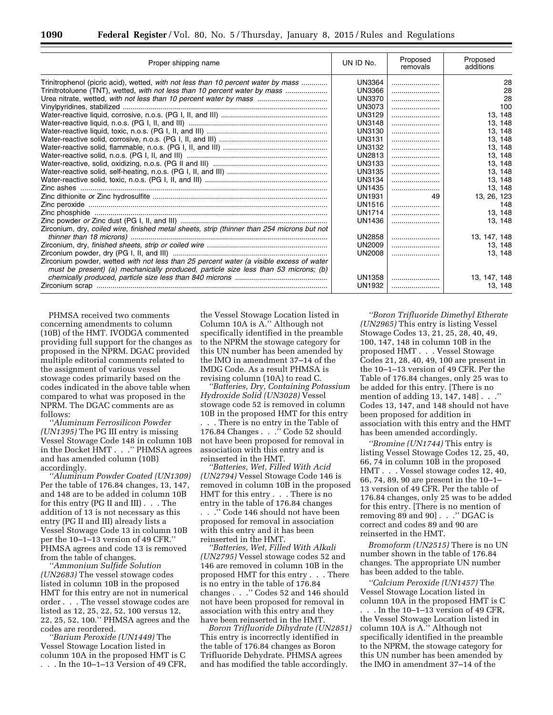| Proper shipping name                                                                        | UN ID No.     | Proposed<br>removals | Proposed<br>additions |
|---------------------------------------------------------------------------------------------|---------------|----------------------|-----------------------|
| Trinitrophenol (picric acid), wetted, with not less than 10 percent water by mass           | <b>UN3364</b> |                      | 28                    |
| Trinitrotoluene (TNT), wetted, with not less than 10 percent water by mass                  | <b>UN3366</b> |                      | 28                    |
|                                                                                             | <b>UN3370</b> |                      | 28                    |
|                                                                                             | <b>UN3073</b> |                      | 100                   |
|                                                                                             | <b>UN3129</b> |                      | 13, 148               |
|                                                                                             | <b>UN3148</b> |                      | 13.148                |
|                                                                                             | UN3130        |                      | 13.148                |
|                                                                                             | <b>UN3131</b> |                      | 13.148                |
|                                                                                             | <b>UN3132</b> |                      | 13.148                |
|                                                                                             | UN2813        |                      | 13.148                |
|                                                                                             | <b>UN3133</b> |                      | 13.148                |
|                                                                                             | UN3135        |                      | 13, 148               |
|                                                                                             | UN3134        |                      | 13.148                |
|                                                                                             | UN1435        |                      | 13.148                |
|                                                                                             | <b>UN1931</b> | 49                   | 13, 26, 123           |
|                                                                                             | <b>UN1516</b> |                      | 148                   |
|                                                                                             | <b>UN1714</b> |                      | 13.148                |
|                                                                                             | UN1436        |                      | 13, 148               |
| Zirconium, dry, coiled wire, finished metal sheets, strip (thinner than 254 microns but not |               |                      |                       |
|                                                                                             | <b>UN2858</b> |                      | 13, 147, 148          |
|                                                                                             | <b>UN2009</b> |                      | 13, 148               |
|                                                                                             | UN2008        |                      | 13, 148               |
| Zirconium powder, wetted with not less than 25 percent water (a visible excess of water     |               |                      |                       |
| must be present) (a) mechanically produced, particle size less than 53 microns; (b)         |               |                      |                       |
|                                                                                             | UN1358        |                      | 13, 147, 148          |
|                                                                                             | UN1932        |                      | 13.148                |

PHMSA received two comments concerning amendments to column (10B) of the HMT. IVODGA commented providing full support for the changes as proposed in the NPRM. DGAC provided multiple editorial comments related to the assignment of various vessel stowage codes primarily based on the codes indicated in the above table when compared to what was proposed in the NPRM. The DGAC comments are as follows:

*''Aluminum Ferrosilicon Powder (UN1395)* The PG III entry is missing Vessel Stowage Code 148 in column 10B in the Docket HMT . . .'' PHMSA agrees and has amended column (10B) accordingly.

*''Aluminum Powder Coated (UN1309)*  Per the table of 176.84 changes, 13, 147, and 148 are to be added in column 10B for this entry (PG II and III) . . . The addition of 13 is not necessary as this entry (PG II and III) already lists a Vessel Stowage Code 13 in column 10B per the 10–1–13 version of 49 CFR.'' PHMSA agrees and code 13 is removed from the table of changes.

*''Ammonium Sulfide Solution (UN2683)* The vessel stowage codes listed in column 10B in the proposed HMT for this entry are not in numerical order . . . The vessel stowage codes are listed as 12, 25, 22, 52, 100 versus 12, 22, 25, 52, 100.'' PHMSA agrees and the codes are reordered.

*''Barium Peroxide (UN1449)* The Vessel Stowage Location listed in column 10A in the proposed HMT is C . . . In the 10–1–13 Version of 49 CFR,

the Vessel Stowage Location listed in Column 10A is A.'' Although not specifically identified in the preamble to the NPRM the stowage category for this UN number has been amended by the IMO in amendment 37–14 of the IMDG Code. As a result PHMSA is revising column (10A) to read C.

*''Batteries, Dry, Containing Potassium Hydroxide Solid (UN3028)* Vessel stowage code 52 is removed in column 10B in the proposed HMT for this entry . . . There is no entry in the Table of 176.84 Changes . . .'' Code 52 should not have been proposed for removal in association with this entry and is reinserted in the HMT.

*''Batteries, Wet, Filled With Acid (UN2794)* Vessel Stowage Code 146 is removed in column 10B in the proposed HMT for this entry . . . There is no entry in the table of 176.84 changes

. . .'' Code 146 should not have been proposed for removal in association with this entry and it has been reinserted in the HMT.

*''Batteries, Wet, Filled With Alkali (UN2795)* Vessel stowage codes 52 and 146 are removed in column 10B in the proposed HMT for this entry . . . There is no entry in the table of 176.84 changes . . .'' Codes 52 and 146 should not have been proposed for removal in association with this entry and they have been reinserted in the HMT.

*Boron Trifluoride Dihydrate (UN2851)*  This entry is incorrectly identified in the table of 176.84 changes as Boron Trifluoride Dehydrate. PHMSA agrees and has modified the table accordingly.

*''Boron Trifluoride Dimethyl Etherate (UN2965)* This entry is listing Vessel Stowage Codes 13, 21, 25, 28, 40, 49, 100, 147, 148 in column 10B in the proposed HMT . . . Vessel Stowage Codes 21, 28, 40, 49, 100 are present in the 10–1–13 version of 49 CFR. Per the Table of 176.84 changes, only 25 was to be added for this entry. [There is no mention of adding 13, 147, 148] . . .'' Codes 13, 147, and 148 should not have been proposed for addition in association with this entry and the HMT has been amended accordingly.

*''Bromine (UN1744)* This entry is listing Vessel Stowage Codes 12, 25, 40, 66, 74 in column 10B in the proposed HMT . . . Vessel stowage codes 12, 40, 66, 74, 89, 90 are present in the 10–1– 13 version of 49 CFR. Per the table of 176.84 changes, only 25 was to be added for this entry. [There is no mention of removing 89 and 90] . . .'' DGAC is correct and codes 89 and 90 are reinserted in the HMT.

*Bromoform (UN2515)* There is no UN number shown in the table of 176.84 changes. The appropriate UN number has been added to the table.

*''Calcium Peroxide (UN1457)* The Vessel Stowage Location listed in column 10A in the proposed HMT is C

. . . In the 10–1–13 version of 49 CFR, the Vessel Stowage Location listed in column 10A is A.'' Although not specifically identified in the preamble to the NPRM, the stowage category for this UN number has been amended by the IMO in amendment 37–14 of the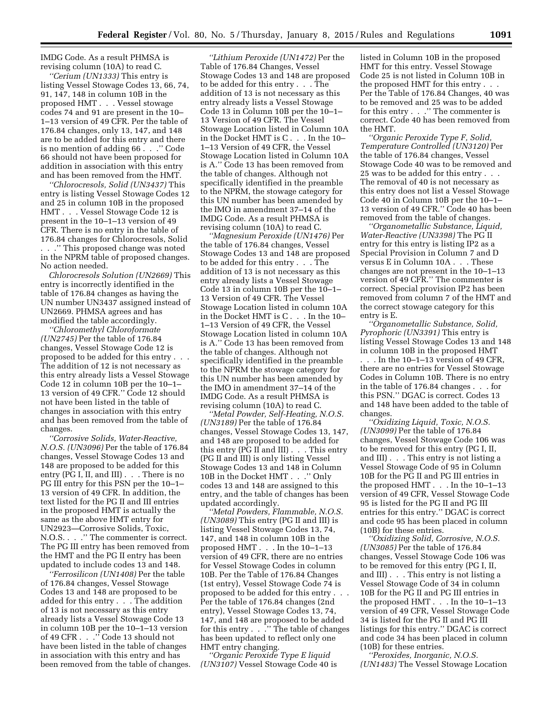IMDG Code. As a result PHMSA is revising column (10A) to read C.

*''Cerium (UN1333)* This entry is listing Vessel Stowage Codes 13, 66, 74, 91, 147, 148 in column 10B in the proposed HMT . . . Vessel stowage codes 74 and 91 are present in the 10– 1–13 version of 49 CFR. Per the table of 176.84 changes, only 13, 147, and 148 are to be added for this entry and there is no mention of adding 66 . . .'' Code 66 should not have been proposed for addition in association with this entry and has been removed from the HMT.

*''Chlorocresols, Solid (UN3437)* This entry is listing Vessel Stowage Codes 12 and 25 in column 10B in the proposed HMT . . . Vessel Stowage Code 12 is present in the 10–1–13 version of 49 CFR. There is no entry in the table of 176.84 changes for Chlorocresols, Solid . . .'' This proposed change was noted in the NPRM table of proposed changes. No action needed.

*Chlorocresols Solution (UN2669)* This entry is incorrectly identified in the table of 176.84 changes as having the UN number UN3437 assigned instead of UN2669. PHMSA agrees and has modified the table accordingly.

*''Chloromethyl Chloroformate (UN2745)* Per the table of 176.84 changes, Vessel Stowage Code 12 is proposed to be added for this entry . . . The addition of 12 is not necessary as this entry already lists a Vessel Stowage Code 12 in column 10B per the 10–1– 13 version of 49 CFR.'' Code 12 should not have been listed in the table of changes in association with this entry and has been removed from the table of changes.

*''Corrosive Solids, Water-Reactive, N.O.S. (UN3096)* Per the table of 176.84 changes, Vessel Stowage Codes 13 and 148 are proposed to be added for this entry (PG I, II, and III) . . . There is no PG III entry for this PSN per the 10–1– 13 version of 49 CFR. In addition, the text listed for the PG II and III entries in the proposed HMT is actually the same as the above HMT entry for UN2923—Corrosive Solids, Toxic, N.O.S. . . .'' The commenter is correct. The PG III entry has been removed from the HMT and the PG II entry has been updated to include codes 13 and 148.

*''Ferrosilicon (UN1408)* Per the table of 176.84 changes, Vessel Stowage Codes 13 and 148 are proposed to be added for this entry . . . The addition of 13 is not necessary as this entry already lists a Vessel Stowage Code 13 in column 10B per the 10–1–13 version of 49 CFR . . .'' Code 13 should not have been listed in the table of changes in association with this entry and has been removed from the table of changes.

*''Lithium Peroxide (UN1472)* Per the Table of 176.84 Changes, Vessel Stowage Codes 13 and 148 are proposed to be added for this entry . . . The addition of 13 is not necessary as this entry already lists a Vessel Stowage Code 13 in Column 10B per the 10–1– 13 Version of 49 CFR. The Vessel Stowage Location listed in Column 10A in the Docket HMT is C . . . In the 10– 1–13 Version of 49 CFR, the Vessel Stowage Location listed in Column 10A is A.'' Code 13 has been removed from the table of changes. Although not specifically identified in the preamble to the NPRM, the stowage category for this UN number has been amended by the IMO in amendment 37–14 of the IMDG Code. As a result PHMSA is revising column (10A) to read C.

*''Magnesium Peroxide (UN1476)* Per the table of 176.84 changes, Vessel Stowage Codes 13 and 148 are proposed to be added for this entry . . . The addition of 13 is not necessary as this entry already lists a Vessel Stowage Code 13 in column 10B per the 10–1– 13 Version of 49 CFR. The Vessel Stowage Location listed in column 10A in the Docket HMT is C . . . In the 10– 1–13 Version of 49 CFR, the Vessel Stowage Location listed in column 10A is A.'' Code 13 has been removed from the table of changes. Although not specifically identified in the preamble to the NPRM the stowage category for this UN number has been amended by the IMO in amendment 37–14 of the IMDG Code. As a result PHMSA is revising column (10A) to read C.

*''Metal Powder, Self-Heating, N.O.S. (UN3189)* Per the table of 176.84 changes, Vessel Stowage Codes 13, 147, and 148 are proposed to be added for this entry (PG II and III) . . . This entry (PG II and III) is only listing Vessel Stowage Codes 13 and 148 in Column 10B in the Docket HMT . . .'' Only codes 13 and 148 are assigned to this entry, and the table of changes has been updated accordingly.

*''Metal Powders, Flammable, N.O.S. (UN3089)* This entry (PG II and III) is listing Vessel Stowage Codes 13, 74, 147, and 148 in column 10B in the proposed HMT . . . In the 10–1–13 version of 49 CFR, there are no entries for Vessel Stowage Codes in column 10B. Per the Table of 176.84 Changes (1st entry), Vessel Stowage Code 74 is proposed to be added for this entry . . . Per the table of 176.84 changes (2nd entry), Vessel Stowage Codes 13, 74, 147, and 148 are proposed to be added for this entry . . . . The table of changes has been updated to reflect only one HMT entry changing.

*''Organic Peroxide Type E liquid (UN3107)* Vessel Stowage Code 40 is listed in Column 10B in the proposed HMT for this entry. Vessel Stowage Code 25 is not listed in Column 10B in the proposed HMT for this entry . . . Per the Table of 176.84 Changes, 40 was to be removed and 25 was to be added for this entry . . .'' The commenter is correct. Code 40 has been removed from the HMT.

*''Organic Peroxide Type F, Solid, Temperature Controlled (UN3120)* Per the table of 176.84 changes, Vessel Stowage Code 40 was to be removed and 25 was to be added for this entry . . . The removal of 40 is not necessary as this entry does not list a Vessel Stowage Code 40 in Column 10B per the 10–1– 13 version of 49 CFR.'' Code 40 has been removed from the table of changes.

*''Organometallic Substance, Liquid, Water-Reactive (UN3398)* The PG II entry for this entry is listing IP2 as a Special Provision in Column 7 and D versus E in Column 10A . . . These changes are not present in the 10–1–13 version of 49 CFR.'' The commenter is correct. Special provision IP2 has been removed from column 7 of the HMT and the correct stowage category for this entry is E.

*''Organometallic Substance, Solid, Pyrophoric (UN3391)* This entry is listing Vessel Stowage Codes 13 and 148 in column 10B in the proposed HMT . . . In the 10–1–13 version of 49 CFR, there are no entries for Vessel Stowage Codes in Column 10B. There is no entry in the table of 176.84 changes . . . for this PSN.'' DGAC is correct. Codes 13 and 148 have been added to the table of changes.

*''Oxidizing Liquid, Toxic, N.O.S. (UN3099)* Per the table of 176.84 changes, Vessel Stowage Code 106 was to be removed for this entry (PG I, II, and III) . . . This entry is not listing a Vessel Stowage Code of 95 in Column 10B for the PG II and PG III entries in the proposed HMT . . . In the 10–1–13 version of 49 CFR, Vessel Stowage Code 95 is listed for the PG II and PG III entries for this entry.'' DGAC is correct and code 95 has been placed in column (10B) for these entries.

*''Oxidizing Solid, Corrosive, N.O.S. (UN3085)* Per the table of 176.84 changes, Vessel Stowage Code 106 was to be removed for this entry (PG I, II, and III) . . . This entry is not listing a Vessel Stowage Code of 34 in column 10B for the PG II and PG III entries in the proposed HMT . . . In the 10–1–13 version of 49 CFR, Vessel Stowage Code 34 is listed for the PG II and PG III listings for this entry.'' DGAC is correct and code 34 has been placed in column (10B) for these entries.

*''Peroxides, Inorganic, N.O.S. (UN1483)* The Vessel Stowage Location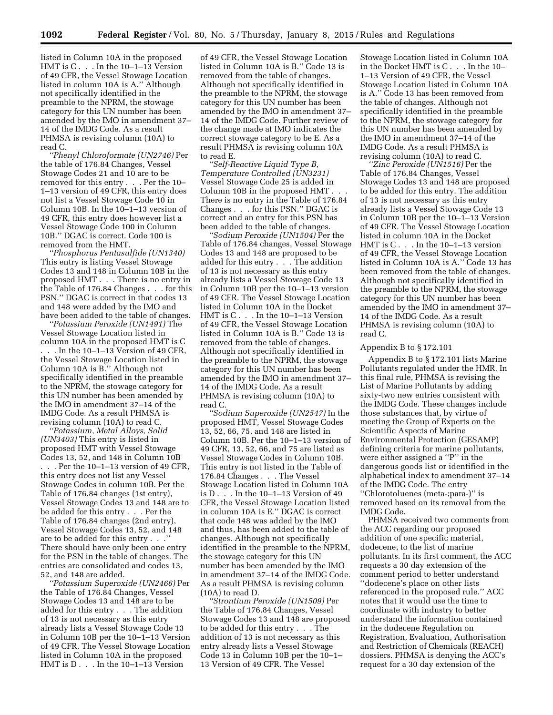listed in Column 10A in the proposed HMT is C . . . In the 10–1–13 Version of 49 CFR, the Vessel Stowage Location listed in column 10A is A.'' Although not specifically identified in the preamble to the NPRM, the stowage category for this UN number has been amended by the IMO in amendment 37– 14 of the IMDG Code. As a result PHMSA is revising column (10A) to read C.

*''Phenyl Chloroformate (UN2746)* Per the table of 176.84 Changes, Vessel Stowage Codes 21 and 10 are to be removed for this entry . . . Per the 10– 1–13 version of 49 CFR, this entry does not list a Vessel Stowage Code 10 in Column 10B. In the 10–1–13 version of 49 CFR, this entry does however list a Vessel Stowage Code 100 in Column 10B.'' DGAC is correct. Code 100 is removed from the HMT.

*''Phosphorus Pentasulfide (UN1340)*  This entry is listing Vessel Stowage Codes 13 and 148 in Column 10B in the proposed HMT . . . There is no entry in the Table of 176.84 Changes . . . for this PSN.'' DGAC is correct in that codes 13 and 148 were added by the IMO and have been added to the table of changes.

*''Potassium Peroxide (UN1491)* The Vessel Stowage Location listed in column 10A in the proposed HMT is C . In the  $10-1-13$  Version of 49 CFR, the Vessel Stowage Location listed in Column 10A is B.'' Although not specifically identified in the preamble to the NPRM, the stowage category for this UN number has been amended by the IMO in amendment 37–14 of the IMDG Code. As a result PHMSA is revising column (10A) to read C.

*''Potassium, Metal Alloys, Solid (UN3403)* This entry is listed in proposed HMT with Vessel Stowage Codes 13, 52, and 148 in Column 10B . . . Per the 10–1–13 version of 49 CFR, this entry does not list any Vessel Stowage Codes in column 10B. Per the Table of 176.84 changes (1st entry), Vessel Stowage Codes 13 and 148 are to be added for this entry . . . Per the Table of 176.84 changes (2nd entry), Vessel Stowage Codes 13, 52, and 148 are to be added for this entry . . .'' There should have only been one entry for the PSN in the table of changes. The entries are consolidated and codes 13, 52, and 148 are added.

*''Potassium Superoxide (UN2466)* Per the Table of 176.84 Changes, Vessel Stowage Codes 13 and 148 are to be added for this entry . . . The addition of 13 is not necessary as this entry already lists a Vessel Stowage Code 13 in Column 10B per the 10–1–13 Version of 49 CFR. The Vessel Stowage Location listed in Column 10A in the proposed HMT is D . . . In the 10–1–13 Version

of 49 CFR, the Vessel Stowage Location listed in Column 10A is B.'' Code 13 is removed from the table of changes. Although not specifically identified in the preamble to the NPRM, the stowage category for this UN number has been amended by the IMO in amendment 37– 14 of the IMDG Code. Further review of the change made at IMO indicates the correct stowage category to be E. As a result PHMSA is revising column 10A to read E.

*''Self-Reactive Liquid Type B, Temperature Controlled (UN3231)*  Vessel Stowage Code 25 is added in Column 10B in the proposed HMT . . . There is no entry in the Table of 176.84 Changes . . . for this PSN.'' DGAC is correct and an entry for this PSN has been added to the table of changes.

*''Sodium Peroxide (UN1504)* Per the Table of 176.84 changes, Vessel Stowage Codes 13 and 148 are proposed to be added for this entry . . . The addition of 13 is not necessary as this entry already lists a Vessel Stowage Code 13 in Column 10B per the 10–1–13 version of 49 CFR. The Vessel Stowage Location listed in Column 10A in the Docket HMT is C . . . In the 10–1–13 Version of 49 CFR, the Vessel Stowage Location listed in Column 10A is B.'' Code 13 is removed from the table of changes. Although not specifically identified in the preamble to the NPRM, the stowage category for this UN number has been amended by the IMO in amendment 37– 14 of the IMDG Code. As a result PHMSA is revising column (10A) to read C.

*''Sodium Superoxide (UN2547)* In the proposed HMT, Vessel Stowage Codes 13, 52, 66, 75, and 148 are listed in Column 10B. Per the 10–1–13 version of 49 CFR, 13, 52, 66, and 75 are listed as Vessel Stowage Codes in Column 10B. This entry is not listed in the Table of 176.84 Changes . . . The Vessel Stowage Location listed in Column 10A is  $D_{1}$ . In the 10–1–13 Version of 49 CFR, the Vessel Stowage Location listed in column 10A is E.'' DGAC is correct that code 148 was added by the IMO and thus, has been added to the table of changes. Although not specifically identified in the preamble to the NPRM, the stowage category for this UN number has been amended by the IMO in amendment 37–14 of the IMDG Code. As a result PHMSA is revising column (10A) to read D.

*''Strontium Peroxide (UN1509)* Per the Table of 176.84 Changes, Vessel Stowage Codes 13 and 148 are proposed to be added for this entry . . . The addition of 13 is not necessary as this entry already lists a Vessel Stowage Code 13 in Column 10B per the 10–1– 13 Version of 49 CFR. The Vessel

Stowage Location listed in Column 10A in the Docket HMT is C . . . In the 10– 1–13 Version of 49 CFR, the Vessel Stowage Location listed in Column 10A is A.'' Code 13 has been removed from the table of changes. Although not specifically identified in the preamble to the NPRM, the stowage category for this UN number has been amended by the IMO in amendment 37–14 of the IMDG Code. As a result PHMSA is revising column (10A) to read C.

*''Zinc Peroxide (UN1516)* Per the Table of 176.84 Changes, Vessel Stowage Codes 13 and 148 are proposed to be added for this entry. The addition of 13 is not necessary as this entry already lists a Vessel Stowage Code 13 in Column 10B per the 10–1–13 Version of 49 CFR. The Vessel Stowage Location listed in column 10A in the Docket HMT is C . . . In the 10–1–13 version of 49 CFR, the Vessel Stowage Location listed in Column 10A is A.'' Code 13 has been removed from the table of changes. Although not specifically identified in the preamble to the NPRM, the stowage category for this UN number has been amended by the IMO in amendment 37– 14 of the IMDG Code. As a result PHMSA is revising column (10A) to read C.

#### Appendix B to § 172.101

Appendix B to § 172.101 lists Marine Pollutants regulated under the HMR. In this final rule, PHMSA is revising the List of Marine Pollutants by adding sixty-two new entries consistent with the IMDG Code. These changes include those substances that, by virtue of meeting the Group of Experts on the Scientific Aspects of Marine Environmental Protection (GESAMP) defining criteria for marine pollutants, were either assigned a ''P'' in the dangerous goods list or identified in the alphabetical index to amendment 37–14 of the IMDG Code. The entry ''Chlorotoluenes (meta-;para-)'' is removed based on its removal from the IMDG Code.

PHMSA received two comments from the ACC regarding our proposed addition of one specific material, dodecene, to the list of marine pollutants. In its first comment, the ACC requests a 30 day extension of the comment period to better understand ''dodecene's place on other lists referenced in the proposed rule.'' ACC notes that it would use the time to coordinate with industry to better understand the information contained in the dodecene Regulation on Registration, Evaluation, Authorisation and Restriction of Chemicals (REACH) dossiers. PHMSA is denying the ACC's request for a 30 day extension of the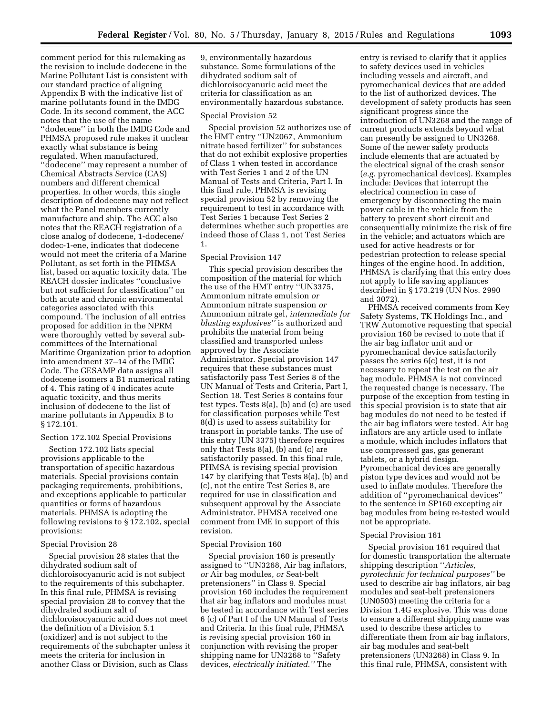comment period for this rulemaking as the revision to include dodecene in the Marine Pollutant List is consistent with our standard practice of aligning Appendix B with the indicative list of marine pollutants found in the IMDG Code. In its second comment, the ACC notes that the use of the name ''dodecene'' in both the IMDG Code and PHMSA proposed rule makes it unclear exactly what substance is being regulated. When manufactured, ''dodecene'' may represent a number of Chemical Abstracts Service (CAS) numbers and different chemical properties. In other words, this single description of dodecene may not reflect what the Panel members currently manufacture and ship. The ACC also notes that the REACH registration of a close analog of dodecene, 1-dodecene/ dodec-1-ene, indicates that dodecene would not meet the criteria of a Marine Pollutant, as set forth in the PHMSA list, based on aquatic toxicity data. The REACH dossier indicates ''conclusive but not sufficient for classification'' on both acute and chronic environmental categories associated with this compound. The inclusion of all entries proposed for addition in the NPRM were thoroughly vetted by several subcommittees of the International Maritime Organization prior to adoption into amendment 37–14 of the IMDG Code. The GESAMP data assigns all dodecene isomers a B1 numerical rating of 4. This rating of 4 indicates acute aquatic toxicity, and thus merits inclusion of dodecene to the list of marine pollutants in Appendix B to § 172.101.

# Section 172.102 Special Provisions

Section 172.102 lists special provisions applicable to the transportation of specific hazardous materials. Special provisions contain packaging requirements, prohibitions, and exceptions applicable to particular quantities or forms of hazardous materials. PHMSA is adopting the following revisions to § 172.102, special provisions:

# Special Provision 28

Special provision 28 states that the dihydrated sodium salt of dichloroisocyanuric acid is not subject to the requirements of this subchapter. In this final rule, PHMSA is revising special provision 28 to convey that the dihydrated sodium salt of dichloroisocyanuric acid does not meet the definition of a Division 5.1 (oxidizer) and is not subject to the requirements of the subchapter unless it meets the criteria for inclusion in another Class or Division, such as Class

9, environmentally hazardous substance. Some formulations of the dihydrated sodium salt of dichloroisocyanuric acid meet the criteria for classification as an environmentally hazardous substance.

#### Special Provision 52

Special provision 52 authorizes use of the HMT entry ''UN2067, Ammonium nitrate based fertilizer'' for substances that do not exhibit explosive properties of Class 1 when tested in accordance with Test Series 1 and 2 of the UN Manual of Tests and Criteria, Part I. In this final rule, PHMSA is revising special provision 52 by removing the requirement to test in accordance with Test Series 1 because Test Series 2 determines whether such properties are indeed those of Class 1, not Test Series 1.

# Special Provision 147

This special provision describes the composition of the material for which the use of the HMT entry ''UN3375, Ammonium nitrate emulsion *or*  Ammonium nitrate suspension *or*  Ammonium nitrate gel, *intermediate for blasting explosives''* is authorized and prohibits the material from being classified and transported unless approved by the Associate Administrator. Special provision 147 requires that these substances must satisfactorily pass Test Series 8 of the UN Manual of Tests and Criteria, Part I, Section 18. Test Series 8 contains four test types. Tests 8(a), (b) and (c) are used for classification purposes while Test 8(d) is used to assess suitability for transport in portable tanks. The use of this entry (UN 3375) therefore requires only that Tests 8(a), (b) and (c) are satisfactorily passed. In this final rule, PHMSA is revising special provision 147 by clarifying that Tests 8(a), (b) and (c), not the entire Test Series 8, are required for use in classification and subsequent approval by the Associate Administrator. PHMSA received one comment from IME in support of this revision.

#### Special Provision 160

Special provision 160 is presently assigned to ''UN3268, Air bag inflators, *or* Air bag modules, *or* Seat-belt pretensioners'' in Class 9. Special provision 160 includes the requirement that air bag inflators and modules must be tested in accordance with Test series 6 (c) of Part I of the UN Manual of Tests and Criteria. In this final rule, PHMSA is revising special provision 160 in conjunction with revising the proper shipping name for UN3268 to ''Safety devices, *electrically initiated.''* The

entry is revised to clarify that it applies to safety devices used in vehicles including vessels and aircraft, and pyromechanical devices that are added to the list of authorized devices. The development of safety products has seen significant progress since the introduction of UN3268 and the range of current products extends beyond what can presently be assigned to UN3268. Some of the newer safety products include elements that are actuated by the electrical signal of the crash sensor (*e.g.* pyromechanical devices). Examples include: Devices that interrupt the electrical connection in case of emergency by disconnecting the main power cable in the vehicle from the battery to prevent short circuit and consequentially minimize the risk of fire in the vehicle; and actuators which are used for active headrests or for pedestrian protection to release special hinges of the engine hood. In addition, PHMSA is clarifying that this entry does not apply to life saving appliances described in § 173.219 (UN Nos. 2990 and 3072).

PHMSA received comments from Key Safety Systems, TK Holdings Inc., and TRW Automotive requesting that special provision 160 be revised to note that if the air bag inflator unit and or pyromechanical device satisfactorily passes the series 6(c) test, it is not necessary to repeat the test on the air bag module. PHMSA is not convinced the requested change is necessary. The purpose of the exception from testing in this special provision is to state that air bag modules do not need to be tested if the air bag inflators were tested. Air bag inflators are any article used to inflate a module, which includes inflators that use compressed gas, gas generant tablets, or a hybrid design. Pyromechanical devices are generally piston type devices and would not be used to inflate modules. Therefore the addition of ''pyromechanical devices'' to the sentence in SP160 excepting air bag modules from being re-tested would not be appropriate.

#### Special Provision 161

Special provision 161 required that for domestic transportation the alternate shipping description ''*Articles, pyrotechnic for technical purposes''* be used to describe air bag inflators, air bag modules and seat-belt pretensioners (UN0503) meeting the criteria for a Division 1.4G explosive. This was done to ensure a different shipping name was used to describe these articles to differentiate them from air bag inflators, air bag modules and seat-belt pretensioners (UN3268) in Class 9. In this final rule, PHMSA, consistent with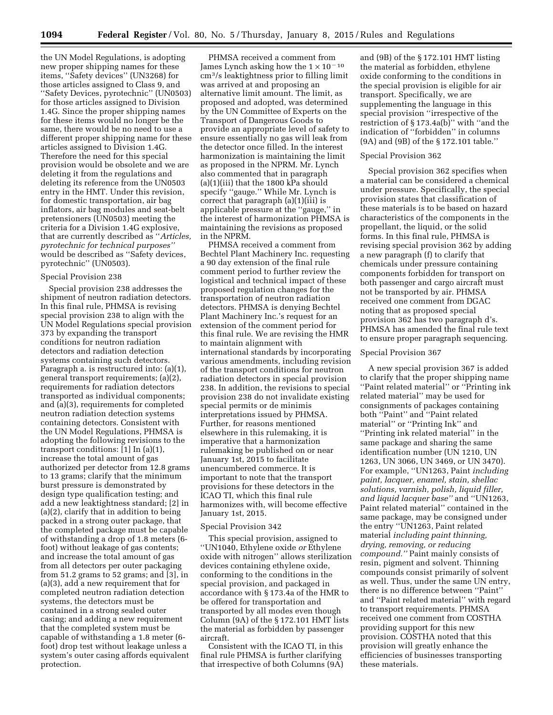the UN Model Regulations, is adopting new proper shipping names for these items, ''Safety devices'' (UN3268) for those articles assigned to Class 9, and ''Safety Devices, pyrotechnic'' (UN0503) for those articles assigned to Division 1.4G. Since the proper shipping names for these items would no longer be the same, there would be no need to use a different proper shipping name for these articles assigned to Division 1.4G. Therefore the need for this special provision would be obsolete and we are deleting it from the regulations and deleting its reference from the UN0503 entry in the HMT. Under this revision, for domestic transportation, air bag inflators, air bag modules and seat-belt pretensioners (UN0503) meeting the criteria for a Division 1.4G explosive, that are currently described as ''*Articles, pyrotechnic for technical purposes''*  would be described as ''Safety devices, pyrotechnic'' (UN0503).

# Special Provision 238

Special provision 238 addresses the shipment of neutron radiation detectors. In this final rule, PHMSA is revising special provision 238 to align with the UN Model Regulations special provision 373 by expanding the transport conditions for neutron radiation detectors and radiation detection systems containing such detectors. Paragraph a. is restructured into: (a)(1), general transport requirements; (a)(2), requirements for radiation detectors transported as individual components; and (a)(3), requirements for completed neutron radiation detection systems containing detectors. Consistent with the UN Model Regulations, PHMSA is adopting the following revisions to the transport conditions: [1] In (a)(1), increase the total amount of gas authorized per detector from 12.8 grams to 13 grams; clarify that the minimum burst pressure is demonstrated by design type qualification testing; and add a new leaktightness standard; [2] in (a)(2), clarify that in addition to being packed in a strong outer package, that the completed package must be capable of withstanding a drop of 1.8 meters (6 foot) without leakage of gas contents; and increase the total amount of gas from all detectors per outer packaging from 51.2 grams to 52 grams; and [3], in (a)(3), add a new requirement that for completed neutron radiation detection systems, the detectors must be contained in a strong sealed outer casing; and adding a new requirement that the completed system must be capable of withstanding a 1.8 meter (6 foot) drop test without leakage unless a system's outer casing affords equivalent protection.

PHMSA received a comment from James Lynch asking how the  $1 \times 10^{-10}$ cm3/s leaktightness prior to filling limit was arrived at and proposing an alternative limit amount. The limit, as proposed and adopted, was determined by the UN Committee of Experts on the Transport of Dangerous Goods to provide an appropriate level of safety to ensure essentially no gas will leak from the detector once filled. In the interest harmonization is maintaining the limit as proposed in the NPRM. Mr. Lynch also commented that in paragraph (a)(1)(iii) that the 1800 kPa should specify ''gauge.'' While Mr. Lynch is correct that paragraph (a)(1)(iii) is applicable pressure at the ''gauge,'' in the interest of harmonization PHMSA is maintaining the revisions as proposed in the NPRM.

PHMSA received a comment from Bechtel Plant Machinery Inc. requesting a 90 day extension of the final rule comment period to further review the logistical and technical impact of these proposed regulation changes for the transportation of neutron radiation detectors. PHMSA is denying Bechtel Plant Machinery Inc.'s request for an extension of the comment period for this final rule. We are revising the HMR to maintain alignment with international standards by incorporating various amendments, including revision of the transport conditions for neutron radiation detectors in special provision 238. In addition, the revisions to special provision 238 do not invalidate existing special permits or de minimis interpretations issued by PHMSA. Further, for reasons mentioned elsewhere in this rulemaking, it is imperative that a harmonization rulemaking be published on or near January 1st, 2015 to facilitate unencumbered commerce. It is important to note that the transport provisions for these detectors in the ICAO TI, which this final rule harmonizes with, will become effective January 1st, 2015.

# Special Provision 342

This special provision, assigned to ''UN1040, Ethylene oxide *or* Ethylene oxide with nitrogen'' allows sterilization devices containing ethylene oxide, conforming to the conditions in the special provision, and packaged in accordance with § 173.4a of the HMR to be offered for transportation and transported by all modes even though Column (9A) of the § 172.101 HMT lists the material as forbidden by passenger aircraft.

Consistent with the ICAO TI, in this final rule PHMSA is further clarifying that irrespective of both Columns (9A)

and (9B) of the § 172.101 HMT listing the material as forbidden, ethylene oxide conforming to the conditions in the special provision is eligible for air transport. Specifically, we are supplementing the language in this special provision ''irrespective of the restriction of § 173.4a(b)'' with ''and the indication of ''forbidden'' in columns (9A) and (9B) of the § 172.101 table.''

#### Special Provision 362

Special provision 362 specifies when a material can be considered a chemical under pressure. Specifically, the special provision states that classification of these materials is to be based on hazard characteristics of the components in the propellant, the liquid, or the solid forms. In this final rule, PHMSA is revising special provision 362 by adding a new paragraph (f) to clarify that chemicals under pressure containing components forbidden for transport on both passenger and cargo aircraft must not be transported by air. PHMSA received one comment from DGAC noting that as proposed special provision 362 has two paragraph d's. PHMSA has amended the final rule text to ensure proper paragraph sequencing.

# Special Provision 367

A new special provision 367 is added to clarify that the proper shipping name ''Paint related material'' or ''Printing ink related material'' may be used for consignments of packages containing both ''Paint'' and ''Paint related material'' or ''Printing Ink'' and ''Printing ink related material'' in the same package and sharing the same identification number (UN 1210, UN 1263, UN 3066, UN 3469, or UN 3470). For example, ''UN1263, Paint *including paint, lacquer, enamel, stain, shellac solutions, varnish, polish, liquid filler, and liquid lacquer base''* and ''UN1263, Paint related material'' contained in the same package, may be consigned under the entry ''UN1263, Paint related material *including paint thinning, drying, removing, or reducing compound.''* Paint mainly consists of resin, pigment and solvent. Thinning compounds consist primarily of solvent as well. Thus, under the same UN entry, there is no difference between ''Paint'' and ''Paint related material'' with regard to transport requirements. PHMSA received one comment from COSTHA providing support for this new provision. COSTHA noted that this provision will greatly enhance the efficiencies of businesses transporting these materials.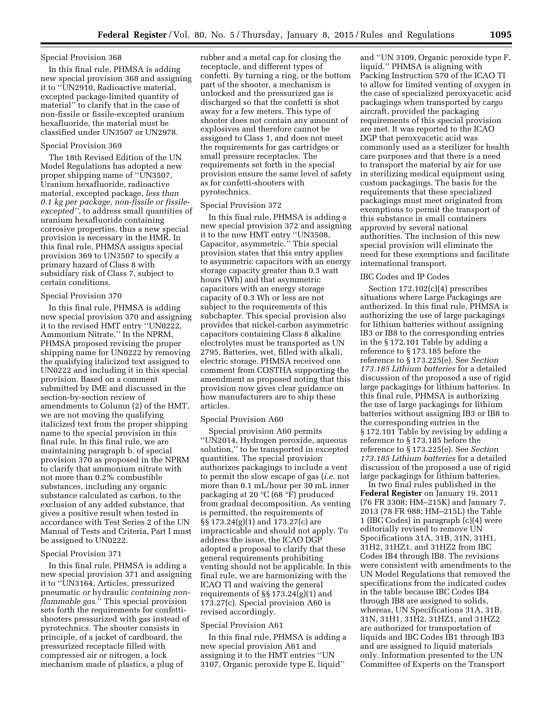# Special Provision 368

In this final rule, PHMSA is adding new special provision 368 and assigning it to ''UN2910, Radioactive material, excepted package-limited quantity of material'' to clarify that in the case of non-fissile or fissile-excepted uranium hexafluoride, the material must be classified under UN3507 or UN2978.

# Special Provision 369

The 18th Revised Edition of the UN Model Regulations has adopted a new proper shipping name of ''UN3507, Uranium hexafluoride, radioactive material, excepted package, *less than 0.1 kg per package, non-fissile or fissileexcepted'',* to address small quantities of uranium hexafluoride containing corrosive properties, thus a new special provision is necessary in the HMR. In this final rule, PHMSA assigns special provision 369 to UN3507 to specify a primary hazard of Class 8 with subsidiary risk of Class 7, subject to certain conditions.

# Special Provision 370

In this final rule, PHMSA is adding new special provision 370 and assigning it to the revised HMT entry ''UN0222, Ammonium Nitrate.'' In the NPRM, PHMSA proposed revising the proper shipping name for UN0222 by removing the qualifying italicized text assigned to UN0222 and including it in this special provision. Based on a comment submitted by IME and discussed in the section-by-section review of amendments to Column (2) of the HMT, we are not moving the qualifying italicized text from the proper shipping name to the special provision in this final rule. In this final rule, we are maintaining paragraph b. of special provision 370 as proposed in the NPRM to clarify that ammonium nitrate with not more than 0.2% combustible substances, including any organic substance calculated as carbon, to the exclusion of any added substance, that gives a positive result when tested in accordance with Test Series 2 of the UN Manual of Tests and Criteria, Part I must be assigned to UN0222.

#### Special Provision 371

In this final rule, PHMSA is adding a new special provision 371 and assigning it to ''UN3164, Articles, pressurized pneumatic *or* hydraulic *containing nonflammable gas*.'' This special provision sets forth the requirements for confettishooters pressurized with gas instead of pyrotechnics. The shooter consists in principle, of a jacket of cardboard, the pressurized receptacle filled with compressed air or nitrogen, a lock mechanism made of plastics, a plug of

rubber and a metal cap for closing the receptacle, and different types of confetti. By turning a ring, or the bottom part of the shooter, a mechanism is unlocked and the pressurized gas is discharged so that the confetti is shot away for a few meters. This type of shooter does not contain any amount of explosives and therefore cannot be assigned to Class 1, and does not meet the requirements for gas cartridges or small pressure receptacles. The requirements set forth in the special provision ensure the same level of safety as for confetti-shooters with pyrotechnics.

# Special Provision 372

In this final rule, PHMSA is adding a new special provision 372 and assigning it to the new HMT entry ''UN3508, Capacitor, asymmetric.'' This special provision states that this entry applies to asymmetric capacitors with an energy storage capacity greater than 0.3 watt hours (Wh) and that asymmetric capacitors with an energy storage capacity of 0.3 Wh or less are not subject to the requirements of this subchapter. This special provision also provides that nickel-carbon asymmetric capacitors containing Class 8 alkaline electrolytes must be transported as UN 2795, Batteries, wet, filled with alkali, electric storage. PHMSA received one comment from COSTHA supporting the amendment as proposed noting that this provision now gives clear guidance on how manufacturers are to ship these articles.

#### Special Provision A60

Special provision A60 permits ''UN2014, Hydrogen peroxide, aqueous solution,'' to be transported in excepted quantities. The special provision authorizes packagings to include a vent to permit the slow escape of gas (*i.e.* not more than 0.1 mL/hour per 30 mL inner packaging at 20 °C (68 °F) produced from gradual decomposition. As venting is permitted, the requirements of §§ 173.24(g)(1) and 173.27(c) are impracticable and should not apply. To address the issue, the ICAO DGP adopted a proposal to clarify that these general requirements prohibiting venting should not be applicable. In this final rule, we are harmonizing with the ICAO TI and waiving the general requirements of §§ 173.24(g)(1) and 173.27(c). Special provision A60 is revised accordingly.

#### Special Provision A61

In this final rule, PHMSA is adding a new special provision A61 and assigning it to the HMT entries ''UN 3107, Organic peroxide type E, liquid''

and ''UN 3109, Organic peroxide type F, liquid.'' PHMSA is aligning with Packing Instruction 570 of the ICAO TI to allow for limited venting of oxygen in the case of specialized peroxyacetic acid packagings when transported by cargo aircraft, provided the packaging requirements of this special provision are met. It was reported to the ICAO DGP that peroxyacetic acid was commonly used as a sterilizer for health care purposes and that there is a need to transport the material by air for use in sterilizing medical equipment using custom packagings. The basis for the requirements that these specialized packagings must meet originated from exemptions to permit the transport of this substance in small containers approved by several national authorities. The inclusion of this new special provision will eliminate the need for these exemptions and facilitate international transport.

#### IBC Codes and IP Codes

Section 172.102(c)(4) prescribes situations where Large Packagings are authorized. In this final rule, PHMSA is authorizing the use of large packagings for lithium batteries without assigning IB3 or IB8 to the corresponding entries in the § 172.101 Table by adding a reference to § 173.185 before the reference to § 173.225(e). See *Section 173.185 Lithium batteries* for a detailed discussion of the proposed a use of rigid large packagings for lithium batteries. In this final rule, PHMSA is authorizing the use of large packagings for lithium batteries without assigning IB3 or IB8 to the corresponding entries in the § 172.101 Table by revising by adding a reference to § 173.185 before the reference to § 173.225(e). See *Section 173.185 Lithium batteries* for a detailed discussion of the proposed a use of rigid large packagings for lithium batteries.

In two final rules published in the **Federal Register** on January 19, 2011 (76 FR 3308; HM–215K) and January 7, 2013 (78 FR 988; HM–215L) the Table 1 (IBC Codes) in paragraph (c)(4) were editorially revised to remove UN Specifications 31A, 31B, 31N, 31H1, 31H2, 31HZ1, and 31HZ2 from IBC Codes IB4 through IB8. The revisions were consistent with amendments to the UN Model Regulations that removed the specifications from the indicated codes in the table because IBC Codes IB4 through IB8 are assigned to solids, whereas, UN Specifications 31A, 31B, 31N, 31H1, 31H2, 31HZ1, and 31HZ2 are authorized for transportation of liquids and IBC Codes IB1 through IB3 and are assigned to liquid materials only. Information presented to the UN Committee of Experts on the Transport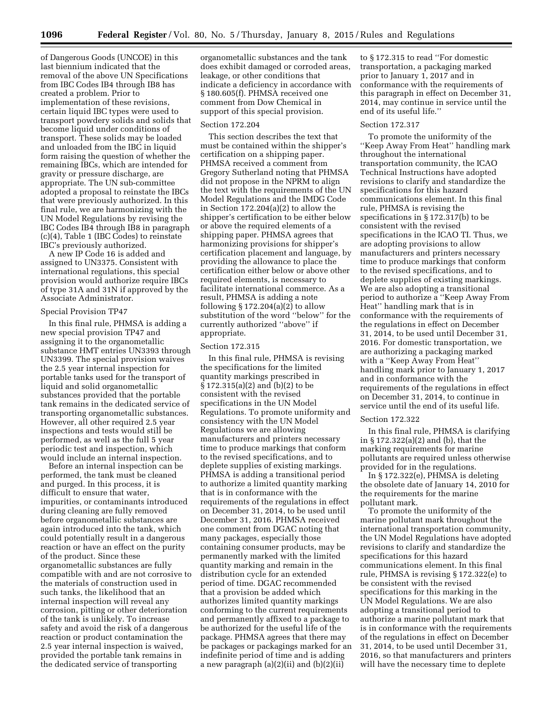of Dangerous Goods (UNCOE) in this last biennium indicated that the removal of the above UN Specifications from IBC Codes IB4 through IB8 has created a problem. Prior to implementation of these revisions, certain liquid IBC types were used to transport powdery solids and solids that become liquid under conditions of transport. These solids may be loaded and unloaded from the IBC in liquid form raising the question of whether the remaining IBCs, which are intended for gravity or pressure discharge, are appropriate. The UN sub-committee adopted a proposal to reinstate the IBCs that were previously authorized. In this final rule, we are harmonizing with the UN Model Regulations by revising the IBC Codes IB4 through IB8 in paragraph (c)(4), Table 1 (IBC Codes) to reinstate IBC's previously authorized.

A new IP Code 16 is added and assigned to UN3375. Consistent with international regulations, this special provision would authorize require IBCs of type 31A and 31N if approved by the Associate Administrator.

# Special Provision TP47

In this final rule, PHMSA is adding a new special provision TP47 and assigning it to the organometallic substance HMT entries UN3393 through UN3399. The special provision waives the 2.5 year internal inspection for portable tanks used for the transport of liquid and solid organometallic substances provided that the portable tank remains in the dedicated service of transporting organometallic substances. However, all other required 2.5 year inspections and tests would still be performed, as well as the full 5 year periodic test and inspection, which would include an internal inspection.

Before an internal inspection can be performed, the tank must be cleaned and purged. In this process, it is difficult to ensure that water, impurities, or contaminants introduced during cleaning are fully removed before organometallic substances are again introduced into the tank, which could potentially result in a dangerous reaction or have an effect on the purity of the product. Since these organometallic substances are fully compatible with and are not corrosive to the materials of construction used in such tanks, the likelihood that an internal inspection will reveal any corrosion, pitting or other deterioration of the tank is unlikely. To increase safety and avoid the risk of a dangerous reaction or product contamination the 2.5 year internal inspection is waived, provided the portable tank remains in the dedicated service of transporting

organometallic substances and the tank does exhibit damaged or corroded areas, leakage, or other conditions that indicate a deficiency in accordance with § 180.605(f). PHMSA received one comment from Dow Chemical in support of this special provision.

#### Section 172.204

This section describes the text that must be contained within the shipper's certification on a shipping paper. PHMSA received a comment from Gregory Sutherland noting that PHMSA did not propose in the NPRM to align the text with the requirements of the UN Model Regulations and the IMDG Code in Section 172.204(a)(2) to allow the shipper's certification to be either below or above the required elements of a shipping paper. PHMSA agrees that harmonizing provisions for shipper's certification placement and language, by providing the allowance to place the certification either below or above other required elements, is necessary to facilitate international commerce. As a result, PHMSA is adding a note following  $\S 172.204(a)(2)$  to allow substitution of the word ''below'' for the currently authorized ''above'' if appropriate.

# Section 172.315

In this final rule, PHMSA is revising the specifications for the limited quantity markings prescribed in § 172.315(a)(2) and (b)(2) to be consistent with the revised specifications in the UN Model Regulations. To promote uniformity and consistency with the UN Model Regulations we are allowing manufacturers and printers necessary time to produce markings that conform to the revised specifications, and to deplete supplies of existing markings. PHMSA is adding a transitional period to authorize a limited quantity marking that is in conformance with the requirements of the regulations in effect on December 31, 2014, to be used until December 31, 2016. PHMSA received one comment from DGAC noting that many packages, especially those containing consumer products, may be permanently marked with the limited quantity marking and remain in the distribution cycle for an extended period of time. DGAC recommended that a provision be added which authorizes limited quantity markings conforming to the current requirements and permanently affixed to a package to be authorized for the useful life of the package. PHMSA agrees that there may be packages or packagings marked for an indefinite period of time and is adding a new paragraph  $(a)(2)(ii)$  and  $(b)(2)(ii)$ 

to § 172.315 to read ''For domestic transportation, a packaging marked prior to January 1, 2017 and in conformance with the requirements of this paragraph in effect on December 31, 2014, may continue in service until the end of its useful life.''

# Section 172.317

To promote the uniformity of the ''Keep Away From Heat'' handling mark throughout the international transportation community, the ICAO Technical Instructions have adopted revisions to clarify and standardize the specifications for this hazard communications element. In this final rule, PHMSA is revising the specifications in § 172.317(b) to be consistent with the revised specifications in the ICAO TI. Thus, we are adopting provisions to allow manufacturers and printers necessary time to produce markings that conform to the revised specifications, and to deplete supplies of existing markings. We are also adopting a transitional period to authorize a ''Keep Away From Heat'' handling mark that is in conformance with the requirements of the regulations in effect on December 31, 2014, to be used until December 31, 2016. For domestic transportation, we are authorizing a packaging marked with a ''Keep Away From Heat'' handling mark prior to January 1, 2017 and in conformance with the requirements of the regulations in effect on December 31, 2014, to continue in service until the end of its useful life.

#### Section 172.322

In this final rule, PHMSA is clarifying in § 172.322(a)(2) and (b), that the marking requirements for marine pollutants are required unless otherwise provided for in the regulations.

In § 172.322(e), PHMSA is deleting the obsolete date of January 14, 2010 for the requirements for the marine pollutant mark.

To promote the uniformity of the marine pollutant mark throughout the international transportation community, the UN Model Regulations have adopted revisions to clarify and standardize the specifications for this hazard communications element. In this final rule, PHMSA is revising § 172.322(e) to be consistent with the revised specifications for this marking in the UN Model Regulations. We are also adopting a transitional period to authorize a marine pollutant mark that is in conformance with the requirements of the regulations in effect on December 31, 2014, to be used until December 31, 2016, so that manufacturers and printers will have the necessary time to deplete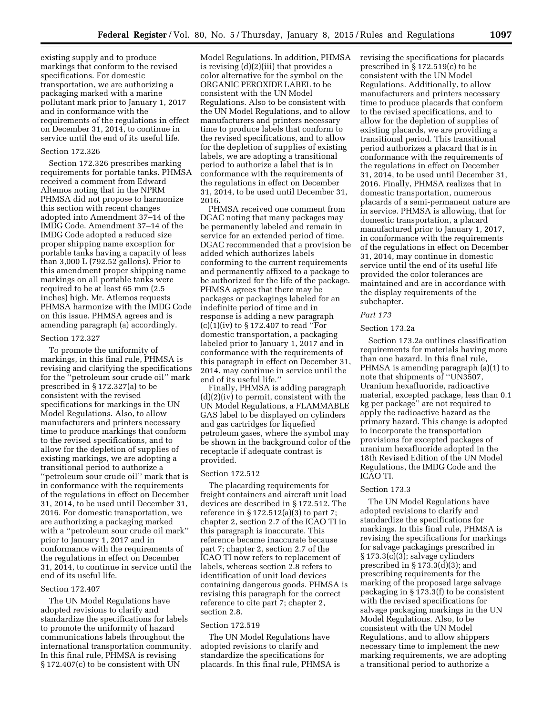existing supply and to produce markings that conform to the revised specifications. For domestic transportation, we are authorizing a packaging marked with a marine pollutant mark prior to January 1, 2017 and in conformance with the requirements of the regulations in effect on December 31, 2014, to continue in service until the end of its useful life.

#### Section 172.326

Section 172.326 prescribes marking requirements for portable tanks. PHMSA received a comment from Edward Altemos noting that in the NPRM PHMSA did not propose to harmonize this section with recent changes adopted into Amendment 37–14 of the IMDG Code. Amendment 37–14 of the IMDG Code adopted a reduced size proper shipping name exception for portable tanks having a capacity of less than 3,000 L (792.52 gallons). Prior to this amendment proper shipping name markings on all portable tanks were required to be at least 65 mm (2.5 inches) high. Mr. Atlemos requests PHMSA harmonize with the IMDG Code on this issue. PHMSA agrees and is amending paragraph (a) accordingly.

#### Section 172.327

To promote the uniformity of markings, in this final rule, PHMSA is revising and clarifying the specifications for the ''petroleum sour crude oil'' mark prescribed in § 172.327(a) to be consistent with the revised specifications for markings in the UN Model Regulations. Also, to allow manufacturers and printers necessary time to produce markings that conform to the revised specifications, and to allow for the depletion of supplies of existing markings, we are adopting a transitional period to authorize a ''petroleum sour crude oil'' mark that is in conformance with the requirements of the regulations in effect on December 31, 2014, to be used until December 31, 2016. For domestic transportation, we are authorizing a packaging marked with a ''petroleum sour crude oil mark'' prior to January 1, 2017 and in conformance with the requirements of the regulations in effect on December 31, 2014, to continue in service until the end of its useful life.

# Section 172.407

The UN Model Regulations have adopted revisions to clarify and standardize the specifications for labels to promote the uniformity of hazard communications labels throughout the international transportation community. In this final rule, PHMSA is revising § 172.407(c) to be consistent with UN

Model Regulations. In addition, PHMSA is revising (d)(2)(iii) that provides a color alternative for the symbol on the ORGANIC PEROXIDE LABEL to be consistent with the UN Model Regulations. Also to be consistent with the UN Model Regulations, and to allow manufacturers and printers necessary time to produce labels that conform to the revised specifications, and to allow for the depletion of supplies of existing labels, we are adopting a transitional period to authorize a label that is in conformance with the requirements of the regulations in effect on December 31, 2014, to be used until December 31, 2016.

PHMSA received one comment from DGAC noting that many packages may be permanently labeled and remain in service for an extended period of time. DGAC recommended that a provision be added which authorizes labels conforming to the current requirements and permanently affixed to a package to be authorized for the life of the package. PHMSA agrees that there may be packages or packagings labeled for an indefinite period of time and in response is adding a new paragraph (c)(1)(iv) to § 172.407 to read ''For domestic transportation, a packaging labeled prior to January 1, 2017 and in conformance with the requirements of this paragraph in effect on December 31, 2014, may continue in service until the end of its useful life.''

Finally, PHMSA is adding paragraph (d)(2)(iv) to permit, consistent with the UN Model Regulations, a FLAMMABLE GAS label to be displayed on cylinders and gas cartridges for liquefied petroleum gases, where the symbol may be shown in the background color of the receptacle if adequate contrast is provided.

# Section 172.512

The placarding requirements for freight containers and aircraft unit load devices are described in § 172.512. The reference in § 172.512(a)(3) to part 7; chapter 2, section 2.7 of the ICAO TI in this paragraph is inaccurate. This reference became inaccurate because part 7; chapter 2, section 2.7 of the ICAO TI now refers to replacement of labels, whereas section 2.8 refers to identification of unit load devices containing dangerous goods. PHMSA is revising this paragraph for the correct reference to cite part 7; chapter 2, section 2.8.

#### Section 172.519

The UN Model Regulations have adopted revisions to clarify and standardize the specifications for placards. In this final rule, PHMSA is revising the specifications for placards prescribed in § 172.519(c) to be consistent with the UN Model Regulations. Additionally, to allow manufacturers and printers necessary time to produce placards that conform to the revised specifications, and to allow for the depletion of supplies of existing placards, we are providing a transitional period. This transitional period authorizes a placard that is in conformance with the requirements of the regulations in effect on December 31, 2014, to be used until December 31, 2016. Finally, PHMSA realizes that in domestic transportation, numerous placards of a semi-permanent nature are in service. PHMSA is allowing, that for domestic transportation, a placard manufactured prior to January 1, 2017, in conformance with the requirements of the regulations in effect on December 31, 2014, may continue in domestic service until the end of its useful life provided the color tolerances are maintained and are in accordance with the display requirements of the subchapter.

# *Part 173*

# Section 173.2a

Section 173.2a outlines classification requirements for materials having more than one hazard. In this final rule, PHMSA is amending paragraph (a)(1) to note that shipments of ''UN3507, Uranium hexafluoride, radioactive material, excepted package, less than 0.1 kg per package'' are not required to apply the radioactive hazard as the primary hazard. This change is adopted to incorporate the transportation provisions for excepted packages of uranium hexafluoride adopted in the 18th Revised Edition of the UN Model Regulations, the IMDG Code and the ICAO TI.

# Section 173.3

The UN Model Regulations have adopted revisions to clarify and standardize the specifications for markings. In this final rule, PHMSA is revising the specifications for markings for salvage packagings prescribed in § 173.3(c)(3); salvage cylinders prescribed in § 173.3(d)(3); and prescribing requirements for the marking of the proposed large salvage packaging in § 173.3(f) to be consistent with the revised specifications for salvage packaging markings in the UN Model Regulations. Also, to be consistent with the UN Model Regulations, and to allow shippers necessary time to implement the new marking requirements, we are adopting a transitional period to authorize a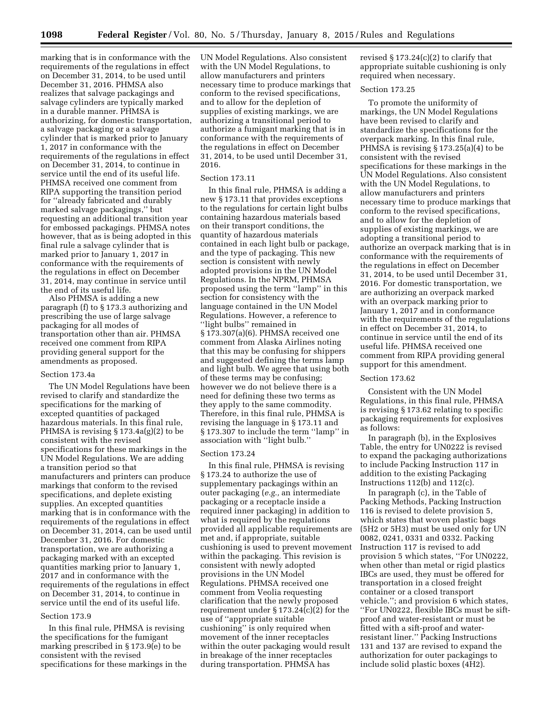marking that is in conformance with the requirements of the regulations in effect on December 31, 2014, to be used until December 31, 2016. PHMSA also realizes that salvage packagings and salvage cylinders are typically marked in a durable manner. PHMSA is authorizing, for domestic transportation, a salvage packaging or a salvage cylinder that is marked prior to January 1, 2017 in conformance with the requirements of the regulations in effect on December 31, 2014, to continue in service until the end of its useful life. PHMSA received one comment from RIPA supporting the transition period for ''already fabricated and durably marked salvage packagings,'' but requesting an additional transition year for embossed packagings. PHMSA notes however, that as is being adopted in this final rule a salvage cylinder that is marked prior to January 1, 2017 in conformance with the requirements of the regulations in effect on December 31, 2014, may continue in service until the end of its useful life.

Also PHMSA is adding a new paragraph (f) to § 173.3 authorizing and prescribing the use of large salvage packaging for all modes of transportation other than air. PHMSA received one comment from RIPA providing general support for the amendments as proposed.

# Section 173.4a

The UN Model Regulations have been revised to clarify and standardize the specifications for the marking of excepted quantities of packaged hazardous materials. In this final rule, PHMSA is revising § 173.4a(g)(2) to be consistent with the revised specifications for these markings in the UN Model Regulations. We are adding a transition period so that manufacturers and printers can produce markings that conform to the revised specifications, and deplete existing supplies. An excepted quantities marking that is in conformance with the requirements of the regulations in effect on December 31, 2014, can be used until December 31, 2016. For domestic transportation, we are authorizing a packaging marked with an excepted quantities marking prior to January 1, 2017 and in conformance with the requirements of the regulations in effect on December 31, 2014, to continue in service until the end of its useful life.

# Section 173.9

In this final rule, PHMSA is revising the specifications for the fumigant marking prescribed in § 173.9(e) to be consistent with the revised specifications for these markings in the

UN Model Regulations. Also consistent with the UN Model Regulations, to allow manufacturers and printers necessary time to produce markings that conform to the revised specifications, and to allow for the depletion of supplies of existing markings, we are authorizing a transitional period to authorize a fumigant marking that is in conformance with the requirements of the regulations in effect on December 31, 2014, to be used until December 31, 2016.

#### Section 173.11

In this final rule, PHMSA is adding a new § 173.11 that provides exceptions to the regulations for certain light bulbs containing hazardous materials based on their transport conditions, the quantity of hazardous materials contained in each light bulb or package, and the type of packaging. This new section is consistent with newly adopted provisions in the UN Model Regulations. In the NPRM, PHMSA proposed using the term ''lamp'' in this section for consistency with the language contained in the UN Model Regulations. However, a reference to ''light bulbs'' remained in § 173.307(a)(6). PHMSA received one comment from Alaska Airlines noting that this may be confusing for shippers and suggested defining the terms lamp and light bulb. We agree that using both of these terms may be confusing; however we do not believe there is a need for defining these two terms as they apply to the same commodity. Therefore, in this final rule, PHMSA is revising the language in § 173.11 and § 173.307 to include the term ''lamp'' in association with ''light bulb.''

#### Section 173.24

In this final rule, PHMSA is revising § 173.24 to authorize the use of supplementary packagings within an outer packaging (*e.g.,* an intermediate packaging or a receptacle inside a required inner packaging) in addition to what is required by the regulations provided all applicable requirements are met and, if appropriate, suitable cushioning is used to prevent movement within the packaging. This revision is consistent with newly adopted provisions in the UN Model Regulations. PHMSA received one comment from Veolia requesting clarification that the newly proposed requirement under § 173.24(c)(2) for the use of ''appropriate suitable cushioning'' is only required when movement of the inner receptacles within the outer packaging would result in breakage of the inner receptacles during transportation. PHMSA has

revised  $\S 173.24(c)(2)$  to clarify that appropriate suitable cushioning is only required when necessary.

# Section 173.25

To promote the uniformity of markings, the UN Model Regulations have been revised to clarify and standardize the specifications for the overpack marking. In this final rule, PHMSA is revising § 173.25(a)(4) to be consistent with the revised specifications for these markings in the UN Model Regulations. Also consistent with the UN Model Regulations, to allow manufacturers and printers necessary time to produce markings that conform to the revised specifications, and to allow for the depletion of supplies of existing markings, we are adopting a transitional period to authorize an overpack marking that is in conformance with the requirements of the regulations in effect on December 31, 2014, to be used until December 31, 2016. For domestic transportation, we are authorizing an overpack marked with an overpack marking prior to January 1, 2017 and in conformance with the requirements of the regulations in effect on December 31, 2014, to continue in service until the end of its useful life. PHMSA received one comment from RIPA providing general support for this amendment.

#### Section 173.62

Consistent with the UN Model Regulations, in this final rule, PHMSA is revising § 173.62 relating to specific packaging requirements for explosives as follows:

In paragraph (b), in the Explosives Table, the entry for UN0222 is revised to expand the packaging authorizations to include Packing Instruction 117 in addition to the existing Packaging Instructions 112(b) and 112(c).

In paragraph (c), in the Table of Packing Methods, Packing Instruction 116 is revised to delete provision 5, which states that woven plastic bags (5H2 or 5H3) must be used only for UN 0082, 0241, 0331 and 0332. Packing Instruction 117 is revised to add provision 5 which states, ''For UN0222, when other than metal or rigid plastics IBCs are used, they must be offered for transportation in a closed freight container or a closed transport vehicle.''; and provision 6 which states, ''For UN0222, flexible IBCs must be siftproof and water-resistant or must be fitted with a sift-proof and waterresistant liner.'' Packing Instructions 131 and 137 are revised to expand the authorization for outer packagings to include solid plastic boxes (4H2).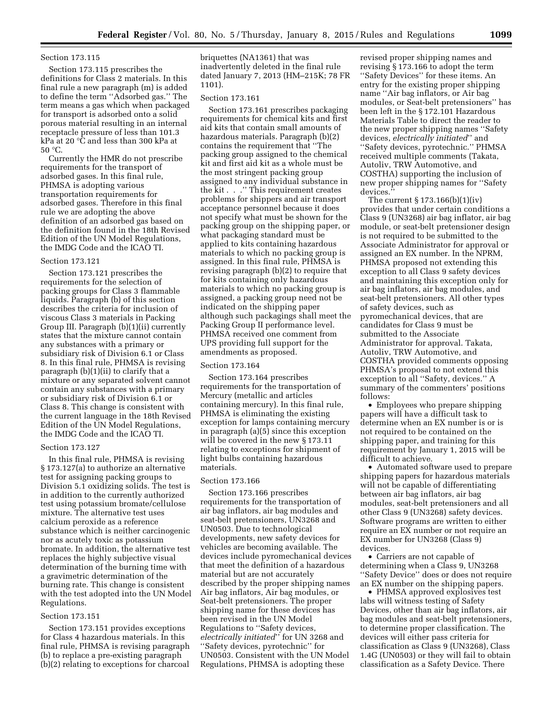# Section 173.115

Section 173.115 prescribes the definitions for Class 2 materials. In this final rule a new paragraph (m) is added to define the term ''Adsorbed gas.'' The term means a gas which when packaged for transport is adsorbed onto a solid porous material resulting in an internal receptacle pressure of less than 101.3 kPa at 20 °C and less than 300 kPa at 50 °C.

Currently the HMR do not prescribe requirements for the transport of adsorbed gases. In this final rule, PHMSA is adopting various transportation requirements for adsorbed gases. Therefore in this final rule we are adopting the above definition of an adsorbed gas based on the definition found in the 18th Revised Edition of the UN Model Regulations, the IMDG Code and the ICAO TI.

# Section 173.121

Section 173.121 prescribes the requirements for the selection of packing groups for Class 3 flammable liquids. Paragraph (b) of this section describes the criteria for inclusion of viscous Class 3 materials in Packing Group III. Paragraph (b)(1)(ii) currently states that the mixture cannot contain any substances with a primary or subsidiary risk of Division 6.1 or Class 8. In this final rule, PHMSA is revising paragraph (b)(1)(ii) to clarify that a mixture or any separated solvent cannot contain any substances with a primary or subsidiary risk of Division 6.1 or Class 8. This change is consistent with the current language in the 18th Revised Edition of the UN Model Regulations, the IMDG Code and the ICAO TI.

## Section 173.127

In this final rule, PHMSA is revising § 173.127(a) to authorize an alternative test for assigning packing groups to Division 5.1 oxidizing solids. The test is in addition to the currently authorized test using potassium bromate/cellulose mixture. The alternative test uses calcium peroxide as a reference substance which is neither carcinogenic nor as acutely toxic as potassium bromate. In addition, the alternative test replaces the highly subjective visual determination of the burning time with a gravimetric determination of the burning rate. This change is consistent with the test adopted into the UN Model Regulations.

#### Section 173.151

Section 173.151 provides exceptions for Class 4 hazardous materials. In this final rule, PHMSA is revising paragraph (b) to replace a pre-existing paragraph (b)(2) relating to exceptions for charcoal

briquettes (NA1361) that was inadvertently deleted in the final rule dated January 7, 2013 (HM–215K; 78 FR 1101).

## Section 173.161

Section 173.161 prescribes packaging requirements for chemical kits and first aid kits that contain small amounts of hazardous materials. Paragraph (b)(2) contains the requirement that ''The packing group assigned to the chemical kit and first aid kit as a whole must be the most stringent packing group assigned to any individual substance in the kit . . .'' This requirement creates problems for shippers and air transport acceptance personnel because it does not specify what must be shown for the packing group on the shipping paper, or what packaging standard must be applied to kits containing hazardous materials to which no packing group is assigned. In this final rule, PHMSA is revising paragraph (b)(2) to require that for kits containing only hazardous materials to which no packing group is assigned, a packing group need not be indicated on the shipping paper although such packagings shall meet the Packing Group II performance level. PHMSA received one comment from UPS providing full support for the amendments as proposed.

#### Section 173.164

Section 173.164 prescribes requirements for the transportation of Mercury (metallic and articles containing mercury). In this final rule, PHMSA is eliminating the existing exception for lamps containing mercury in paragraph (a)(5) since this exception will be covered in the new § 173.11 relating to exceptions for shipment of light bulbs containing hazardous materials.

#### Section 173.166

Section 173.166 prescribes requirements for the transportation of air bag inflators, air bag modules and seat-belt pretensioners, UN3268 and UN0503. Due to technological developments, new safety devices for vehicles are becoming available. The devices include pyromechanical devices that meet the definition of a hazardous material but are not accurately described by the proper shipping names Air bag inflators, Air bag modules, or Seat-belt pretensioners. The proper shipping name for these devices has been revised in the UN Model Regulations to ''Safety devices, *electrically initiated*'' for UN 3268 and ''Safety devices, pyrotechnic'' for UN0503. Consistent with the UN Model Regulations, PHMSA is adopting these

revised proper shipping names and revising § 173.166 to adopt the term ''Safety Devices'' for these items. An entry for the existing proper shipping name ''Air bag inflators, or Air bag modules, or Seat-belt pretensioners'' has been left in the § 172.101 Hazardous Materials Table to direct the reader to the new proper shipping names ''Safety devices, *electrically initiated*'' and ''Safety devices, pyrotechnic.'' PHMSA received multiple comments (Takata, Autoliv, TRW Automotive, and COSTHA) supporting the inclusion of new proper shipping names for ''Safety devices.''

The current § 173.166(b)(1)(iv) provides that under certain conditions a Class 9 (UN3268) air bag inflator, air bag module, or seat-belt pretensioner design is not required to be submitted to the Associate Administrator for approval or assigned an EX number. In the NPRM, PHMSA proposed not extending this exception to all Class 9 safety devices and maintaining this exception only for air bag inflators, air bag modules, and seat-belt pretensioners. All other types of safety devices, such as pyromechanical devices, that are candidates for Class 9 must be submitted to the Associate Administrator for approval. Takata, Autoliv, TRW Automotive, and COSTHA provided comments opposing PHMSA's proposal to not extend this exception to all ''Safety, devices.'' A summary of the commenters' positions follows:

• Employees who prepare shipping papers will have a difficult task to determine when an EX number is or is not required to be contained on the shipping paper, and training for this requirement by January 1, 2015 will be difficult to achieve.

• Automated software used to prepare shipping papers for hazardous materials will not be capable of differentiating between air bag inflators, air bag modules, seat-belt pretensioners and all other Class 9 (UN3268) safety devices. Software programs are written to either require an EX number or not require an EX number for UN3268 (Class 9) devices.

• Carriers are not capable of determining when a Class 9, UN3268 ''Safety Device'' does or does not require an EX number on the shipping papers.

• PHMSA approved explosives test labs will witness testing of Safety Devices, other than air bag inflators, air bag modules and seat-belt pretensioners, to determine proper classification. The devices will either pass criteria for classification as Class 9 (UN3268), Class 1.4G (UN0503) or they will fail to obtain classification as a Safety Device. There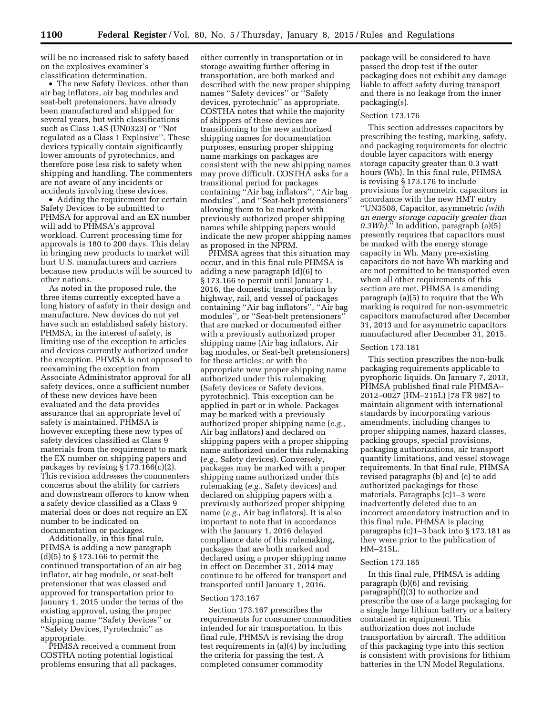will be no increased risk to safety based on the explosives examiner's classification determination.

• The new Safety Devices, other than air bag inflators, air bag modules and seat-belt pretensioners, have already been manufactured and shipped for several years, but with classifications such as Class 1.4S (UN0323) or ''Not regulated as a Class 1 Explosive''. These devices typically contain significantly lower amounts of pyrotechnics, and therefore pose less risk to safety when shipping and handling. The commenters are not aware of any incidents or accidents involving these devices.

• Adding the requirement for certain Safety Devices to be submitted to PHMSA for approval and an EX number will add to PHMSA's approval workload. Current processing time for approvals is 180 to 200 days. This delay in bringing new products to market will hurt U.S. manufacturers and carriers because new products will be sourced to other nations.

As noted in the proposed rule, the three items currently excepted have a long history of safety in their design and manufacture. New devices do not yet have such an established safety history. PHMSA, in the interest of safety, is limiting use of the exception to articles and devices currently authorized under the exception. PHMSA is not opposed to reexamining the exception from Associate Administrator approval for all safety devices, once a sufficient number of these new devices have been evaluated and the data provides assurance that an appropriate level of safety is maintained. PHMSA is however excepting these new types of safety devices classified as Class 9 materials from the requirement to mark the EX number on shipping papers and packages by revising § 173.166(c)(2). This revision addresses the commenters concerns about the ability for carriers and downstream offerors to know when a safety device classified as a Class 9 material does or does not require an EX number to be indicated on documentation or packages.

Additionally, in this final rule, PHMSA is adding a new paragraph (d)(5) to § 173.166 to permit the continued transportation of an air bag inflator, air bag module, or seat-belt pretensioner that was classed and approved for transportation prior to January 1, 2015 under the terms of the existing approval, using the proper shipping name ''Safety Devices'' or ''Safety Devices, Pyrotechnic'' as appropriate.

PHMSA received a comment from COSTHA noting potential logistical problems ensuring that all packages,

either currently in transportation or in storage awaiting further offering in transportation, are both marked and described with the new proper shipping names ''Safety devices'' or ''Safety devices, pyrotechnic'' as appropriate. COSTHA notes that while the majority of shippers of these devices are transitioning to the new authorized shipping names for documentation purposes, ensuring proper shipping name markings on packages are consistent with the new shipping names may prove difficult. COSTHA asks for a transitional period for packages containing ''Air bag inflators'', ''Air bag modules'', and ''Seat-belt pretensioners'' allowing them to be marked with previously authorized proper shipping names while shipping papers would indicate the new proper shipping names as proposed in the NPRM.

PHMSA agrees that this situation may occur, and in this final rule PHMSA is adding a new paragraph (d)(6) to § 173.166 to permit until January 1, 2016, the domestic transportation by highway, rail, and vessel of packages containing ''Air bag inflators'', ''Air bag modules'', or ''Seat-belt pretensioners'' that are marked or documented either with a previously authorized proper shipping name (Air bag inflators, Air bag modules, or Seat-belt pretensioners) for these articles; or with the appropriate new proper shipping name authorized under this rulemaking (Safety devices or Safety devices, pyrotechnic). This exception can be applied in part or in whole. Packages may be marked with a previously authorized proper shipping name (*e.g.*, Air bag inflators) and declared on shipping papers with a proper shipping name authorized under this rulemaking (*e.g.*, Safety devices). Conversely, packages may be marked with a proper shipping name authorized under this rulemaking (*e.g.*, Safety devices) and declared on shipping papers with a previously authorized proper shipping name (*e.g.*, Air bag inflators). It is also important to note that in accordance with the January 1, 2016 delayed compliance date of this rulemaking, packages that are both marked and declared using a proper shipping name in effect on December 31, 2014 may continue to be offered for transport and transported until January 1, 2016.

#### Section 173.167

Section 173.167 prescribes the requirements for consumer commodities intended for air transportation. In this final rule, PHMSA is revising the drop test requirements in (a)(4) by including the criteria for passing the test. A completed consumer commodity

package will be considered to have passed the drop test if the outer packaging does not exhibit any damage liable to affect safety during transport and there is no leakage from the inner packaging(s).

#### Section 173.176

This section addresses capacitors by prescribing the testing, marking, safety, and packaging requirements for electric double layer capacitors with energy storage capacity greater than 0.3 watt hours (Wh). In this final rule, PHMSA is revising § 173.176 to include provisions for asymmetric capacitors in accordance with the new HMT entry ''UN3508, Capacitor, asymmetric *(with an energy storage capacity greater than 0.3Wh)*.'' In addition, paragraph (a)(5) presently requires that capacitors must be marked with the energy storage capacity in Wh. Many pre-existing capacitors do not have Wh marking and are not permitted to be transported even when all other requirements of this section are met. PHMSA is amending paragraph (a)(5) to require that the Wh marking is required for non-asymmetric capacitors manufactured after December 31, 2013 and for asymmetric capacitors manufactured after December 31, 2015.

# Section 173.181

This section prescribes the non-bulk packaging requirements applicable to pyrophoric liquids. On January 7, 2013, PHMSA published final rule PHMSA– 2012–0027 (HM–215L) [78 FR 987] to maintain alignment with international standards by incorporating various amendments, including changes to proper shipping names, hazard classes, packing groups, special provisions, packaging authorizations, air transport quantity limitations, and vessel stowage requirements. In that final rule, PHMSA revised paragraphs (b) and (c) to add authorized packagings for these materials. Paragraphs (c)1–3 were inadvertently deleted due to an incorrect amendatory instruction and in this final rule, PHMSA is placing paragraphs (c)1–3 back into § 173.181 as they were prior to the publication of HM–215L.

#### Section 173.185

In this final rule, PHMSA is adding paragraph (b)(6) and revising paragraph(f)(3) to authorize and prescribe the use of a large packaging for a single large lithium battery or a battery contained in equipment. This authorization does not include transportation by aircraft. The addition of this packaging type into this section is consistent with provisions for lithium batteries in the UN Model Regulations.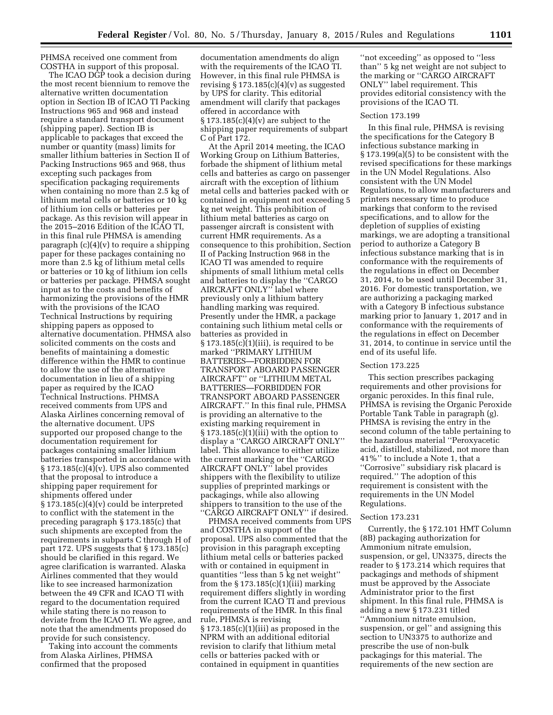PHMSA received one comment from COSTHA in support of this proposal.

The ICAO DGP took a decision during the most recent biennium to remove the alternative written documentation option in Section IB of ICAO TI Packing Instructions 965 and 968 and instead require a standard transport document (shipping paper). Section IB is applicable to packages that exceed the number or quantity (mass) limits for smaller lithium batteries in Section II of Packing Instructions 965 and 968, thus excepting such packages from specification packaging requirements when containing no more than 2.5 kg of lithium metal cells or batteries or 10 kg of lithium ion cells or batteries per package. As this revision will appear in the 2015–2016 Edition of the ICAO TI, in this final rule PHMSA is amending paragraph (c)(4)(v) to require a shipping paper for these packages containing no more than 2.5 kg of lithium metal cells or batteries or 10 kg of lithium ion cells or batteries per package. PHMSA sought input as to the costs and benefits of harmonizing the provisions of the HMR with the provisions of the ICAO Technical Instructions by requiring shipping papers as opposed to alternative documentation. PHMSA also solicited comments on the costs and benefits of maintaining a domestic difference within the HMR to continue to allow the use of the alternative documentation in lieu of a shipping paper as required by the ICAO Technical Instructions. PHMSA received comments from UPS and Alaska Airlines concerning removal of the alternative document. UPS supported our proposed change to the documentation requirement for packages containing smaller lithium batteries transported in accordance with § 173.185(c)(4)(v). UPS also commented that the proposal to introduce a shipping paper requirement for shipments offered under § 173.185(c)(4)(v) could be interpreted to conflict with the statement in the preceding paragraph § 173.185(c) that such shipments are excepted from the requirements in subparts C through H of part 172. UPS suggests that § 173.185(c) should be clarified in this regard. We agree clarification is warranted. Alaska Airlines commented that they would like to see increased harmonization between the 49 CFR and ICAO TI with regard to the documentation required while stating there is no reason to deviate from the ICAO TI. We agree, and note that the amendments proposed do provide for such consistency.

Taking into account the comments from Alaska Airlines, PHMSA confirmed that the proposed

documentation amendments do align with the requirements of the ICAO TI. However, in this final rule PHMSA is revising  $\S 173.185(c)(4)(v)$  as suggested by UPS for clarity. This editorial amendment will clarify that packages offered in accordance with § 173.185(c)(4)(v) are subject to the shipping paper requirements of subpart C of Part 172.

At the April 2014 meeting, the ICAO Working Group on Lithium Batteries, forbade the shipment of lithium metal cells and batteries as cargo on passenger aircraft with the exception of lithium metal cells and batteries packed with or contained in equipment not exceeding 5 kg net weight. This prohibition of lithium metal batteries as cargo on passenger aircraft is consistent with current HMR requirements. As a consequence to this prohibition, Section II of Packing Instruction 968 in the ICAO TI was amended to require shipments of small lithium metal cells and batteries to display the ''CARGO AIRCRAFT ONLY'' label where previously only a lithium battery handling marking was required. Presently under the HMR, a package containing such lithium metal cells or batteries as provided in  $§ 173.185(c)(1)(iii)$ , is required to be marked ''PRIMARY LITHIUM BATTERIES—FORBIDDEN FOR TRANSPORT ABOARD PASSENGER AIRCRAFT'' or ''LITHIUM METAL BATTERIES—FORBIDDEN FOR TRANSPORT ABOARD PASSENGER AIRCRAFT.'' In this final rule, PHMSA is providing an alternative to the existing marking requirement in  $\S 173.185(c)(1)(iii)$  with the option to display a ''CARGO AIRCRAFT ONLY'' label. This allowance to either utilize the current marking or the ''CARGO AIRCRAFT ONLY'' label provides shippers with the flexibility to utilize supplies of preprinted markings or packagings, while also allowing shippers to transition to the use of the ''CARGO AIRCRAFT ONLY'' if desired.

PHMSA received comments from UPS and COSTHA in support of the proposal. UPS also commented that the provision in this paragraph excepting lithium metal cells or batteries packed with or contained in equipment in quantities ''less than 5 kg net weight'' from the  $\S 173.185(c)(1)(iii)$  marking requirement differs slightly in wording from the current ICAO TI and previous requirements of the HMR. In this final rule, PHMSA is revising  $\S 173.185(c)(1)(iii)$  as proposed in the NPRM with an additional editorial revision to clarify that lithium metal cells or batteries packed with or contained in equipment in quantities

''not exceeding'' as opposed to ''less than'' 5 kg net weight are not subject to the marking or ''CARGO AIRCRAFT ONLY'' label requirement. This provides editorial consistency with the provisions of the ICAO TI.

#### Section 173.199

In this final rule, PHMSA is revising the specifications for the Category B infectious substance marking in § 173.199(a)(5) to be consistent with the revised specifications for these markings in the UN Model Regulations. Also consistent with the UN Model Regulations, to allow manufacturers and printers necessary time to produce markings that conform to the revised specifications, and to allow for the depletion of supplies of existing markings, we are adopting a transitional period to authorize a Category B infectious substance marking that is in conformance with the requirements of the regulations in effect on December 31, 2014, to be used until December 31, 2016. For domestic transportation, we are authorizing a packaging marked with a Category B infectious substance marking prior to January 1, 2017 and in conformance with the requirements of the regulations in effect on December 31, 2014, to continue in service until the end of its useful life.

# Section 173.225

This section prescribes packaging requirements and other provisions for organic peroxides. In this final rule, PHMSA is revising the Organic Peroxide Portable Tank Table in paragraph (g). PHMSA is revising the entry in the second column of the table pertaining to the hazardous material ''Peroxyacetic acid, distilled, stabilized, not more than 41%'' to include a Note 1, that a ''Corrosive'' subsidiary risk placard is required.'' The adoption of this requirement is consistent with the requirements in the UN Model Regulations.

# Section 173.231

Currently, the § 172.101 HMT Column (8B) packaging authorization for Ammonium nitrate emulsion, suspension, or gel, UN3375, directs the reader to § 173.214 which requires that packagings and methods of shipment must be approved by the Associate Administrator prior to the first shipment. In this final rule, PHMSA is adding a new § 173.231 titled ''Ammonium nitrate emulsion, suspension, or gel'' and assigning this section to UN3375 to authorize and prescribe the use of non-bulk packagings for this material. The requirements of the new section are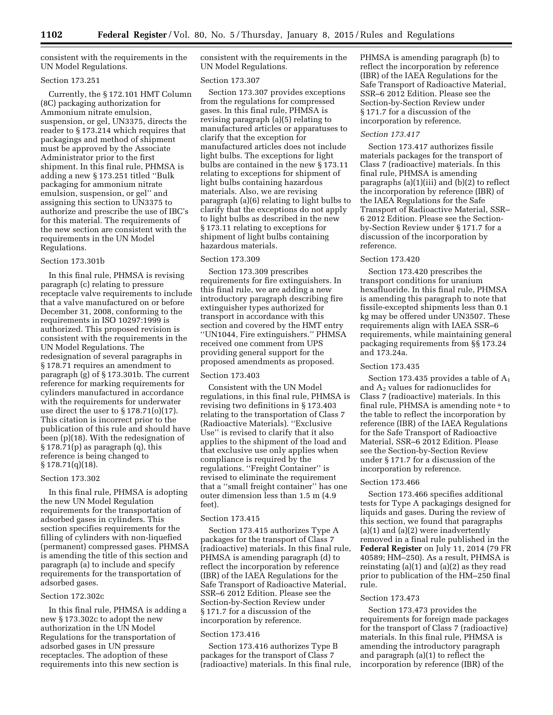consistent with the requirements in the UN Model Regulations.

# Section 173.251

Currently, the § 172.101 HMT Column (8C) packaging authorization for Ammonium nitrate emulsion, suspension, or gel, UN3375, directs the reader to § 173.214 which requires that packagings and method of shipment must be approved by the Associate Administrator prior to the first shipment. In this final rule, PHMSA is adding a new § 173.251 titled ''Bulk packaging for ammonium nitrate emulsion, suspension, or gel'' and assigning this section to UN3375 to authorize and prescribe the use of IBC's for this material. The requirements of the new section are consistent with the requirements in the UN Model Regulations.

# Section 173.301b

In this final rule, PHMSA is revising paragraph (c) relating to pressure receptacle valve requirements to include that a valve manufactured on or before December 31, 2008, conforming to the requirements in ISO 10297:1999 is authorized. This proposed revision is consistent with the requirements in the UN Model Regulations. The redesignation of several paragraphs in § 178.71 requires an amendment to paragraph (g) of § 173.301b. The current reference for marking requirements for cylinders manufactured in accordance with the requirements for underwater use direct the user to  $\S 178.71(0)(17)$ . This citation is incorrect prior to the publication of this rule and should have been (p)(18). With the redesignation of § 178.71(p) as paragraph (q), this reference is being changed to  $§ 178.71(q)(18).$ 

#### Section 173.302

In this final rule, PHMSA is adopting the new UN Model Regulation requirements for the transportation of adsorbed gases in cylinders. This section specifies requirements for the filling of cylinders with non-liquefied (permanent) compressed gases. PHMSA is amending the title of this section and paragraph (a) to include and specify requirements for the transportation of adsorbed gases.

# Section 172.302c

In this final rule, PHMSA is adding a new § 173.302c to adopt the new authorization in the UN Model Regulations for the transportation of adsorbed gases in UN pressure receptacles. The adoption of these requirements into this new section is

consistent with the requirements in the UN Model Regulations.

#### Section 173.307

Section 173.307 provides exceptions from the regulations for compressed gases. In this final rule, PHMSA is revising paragraph (a)(5) relating to manufactured articles or apparatuses to clarify that the exception for manufactured articles does not include light bulbs. The exceptions for light bulbs are contained in the new § 173.11 relating to exceptions for shipment of light bulbs containing hazardous materials. Also, we are revising paragraph (a)(6) relating to light bulbs to clarify that the exceptions do not apply to light bulbs as described in the new § 173.11 relating to exceptions for shipment of light bulbs containing hazardous materials.

#### Section 173.309

Section 173.309 prescribes requirements for fire extinguishers. In this final rule, we are adding a new introductory paragraph describing fire extinguisher types authorized for transport in accordance with this section and covered by the HMT entry ''UN1044, Fire extinguishers.'' PHMSA received one comment from UPS providing general support for the proposed amendments as proposed.

# Section 173.403

Consistent with the UN Model regulations, in this final rule, PHMSA is revising two definitions in § 173.403 relating to the transportation of Class 7 (Radioactive Materials). ''Exclusive Use'' is revised to clarify that it also applies to the shipment of the load and that exclusive use only applies when compliance is required by the regulations. ''Freight Container'' is revised to eliminate the requirement that a ''small freight container'' has one outer dimension less than 1.5 m (4.9 feet).

# Section 173.415

Section 173.415 authorizes Type A packages for the transport of Class 7 (radioactive) materials. In this final rule, PHMSA is amending paragraph (d) to reflect the incorporation by reference (IBR) of the IAEA Regulations for the Safe Transport of Radioactive Material, SSR–6 2012 Edition. Please see the Section-by-Section Review under § 171.7 for a discussion of the incorporation by reference.

#### Section 173.416

Section 173.416 authorizes Type B packages for the transport of Class 7 (radioactive) materials. In this final rule, PHMSA is amending paragraph (b) to reflect the incorporation by reference (IBR) of the IAEA Regulations for the Safe Transport of Radioactive Material, SSR–6 2012 Edition. Please see the Section-by-Section Review under § 171.7 for a discussion of the incorporation by reference.

#### *Section 173.417*

Section 173.417 authorizes fissile materials packages for the transport of Class 7 (radioactive) materials. In this final rule, PHMSA is amending paragraphs (a)(1)(iii) and (b)(2) to reflect the incorporation by reference (IBR) of the IAEA Regulations for the Safe Transport of Radioactive Material, SSR– 6 2012 Edition. Please see the Sectionby-Section Review under § 171.7 for a discussion of the incorporation by reference.

#### Section 173.420

Section 173.420 prescribes the transport conditions for uranium hexafluoride. In this final rule, PHMSA is amending this paragraph to note that fissile-excepted shipments less than 0.1 kg may be offered under UN3507. These requirements align with IAEA SSR–6 requirements, while maintaining general packaging requirements from §§ 173.24 and 173.24a.

#### Section 173.435

Section 173.435 provides a table of  $A_1$ and A2 values for radionuclides for Class 7 (radioactive) materials. In this final rule, PHMSA is amending note a to the table to reflect the incorporation by reference (IBR) of the IAEA Regulations for the Safe Transport of Radioactive Material, SSR–6 2012 Edition. Please see the Section-by-Section Review under § 171.7 for a discussion of the incorporation by reference.

#### Section 173.466

Section 173.466 specifies additional tests for Type A packagings designed for liquids and gases. During the review of this section, we found that paragraphs  $(a)(1)$  and  $(a)(2)$  were inadvertently removed in a final rule published in the **Federal Register** on July 11, 2014 (79 FR 40589; HM–250). As a result, PHMSA is reinstating  $(a)(1)$  and  $(a)(2)$  as they read prior to publication of the HM–250 final rule.

# Section 173.473

Section 173.473 provides the requirements for foreign made packages for the transport of Class 7 (radioactive) materials. In this final rule, PHMSA is amending the introductory paragraph and paragraph (a)(1) to reflect the incorporation by reference (IBR) of the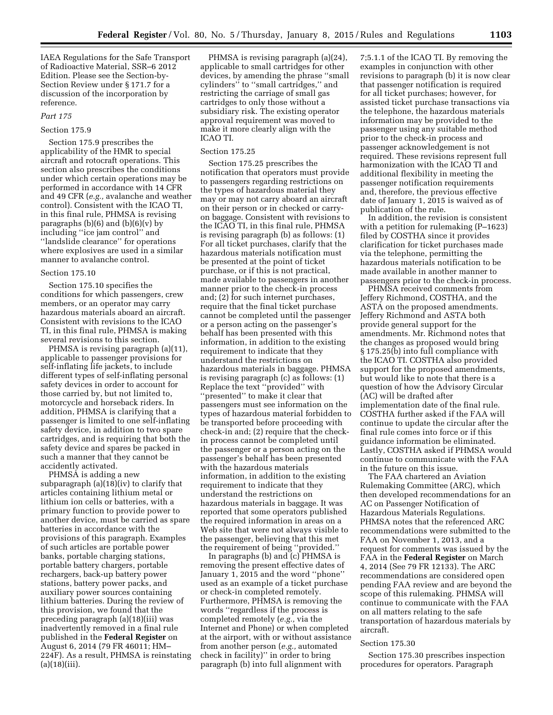IAEA Regulations for the Safe Transport of Radioactive Material, SSR–6 2012 Edition. Please see the Section-by-Section Review under § 171.7 for a discussion of the incorporation by reference.

#### *Part 175*

#### Section 175.9

Section 175.9 prescribes the applicability of the HMR to special aircraft and rotocraft operations. This section also prescribes the conditions under which certain operations may be performed in accordance with 14 CFR and 49 CFR (*e.g.,* avalanche and weather control). Consistent with the ICAO TI, in this final rule, PHMSA is revising paragraphs  $(b)(6)$  and  $(b)(6)(v)$  by including ''ice jam control'' and ''landslide clearance'' for operations where explosives are used in a similar manner to avalanche control.

# Section 175.10

Section 175.10 specifies the conditions for which passengers, crew members, or an operator may carry hazardous materials aboard an aircraft. Consistent with revisions to the ICAO TI, in this final rule, PHMSA is making several revisions to this section.

PHMSA is revising paragraph (a)(11), applicable to passenger provisions for self-inflating life jackets, to include different types of self-inflating personal safety devices in order to account for those carried by, but not limited to, motorcycle and horseback riders. In addition, PHMSA is clarifying that a passenger is limited to one self-inflating safety device, in addition to two spare cartridges, and is requiring that both the safety device and spares be packed in such a manner that they cannot be accidently activated.

PHMSA is adding a new subparagraph (a)(18)(iv) to clarify that articles containing lithium metal or lithium ion cells or batteries, with a primary function to provide power to another device, must be carried as spare batteries in accordance with the provisions of this paragraph. Examples of such articles are portable power banks, portable charging stations, portable battery chargers, portable rechargers, back-up battery power stations, battery power packs, and auxiliary power sources containing lithium batteries. During the review of this provision, we found that the preceding paragraph (a)(18)(iii) was inadvertently removed in a final rule published in the **Federal Register** on August 6, 2014 (79 FR 46011; HM– 224F). As a result, PHMSA is reinstating  $(a)(18)(iii)$ .

PHMSA is revising paragraph (a)(24), applicable to small cartridges for other devices, by amending the phrase ''small cylinders'' to ''small cartridges,'' and restricting the carriage of small gas cartridges to only those without a subsidiary risk. The existing operator approval requirement was moved to make it more clearly align with the ICAO TI.

#### Section 175.25

Section 175.25 prescribes the notification that operators must provide to passengers regarding restrictions on the types of hazardous material they may or may not carry aboard an aircraft on their person or in checked or carryon baggage. Consistent with revisions to the ICAO TI, in this final rule, PHMSA is revising paragraph (b) as follows: (1) For all ticket purchases, clarify that the hazardous materials notification must be presented at the point of ticket purchase, or if this is not practical, made available to passengers in another manner prior to the check-in process and; (2) for such internet purchases, require that the final ticket purchase cannot be completed until the passenger or a person acting on the passenger's behalf has been presented with this information, in addition to the existing requirement to indicate that they understand the restrictions on hazardous materials in baggage. PHMSA is revising paragraph (c) as follows: (1) Replace the text ''provided'' with ''presented'' to make it clear that passengers must see information on the types of hazardous material forbidden to be transported before proceeding with check-in and; (2) require that the checkin process cannot be completed until the passenger or a person acting on the passenger's behalf has been presented with the hazardous materials information, in addition to the existing requirement to indicate that they understand the restrictions on hazardous materials in baggage. It was reported that some operators published the required information in areas on a Web site that were not always visible to the passenger, believing that this met the requirement of being ''provided.''

In paragraphs (b) and (c) PHMSA is removing the present effective dates of January 1, 2015 and the word ''phone'' used as an example of a ticket purchase or check-in completed remotely. Furthermore, PHMSA is removing the words ''regardless if the process is completed remotely (*e.g.,* via the Internet and Phone) or when completed at the airport, with or without assistance from another person (*e.g.,* automated check in facility)'' in order to bring paragraph (b) into full alignment with

7;5.1.1 of the ICAO TI. By removing the examples in conjunction with other revisions to paragraph (b) it is now clear that passenger notification is required for all ticket purchases; however, for assisted ticket purchase transactions via the telephone, the hazardous materials information may be provided to the passenger using any suitable method prior to the check-in process and passenger acknowledgement is not required. These revisions represent full harmonization with the ICAO TI and additional flexibility in meeting the passenger notification requirements and, therefore, the previous effective date of January 1, 2015 is waived as of publication of the rule.

In addition, the revision is consistent with a petition for rulemaking (P–1623) filed by COSTHA since it provides clarification for ticket purchases made via the telephone, permitting the hazardous materials notification to be made available in another manner to passengers prior to the check-in process.

PHMSA received comments from Jeffery Richmond, COSTHA, and the ASTA on the proposed amendments. Jeffery Richmond and ASTA both provide general support for the amendments. Mr. Richmond notes that the changes as proposed would bring § 175.25(b) into full compliance with the ICAO TI. COSTHA also provided support for the proposed amendments, but would like to note that there is a question of how the Advisory Circular (AC) will be drafted after implementation date of the final rule. COSTHA further asked if the FAA will continue to update the circular after the final rule comes into force or if this guidance information be eliminated. Lastly, COSTHA asked if PHMSA would continue to communicate with the FAA in the future on this issue.

The FAA chartered an Aviation Rulemaking Committee (ARC), which then developed recommendations for an AC on Passenger Notification of Hazardous Materials Regulations. PHMSA notes that the referenced ARC recommendations were submitted to the FAA on November 1, 2013, and a request for comments was issued by the FAA in the **Federal Register** on March 4, 2014 (See 79 FR 12133). The ARC recommendations are considered open pending FAA review and are beyond the scope of this rulemaking. PHMSA will continue to communicate with the FAA on all matters relating to the safe transportation of hazardous materials by aircraft.

# Section 175.30

Section 175.30 prescribes inspection procedures for operators. Paragraph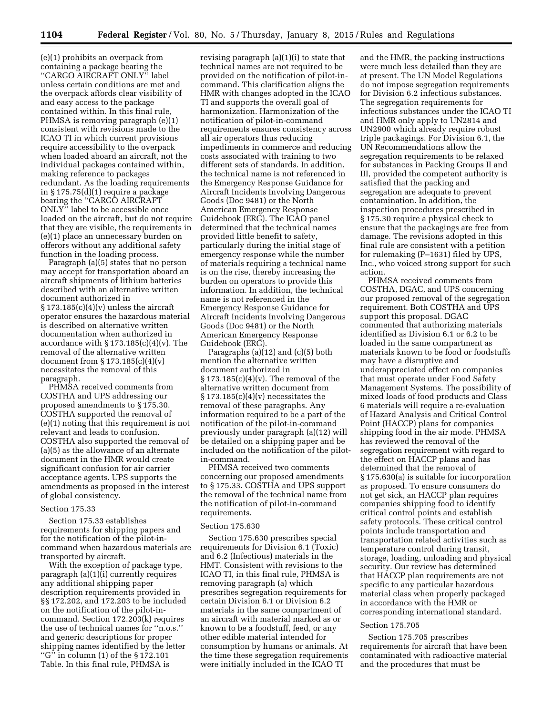(e)(1) prohibits an overpack from containing a package bearing the ''CARGO AIRCRAFT ONLY'' label unless certain conditions are met and the overpack affords clear visibility of and easy access to the package contained within. In this final rule, PHMSA is removing paragraph (e)(1) consistent with revisions made to the ICAO TI in which current provisions require accessibility to the overpack when loaded aboard an aircraft, not the individual packages contained within, making reference to packages redundant. As the loading requirements in § 175.75(d)(1) require a package bearing the "CARGO AIRCRAFT ONLY'' label to be accessible once loaded on the aircraft, but do not require that they are visible, the requirements in (e)(1) place an unnecessary burden on offerors without any additional safety function in the loading process.

Paragraph (a)(5) states that no person may accept for transportation aboard an aircraft shipments of lithium batteries described with an alternative written document authorized in  $\S 173.185(c)(4)(v)$  unless the aircraft operator ensures the hazardous material is described on alternative written documentation when authorized in accordance with  $\S 173.185(c)(4)(v)$ . The removal of the alternative written document from § 173.185(c)(4)(v) necessitates the removal of this paragraph.

PHMSA received comments from COSTHA and UPS addressing our proposed amendments to § 175.30. COSTHA supported the removal of (e)(1) noting that this requirement is not relevant and leads to confusion. COSTHA also supported the removal of (a)(5) as the allowance of an alternate document in the HMR would create significant confusion for air carrier acceptance agents. UPS supports the amendments as proposed in the interest of global consistency.

#### Section 175.33

Section 175.33 establishes requirements for shipping papers and for the notification of the pilot-incommand when hazardous materials are transported by aircraft.

With the exception of package type, paragraph (a)(1)(i) currently requires any additional shipping paper description requirements provided in §§ 172.202, and 172.203 to be included on the notification of the pilot-incommand. Section 172.203(k) requires the use of technical names for ''n.o.s.'' and generic descriptions for proper shipping names identified by the letter ''G'' in column (1) of the § 172.101 Table. In this final rule, PHMSA is

revising paragraph (a)(1)(i) to state that technical names are not required to be provided on the notification of pilot-incommand. This clarification aligns the HMR with changes adopted in the ICAO TI and supports the overall goal of harmonization. Harmonization of the notification of pilot-in-command requirements ensures consistency across all air operators thus reducing impediments in commerce and reducing costs associated with training to two different sets of standards. In addition, the technical name is not referenced in the Emergency Response Guidance for Aircraft Incidents Involving Dangerous Goods (Doc 9481) or the North American Emergency Response Guidebook (ERG). The ICAO panel determined that the technical names provided little benefit to safety, particularly during the initial stage of emergency response while the number of materials requiring a technical name is on the rise, thereby increasing the burden on operators to provide this information. In addition, the technical name is not referenced in the Emergency Response Guidance for Aircraft Incidents Involving Dangerous Goods (Doc 9481) or the North American Emergency Response Guidebook (ERG).

Paragraphs (a)(12) and (c)(5) both mention the alternative written document authorized in  $\S 173.185(c)(4)(v)$ . The removal of the alternative written document from  $\S 173.185(c)(4)(v)$  necessitates the removal of these paragraphs. Any information required to be a part of the notification of the pilot-in-command previously under paragraph (a)(12) will be detailed on a shipping paper and be included on the notification of the pilotin-command.

PHMSA received two comments concerning our proposed amendments to § 175.33. COSTHA and UPS support the removal of the technical name from the notification of pilot-in-command requirements.

#### Section 175.630

Section 175.630 prescribes special requirements for Division 6.1 (Toxic) and 6.2 (Infectious) materials in the HMT. Consistent with revisions to the ICAO TI, in this final rule, PHMSA is removing paragraph (a) which prescribes segregation requirements for certain Division 6.1 or Division 6.2 materials in the same compartment of an aircraft with material marked as or known to be a foodstuff, feed, or any other edible material intended for consumption by humans or animals. At the time these segregation requirements were initially included in the ICAO TI

and the HMR, the packing instructions were much less detailed than they are at present. The UN Model Regulations do not impose segregation requirements for Division 6.2 infectious substances. The segregation requirements for infectious substances under the ICAO TI and HMR only apply to UN2814 and UN2900 which already require robust triple packagings. For Division 6.1, the UN Recommendations allow the segregation requirements to be relaxed for substances in Packing Groups II and III, provided the competent authority is satisfied that the packing and segregation are adequate to prevent contamination. In addition, the inspection procedures prescribed in § 175.30 require a physical check to ensure that the packagings are free from damage. The revisions adopted in this final rule are consistent with a petition for rulemaking (P–1631) filed by UPS, Inc., who voiced strong support for such action.

PHMSA received comments from COSTHA, DGAC, and UPS concerning our proposed removal of the segregation requirement. Both COSTHA and UPS support this proposal. DGAC commented that authorizing materials identified as Division 6.1 or 6.2 to be loaded in the same compartment as materials known to be food or foodstuffs may have a disruptive and underappreciated effect on companies that must operate under Food Safety Management Systems. The possibility of mixed loads of food products and Class 6 materials will require a re-evaluation of Hazard Analysis and Critical Control Point (HACCP) plans for companies shipping food in the air mode. PHMSA has reviewed the removal of the segregation requirement with regard to the effect on HACCP plans and has determined that the removal of § 175.630(a) is suitable for incorporation as proposed. To ensure consumers do not get sick, an HACCP plan requires companies shipping food to identify critical control points and establish safety protocols. These critical control points include transportation and transportation related activities such as temperature control during transit, storage, loading, unloading and physical security. Our review has determined that HACCP plan requirements are not specific to any particular hazardous material class when properly packaged in accordance with the HMR or corresponding international standard.

#### Section 175.705

Section 175.705 prescribes requirements for aircraft that have been contaminated with radioactive material and the procedures that must be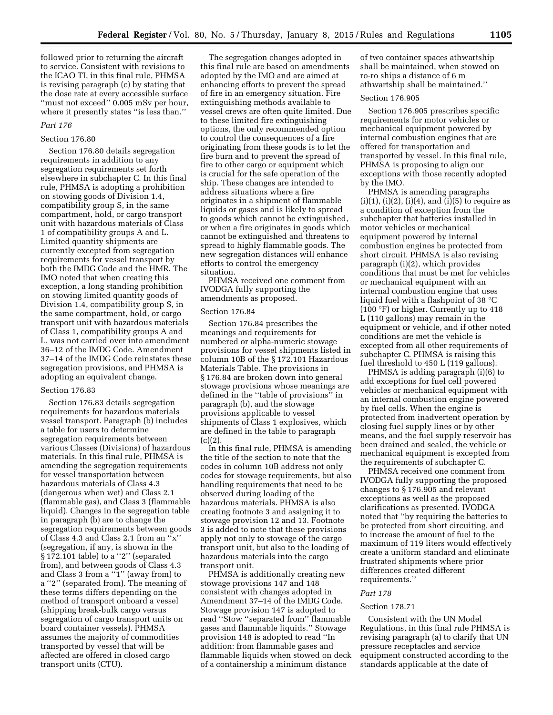followed prior to returning the aircraft to service. Consistent with revisions to the ICAO TI, in this final rule, PHMSA is revising paragraph (c) by stating that the dose rate at every accessible surface ''must not exceed'' 0.005 mSv per hour, where it presently states "is less than."

#### *Part 176*

# Section 176.80

Section 176.80 details segregation requirements in addition to any segregation requirements set forth elsewhere in subchapter C. In this final rule, PHMSA is adopting a prohibition on stowing goods of Division 1.4, compatibility group S, in the same compartment, hold, or cargo transport unit with hazardous materials of Class 1 of compatibility groups A and L. Limited quantity shipments are currently excepted from segregation requirements for vessel transport by both the IMDG Code and the HMR. The IMO noted that when creating this exception, a long standing prohibition on stowing limited quantity goods of Division 1.4, compatibility group S, in the same compartment, hold, or cargo transport unit with hazardous materials of Class 1, compatibility groups A and L, was not carried over into amendment 36–12 of the IMDG Code. Amendment 37–14 of the IMDG Code reinstates these segregation provisions, and PHMSA is adopting an equivalent change.

#### Section 176.83

Section 176.83 details segregation requirements for hazardous materials vessel transport. Paragraph (b) includes a table for users to determine segregation requirements between various Classes (Divisions) of hazardous materials. In this final rule, PHMSA is amending the segregation requirements for vessel transportation between hazardous materials of Class 4.3 (dangerous when wet) and Class 2.1 (flammable gas), and Class 3 (flammable liquid). Changes in the segregation table in paragraph (b) are to change the segregation requirements between goods of Class 4.3 and Class 2.1 from an ''x'' (segregation, if any, is shown in the § 172.101 table) to a "2" (separated from), and between goods of Class 4.3 and Class 3 from a ''1'' (away from) to a ''2'' (separated from). The meaning of these terms differs depending on the method of transport onboard a vessel (shipping break-bulk cargo versus segregation of cargo transport units on board container vessels). PHMSA assumes the majority of commodities transported by vessel that will be affected are offered in closed cargo transport units (CTU).

The segregation changes adopted in this final rule are based on amendments adopted by the IMO and are aimed at enhancing efforts to prevent the spread of fire in an emergency situation. Fire extinguishing methods available to vessel crews are often quite limited. Due to these limited fire extinguishing options, the only recommended option to control the consequences of a fire originating from these goods is to let the fire burn and to prevent the spread of fire to other cargo or equipment which is crucial for the safe operation of the ship. These changes are intended to address situations where a fire originates in a shipment of flammable liquids or gases and is likely to spread to goods which cannot be extinguished, or when a fire originates in goods which cannot be extinguished and threatens to spread to highly flammable goods. The new segregation distances will enhance efforts to control the emergency situation.

PHMSA received one comment from IVODGA fully supporting the amendments as proposed.

#### Section 176.84

Section 176.84 prescribes the meanings and requirements for numbered or alpha-numeric stowage provisions for vessel shipments listed in column 10B of the § 172.101 Hazardous Materials Table. The provisions in § 176.84 are broken down into general stowage provisions whose meanings are defined in the ''table of provisions'' in paragraph (b), and the stowage provisions applicable to vessel shipments of Class 1 explosives, which are defined in the table to paragraph  $(c)(2)$ .

In this final rule, PHMSA is amending the title of the section to note that the codes in column 10B address not only codes for stowage requirements, but also handling requirements that need to be observed during loading of the hazardous materials. PHMSA is also creating footnote 3 and assigning it to stowage provision 12 and 13. Footnote 3 is added to note that these provisions apply not only to stowage of the cargo transport unit, but also to the loading of hazardous materials into the cargo transport unit.

PHMSA is additionally creating new stowage provisions 147 and 148 consistent with changes adopted in Amendment 37–14 of the IMDG Code. Stowage provision 147 is adopted to read ''Stow ''separated from'' flammable gases and flammable liquids.'' Stowage provision 148 is adopted to read ''In addition: from flammable gases and flammable liquids when stowed on deck of a containership a minimum distance

of two container spaces athwartship shall be maintained, when stowed on ro-ro ships a distance of 6 m athwartship shall be maintained.''

# Section 176.905

Section 176.905 prescribes specific requirements for motor vehicles or mechanical equipment powered by internal combustion engines that are offered for transportation and transported by vessel. In this final rule, PHMSA is proposing to align our exceptions with those recently adopted by the IMO.

PHMSA is amending paragraphs  $(i)(1), (i)(2), (i)(4),$  and  $(i)(5)$  to require as a condition of exception from the subchapter that batteries installed in motor vehicles or mechanical equipment powered by internal combustion engines be protected from short circuit. PHMSA is also revising paragraph (i)(2), which provides conditions that must be met for vehicles or mechanical equipment with an internal combustion engine that uses liquid fuel with a flashpoint of 38 °C (100 °F) or higher. Currently up to 418 L (110 gallons) may remain in the equipment or vehicle, and if other noted conditions are met the vehicle is excepted from all other requirements of subchapter C. PHMSA is raising this fuel threshold to 450 L (119 gallons).

PHMSA is adding paragraph (i)(6) to add exceptions for fuel cell powered vehicles or mechanical equipment with an internal combustion engine powered by fuel cells. When the engine is protected from inadvertent operation by closing fuel supply lines or by other means, and the fuel supply reservoir has been drained and sealed, the vehicle or mechanical equipment is excepted from the requirements of subchapter C.

PHMSA received one comment from IVODGA fully supporting the proposed changes to § 176.905 and relevant exceptions as well as the proposed clarifications as presented. IVODGA noted that ''by requiring the batteries to be protected from short circuiting, and to increase the amount of fuel to the maximum of 119 liters would effectively create a uniform standard and eliminate frustrated shipments where prior differences created different requirements.''

# *Part 178*

#### Section 178.71

Consistent with the UN Model Regulations, in this final rule PHMSA is revising paragraph (a) to clarify that UN pressure receptacles and service equipment constructed according to the standards applicable at the date of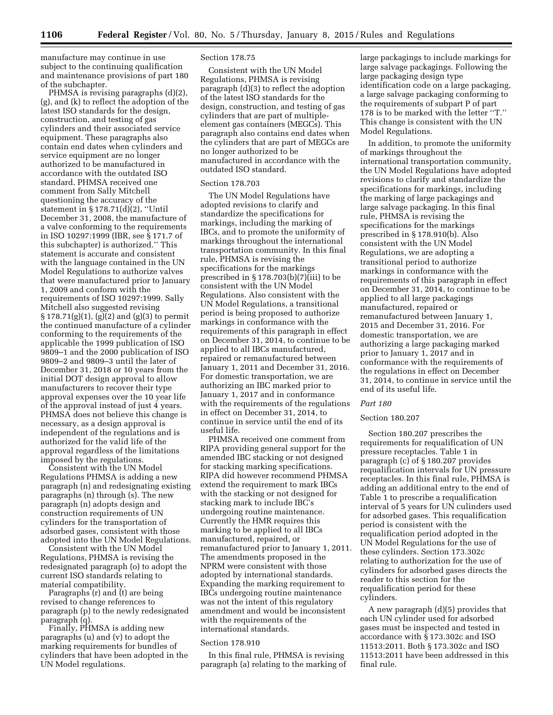manufacture may continue in use subject to the continuing qualification and maintenance provisions of part 180 of the subchapter.

PHMSA is revising paragraphs (d)(2), (g), and (k) to reflect the adoption of the latest ISO standards for the design, construction, and testing of gas cylinders and their associated service equipment. These paragraphs also contain end dates when cylinders and service equipment are no longer authorized to be manufactured in accordance with the outdated ISO standard. PHMSA received one comment from Sally Mitchell questioning the accuracy of the statement in § 178.71(d)(2), ''Until December 31, 2008, the manufacture of a valve conforming to the requirements in ISO 10297:1999 (IBR, see § 171.7 of this subchapter) is authorized.'' This statement is accurate and consistent with the language contained in the UN Model Regulations to authorize valves that were manufactured prior to January 1, 2009 and conform with the requirements of ISO 10297:1999. Sally Mitchell also suggested revising  $\S 178.71(g)(1)$ ,  $(g)(2)$  and  $(g)(3)$  to permit the continued manufacture of a cylinder conforming to the requirements of the applicable the 1999 publication of ISO 9809–1 and the 2000 publication of ISO 9809–2 and 9809–3 until the later of December 31, 2018 or 10 years from the initial DOT design approval to allow manufacturers to recover their type approval expenses over the 10 year life of the approval instead of just 4 years. PHMSA does not believe this change is necessary, as a design approval is independent of the regulations and is authorized for the valid life of the approval regardless of the limitations imposed by the regulations.

Consistent with the UN Model Regulations PHMSA is adding a new paragraph (n) and redesignating existing paragraphs (n) through (s). The new paragraph (n) adopts design and construction requirements of UN cylinders for the transportation of adsorbed gases, consistent with those adopted into the UN Model Regulations.

Consistent with the UN Model Regulations, PHMSA is revising the redesignated paragraph (o) to adopt the current ISO standards relating to material compatibility.

Paragraphs (r) and (t) are being revised to change references to paragraph (p) to the newly redesignated paragraph (q).

Finally, PHMSA is adding new paragraphs (u) and (v) to adopt the marking requirements for bundles of cylinders that have been adopted in the UN Model regulations.

#### Section 178.75

Consistent with the UN Model Regulations, PHMSA is revising paragraph (d)(3) to reflect the adoption of the latest ISO standards for the design, construction, and testing of gas cylinders that are part of multipleelement gas containers (MEGCs). This paragraph also contains end dates when the cylinders that are part of MEGCs are no longer authorized to be manufactured in accordance with the outdated ISO standard.

# Section 178.703

The UN Model Regulations have adopted revisions to clarify and standardize the specifications for markings, including the marking of IBCs, and to promote the uniformity of markings throughout the international transportation community. In this final rule, PHMSA is revising the specifications for the markings prescribed in § 178.703(b)(7)(iii) to be consistent with the UN Model Regulations. Also consistent with the UN Model Regulations, a transitional period is being proposed to authorize markings in conformance with the requirements of this paragraph in effect on December 31, 2014, to continue to be applied to all IBCs manufactured, repaired or remanufactured between January 1, 2011 and December 31, 2016. For domestic transportation, we are authorizing an IBC marked prior to January 1, 2017 and in conformance with the requirements of the regulations in effect on December 31, 2014, to continue in service until the end of its useful life.

PHMSA received one comment from RIPA providing general support for the amended IBC stacking or not designed for stacking marking specifications. RIPA did however recommend PHMSA extend the requirement to mark IBCs with the stacking or not designed for stacking mark to include IBC's undergoing routine maintenance. Currently the HMR requires this marking to be applied to all IBCs manufactured, repaired, or remanufactured prior to January 1, 2011. The amendments proposed in the NPRM were consistent with those adopted by international standards. Expanding the marking requirement to IBCs undergoing routine maintenance was not the intent of this regulatory amendment and would be inconsistent with the requirements of the international standards.

#### Section 178.910

In this final rule, PHMSA is revising paragraph (a) relating to the marking of large packagings to include markings for large salvage packagings. Following the large packaging design type identification code on a large packaging, a large salvage packaging conforming to the requirements of subpart P of part 178 is to be marked with the letter ''T.'' This change is consistent with the UN Model Regulations.

In addition, to promote the uniformity of markings throughout the international transportation community, the UN Model Regulations have adopted revisions to clarify and standardize the specifications for markings, including the marking of large packagings and large salvage packaging. In this final rule, PHMSA is revising the specifications for the markings prescribed in § 178.910(b). Also consistent with the UN Model Regulations, we are adopting a transitional period to authorize markings in conformance with the requirements of this paragraph in effect on December 31, 2014, to continue to be applied to all large packagings manufactured, repaired or remanufactured between January 1, 2015 and December 31, 2016. For domestic transportation, we are authorizing a large packaging marked prior to January 1, 2017 and in conformance with the requirements of the regulations in effect on December 31, 2014, to continue in service until the end of its useful life.

# *Part 180*

# Section 180.207

Section 180.207 prescribes the requirements for requalification of UN pressure receptacles. Table 1 in paragraph (c) of § 180.207 provides requalification intervals for UN pressure receptacles. In this final rule, PHMSA is adding an additional entry to the end of Table 1 to prescribe a requalification interval of 5 years for UN culinders used for adsorbed gases. This requalification period is consistent with the requalification period adopted in the UN Model Regulations for the use of these cylinders. Section 173.302c relating to authorization for the use of cylinders for adsorbed gases directs the reader to this section for the requalification period for these cylinders.

A new paragraph (d)(5) provides that each UN cylinder used for adsorbed gases must be inspected and tested in accordance with § 173.302c and ISO 11513:2011. Both § 173.302c and ISO 11513:2011 have been addressed in this final rule.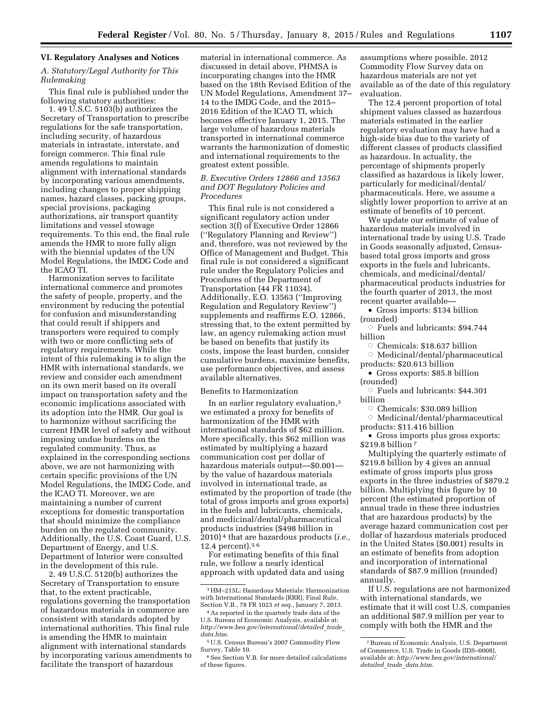# **VI. Regulatory Analyses and Notices**

# *A. Statutory/Legal Authority for This Rulemaking*

This final rule is published under the following statutory authorities:

1. 49 U.S.C. 5103(b) authorizes the Secretary of Transportation to prescribe regulations for the safe transportation, including security, of hazardous materials in intrastate, interstate, and foreign commerce. This final rule amends regulations to maintain alignment with international standards by incorporating various amendments, including changes to proper shipping names, hazard classes, packing groups, special provisions, packaging authorizations, air transport quantity limitations and vessel stowage requirements. To this end, the final rule amends the HMR to more fully align with the biennial updates of the UN Model Regulations, the IMDG Code and the ICAO TI.

Harmonization serves to facilitate international commerce and promotes the safety of people, property, and the environment by reducing the potential for confusion and misunderstanding that could result if shippers and transporters were required to comply with two or more conflicting sets of regulatory requirements. While the intent of this rulemaking is to align the HMR with international standards, we review and consider each amendment on its own merit based on its overall impact on transportation safety and the economic implications associated with its adoption into the HMR. Our goal is to harmonize without sacrificing the current HMR level of safety and without imposing undue burdens on the regulated community. Thus, as explained in the corresponding sections above, we are not harmonizing with certain specific provisions of the UN Model Regulations, the IMDG Code, and the ICAO TI. Moreover, we are maintaining a number of current exceptions for domestic transportation that should minimize the compliance burden on the regulated community. Additionally, the U.S. Coast Guard, U.S. Department of Energy, and U.S. Department of Interior were consulted in the development of this rule.

2. 49 U.S.C. 5120(b) authorizes the Secretary of Transportation to ensure that, to the extent practicable, regulations governing the transportation of hazardous materials in commerce are consistent with standards adopted by international authorities. This final rule is amending the HMR to maintain alignment with international standards by incorporating various amendments to facilitate the transport of hazardous

material in international commerce. As discussed in detail above, PHMSA is incorporating changes into the HMR based on the 18th Revised Edition of the UN Model Regulations, Amendment 37– 14 to the IMDG Code, and the 2015– 2016 Edition of the ICAO TI, which becomes effective January 1, 2015. The large volume of hazardous materials transported in international commerce warrants the harmonization of domestic and international requirements to the greatest extent possible.

# *B. Executive Orders 12866 and 13563 and DOT Regulatory Policies and Procedures*

This final rule is not considered a significant regulatory action under section 3(f) of Executive Order 12866 (''Regulatory Planning and Review'') and, therefore, was not reviewed by the Office of Management and Budget. This final rule is not considered a significant rule under the Regulatory Policies and Procedures of the Department of Transportation (44 FR 11034). Additionally, E.O. 13563 (''Improving Regulation and Regulatory Review'') supplements and reaffirms E.O. 12866, stressing that, to the extent permitted by law, an agency rulemaking action must be based on benefits that justify its costs, impose the least burden, consider cumulative burdens, maximize benefits, use performance objectives, and assess available alternatives.

## Benefits to Harmonization

In an earlier regulatory evaluation,3 we estimated a proxy for benefits of harmonization of the HMR with international standards of \$62 million. More specifically, this \$62 million was estimated by multiplying a hazard communication cost per dollar of hazardous materials output—\$0.001 by the value of hazardous materials involved in international trade, as estimated by the proportion of trade (the total of gross imports and gross exports) in the fuels and lubricants, chemicals, and medicinal/dental/pharmaceutical products industries (\$498 billion in 2010) 4 that are hazardous products (*i.e.,*  12.4 percent).5 6

For estimating benefits of this final rule, we follow a nearly identical approach with updated data and using

assumptions where possible. 2012 Commodity Flow Survey data on hazardous materials are not yet available as of the date of this regulatory evaluation.

The 12.4 percent proportion of total shipment values classed as hazardous materials estimated in the earlier regulatory evaluation may have had a high-side bias due to the variety of different classes of products classified as hazardous. In actuality, the percentage of shipments properly classified as hazardous is likely lower, particularly for medicinal/dental/ pharmaceuticals. Here, we assume a slightly lower proportion to arrive at an estimate of benefits of 10 percent.

We update our estimate of value of hazardous materials involved in international trade by using U.S. Trade in Goods seasonally adjusted, Censusbased total gross imports and gross exports in the fuels and lubricants, chemicals, and medicinal/dental/ pharmaceutical products industries for the fourth quarter of 2013, the most recent quarter available—

• Gross imports: \$134 billion (rounded)

 $\circ$  Fuels and lubricants: \$94.744 billion

 $\circ$  Chemicals: \$18.637 billion

 $\circ$  Medicinal/dental/pharmaceutical products: \$20.613 billion

• Gross exports: \$85.8 billion (rounded)

 $\circ$  Fuels and lubricants: \$44.301 billion

Chemicals: \$30.089 billion

 $\circ$  Medicinal/dental/pharmaceutical products: \$11.416 billion

• Gross imports plus gross exports: \$219.8 billion 7

Multiplying the quarterly estimate of \$219.8 billion by 4 gives an annual estimate of gross imports plus gross exports in the three industries of \$879.2 billion. Multiplying this figure by 10 percent (the estimated proportion of annual trade in these three industries that are hazardous products) by the average hazard communication cost per dollar of hazardous materials produced in the United States (\$0.001) results in an estimate of benefits from adoption and incorporation of international standards of \$87.9 million (rounded) annually.

If U.S. regulations are not harmonized with international standards, we estimate that it will cost U.S. companies an additional \$87.9 million per year to comply with both the HMR and the

<sup>3</sup>HM–215L: Hazardous Materials: Harmonization with International Standards (RRR), Final Rule, Section V.B., 78 FR 1023 *et seq.,* January 7, 2013.

<sup>4</sup>As reported in the quarterly trade data of the U.S. Bureau of Economic Analysis, available at: *[http://www.bea.gov/international/detailed](http://www.bea.gov/international/detailed_trade_data.htm)*\_*trade*\_ *[data.htm](http://www.bea.gov/international/detailed_trade_data.htm)*.

<sup>5</sup>U.S. Census Bureau's 2007 Commodity Flow Survey, Table 10.

<sup>6</sup>See Section V.B. for more detailed calculations of these figures.

<sup>7</sup>Bureau of Economic Analysis, U.S. Department of Commerce, U.S. Trade in Goods (IDS–0008), available at: *[http://www.bea.gov/international/](http://www.bea.gov/international/detailed_trade_data.htm) detailed*\_*trade*\_*[data.htm](http://www.bea.gov/international/detailed_trade_data.htm)*.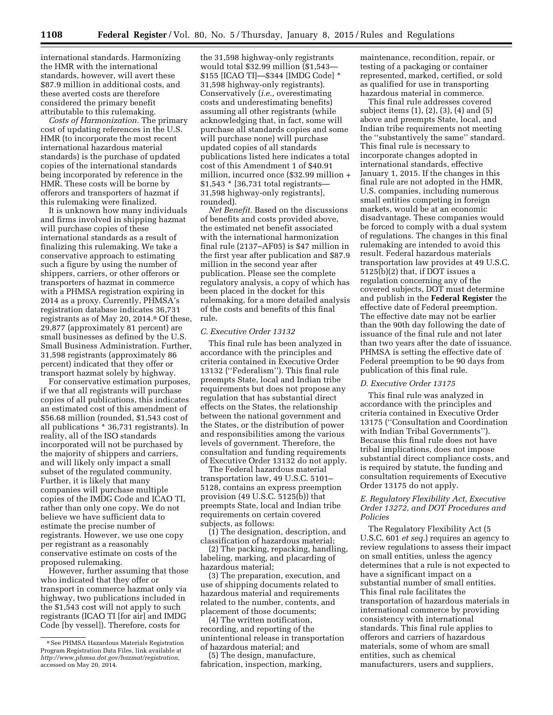international standards. Harmonizing the HMR with the international standards, however, will avert these \$87.9 million in additional costs, and these averted costs are therefore considered the primary benefit attributable to this rulemaking.

*Costs of Harmonization.* The primary cost of updating references in the U.S. HMR (to incorporate the most recent international hazardous material standards) is the purchase of updated copies of the international standards being incorporated by reference in the HMR. These costs will be borne by offerors and transporters of hazmat if this rulemaking were finalized.

It is unknown how many individuals and firms involved in shipping hazmat will purchase copies of these international standards as a result of finalizing this rulemaking. We take a conservative approach to estimating such a figure by using the number of shippers, carriers, or other offerors or transporters of hazmat in commerce with a PHMSA registration expiring in 2014 as a proxy. Currently, PHMSA's registration database indicates 36,731 registrants as of May 20, 2014.8 Of these, 29,877 (approximately 81 percent) are small businesses as defined by the U.S. Small Business Administration. Further, 31,598 registrants (approximately 86 percent) indicated that they offer or transport hazmat solely by highway.

For conservative estimation purposes, if we that all registrants will purchase copies of all publications, this indicates an estimated cost of this amendment of \$56.68 million (rounded, \$1,543 cost of all publications \* 36,731 registrants). In reality, all of the ISO standards incorporated will not be purchased by the majority of shippers and carriers, and will likely only impact a small subset of the regulated community. Further, it is likely that many companies will purchase multiple copies of the IMDG Code and ICAO TI, rather than only one copy. We do not believe we have sufficient data to estimate the precise number of registrants. However, we use one copy per registrant as a reasonably conservative estimate on costs of the proposed rulemaking.

However, further assuming that those who indicated that they offer or transport in commerce hazmat only via highway, two publications included in the \$1,543 cost will not apply to such registrants (ICAO TI [for air] and IMDG Code [by vessel]). Therefore, costs for

the 31,598 highway-only registrants would total \$32.99 million (\$1,543— \$155 [ICAO TI]—\$344 [IMDG Code] \* 31,598 highway-only registrants). Conservatively (*i.e.,* overestimating costs and underestimating benefits) assuming all other registrants (while acknowledging that, in fact, some will purchase all standards copies and some will purchase none) will purchase updated copies of all standards publications listed here indicates a total cost of this Amendment 1 of \$40.91 million, incurred once (\$32.99 million + \$1,543 \* [36,731 total registrants— 31,598 highway-only registrants], rounded).

*Net Benefit.* Based on the discussions of benefits and costs provided above, the estimated net benefit associated with the international harmonization final rule (2137–AF05) is \$47 million in the first year after publication and \$87.9 million in the second year after publication. Please see the complete regulatory analysis, a copy of which has been placed in the docket for this rulemaking, for a more detailed analysis of the costs and benefits of this final rule.

# *C. Executive Order 13132*

This final rule has been analyzed in accordance with the principles and criteria contained in Executive Order 13132 (''Federalism''). This final rule preempts State, local and Indian tribe requirements but does not propose any regulation that has substantial direct effects on the States, the relationship between the national government and the States, or the distribution of power and responsibilities among the various levels of government. Therefore, the consultation and funding requirements of Executive Order 13132 do not apply.

The Federal hazardous material transportation law, 49 U.S.C. 5101– 5128, contains an express preemption provision (49 U.S.C. 5125(b)) that preempts State, local and Indian tribe requirements on certain covered subjects, as follows:

(1) The designation, description, and classification of hazardous material;

(2) The packing, repacking, handling, labeling, marking, and placarding of hazardous material;

(3) The preparation, execution, and use of shipping documents related to hazardous material and requirements related to the number, contents, and placement of those documents;

(4) The written notification, recording, and reporting of the unintentional release in transportation of hazardous material; and

(5) The design, manufacture, fabrication, inspection, marking, maintenance, recondition, repair, or testing of a packaging or container represented, marked, certified, or sold as qualified for use in transporting hazardous material in commerce.

This final rule addresses covered subject items (1), (2), (3), (4) and (5) above and preempts State, local, and Indian tribe requirements not meeting the ''substantively the same'' standard. This final rule is necessary to incorporate changes adopted in international standards, effective January 1, 2015. If the changes in this final rule are not adopted in the HMR, U.S. companies, including numerous small entities competing in foreign markets, would be at an economic disadvantage. These companies would be forced to comply with a dual system of regulations. The changes in this final rulemaking are intended to avoid this result. Federal hazardous materials transportation law provides at 49 U.S.C. 5125(b)(2) that, if DOT issues a regulation concerning any of the covered subjects, DOT must determine and publish in the **Federal Register** the effective date of Federal preemption. The effective date may not be earlier than the 90th day following the date of issuance of the final rule and not later than two years after the date of issuance. PHMSA is setting the effective date of Federal preemption to be 90 days from publication of this final rule.

#### *D. Executive Order 13175*

This final rule was analyzed in accordance with the principles and criteria contained in Executive Order 13175 (''Consultation and Coordination with Indian Tribal Governments''). Because this final rule does not have tribal implications, does not impose substantial direct compliance costs, and is required by statute, the funding and consultation requirements of Executive Order 13175 do not apply.

# *E. Regulatory Flexibility Act, Executive Order 13272, and DOT Procedures and Policies*

The Regulatory Flexibility Act (5 U.S.C. 601 *et seq.*) requires an agency to review regulations to assess their impact on small entities, unless the agency determines that a rule is not expected to have a significant impact on a substantial number of small entities. This final rule facilitates the transportation of hazardous materials in international commerce by providing consistency with international standards. This final rule applies to offerors and carriers of hazardous materials, some of whom are small entities, such as chemical manufacturers, users and suppliers,

<sup>8</sup>See PHMSA Hazardous Materials Registration Program Registration Data Files, link available at *<http://www.phmsa.dot.gov/hazmat/registration>*, accessed on May 20, 2014.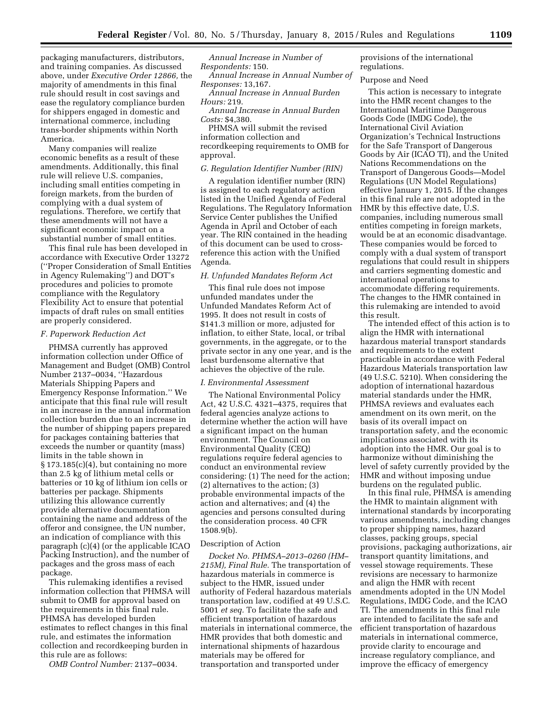packaging manufacturers, distributors, and training companies. As discussed above, under *Executive Order 12866,* the majority of amendments in this final rule should result in cost savings and ease the regulatory compliance burden for shippers engaged in domestic and international commerce, including trans-border shipments within North America.

Many companies will realize economic benefits as a result of these amendments. Additionally, this final rule will relieve U.S. companies, including small entities competing in foreign markets, from the burden of complying with a dual system of regulations. Therefore, we certify that these amendments will not have a significant economic impact on a substantial number of small entities.

This final rule has been developed in accordance with Executive Order 13272 (''Proper Consideration of Small Entities in Agency Rulemaking'') and DOT's procedures and policies to promote compliance with the Regulatory Flexibility Act to ensure that potential impacts of draft rules on small entities are properly considered.

#### *F. Paperwork Reduction Act*

PHMSA currently has approved information collection under Office of Management and Budget (OMB) Control Number 2137–0034, ''Hazardous Materials Shipping Papers and Emergency Response Information.'' We anticipate that this final rule will result in an increase in the annual information collection burden due to an increase in the number of shipping papers prepared for packages containing batteries that exceeds the number or quantity (mass) limits in the table shown in  $\S 173.185(c)(4)$ , but containing no more than 2.5 kg of lithium metal cells or batteries or 10 kg of lithium ion cells or batteries per package. Shipments utilizing this allowance currently provide alternative documentation containing the name and address of the offeror and consignee, the UN number, an indication of compliance with this paragraph (c)(4) (or the applicable ICAO Packing Instruction), and the number of packages and the gross mass of each package.

This rulemaking identifies a revised information collection that PHMSA will submit to OMB for approval based on the requirements in this final rule. PHMSA has developed burden estimates to reflect changes in this final rule, and estimates the information collection and recordkeeping burden in this rule are as follows:

*OMB Control Number:* 2137–0034.

*Annual Increase in Number of Respondents:* 150.

*Annual Increase in Annual Number of Responses:* 13,167.

*Annual Increase in Annual Burden Hours:* 219.

*Annual Increase in Annual Burden Costs:* \$4,380.

PHMSA will submit the revised information collection and recordkeeping requirements to OMB for approval.

#### *G. Regulation Identifier Number (RIN)*

A regulation identifier number (RIN) is assigned to each regulatory action listed in the Unified Agenda of Federal Regulations. The Regulatory Information Service Center publishes the Unified Agenda in April and October of each year. The RIN contained in the heading of this document can be used to crossreference this action with the Unified Agenda.

#### *H. Unfunded Mandates Reform Act*

This final rule does not impose unfunded mandates under the Unfunded Mandates Reform Act of 1995. It does not result in costs of \$141.3 million or more, adjusted for inflation, to either State, local, or tribal governments, in the aggregate, or to the private sector in any one year, and is the least burdensome alternative that achieves the objective of the rule.

#### *I. Environmental Assessment*

The National Environmental Policy Act, 42 U.S.C. 4321–4375, requires that federal agencies analyze actions to determine whether the action will have a significant impact on the human environment. The Council on Environmental Quality (CEQ) regulations require federal agencies to conduct an environmental review considering: (1) The need for the action; (2) alternatives to the action; (3) probable environmental impacts of the action and alternatives; and (4) the agencies and persons consulted during the consideration process. 40 CFR 1508.9(b).

#### Description of Action

*Docket No. PHMSA–2013–0260 (HM– 215M), Final Rule.* The transportation of hazardous materials in commerce is subject to the HMR, issued under authority of Federal hazardous materials transportation law, codified at 49 U.S.C. 5001 *et seq.* To facilitate the safe and efficient transportation of hazardous materials in international commerce, the HMR provides that both domestic and international shipments of hazardous materials may be offered for transportation and transported under

provisions of the international regulations.

#### Purpose and Need

This action is necessary to integrate into the HMR recent changes to the International Maritime Dangerous Goods Code (IMDG Code), the International Civil Aviation Organization's Technical Instructions for the Safe Transport of Dangerous Goods by Air (ICAO TI), and the United Nations Recommendations on the Transport of Dangerous Goods—Model Regulations (UN Model Regulations) effective January 1, 2015. If the changes in this final rule are not adopted in the HMR by this effective date, U.S. companies, including numerous small entities competing in foreign markets, would be at an economic disadvantage. These companies would be forced to comply with a dual system of transport regulations that could result in shippers and carriers segmenting domestic and international operations to accommodate differing requirements. The changes to the HMR contained in this rulemaking are intended to avoid this result.

The intended effect of this action is to align the HMR with international hazardous material transport standards and requirements to the extent practicable in accordance with Federal Hazardous Materials transportation law (49 U.S.C. 5210). When considering the adoption of international hazardous material standards under the HMR, PHMSA reviews and evaluates each amendment on its own merit, on the basis of its overall impact on transportation safety, and the economic implications associated with its adoption into the HMR. Our goal is to harmonize without diminishing the level of safety currently provided by the HMR and without imposing undue burdens on the regulated public.

In this final rule, PHMSA is amending the HMR to maintain alignment with international standards by incorporating various amendments, including changes to proper shipping names, hazard classes, packing groups, special provisions, packaging authorizations, air transport quantity limitations, and vessel stowage requirements. These revisions are necessary to harmonize and align the HMR with recent amendments adopted in the UN Model Regulations, IMDG Code, and the ICAO TI. The amendments in this final rule are intended to facilitate the safe and efficient transportation of hazardous materials in international commerce, provide clarity to encourage and increase regulatory compliance, and improve the efficacy of emergency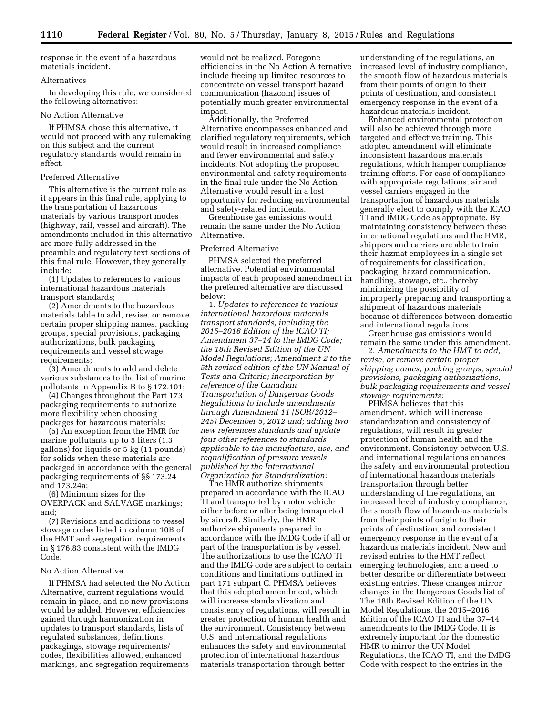response in the event of a hazardous materials incident.

# Alternatives

In developing this rule, we considered the following alternatives:

# No Action Alternative

If PHMSA chose this alternative, it would not proceed with any rulemaking on this subject and the current regulatory standards would remain in effect.

# Preferred Alternative

This alternative is the current rule as it appears in this final rule, applying to the transportation of hazardous materials by various transport modes (highway, rail, vessel and aircraft). The amendments included in this alternative are more fully addressed in the preamble and regulatory text sections of this final rule. However, they generally include:

(1) Updates to references to various international hazardous materials transport standards;

(2) Amendments to the hazardous materials table to add, revise, or remove certain proper shipping names, packing groups, special provisions, packaging authorizations, bulk packaging requirements and vessel stowage requirements;

(3) Amendments to add and delete various substances to the list of marine pollutants in Appendix B to § 172.101;

(4) Changes throughout the Part 173 packaging requirements to authorize more flexibility when choosing packages for hazardous materials;

(5) An exception from the HMR for marine pollutants up to 5 liters (1.3 gallons) for liquids or 5 kg (11 pounds) for solids when these materials are packaged in accordance with the general packaging requirements of §§ 173.24 and 173.24a;

(6) Minimum sizes for the OVERPACK and SALVAGE markings; and;

(7) Revisions and additions to vessel stowage codes listed in column 10B of the HMT and segregation requirements in § 176.83 consistent with the IMDG Code.

# No Action Alternative

If PHMSA had selected the No Action Alternative, current regulations would remain in place, and no new provisions would be added. However, efficiencies gained through harmonization in updates to transport standards, lists of regulated substances, definitions, packagings, stowage requirements/ codes, flexibilities allowed, enhanced markings, and segregation requirements

would not be realized. Foregone efficiencies in the No Action Alternative include freeing up limited resources to concentrate on vessel transport hazard communication (hazcom) issues of potentially much greater environmental impact.

Additionally, the Preferred Alternative encompasses enhanced and clarified regulatory requirements, which would result in increased compliance and fewer environmental and safety incidents. Not adopting the proposed environmental and safety requirements in the final rule under the No Action Alternative would result in a lost opportunity for reducing environmental and safety-related incidents.

Greenhouse gas emissions would remain the same under the No Action Alternative.

# Preferred Alternative

PHMSA selected the preferred alternative. Potential environmental impacts of each proposed amendment in the preferred alternative are discussed below:

1. *Updates to references to various international hazardous materials transport standards, including the 2015–2016 Edition of the ICAO TI; Amendment 37–14 to the IMDG Code; the 18th Revised Edition of the UN Model Regulations; Amendment 2 to the 5th revised edition of the UN Manual of Tests and Criteria; incorporation by reference of the Canadian Transportation of Dangerous Goods Regulations to include amendments through Amendment 11 (SOR/2012– 245) December 5, 2012 and; adding two new references standards and update four other references to standards applicable to the manufacture, use, and requalification of pressure vessels published by the International Organization for Standardization:* 

The HMR authorize shipments prepared in accordance with the ICAO TI and transported by motor vehicle either before or after being transported by aircraft. Similarly, the HMR authorize shipments prepared in accordance with the IMDG Code if all or part of the transportation is by vessel. The authorizations to use the ICAO TI and the IMDG code are subject to certain conditions and limitations outlined in part 171 subpart C. PHMSA believes that this adopted amendment, which will increase standardization and consistency of regulations, will result in greater protection of human health and the environment. Consistency between U.S. and international regulations enhances the safety and environmental protection of international hazardous materials transportation through better

understanding of the regulations, an increased level of industry compliance, the smooth flow of hazardous materials from their points of origin to their points of destination, and consistent emergency response in the event of a hazardous materials incident.

Enhanced environmental protection will also be achieved through more targeted and effective training. This adopted amendment will eliminate inconsistent hazardous materials regulations, which hamper compliance training efforts. For ease of compliance with appropriate regulations, air and vessel carriers engaged in the transportation of hazardous materials generally elect to comply with the ICAO TI and IMDG Code as appropriate. By maintaining consistency between these international regulations and the HMR, shippers and carriers are able to train their hazmat employees in a single set of requirements for classification, packaging, hazard communication, handling, stowage, etc., thereby minimizing the possibility of improperly preparing and transporting a shipment of hazardous materials because of differences between domestic and international regulations.

Greenhouse gas emissions would remain the same under this amendment.

2. *Amendments to the HMT to add, revise, or remove certain proper shipping names, packing groups, special provisions, packaging authorizations, bulk packaging requirements and vessel stowage requirements:* 

PHMSA believes that this amendment, which will increase standardization and consistency of regulations, will result in greater protection of human health and the environment. Consistency between U.S. and international regulations enhances the safety and environmental protection of international hazardous materials transportation through better understanding of the regulations, an increased level of industry compliance, the smooth flow of hazardous materials from their points of origin to their points of destination, and consistent emergency response in the event of a hazardous materials incident. New and revised entries to the HMT reflect emerging technologies, and a need to better describe or differentiate between existing entries. These changes mirror changes in the Dangerous Goods list of The 18th Revised Edition of the UN Model Regulations, the 2015–2016 Edition of the ICAO TI and the 37–14 amendments to the IMDG Code. It is extremely important for the domestic HMR to mirror the UN Model Regulations, the ICAO TI, and the IMDG Code with respect to the entries in the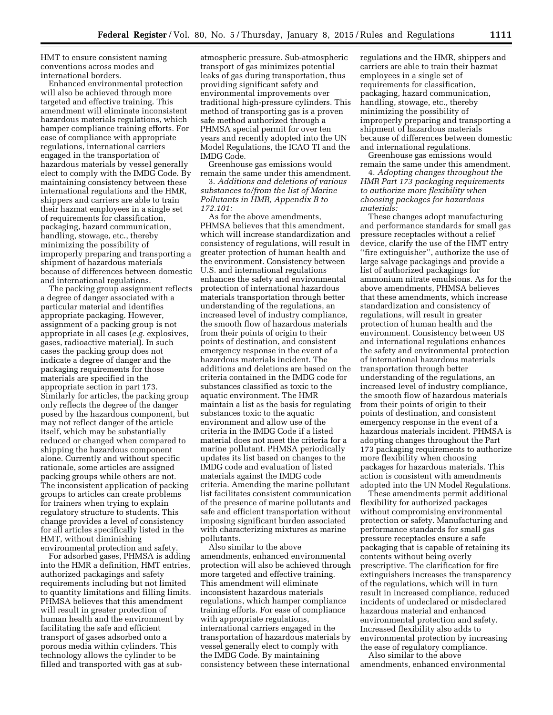HMT to ensure consistent naming conventions across modes and international borders.

Enhanced environmental protection will also be achieved through more targeted and effective training. This amendment will eliminate inconsistent hazardous materials regulations, which hamper compliance training efforts. For ease of compliance with appropriate regulations, international carriers engaged in the transportation of hazardous materials by vessel generally elect to comply with the IMDG Code. By maintaining consistency between these international regulations and the HMR, shippers and carriers are able to train their hazmat employees in a single set of requirements for classification, packaging, hazard communication, handling, stowage, etc., thereby minimizing the possibility of improperly preparing and transporting a shipment of hazardous materials because of differences between domestic and international regulations.

The packing group assignment reflects a degree of danger associated with a particular material and identifies appropriate packaging. However, assignment of a packing group is not appropriate in all cases (*e.g.* explosives, gases, radioactive material). In such cases the packing group does not indicate a degree of danger and the packaging requirements for those materials are specified in the appropriate section in part 173. Similarly for articles, the packing group only reflects the degree of the danger posed by the hazardous component, but may not reflect danger of the article itself, which may be substantially reduced or changed when compared to shipping the hazardous component alone. Currently and without specific rationale, some articles are assigned packing groups while others are not. The inconsistent application of packing groups to articles can create problems for trainers when trying to explain regulatory structure to students. This change provides a level of consistency for all articles specifically listed in the HMT, without diminishing environmental protection and safety.

For adsorbed gases, PHMSA is adding into the HMR a definition, HMT entries, authorized packagings and safety requirements including but not limited to quantity limitations and filling limits. PHMSA believes that this amendment will result in greater protection of human health and the environment by facilitating the safe and efficient transport of gases adsorbed onto a porous media within cylinders. This technology allows the cylinder to be filled and transported with gas at sub-

atmospheric pressure. Sub-atmospheric transport of gas minimizes potential leaks of gas during transportation, thus providing significant safety and environmental improvements over traditional high-pressure cylinders. This method of transporting gas is a proven safe method authorized through a PHMSA special permit for over ten years and recently adopted into the UN Model Regulations, the ICAO TI and the IMDG Code.

Greenhouse gas emissions would remain the same under this amendment.

3. *Additions and deletions of various substances to/from the list of Marine Pollutants in HMR, Appendix B to 172.101:* 

As for the above amendments, PHMSA believes that this amendment, which will increase standardization and consistency of regulations, will result in greater protection of human health and the environment. Consistency between U.S. and international regulations enhances the safety and environmental protection of international hazardous materials transportation through better understanding of the regulations, an increased level of industry compliance, the smooth flow of hazardous materials from their points of origin to their points of destination, and consistent emergency response in the event of a hazardous materials incident. The additions and deletions are based on the criteria contained in the IMDG code for substances classified as toxic to the aquatic environment. The HMR maintain a list as the basis for regulating substances toxic to the aquatic environment and allow use of the criteria in the IMDG Code if a listed material does not meet the criteria for a marine pollutant. PHMSA periodically updates its list based on changes to the IMDG code and evaluation of listed materials against the IMDG code criteria. Amending the marine pollutant list facilitates consistent communication of the presence of marine pollutants and safe and efficient transportation without imposing significant burden associated with characterizing mixtures as marine pollutants.

Also similar to the above amendments, enhanced environmental protection will also be achieved through more targeted and effective training. This amendment will eliminate inconsistent hazardous materials regulations, which hamper compliance training efforts. For ease of compliance with appropriate regulations, international carriers engaged in the transportation of hazardous materials by vessel generally elect to comply with the IMDG Code. By maintaining consistency between these international

regulations and the HMR, shippers and carriers are able to train their hazmat employees in a single set of requirements for classification, packaging, hazard communication, handling, stowage, etc., thereby minimizing the possibility of improperly preparing and transporting a shipment of hazardous materials because of differences between domestic and international regulations.

Greenhouse gas emissions would remain the same under this amendment.

4. *Adopting changes throughout the HMR Part 173 packaging requirements to authorize more flexibility when choosing packages for hazardous materials:* 

These changes adopt manufacturing and performance standards for small gas pressure receptacles without a relief device, clarify the use of the HMT entry "fire extinguisher", authorize the use of large salvage packagings and provide a list of authorized packagings for ammonium nitrate emulsions. As for the above amendments, PHMSA believes that these amendments, which increase standardization and consistency of regulations, will result in greater protection of human health and the environment. Consistency between US and international regulations enhances the safety and environmental protection of international hazardous materials transportation through better understanding of the regulations, an increased level of industry compliance, the smooth flow of hazardous materials from their points of origin to their points of destination, and consistent emergency response in the event of a hazardous materials incident. PHMSA is adopting changes throughout the Part 173 packaging requirements to authorize more flexibility when choosing packages for hazardous materials. This action is consistent with amendments adopted into the UN Model Regulations.

These amendments permit additional flexibility for authorized packages without compromising environmental protection or safety. Manufacturing and performance standards for small gas pressure receptacles ensure a safe packaging that is capable of retaining its contents without being overly prescriptive. The clarification for fire extinguishers increases the transparency of the regulations, which will in turn result in increased compliance, reduced incidents of undeclared or misdeclared hazardous material and enhanced environmental protection and safety. Increased flexibility also adds to environmental protection by increasing the ease of regulatory compliance.

Also similar to the above amendments, enhanced environmental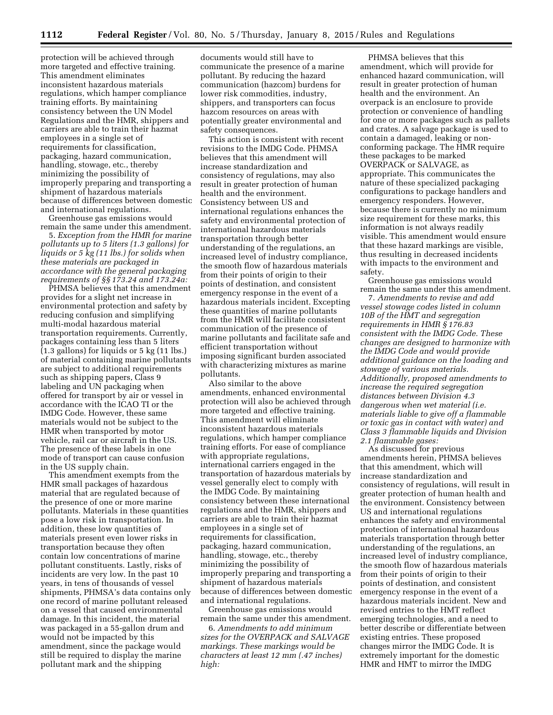protection will be achieved through more targeted and effective training. This amendment eliminates inconsistent hazardous materials regulations, which hamper compliance training efforts. By maintaining consistency between the UN Model Regulations and the HMR, shippers and carriers are able to train their hazmat employees in a single set of requirements for classification, packaging, hazard communication, handling, stowage, etc., thereby minimizing the possibility of improperly preparing and transporting a shipment of hazardous materials because of differences between domestic and international regulations.

Greenhouse gas emissions would remain the same under this amendment.

5. *Exception from the HMR for marine pollutants up to 5 liters (1.3 gallons) for liquids or 5 kg (11 lbs.) for solids when these materials are packaged in accordance with the general packaging requirements of §§ 173.24 and 173.24a:* 

PHMSA believes that this amendment provides for a slight net increase in environmental protection and safety by reducing confusion and simplifying multi-modal hazardous material transportation requirements. Currently, packages containing less than 5 liters (1.3 gallons) for liquids or 5 kg (11 lbs.) of material containing marine pollutants are subject to additional requirements such as shipping papers, Class 9 labeling and UN packaging when offered for transport by air or vessel in accordance with the ICAO TI or the IMDG Code. However, these same materials would not be subject to the HMR when transported by motor vehicle, rail car or aircraft in the US. The presence of these labels in one mode of transport can cause confusion in the US supply chain.

This amendment exempts from the HMR small packages of hazardous material that are regulated because of the presence of one or more marine pollutants. Materials in these quantities pose a low risk in transportation. In addition, these low quantities of materials present even lower risks in transportation because they often contain low concentrations of marine pollutant constituents. Lastly, risks of incidents are very low. In the past 10 years, in tens of thousands of vessel shipments, PHMSA's data contains only one record of marine pollutant released on a vessel that caused environmental damage. In this incident, the material was packaged in a 55-gallon drum and would not be impacted by this amendment, since the package would still be required to display the marine pollutant mark and the shipping

documents would still have to communicate the presence of a marine pollutant. By reducing the hazard communication (hazcom) burdens for lower risk commodities, industry, shippers, and transporters can focus hazcom resources on areas with potentially greater environmental and safety consequences.

This action is consistent with recent revisions to the IMDG Code. PHMSA believes that this amendment will increase standardization and consistency of regulations, may also result in greater protection of human health and the environment. Consistency between US and international regulations enhances the safety and environmental protection of international hazardous materials transportation through better understanding of the regulations, an increased level of industry compliance, the smooth flow of hazardous materials from their points of origin to their points of destination, and consistent emergency response in the event of a hazardous materials incident. Excepting these quantities of marine pollutants from the HMR will facilitate consistent communication of the presence of marine pollutants and facilitate safe and efficient transportation without imposing significant burden associated with characterizing mixtures as marine pollutants.

Also similar to the above amendments, enhanced environmental protection will also be achieved through more targeted and effective training. This amendment will eliminate inconsistent hazardous materials regulations, which hamper compliance training efforts. For ease of compliance with appropriate regulations, international carriers engaged in the transportation of hazardous materials by vessel generally elect to comply with the IMDG Code. By maintaining consistency between these international regulations and the HMR, shippers and carriers are able to train their hazmat employees in a single set of requirements for classification, packaging, hazard communication, handling, stowage, etc., thereby minimizing the possibility of improperly preparing and transporting a shipment of hazardous materials because of differences between domestic and international regulations.

Greenhouse gas emissions would remain the same under this amendment.

6. *Amendments to add minimum sizes for the OVERPACK and SALVAGE markings. These markings would be characters at least 12 mm (.47 inches) high:* 

PHMSA believes that this amendment, which will provide for enhanced hazard communication, will result in greater protection of human health and the environment. An overpack is an enclosure to provide protection or convenience of handling for one or more packages such as pallets and crates. A salvage package is used to contain a damaged, leaking or nonconforming package. The HMR require these packages to be marked OVERPACK or SALVAGE, as appropriate. This communicates the nature of these specialized packaging configurations to package handlers and emergency responders. However, because there is currently no minimum size requirement for these marks, this information is not always readily visible. This amendment would ensure that these hazard markings are visible, thus resulting in decreased incidents with impacts to the environment and safety.

Greenhouse gas emissions would remain the same under this amendment.

7. *Amendments to revise and add vessel stowage codes listed in column 10B of the HMT and segregation requirements in HMR § 176.83 consistent with the IMDG Code. These changes are designed to harmonize with the IMDG Code and would provide additional guidance on the loading and stowage of various materials. Additionally, proposed amendments to increase the required segregation distances between Division 4.3 dangerous when wet material (i.e. materials liable to give off a flammable or toxic gas in contact with water) and Class 3 flammable liquids and Division 2.1 flammable gases:* 

As discussed for previous amendments herein, PHMSA believes that this amendment, which will increase standardization and consistency of regulations, will result in greater protection of human health and the environment. Consistency between US and international regulations enhances the safety and environmental protection of international hazardous materials transportation through better understanding of the regulations, an increased level of industry compliance, the smooth flow of hazardous materials from their points of origin to their points of destination, and consistent emergency response in the event of a hazardous materials incident. New and revised entries to the HMT reflect emerging technologies, and a need to better describe or differentiate between existing entries. These proposed changes mirror the IMDG Code. It is extremely important for the domestic HMR and HMT to mirror the IMDG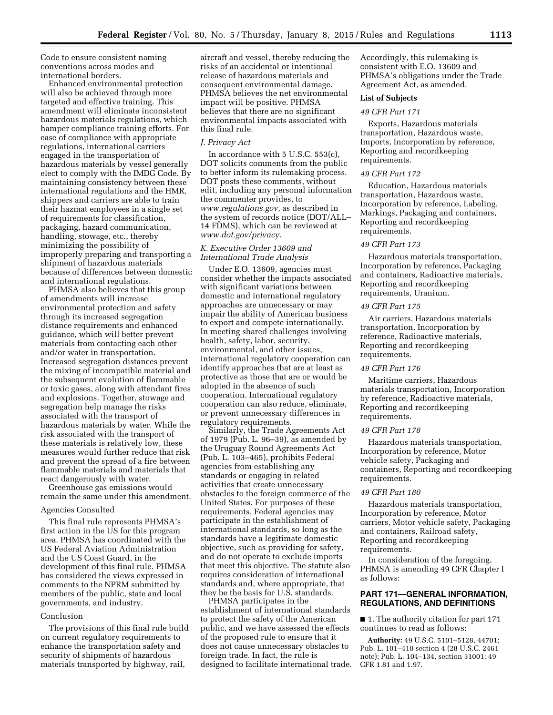Code to ensure consistent naming conventions across modes and international borders.

Enhanced environmental protection will also be achieved through more targeted and effective training. This amendment will eliminate inconsistent hazardous materials regulations, which hamper compliance training efforts. For ease of compliance with appropriate regulations, international carriers engaged in the transportation of hazardous materials by vessel generally elect to comply with the IMDG Code. By maintaining consistency between these international regulations and the HMR, shippers and carriers are able to train their hazmat employees in a single set of requirements for classification, packaging, hazard communication, handling, stowage, etc., thereby minimizing the possibility of improperly preparing and transporting a shipment of hazardous materials because of differences between domestic and international regulations.

PHMSA also believes that this group of amendments will increase environmental protection and safety through its increased segregation distance requirements and enhanced guidance, which will better prevent materials from contacting each other and/or water in transportation. Increased segregation distances prevent the mixing of incompatible material and the subsequent evolution of flammable or toxic gases, along with attendant fires and explosions. Together, stowage and segregation help manage the risks associated with the transport of hazardous materials by water. While the risk associated with the transport of these materials is relatively low, these measures would further reduce that risk and prevent the spread of a fire between flammable materials and materials that react dangerously with water.

Greenhouse gas emissions would remain the same under this amendment.

# Agencies Consulted

This final rule represents PHMSA's first action in the US for this program area. PHMSA has coordinated with the US Federal Aviation Administration and the US Coast Guard, in the development of this final rule. PHMSA has considered the views expressed in comments to the NPRM submitted by members of the public, state and local governments, and industry.

#### Conclusion

The provisions of this final rule build on current regulatory requirements to enhance the transportation safety and security of shipments of hazardous materials transported by highway, rail,

aircraft and vessel, thereby reducing the risks of an accidental or intentional release of hazardous materials and consequent environmental damage. PHMSA believes the net environmental impact will be positive. PHMSA believes that there are no significant environmental impacts associated with this final rule.

#### *J. Privacy Act*

In accordance with 5 U.S.C. 553(c), DOT solicits comments from the public to better inform its rulemaking process. DOT posts these comments, without edit, including any personal information the commenter provides, to *[www.regulations.gov](http://www.regulations.gov)*, as described in the system of records notice (DOT/ALL– 14 FDMS), which can be reviewed at *[www.dot.gov/privacy](http://www.dot.gov/privacy)*.

# *K. Executive Order 13609 and International Trade Analysis*

Under E.O. 13609, agencies must consider whether the impacts associated with significant variations between domestic and international regulatory approaches are unnecessary or may impair the ability of American business to export and compete internationally. In meeting shared challenges involving health, safety, labor, security, environmental, and other issues, international regulatory cooperation can identify approaches that are at least as protective as those that are or would be adopted in the absence of such cooperation. International regulatory cooperation can also reduce, eliminate, or prevent unnecessary differences in regulatory requirements.

Similarly, the Trade Agreements Act of 1979 (Pub. L. 96–39), as amended by the Uruguay Round Agreements Act (Pub. L. 103–465), prohibits Federal agencies from establishing any standards or engaging in related activities that create unnecessary obstacles to the foreign commerce of the United States. For purposes of these requirements, Federal agencies may participate in the establishment of international standards, so long as the standards have a legitimate domestic objective, such as providing for safety, and do not operate to exclude imports that meet this objective. The statute also requires consideration of international standards and, where appropriate, that they be the basis for U.S. standards.

PHMSA participates in the establishment of international standards to protect the safety of the American public, and we have assessed the effects of the proposed rule to ensure that it does not cause unnecessary obstacles to foreign trade. In fact, the rule is designed to facilitate international trade. Accordingly, this rulemaking is consistent with E.O. 13609 and PHMSA's obligations under the Trade Agreement Act, as amended.

# **List of Subjects**

### *49 CFR Part 171*

Exports, Hazardous materials transportation, Hazardous waste, Imports, Incorporation by reference, Reporting and recordkeeping requirements.

# *49 CFR Part 172*

Education, Hazardous materials transportation, Hazardous waste, Incorporation by reference, Labeling, Markings, Packaging and containers, Reporting and recordkeeping requirements.

### *49 CFR Part 173*

Hazardous materials transportation, Incorporation by reference, Packaging and containers, Radioactive materials, Reporting and recordkeeping requirements, Uranium.

#### *49 CFR Part 175*

Air carriers, Hazardous materials transportation, Incorporation by reference, Radioactive materials, Reporting and recordkeeping requirements.

#### *49 CFR Part 176*

Maritime carriers, Hazardous materials transportation, Incorporation by reference, Radioactive materials, Reporting and recordkeeping requirements.

#### *49 CFR Part 178*

Hazardous materials transportation, Incorporation by reference, Motor vehicle safety, Packaging and containers, Reporting and recordkeeping requirements.

#### *49 CFR Part 180*

Hazardous materials transportation, Incorporation by reference, Motor carriers, Motor vehicle safety, Packaging and containers, Railroad safety, Reporting and recordkeeping requirements.

In consideration of the foregoing, PHMSA is amending 49 CFR Chapter I as follows:

# **PART 171—GENERAL INFORMATION, REGULATIONS, AND DEFINITIONS**

■ 1. The authority citation for part 171 continues to read as follows:

**Authority:** 49 U.S.C. 5101–5128, 44701; Pub. L. 101–410 section 4 (28 U.S.C. 2461 note); Pub. L. 104–134, section 31001; 49 CFR 1.81 and 1.97.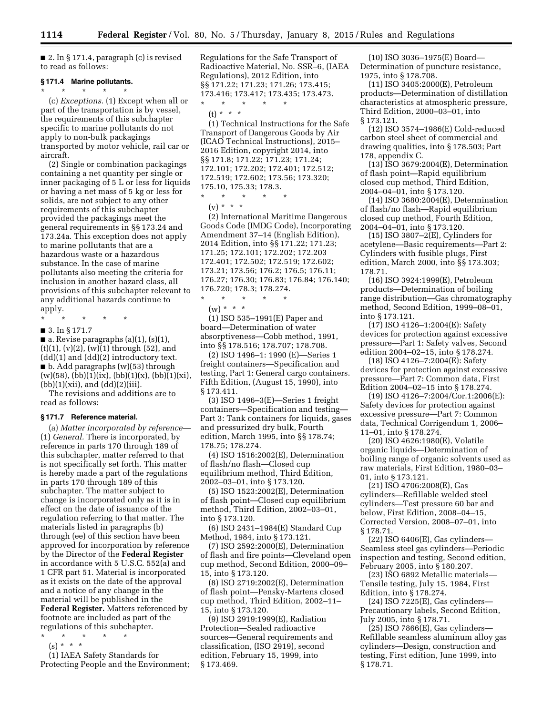■ 2. In § 171.4, paragraph (c) is revised to read as follows:

### **§ 171.4 Marine pollutants.**

\* \* \* \* \* (c) *Exceptions.* (1) Except when all or part of the transportation is by vessel, the requirements of this subchapter specific to marine pollutants do not apply to non-bulk packagings transported by motor vehicle, rail car or aircraft.

(2) Single or combination packagings containing a net quantity per single or inner packaging of 5 L or less for liquids or having a net mass of 5 kg or less for solids, are not subject to any other requirements of this subchapter provided the packagings meet the general requirements in §§ 173.24 and 173.24a. This exception does not apply to marine pollutants that are a hazardous waste or a hazardous substance. In the case of marine pollutants also meeting the criteria for inclusion in another hazard class, all provisions of this subchapter relevant to any additional hazards continue to apply.

\* \* \* \* \*

■ 3. In § 171.7

 $\blacksquare$  a. Revise paragraphs (a)(1), (s)(1),  $(t)(1)$ ,  $(v)(2)$ ,  $(w)(1)$  through  $(52)$ , and  $(dd)(1)$  and  $(dd)(2)$  introductory text.  $\blacksquare$  b. Add paragraphs (w)(53) through  $(w)(58)$ ,  $(bb)(1)(ix)$ ,  $(bb)(1)(x)$ ,  $(bb)(1)(xi)$ ,  $(bb)(1)(xii)$ , and  $(dd)(2)(iii)$ .

The revisions and additions are to read as follows:

# **§ 171.7 Reference material.**

(a) *Matter incorporated by reference*— (1) *General.* There is incorporated, by reference in parts 170 through 189 of this subchapter, matter referred to that is not specifically set forth. This matter is hereby made a part of the regulations in parts 170 through 189 of this subchapter. The matter subject to change is incorporated only as it is in effect on the date of issuance of the regulation referring to that matter. The materials listed in paragraphs (b) through (ee) of this section have been approved for incorporation by reference by the Director of the **Federal Register**  in accordance with 5 U.S.C. 552(a) and 1 CFR part 51. Material is incorporated as it exists on the date of the approval and a notice of any change in the material will be published in the **Federal Register.** Matters referenced by footnote are included as part of the regulations of this subchapter.

- \* \* \* \* \*
- $(s) * * * *$

(1) IAEA Safety Standards for Protecting People and the Environment; Regulations for the Safe Transport of Radioactive Material, No. SSR–6, (IAEA Regulations), 2012 Edition, into §§ 171.22; 171.23; 171.26; 173.415; 173.416; 173.417; 173.435; 173.473. \* \* \* \* \*

(t) \* \* \*

(1) Technical Instructions for the Safe Transport of Dangerous Goods by Air (ICAO Technical Instructions), 2015– 2016 Edition, copyright 2014, into §§ 171.8; 171.22; 171.23; 171.24; 172.101; 172.202; 172.401; 172.512; 172.519; 172.602; 173.56; 173.320; 175.10, 175.33; 178.3.

\* \* \* \* \*  $(v) * * * *$ 

(2) International Maritime Dangerous Goods Code (IMDG Code), Incorporating Amendment 37–14 (English Edition), 2014 Edition, into §§ 171.22; 171.23; 171.25; 172.101; 172.202; 172.203 172.401; 172.502; 172.519; 172.602; 173.21; 173.56; 176.2; 176.5; 176.11; 176.27; 176.30; 176.83; 176.84; 176.140; 176.720; 178.3; 178.274.

\* \* \* \* \*  $(w) * * * *$ 

(1) ISO 535–1991(E) Paper and board—Determination of water absorptiveness—Cobb method, 1991, into §§ 178.516; 178.707; 178.708.

(2) ISO 1496–1: 1990 (E)—Series 1 freight containers—Specification and testing, Part 1: General cargo containers. Fifth Edition, (August 15, 1990), into § 173.411.

(3) ISO 1496–3(E)—Series 1 freight containers—Specification and testing— Part 3: Tank containers for liquids, gases and pressurized dry bulk, Fourth edition, March 1995, into §§ 178.74; 178.75; 178.274.

(4) ISO 1516:2002(E), Determination of flash/no flash—Closed cup equilibrium method, Third Edition, 2002–03–01, into § 173.120.

(5) ISO 1523:2002(E), Determination of flash point—Closed cup equilibrium method, Third Edition, 2002–03–01, into § 173.120.

(6) ISO 2431–1984(E) Standard Cup Method, 1984, into § 173.121.

(7) ISO 2592:2000(E), Determination of flash and fire points—Cleveland open cup method, Second Edition, 2000–09– 15, into § 173.120.

(8) ISO 2719:2002(E), Determination of flash point—Pensky-Martens closed cup method, Third Edition, 2002–11– 15, into § 173.120.

(9) ISO 2919:1999(E), Radiation Protection—Sealed radioactive sources—General requirements and classification, (ISO 2919), second edition, February 15, 1999, into § 173.469.

(10) ISO 3036–1975(E) Board— Determination of puncture resistance, 1975, into § 178.708.

(11) ISO 3405:2000(E), Petroleum products—Determination of distillation characteristics at atmospheric pressure, Third Edition, 2000–03–01, into § 173.121.

(12) ISO 3574–1986(E) Cold-reduced carbon steel sheet of commercial and drawing qualities, into § 178.503; Part 178, appendix C.

 $(13)$  ISO 3679:2004(E), Determination of flash point—Rapid equilibrium closed cup method, Third Edition, 2004–04–01, into § 173.120.

(14) ISO 3680:2004(E), Determination of flash/no flash—Rapid equilibrium closed cup method, Fourth Edition, 2004–04–01, into § 173.120.

(15) ISO 3807–2(E), Cylinders for acetylene—Basic requirements—Part 2: Cylinders with fusible plugs, First edition, March 2000, into §§ 173.303; 178.71.

(16) ISO 3924:1999(E), Petroleum products—Determination of boiling range distribution—Gas chromatography method, Second Edition, 1999–08–01, into § 173.121.

(17) ISO 4126–1:2004(E): Safety devices for protection against excessive pressure—Part 1: Safety valves, Second edition 2004–02–15, into § 178.274.

(18) ISO 4126–7:2004(E): Safety devices for protection against excessive pressure—Part 7: Common data, First Edition 2004–02–15 into § 178.274.

(19) ISO 4126–7:2004/Cor.1:2006(E): Safety devices for protection against excessive pressure—Part 7: Common data, Technical Corrigendum 1, 2006– 11–01, into § 178.274.

(20) ISO 4626:1980(E), Volatile organic liquids—Determination of boiling range of organic solvents used as raw materials, First Edition, 1980–03– 01, into § 173.121.

(21) ISO 4706:2008(E), Gas cylinders—Refillable welded steel cylinders—Test pressure 60 bar and below, First Edition, 2008–04–15, Corrected Version, 2008–07–01, into § 178.71.

(22) ISO 6406(E), Gas cylinders— Seamless steel gas cylinders—Periodic inspection and testing, Second edition, February 2005, into § 180.207.

(23) ISO 6892 Metallic materials— Tensile testing, July 15, 1984, First Edition, into § 178.274.

(24) ISO 7225(E), Gas cylinders— Precautionary labels, Second Edition, July 2005, into § 178.71.

(25) ISO 7866(E), Gas cylinders— Refillable seamless aluminum alloy gas cylinders—Design, construction and testing, First edition, June 1999, into § 178.71.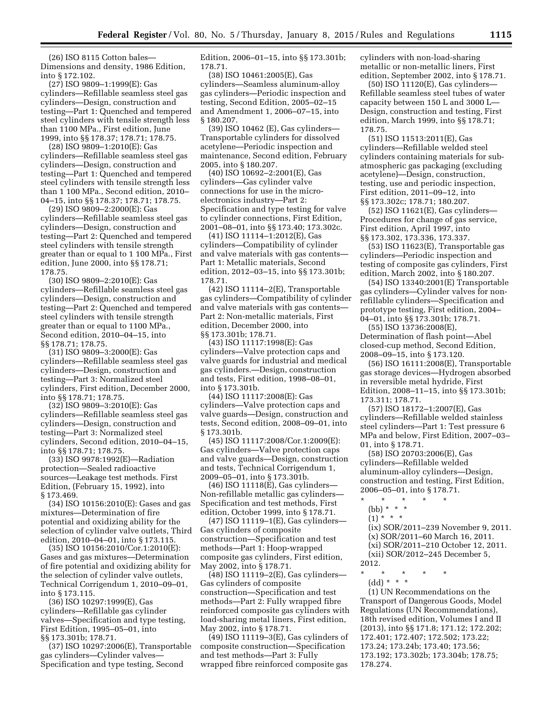(26) ISO 8115 Cotton bales— Dimensions and density, 1986 Edition, into § 172.102.

(27) ISO 9809–1:1999(E): Gas cylinders—Refillable seamless steel gas cylinders—Design, construction and testing—Part 1: Quenched and tempered steel cylinders with tensile strength less than 1100 MPa., First edition, June 1999, into §§ 178.37; 178.71; 178.75.

(28) ISO 9809–1:2010(E): Gas cylinders—Refillable seamless steel gas cylinders—Design, construction and testing—Part 1: Quenched and tempered steel cylinders with tensile strength less than 1 100 MPa., Second edition, 2010– 04–15, into §§ 178.37; 178.71; 178.75.

(29) ISO 9809–2:2000(E): Gas cylinders—Refillable seamless steel gas cylinders—Design, construction and testing—Part 2: Quenched and tempered steel cylinders with tensile strength greater than or equal to 1 100 MPa., First edition, June 2000, into §§ 178.71; 178.75.

(30) ISO 9809–2:2010(E): Gas cylinders—Refillable seamless steel gas cylinders—Design, construction and testing—Part 2: Quenched and tempered steel cylinders with tensile strength greater than or equal to 1100 MPa., Second edition, 2010–04–15, into §§ 178.71; 178.75.

(31) ISO 9809–3:2000(E): Gas cylinders—Refillable seamless steel gas cylinders—Design, construction and testing—Part 3: Normalized steel cylinders, First edition, December 2000, into §§ 178.71; 178.75.

(32) ISO 9809–3:2010(E): Gas cylinders—Refillable seamless steel gas cylinders—Design, construction and testing—Part 3: Normalized steel cylinders, Second edition, 2010–04–15, into §§ 178.71; 178.75.

(33) ISO 9978:1992(E)—Radiation protection—Sealed radioactive sources—Leakage test methods. First Edition, (February 15, 1992), into § 173.469.

(34) ISO 10156:2010(E): Gases and gas mixtures—Determination of fire potential and oxidizing ability for the selection of cylinder valve outlets, Third edition, 2010–04–01, into § 173.115.

(35) ISO 10156:2010/Cor.1:2010(E): Gases and gas mixtures—Determination of fire potential and oxidizing ability for the selection of cylinder valve outlets, Technical Corrigendum 1, 2010–09–01, into § 173.115.

(36) ISO 10297:1999(E), Gas cylinders—Refillable gas cylinder valves—Specification and type testing, First Edition, 1995–05–01, into §§ 173.301b; 178.71.

(37) ISO 10297:2006(E), Transportable gas cylinders—Cylinder valves— Specification and type testing, Second

Edition, 2006–01–15, into §§ 173.301b; 178.71.

(38) ISO 10461:2005(E), Gas cylinders—Seamless aluminum-alloy gas cylinders—Periodic inspection and testing, Second Edition, 2005–02–15 and Amendment 1, 2006–07–15, into § 180.207.

(39) ISO 10462 (E), Gas cylinders— Transportable cylinders for dissolved acetylene—Periodic inspection and maintenance, Second edition, February 2005, into § 180.207.

(40) ISO 10692–2:2001(E), Gas cylinders—Gas cylinder valve connections for use in the microelectronics industry—Part 2: Specification and type testing for valve to cylinder connections, First Edition, 2001–08–01, into §§ 173.40; 173.302c.

(41) ISO 11114–1:2012(E), Gas cylinders—Compatibility of cylinder and valve materials with gas contents— Part 1: Metallic materials, Second edition, 2012–03–15, into §§ 173.301b; 178.71.

(42) ISO 11114–2(E), Transportable gas cylinders—Compatibility of cylinder and valve materials with gas contents— Part 2: Non-metallic materials, First edition, December 2000, into §§ 173.301b; 178.71.

(43) ISO 11117:1998(E): Gas cylinders—Valve protection caps and valve guards for industrial and medical gas cylinders.—Design, construction and tests, First edition, 1998–08–01, into § 173.301b.

(44) ISO 11117:2008(E): Gas cylinders—Valve protection caps and valve guards—Design, construction and tests, Second edition, 2008–09–01, into § 173.301b.

(45) ISO 11117:2008/Cor.1:2009(E): Gas cylinders—Valve protection caps and valve guards—Design, construction and tests, Technical Corrigendum 1, 2009–05–01, into § 173.301b.

(46) ISO 11118(E), Gas cylinders— Non-refillable metallic gas cylinders— Specification and test methods, First edition, October 1999, into § 178.71.

(47) ISO 11119–1(E), Gas cylinders— Gas cylinders of composite construction—Specification and test methods—Part 1: Hoop-wrapped composite gas cylinders, First edition, May 2002, into § 178.71.

(48) ISO 11119–2(E), Gas cylinders— Gas cylinders of composite construction—Specification and test methods—Part 2: Fully wrapped fibre reinforced composite gas cylinders with load-sharing metal liners, First edition, May 2002, into § 178.71.

(49) ISO 11119–3(E), Gas cylinders of composite construction—Specification and test methods—Part 3: Fully wrapped fibre reinforced composite gas

cylinders with non-load-sharing metallic or non-metallic liners, First edition, September 2002, into § 178.71.

(50) ISO 11120(E), Gas cylinders— Refillable seamless steel tubes of water capacity between 150 L and 3000 L— Design, construction and testing, First edition, March 1999, into §§ 178.71; 178.75.

(51) ISO 11513:2011(E), Gas cylinders—Refillable welded steel cylinders containing materials for subatmospheric gas packaging (excluding acetylene)—Design, construction, testing, use and periodic inspection, First edition, 2011–09–12, into §§ 173.302c; 178.71; 180.207.

(52) ISO 11621(E), Gas cylinders— Procedures for change of gas service, First edition, April 1997, into §§ 173.302, 173.336, 173.337.

(53) ISO 11623(E), Transportable gas cylinders—Periodic inspection and testing of composite gas cylinders, First edition, March 2002, into § 180.207.

(54) ISO 13340:2001(E) Transportable gas cylinders—Cylinder valves for nonrefillable cylinders—Specification and prototype testing, First edition, 2004– 04–01, into §§ 173.301b; 178.71.

(55) ISO 13736:2008(E), Determination of flash point—Abel closed-cup method, Second Edition, 2008–09–15, into § 173.120.

(56) ISO 16111:2008(E), Transportable gas storage devices—Hydrogen absorbed in reversible metal hydride, First Edition, 2008–11–15, into §§ 173.301b; 173.311; 178.71.

(57) ISO 18172–1:2007(E), Gas cylinders—Refillable welded stainless steel cylinders—Part 1: Test pressure 6 MPa and below, First Edition, 2007–03– 01, into § 178.71.

(58) ISO 20703:2006(E), Gas cylinders—Refillable welded aluminum-alloy cylinders—Design, construction and testing, First Edition, 2006–05–01, into § 178.71.

- \* \* \* \* \* (bb) \* \* \*
	- $(1)$  \* \* \*
	- (ix) SOR/2011–239 November 9, 2011. (x) SOR/2011–60 March 16, 2011. (xi) SOR/2011–210 October 12, 2011. (xii) SOR/2012–245 December 5,
- 2012. \* \* \* \* \*
	- (dd) \* \* \*

(1) UN Recommendations on the Transport of Dangerous Goods, Model Regulations (UN Recommendations), 18th revised edition, Volumes I and II (2013), into §§ 171.8; 171.12; 172.202; 172.401; 172.407; 172.502; 173.22; 173.24; 173.24b; 173.40; 173.56; 173.192; 173.302b; 173.304b; 178.75; 178.274.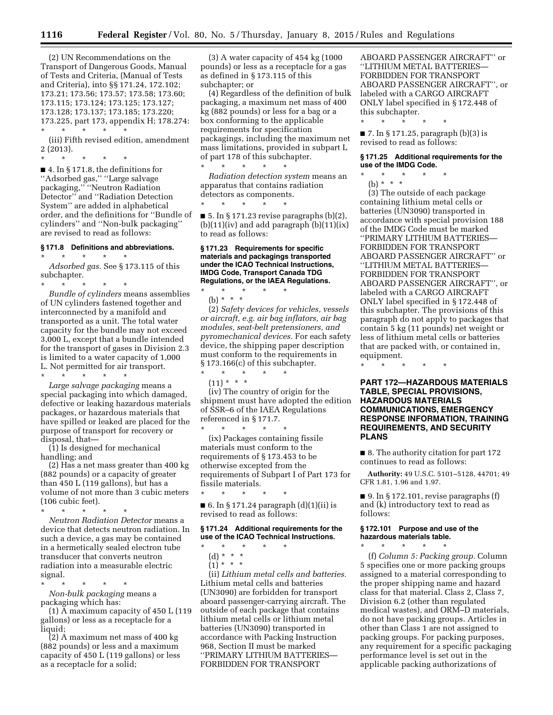(2) UN Recommendations on the Transport of Dangerous Goods, Manual of Tests and Criteria, (Manual of Tests and Criteria), into §§ 171.24, 172.102; 173.21; 173.56; 173.57; 173.58; 173.60; 173.115; 173.124; 173.125; 173.127; 173.128; 173.137; 173.185; 173.220; 173.225, part 173, appendix H; 178.274: \* \* \* \* \*

(iii) Fifth revised edition, amendment 2 (2013).

\* \* \* \* \* ■ 4. In § 171.8, the definitions for ''Adsorbed gas,'' ''Large salvage packaging,'' ''Neutron Radiation Detector'' and ''Radiation Detection System'' are added in alphabetical order, and the definitions for ''Bundle of cylinders'' and ''Non-bulk packaging'' are revised to read as follows:

#### **§ 171.8 Definitions and abbreviations.**

\* \* \* \* \*

*Adsorbed gas.* See § 173.115 of this subchapter.

\* \* \* \* \* *Bundle of cylinders* means assemblies of UN cylinders fastened together and interconnected by a manifold and transported as a unit. The total water capacity for the bundle may not exceed 3,000 L, except that a bundle intended for the transport of gases in Division 2.3 is limited to a water capacity of 1,000 L. Not permitted for air transport. \* \* \* \* \*

*Large salvage packaging* means a special packaging into which damaged, defective or leaking hazardous materials packages, or hazardous materials that have spilled or leaked are placed for the purpose of transport for recovery or disposal, that—

(1) Is designed for mechanical handling; and

(2) Has a net mass greater than 400 kg (882 pounds) or a capacity of greater than 450 L (119 gallons), but has a volume of not more than 3 cubic meters (106 cubic feet).

\* \* \* \* \* *Neutron Radiation Detector* means a device that detects neutron radiation. In such a device, a gas may be contained in a hermetically sealed electron tube transducer that converts neutron radiation into a measurable electric signal.

\* \* \* \* \* *Non-bulk packaging* means a packaging which has:

(1) A maximum capacity of 450 L (119 gallons) or less as a receptacle for a liquid;

(2) A maximum net mass of 400 kg (882 pounds) or less and a maximum capacity of 450 L (119 gallons) or less as a receptacle for a solid;

(3) A water capacity of 454 kg (1000 pounds) or less as a receptacle for a gas as defined in § 173.115 of this subchapter; or

(4) Regardless of the definition of bulk packaging, a maximum net mass of 400 kg (882 pounds) or less for a bag or a box conforming to the applicable requirements for specification packagings, including the maximum net mass limitations, provided in subpart L of part 178 of this subchapter.

\* \* \* \* \* *Radiation detection system* means an apparatus that contains radiation detectors as components.

\* \* \* \* \*

\* \* \* \* \*

 $\blacksquare$  5. In § 171.23 revise paragraphs (b)(2),  $(b)(11)(iv)$  and add paragraph  $(b)(11)(ix)$ to read as follows:

#### **§ 171.23 Requirements for specific materials and packagings transported under the ICAO Technical Instructions, IMDG Code, Transport Canada TDG Regulations, or the IAEA Regulations.**

(b) \* \* \* (2) *Safety devices for vehicles, vessels or aircraft, e.g. air bag inflators, air bag modules, seat-belt pretensioners, and pyromechanical devices.* For each safety device, the shipping paper description must conform to the requirements in § 173.166(c) of this subchapter.  $\star$   $\star$   $\star$ 

 $(11) * * * *$ 

(iv) The country of origin for the shipment must have adopted the edition of SSR–6 of the IAEA Regulations referenced in § 171.7.

\* \* \* \* \* (ix) Packages containing fissile materials must conform to the requirements of § 173.453 to be otherwise excepted from the requirements of Subpart I of Part 173 for fissile materials.

■ 6. In § 171.24 paragraph (d)(1)(ii) is revised to read as follows:

\* \* \* \* \*

#### **§ 171.24 Additional requirements for the use of the ICAO Technical Instructions.**

- \* \* \* \* \*
- (d) \* \* \*
- $(1) * * * *$

(ii) *Lithium metal cells and batteries.*  Lithium metal cells and batteries (UN3090) are forbidden for transport aboard passenger-carrying aircraft. The outside of each package that contains lithium metal cells or lithium metal batteries (UN3090) transported in accordance with Packing Instruction 968, Section II must be marked ''PRIMARY LITHIUM BATTERIES— FORBIDDEN FOR TRANSPORT

ABOARD PASSENGER AIRCRAFT'' or ''LITHIUM METAL BATTERIES— FORBIDDEN FOR TRANSPORT ABOARD PASSENGER AIRCRAFT'', or labeled with a CARGO AIRCRAFT ONLY label specified in § 172.448 of this subchapter.

■ 7. In § 171.25, paragraph (b)(3) is revised to read as follows:

\* \* \* \* \*

**§ 171.25 Additional requirements for the use of the IMDG Code.** 

\* \* \* \* \* (b) \* \* \*

(3) The outside of each package containing lithium metal cells or batteries (UN3090) transported in accordance with special provision 188 of the IMDG Code must be marked ''PRIMARY LITHIUM BATTERIES— FORBIDDEN FOR TRANSPORT ABOARD PASSENGER AIRCRAFT'' or ''LITHIUM METAL BATTERIES— FORBIDDEN FOR TRANSPORT ABOARD PASSENGER AIRCRAFT'', or labeled with a CARGO AIRCRAFT ONLY label specified in § 172.448 of this subchapter. The provisions of this paragraph do not apply to packages that contain 5 kg (11 pounds) net weight or less of lithium metal cells or batteries that are packed with, or contained in, equipment.

\* \* \* \* \*

**PART 172—HAZARDOUS MATERIALS TABLE, SPECIAL PROVISIONS, HAZARDOUS MATERIALS COMMUNICATIONS, EMERGENCY RESPONSE INFORMATION, TRAINING REQUIREMENTS, AND SECURITY PLANS** 

■ 8. The authority citation for part 172 continues to read as follows:

**Authority:** 49 U.S.C. 5101–5128, 44701; 49 CFR 1.81, 1.96 and 1.97.

 $\blacksquare$  9. In § 172.101, revise paragraphs (f) and (k) introductory text to read as follows:

#### **§ 172.101 Purpose and use of the hazardous materials table.**

\* \* \* \* \* (f) *Column 5: Packing group.* Column 5 specifies one or more packing groups assigned to a material corresponding to the proper shipping name and hazard class for that material. Class 2, Class 7, Division 6.2 (other than regulated medical wastes), and ORM–D materials, do not have packing groups. Articles in other than Class 1 are not assigned to packing groups. For packing purposes, any requirement for a specific packaging performance level is set out in the applicable packing authorizations of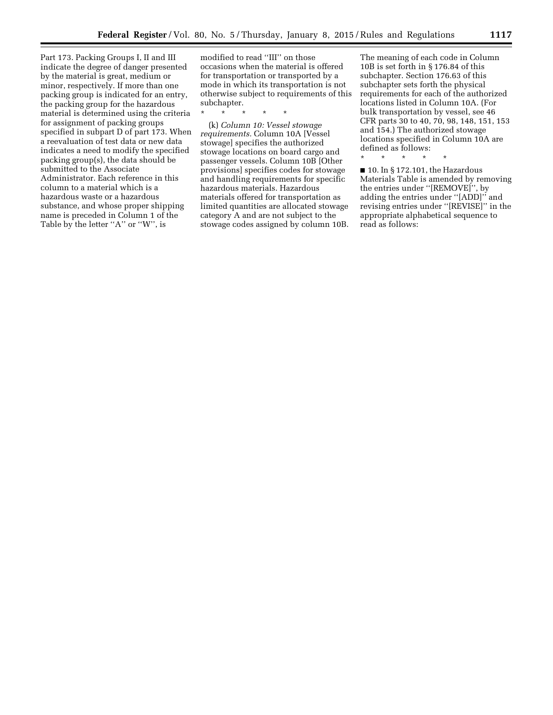Part 173. Packing Groups I, II and III indicate the degree of danger presented by the material is great, medium or minor, respectively. If more than one packing group is indicated for an entry, the packing group for the hazardous material is determined using the criteria for assignment of packing groups specified in subpart D of part 173. When a reevaluation of test data or new data indicates a need to modify the specified packing group(s), the data should be submitted to the Associate Administrator. Each reference in this column to a material which is a hazardous waste or a hazardous substance, and whose proper shipping name is preceded in Column 1 of the Table by the letter "A" or "W", is

modified to read ''III'' on those occasions when the material is offered for transportation or transported by a mode in which its transportation is not otherwise subject to requirements of this subchapter.

\* \* \* \* \*

(k) *Column 10: Vessel stowage requirements.* Column 10A [Vessel stowage] specifies the authorized stowage locations on board cargo and passenger vessels. Column 10B [Other provisions] specifies codes for stowage and handling requirements for specific hazardous materials. Hazardous materials offered for transportation as limited quantities are allocated stowage category A and are not subject to the stowage codes assigned by column 10B.

The meaning of each code in Column 10B is set forth in § 176.84 of this subchapter. Section 176.63 of this subchapter sets forth the physical requirements for each of the authorized locations listed in Column 10A. (For bulk transportation by vessel, see 46 CFR parts 30 to 40, 70, 98, 148, 151, 153 and 154.) The authorized stowage locations specified in Column 10A are defined as follows:

\* \* \* \* \*

■ 10. In § 172.101, the Hazardous Materials Table is amended by removing the entries under ''[REMOVE]'', by adding the entries under ''[ADD]'' and revising entries under ''[REVISE]'' in the appropriate alphabetical sequence to read as follows: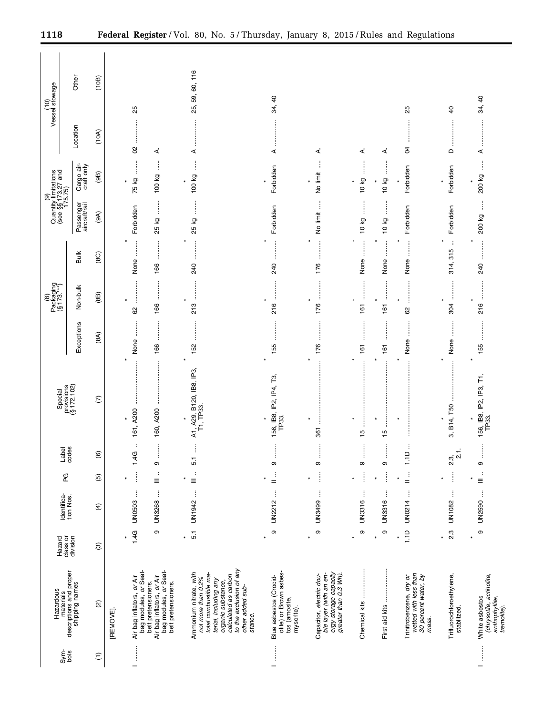|                                                             | Other                                                  | (10B)                  |           |                                                    |                                                                                                  | 25, 59, 60, 116                                                                                                                                                                                        |                                                                                                                                                                                                                                                                                                                                                                                                                                                                                              |                                                                                                      |                          |                    |                                                                                   |                                         |                                                                                                                                                                                                                                                                                                                                                                                                                                                                                              |
|-------------------------------------------------------------|--------------------------------------------------------|------------------------|-----------|----------------------------------------------------|--------------------------------------------------------------------------------------------------|--------------------------------------------------------------------------------------------------------------------------------------------------------------------------------------------------------|----------------------------------------------------------------------------------------------------------------------------------------------------------------------------------------------------------------------------------------------------------------------------------------------------------------------------------------------------------------------------------------------------------------------------------------------------------------------------------------------|------------------------------------------------------------------------------------------------------|--------------------------|--------------------|-----------------------------------------------------------------------------------|-----------------------------------------|----------------------------------------------------------------------------------------------------------------------------------------------------------------------------------------------------------------------------------------------------------------------------------------------------------------------------------------------------------------------------------------------------------------------------------------------------------------------------------------------|
| (10)<br>Vessel stowage                                      |                                                        |                        |           | 25                                                 |                                                                                                  |                                                                                                                                                                                                        | 34, 40                                                                                                                                                                                                                                                                                                                                                                                                                                                                                       |                                                                                                      |                          |                    | 25                                                                                | $\overline{4}$                          | $\overline{a}$<br>34,                                                                                                                                                                                                                                                                                                                                                                                                                                                                        |
|                                                             | Location                                               | (10A)                  |           | <br>$\infty$                                       | ∢                                                                                                | ⋖                                                                                                                                                                                                      | <br>⋖                                                                                                                                                                                                                                                                                                                                                                                                                                                                                        | ∢                                                                                                    | 4                        | ∢                  | :<br>:<br>:<br>:<br>S4                                                            | ļ<br>$\Omega$                           | ⋖                                                                                                                                                                                                                                                                                                                                                                                                                                                                                            |
| (9)<br>Quantity limitations<br>(see §§173.27 and<br>175.75) | Cargo air-<br>craft only                               | (9B)                   |           | İ<br>75 kg<br>×                                    | ļ<br>100 kg                                                                                      | $\vdots$<br>100 kg                                                                                                                                                                                     | Forbidden                                                                                                                                                                                                                                                                                                                                                                                                                                                                                    | ļ<br>No limit                                                                                        | 10 kg                    | 10 kg              | Forbidden                                                                         | Forbidden                               | ļ<br>200 kg                                                                                                                                                                                                                                                                                                                                                                                                                                                                                  |
|                                                             | Passenger<br>aircraft/rail                             | (9A)                   |           | Forbidden                                          | ļ<br>25 kg                                                                                       | 25 kg                                                                                                                                                                                                  | Forbidden                                                                                                                                                                                                                                                                                                                                                                                                                                                                                    | j<br>No limit                                                                                        | 10 kg                    | $\vdots$<br>10 kg  | Forbidden                                                                         | Forbidden                               | j<br>200 kg                                                                                                                                                                                                                                                                                                                                                                                                                                                                                  |
|                                                             | <b>Bulk</b>                                            | (8C)                   |           | None                                               | 166                                                                                              | 240                                                                                                                                                                                                    | $\begin{array}{ccccccccccccc} \multicolumn{2}{c}{} & \multicolumn{2}{c}{} & \multicolumn{2}{c}{} & \multicolumn{2}{c}{} & \multicolumn{2}{c}{} & \multicolumn{2}{c}{} & \multicolumn{2}{c}{} & \multicolumn{2}{c}{} & \multicolumn{2}{c}{} & \multicolumn{2}{c}{} & \multicolumn{2}{c}{} & \multicolumn{2}{c}{} & \multicolumn{2}{c}{} & \multicolumn{2}{c}{} & \multicolumn{2}{c}{} & \multicolumn{2}{c}{} & \multicolumn{2}{c}{} & \multicolumn{2}{c}{} & \multicolumn{2}{c}{} & \$<br>240 | $\vdots$<br>÷<br>176                                                                                 | <b>Continued</b><br>None | $\ast$<br>None     | $\ddot{}}$<br>None                                                                | ÷<br>315<br>314,                        | <br>240                                                                                                                                                                                                                                                                                                                                                                                                                                                                                      |
| Packaging<br>(§ 173.***)<br>$\circledast$                   | Non-bulk                                               | (8B)                   |           | <br>$\ast$<br>62                                   | 166                                                                                              | 213                                                                                                                                                                                                    | <br> <br> <br>216                                                                                                                                                                                                                                                                                                                                                                                                                                                                            | <br>$\ast$<br>176                                                                                    | <br> <br> <br> <br>161   | 161                | .<br>.<br>.<br>.<br>.<br>.<br>62                                                  | <br>304                                 | <br>216                                                                                                                                                                                                                                                                                                                                                                                                                                                                                      |
|                                                             | Exceptions                                             | (8A)                   |           | None                                               | 166                                                                                              | 152                                                                                                                                                                                                    | <br>155                                                                                                                                                                                                                                                                                                                                                                                                                                                                                      | 176                                                                                                  | 161                      | 161                | :<br>:<br>:<br>None                                                               | j<br>None                               | $\begin{array}{ccccccccccccc} \multicolumn{2}{c}{} & \multicolumn{2}{c}{} & \multicolumn{2}{c}{} & \multicolumn{2}{c}{} & \multicolumn{2}{c}{} & \multicolumn{2}{c}{} & \multicolumn{2}{c}{} & \multicolumn{2}{c}{} & \multicolumn{2}{c}{} & \multicolumn{2}{c}{} & \multicolumn{2}{c}{} & \multicolumn{2}{c}{} & \multicolumn{2}{c}{} & \multicolumn{2}{c}{} & \multicolumn{2}{c}{} & \multicolumn{2}{c}{} & \multicolumn{2}{c}{} & \multicolumn{2}{c}{} & \multicolumn{2}{c}{} & \$<br>155 |
|                                                             | Special<br>provisions<br>(§ 172.102)                   | $\mathcal{E}$          |           | 161, A200                                          | 160, A200                                                                                        | A1, A29, B120, IB8, IP3,<br>T1, TP33.                                                                                                                                                                  | 156, IB8, IP2, IP4, T3,<br>TP33.                                                                                                                                                                                                                                                                                                                                                                                                                                                             | $\vdots$<br>361                                                                                      | <br>$\frac{15}{2}$       | 15                 |                                                                                   | 3, B14, T50                             | 156, IB8, IP2, IP3, T1,<br>TP33.                                                                                                                                                                                                                                                                                                                                                                                                                                                             |
|                                                             | Label<br>codes                                         | $\widehat{\mathbf{e}}$ |           | $\ddot{\phantom{a}}$<br>1.4G                       | j<br>п.<br>თ                                                                                     | Î<br>5.1                                                                                                                                                                                               | ÷<br>თ                                                                                                                                                                                                                                                                                                                                                                                                                                                                                       | i<br>÷<br>თ                                                                                          | İ<br>÷<br>ၜ              | İ<br>÷<br>თ        | ÷<br>1.1D                                                                         | ÷<br>ળં <sup>ભં</sup>                   | İ<br>÷<br>თ                                                                                                                                                                                                                                                                                                                                                                                                                                                                                  |
|                                                             | PG                                                     | $\widehat{5}$          |           | İ<br>×                                             | ÷<br>$\equiv$                                                                                    | ÷<br>$\equiv$                                                                                                                                                                                          | ÷<br>$=$                                                                                                                                                                                                                                                                                                                                                                                                                                                                                     | Î                                                                                                    | j                        |                    | ÷<br>$=$                                                                          | Î                                       | ÷<br>$\equiv$                                                                                                                                                                                                                                                                                                                                                                                                                                                                                |
|                                                             | Identifica-<br>tion Nos.                               | $\bigoplus$            |           | ĵ<br><b>UN0503</b>                                 | $\vdots$<br>UN3268                                                                               | $\vdots$<br>UN1942                                                                                                                                                                                     | $\vdots$<br><b>UN2212</b>                                                                                                                                                                                                                                                                                                                                                                                                                                                                    | ł<br>UN3499                                                                                          | j<br>UN3316              | ŧ<br><b>UN3316</b> | $\vdots$<br>UN0214                                                                | ţ<br>UN1082                             | Ť<br><b>UN2590</b>                                                                                                                                                                                                                                                                                                                                                                                                                                                                           |
|                                                             | Hazard<br>class or<br>division                         | $\circledcirc$         |           | 1.4G<br>$\ast$                                     | თ                                                                                                | $\overline{5}$ .<br>$\star$                                                                                                                                                                            | $\mathbf{\circ}$<br>$\star$                                                                                                                                                                                                                                                                                                                                                                                                                                                                  | თ<br>$\ast$                                                                                          | ၜ                        | თ<br>$\star$       | 1.1D<br>$\ast$                                                                    | 2.3<br>$\star$                          | თ<br>$\star$                                                                                                                                                                                                                                                                                                                                                                                                                                                                                 |
| Hazardous                                                   | materials<br>descriptions and proper<br>shipping names | $\widehat{\omega}$     | [REMOVE]. | bag modules, or Seat-<br>Air bag inflators, or Air | bag modules, or Seat-<br>Air bag inflators, or Air<br>belt pretensioners.<br>belt pretensioners. | to the exclusion of any<br>Ammonium nitrate, with<br>total combustible ma-<br>calculated as carbon<br>not more than 0.2%<br>terial, including any<br>organic substance,<br>other added sub-<br>stance. | olite) or Brown asbes-<br>Blue asbestos (Crocid-<br>tos (amosite,<br>mysorite).                                                                                                                                                                                                                                                                                                                                                                                                              | ergy storage capacity<br>greater than 0.3 Wh).<br>ble layer (with an en-<br>Capacitor, electric dou- | Chemical kits            | <br>First aid kits | wetted with less than<br>30 percent water, by<br>Trinitrobenzene, dry or<br>mass. | Trifluorochloroethylene,<br>stabilized. | (chrysotile, actinolite,<br>White asbestos<br>anthophyllite,<br>tremolite).                                                                                                                                                                                                                                                                                                                                                                                                                  |
|                                                             | Sym-<br>bols                                           | $\widehat{\Xi}$        |           | :<br>:<br>:                                        |                                                                                                  |                                                                                                                                                                                                        |                                                                                                                                                                                                                                                                                                                                                                                                                                                                                              |                                                                                                      |                          |                    |                                                                                   |                                         | $\begin{array}{c} \begin{array}{c} \bullet \\ \bullet \\ \bullet \end{array} \end{array}$                                                                                                                                                                                                                                                                                                                                                                                                    |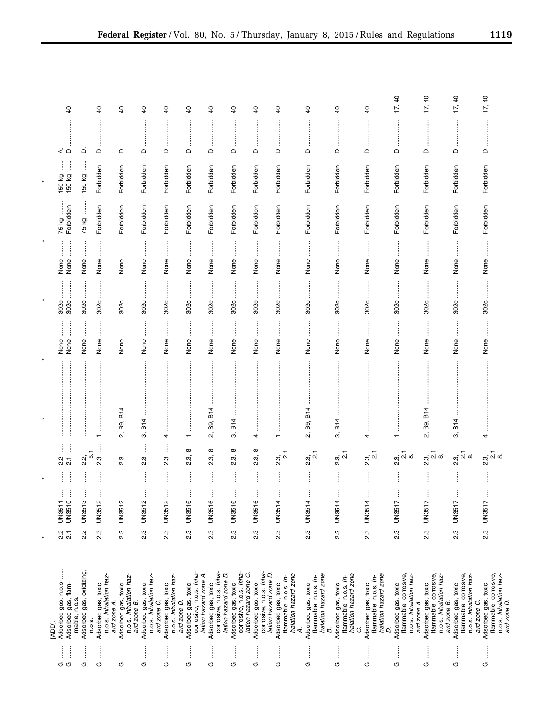|         | $\overline{a}$                                                     |                                           | $\overline{6}$                                           | $\overline{a}$                                                | $\overline{4}$                                                               | $\overline{a}$                                                | $\overline{a}$                                                           | $\overline{6}$                                                           | $\overline{a}$                                                                                                                                                                                         | $\overline{a}$                                                                                                                                                                                                                                                                                                                         | $\overline{4}$                                                                                                                   | $\overline{a}$                                                              | $\overline{6}$                                                             | $\overline{a}$                                                                                    | 17, 40                                                                                 | 17, 40                                                                                 | 17, 40                                                                                 | 17, 40                                                                                 |
|---------|--------------------------------------------------------------------|-------------------------------------------|----------------------------------------------------------|---------------------------------------------------------------|------------------------------------------------------------------------------|---------------------------------------------------------------|--------------------------------------------------------------------------|--------------------------------------------------------------------------|--------------------------------------------------------------------------------------------------------------------------------------------------------------------------------------------------------|----------------------------------------------------------------------------------------------------------------------------------------------------------------------------------------------------------------------------------------------------------------------------------------------------------------------------------------|----------------------------------------------------------------------------------------------------------------------------------|-----------------------------------------------------------------------------|----------------------------------------------------------------------------|---------------------------------------------------------------------------------------------------|----------------------------------------------------------------------------------------|----------------------------------------------------------------------------------------|----------------------------------------------------------------------------------------|----------------------------------------------------------------------------------------|
|         | ⊲ ٰ ⊃                                                              | ۵                                         | ≏                                                        | $\mathsf{\Omega}$                                             | $\Box$                                                                       | $\mathrel{\mathsf{d}}$                                        | $\hfill \Box$                                                            | j<br>$\Box$                                                              | ļ<br>$\Box$                                                                                                                                                                                            | $\Omega$                                                                                                                                                                                                                                                                                                                               | $\mathsf{\Omega}$                                                                                                                | $\Box$                                                                      | $\Omega$                                                                   | j<br>$\mathsf \Omega$                                                                             | $\mathsf \Omega$                                                                       | ļ<br>$\Omega$                                                                          | ļ<br>$\mathsf{\Omega}$                                                                 | İ<br>$\mathsf{\Omega}$                                                                 |
|         | ļ<br>ļ<br>150 kg<br>150 kg                                         | ļ<br>150 kg                               | Forbidden                                                | Forbidden                                                     | Forbidden                                                                    | Forbidden                                                     | Forbidden                                                                | Forbidden                                                                | Forbidden                                                                                                                                                                                              | Forbidden                                                                                                                                                                                                                                                                                                                              | Forbidden                                                                                                                        | Forbidden                                                                   | Forbidden                                                                  | Forbidden                                                                                         | Forbidden                                                                              | Forbidden                                                                              | Forbidden                                                                              | Forbidden                                                                              |
|         | Forbidden<br>75 kg                                                 | 75 kg                                     | Forbidden                                                | Forbidden                                                     | Forbidden                                                                    | Forbidden                                                     | Forbidden                                                                | Forbidden                                                                | Forbidden                                                                                                                                                                                              | Forbidden                                                                                                                                                                                                                                                                                                                              | Forbidden                                                                                                                        | Forbidden                                                                   | Forbidden                                                                  | Forbidden                                                                                         | Forbidden                                                                              | Forbidden                                                                              | Forbidden                                                                              | Forbidden                                                                              |
| $\star$ | $\ddot{\ddot{\phantom{}}\phantom{}}$<br>$\ddot{}}$<br>None<br>None | None                                      | None                                                     | $\ddot{\ddot{\phantom{a}}}\phantom{00}$<br>None               | None                                                                         | $\ddot{\phantom{a}}$<br>None                                  | $\ddot{\phantom{a}}$<br>None                                             | None                                                                     | None                                                                                                                                                                                                   | None                                                                                                                                                                                                                                                                                                                                   | None                                                                                                                             | j<br>None                                                                   | İ<br>None                                                                  | $\ddot{\ddot{\phantom{}}\phantom{}}$<br>None                                                      | None                                                                                   | None                                                                                   | None                                                                                   | None                                                                                   |
| $\ast$  | $\frac{1}{2}$<br>302c                                              | <br> <br> <br> <br>302c                   | 302c                                                     | 302c                                                          | 302c                                                                         | 302c                                                          | ļ<br>302c                                                                | 302c                                                                     | $\begin{array}{c} \begin{array}{c} \begin{array}{c} \begin{array}{c} \begin{array}{c} \end{array} \end{array} \\ \begin{array}{c} \end{array} \end{array} \end{array} \end{array} \end{array}$<br>302c | 302c                                                                                                                                                                                                                                                                                                                                   | $\begin{array}{c} \begin{array}{c} \begin{array}{c} \begin{array}{c} \end{array} \\ \end{array} \end{array} \end{array}$<br>302c | 302c                                                                        | j<br>302c                                                                  | $\begin{array}{c} \begin{array}{c} \bullet \\ \bullet \\ \bullet \end{array} \end{array}$<br>302c | 302c                                                                                   | 302c                                                                                   | 302c                                                                                   | 302c                                                                                   |
|         | $\ddot{}}$<br>$\ddot{\phantom{a}}$<br>None<br>None                 | None                                      | İ<br>None                                                | $\frac{1}{2}$<br>None                                         | l<br>None                                                                    | ļ<br>None                                                     | $\frac{1}{2}$<br>None                                                    | İ<br>None                                                                | None                                                                                                                                                                                                   | $\begin{bmatrix} 1 & 0 & 0 \\ 0 & 1 & 0 \\ 0 & 0 & 0 \\ 0 & 0 & 0 \\ 0 & 0 & 0 \\ 0 & 0 & 0 \\ 0 & 0 & 0 & 0 \\ 0 & 0 & 0 & 0 \\ 0 & 0 & 0 & 0 \\ 0 & 0 & 0 & 0 & 0 \\ 0 & 0 & 0 & 0 & 0 \\ 0 & 0 & 0 & 0 & 0 \\ 0 & 0 & 0 & 0 & 0 & 0 \\ 0 & 0 & 0 & 0 & 0 & 0 \\ 0 & 0 & 0 & 0 & 0 & 0 & 0 \\ 0 & 0 & 0 & 0 & 0 & 0 & 0 \\ $<br>None | None                                                                                                                             | $\frac{1}{2}$<br>None                                                       | j<br>None                                                                  | j<br>None                                                                                         | $\ddot{\ddot{\phantom{a}}}\dot{\phantom{a}}$<br>None                                   | j<br>None                                                                              | $\ddot{\phantom{a}}$<br>None                                                           | j<br>None                                                                              |
|         | j                                                                  |                                           | $\overline{ }$                                           | 2, B9, B14                                                    | 3, B14                                                                       | 4                                                             | j<br>$\overline{\phantom{0}}$                                            | <b>B14</b><br>B9,<br>ςi                                                  | 3, B14                                                                                                                                                                                                 | $\ddot{\ddot{\cdot}}$<br>:<br>:<br>:<br>:<br>4                                                                                                                                                                                                                                                                                         | $\overline{ }$                                                                                                                   | 2, B9, B14                                                                  | $\vdots$<br>3, B14                                                         | $\vdots$<br>ŧ<br>4                                                                                | ÷                                                                                      | İ<br>2, B9, B14                                                                        | ļ<br>3, B14                                                                            | 4                                                                                      |
|         | j<br>İ<br>$\overline{2}$<br>2.2                                    | 2.3.1.<br>2.5.1                           | j<br><u>ვ.</u>                                           | Î<br>2.3                                                      | ŧ<br>2.3                                                                     | j<br>2.3                                                      | $\infty$<br>2.3,                                                         | $\infty$<br>2.3,                                                         | $\infty$<br>2.3,                                                                                                                                                                                       | ${}^{\circ}$<br>2.3,                                                                                                                                                                                                                                                                                                                   | $2.\overline{3}, 3.1.$                                                                                                           | 2.3, 1.<br>2.1.                                                             | 2.3, 2.1                                                                   | 2.3<br>2.1.<br>2.1.                                                                               | $2.\overline{3}, 1, 2.\overline{8}$                                                    | $2.\overline{3}, 1, 2.\overline{8}$                                                    | $2.\overline{3}, 1.$<br>2. $\overline{1}, 0.$                                          | 2.3, 1,<br>2. N &                                                                      |
| $\ast$  | $\vdots$<br>j<br>$\vdots$<br>Ĵ                                     | ŧ                                         | $\vdots$<br>ŧ                                            | İ<br>ŧ                                                        | İ<br>İ                                                                       | İ<br>ŧ                                                        | İ<br>ŧ                                                                   | İ<br>ŧ                                                                   | $\vdots$<br>$\vdots$                                                                                                                                                                                   | Î<br>$\vdots$                                                                                                                                                                                                                                                                                                                          | ŧ                                                                                                                                | j<br>ŧ                                                                      | İ<br>ŧ                                                                     | j<br>$\vdots$                                                                                     | $\vdots$                                                                               | j<br>ŧ                                                                                 | $\vdots$<br>$\vdots$                                                                   | Ĵ                                                                                      |
|         | UN3510<br><b>UN3511</b>                                            | <b>UN3513</b>                             | UN3512                                                   | UN3512                                                        | UN3512                                                                       | UN3512                                                        | UN3516                                                                   | <b>UN3516</b>                                                            | UN3516                                                                                                                                                                                                 | UN3516                                                                                                                                                                                                                                                                                                                                 | UN3514                                                                                                                           | UN3514                                                                      | UN3514                                                                     | UN3514                                                                                            | <b>UN3517</b>                                                                          | UN3517                                                                                 | UN3517                                                                                 | <b>UN3517</b>                                                                          |
| $\star$ | 2.2<br>$\overline{21}$                                             | 2.2                                       | $2.\overline{3}$                                         | 2.3                                                           | ი<br>ა                                                                       | 2.3                                                           | 2.3                                                                      | 2.3                                                                      | 2.3                                                                                                                                                                                                    | 2.3                                                                                                                                                                                                                                                                                                                                    | 2.3                                                                                                                              | 2.3                                                                         | 2.3                                                                        | ი.<br>ა                                                                                           | $2.\overline{3}$                                                                       | 2.3                                                                                    | 2.3                                                                                    | ო<br>2                                                                                 |
|         | İ<br>Adsorbed gas, n.o.s<br>Adsorbed gas, flam-<br>[ADD].          | Adsorbed gas, oxidizing,<br>mable, n.o.s. | n.o.s. Inhalation haz-<br>Adsorbed gas, toxic,<br>n.o.s. | n.o.s. Inhalation haz-<br>Adsorbed gas, toxic,<br>ard zone A. | n.o.s. Inhalation haz-<br>Adsorbed gas, toxic,<br>ard zone C.<br>ard zone B. | n.o.s. Inhalation haz-<br>Adsorbed gas, toxic,<br>ard zone D. | corrosive, n.o.s. Inha-<br>lation hazard zone A.<br>Adsorbed gas, toxic, | corrosive, n.o.s. Inha-<br>lation hazard zone B.<br>Adsorbed gas, toxic, | corrosive, n.o.s. Inha-<br>lation hazard zone C.<br>Adsorbed gas, toxic,                                                                                                                               | corrosive, n.o.s. Inha-<br>lation hazard zone D.<br>Adsorbed gas, toxic,                                                                                                                                                                                                                                                               | halation hazard zone<br>flammable, n.o.s. In-<br>Adsorbed gas, toxic,<br>₹                                                       | halation hazard zone<br>Adsorbed gas, toxic,<br>flammable, n.o.s. In-<br>œ, | halation hazard zone<br>flammable, n.o.s. In-<br>Adsorbed gas, toxic,<br>S | halation hazard zone<br>flammable, n.o.s. In-<br>Adsorbed gas, toxic,<br>D.                       | flammable, corrosive,<br>n.o.s. Inhalation haz-<br>Adsorbed gas, toxic,<br>ard zone A. | flammable, corrosive,<br>n.o.s. Inhalation haz-<br>Adsorbed gas, toxic,<br>ard zone B. | flammable, corrosive,<br>n.o.s. Inhalation haz-<br>Adsorbed gas, toxic,<br>ard zone C. | flammable, corrosive,<br>n.o.s. Inhalation haz-<br>Adsorbed gas, toxic,<br>ard zone D. |
|         | ļ<br>ļ<br><b>დ</b>                                                 | İ<br>O                                    | İ<br>O                                                   | ļ<br>O                                                        | ĺ<br>O                                                                       | ļ<br>O                                                        | ļ<br>O                                                                   | İ<br>O                                                                   | $\frac{1}{2}$<br>O                                                                                                                                                                                     | Î<br>O                                                                                                                                                                                                                                                                                                                                 | j<br>O                                                                                                                           | ļ<br>O                                                                      | $\begin{array}{c} \vdots \\ \vdots \\ \vdots \end{array}$<br>O             | ļ<br>O                                                                                            | ļ<br>O                                                                                 | Î<br>G                                                                                 | İ<br>U                                                                                 | j<br>G                                                                                 |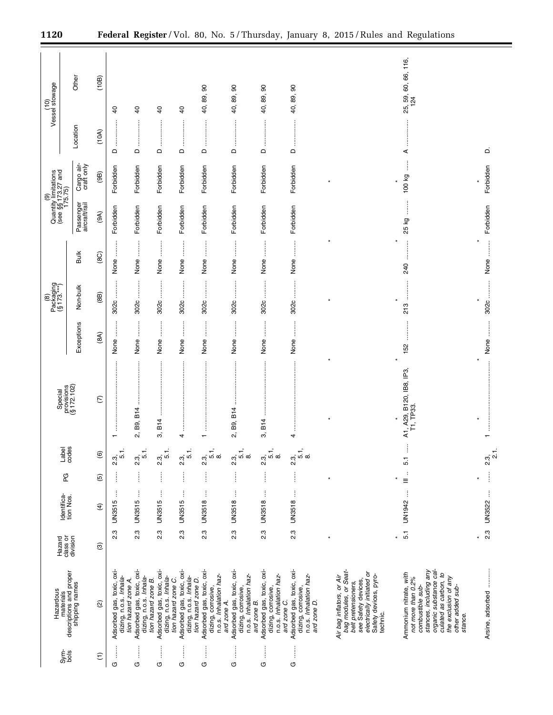|                 |                                                                                                                                                                                                      |                         |                          |                                  |                            |                                       |                                                                                                                                                                                                        | $P^{abc kajing}_{[8173,***]}$ |                    | (9)<br>Quantity limitations<br>(see §§173.27 and<br>175.75) |                          |                             | (10)<br>Vessel stowage        |
|-----------------|------------------------------------------------------------------------------------------------------------------------------------------------------------------------------------------------------|-------------------------|--------------------------|----------------------------------|----------------------------|---------------------------------------|--------------------------------------------------------------------------------------------------------------------------------------------------------------------------------------------------------|-------------------------------|--------------------|-------------------------------------------------------------|--------------------------|-----------------------------|-------------------------------|
| Sym-<br>bols    | Hazardous                                                                                                                                                                                            | class or<br>Hazard      | Identifica-<br>tion Nos. | C<br>P                           | Label<br>codes             | Special                               |                                                                                                                                                                                                        |                               |                    |                                                             |                          |                             |                               |
|                 | materials<br>descriptions and proper<br>shipping names                                                                                                                                               | division                |                          |                                  |                            | provisions<br>(§ 172.102)             | Exceptions                                                                                                                                                                                             | Non-bulk                      | <b>Bulk</b>        | Passenger<br>aircraft/rail                                  | Cargo air-<br>craft only | Location                    | Other                         |
| $\widehat{\Xi}$ | $\widehat{\omega}$                                                                                                                                                                                   | $\circledcirc$          | $\widehat{f}$            | $\widetilde{5}$                  | ତି                         | $\widehat{C}$                         | (8A)                                                                                                                                                                                                   | (8B)                          | (8C)               | (9A)                                                        | (9B)                     | (10A)                       | (10B)                         |
| j               | Adsorbed gas, toxic, oxi-<br>dizing, n.o.s. Inhala-                                                                                                                                                  | 2.3                     | ļ<br><b>UN3515</b>       | j                                | ÷.<br>2.3,<br>ယ            |                                       | $\begin{array}{c} \begin{array}{c} \begin{array}{c} \begin{array}{c} \begin{array}{c} \end{array} \end{array} \\ \begin{array}{c} \end{array} \end{array} \end{array} \end{array} \end{array}$<br>None | 302c                          | None               | Forbidden                                                   | Forbidden                | $\hfill\square$             | $\overline{a}$                |
| j               | Adsorbed gas, toxic, oxi-<br>dizing, n.o.s. <i>Inhala-</i><br>tion hazard zone B.<br>tion hazard zone A.                                                                                             | 2.3                     | Ť<br>UN3515              | j                                | 5.1.<br>2.3,               | B9, B14<br>Ωj                         | $\frac{1}{2}$<br>None                                                                                                                                                                                  | 3020                          | None               | Forbidden                                                   | Forbidden                | $\Omega$                    | $\overline{4}$                |
| İ               | Adsorbed gas, toxic, oxi-<br>dizing, n.o.s. Inhala-                                                                                                                                                  | <u>ვ.</u>               | j<br><b>UN3515</b>       | $\vdots$                         | 5.1.<br><u>ત</u><br>ડ      | B14<br>က်                             | İ<br>None                                                                                                                                                                                              | <br> <br> <br>302c            | $\vdots$<br>None   | Forbidden                                                   | Forbidden                | $\vdots$<br>$\Omega$        | $\overline{a}$                |
| ļ               | Adsorbed gas, toxic, oxi-<br>dizing, n.o.s. Inhala-<br>tion hazard zone C.                                                                                                                           | 2.3                     | ŧ<br><b>UN3515</b>       | İ                                | ť<br>$2.\overline{3}$<br>ம | 4                                     | j<br>None                                                                                                                                                                                              | ļ<br>302c                     | None               | Forbidden                                                   | Forbidden                | $\mathsf{\Omega}$           | $\overline{a}$                |
| $\vdots$        | Adsorbed gas, toxic, oxi-<br>dizing, corrosive,<br>n.o.s. <i>Inhalation haz</i> -<br>tion hazard zone D.<br>ard zone A.                                                                              | 2.3                     | ŧ<br>UN3518              | İ                                | É<br>ೆ.<br>ಬ<br>ഗ<br>∞     |                                       | j<br>None                                                                                                                                                                                              | $\ddot{\phantom{a}}$<br>302c  | $\ddot{}}$<br>None | Forbidden                                                   | Forbidden                | <br>$\Omega$                | 8<br>89,<br>€.                |
| ļ               | Adsorbed gas, toxic, oxi-<br>n.o.s. Inhalation haz-<br>dizing, corrosive,<br>ard zone B.                                                                                                             | 2.3                     | j<br><b>UN3518</b>       | j                                | 5.1,<br>2.3,<br>œ          | 2, B9, B14                            | $\begin{array}{c} \vdots \\ \vdots \\ \vdots \end{array}$<br>None                                                                                                                                      | 302c                          | None               | Forbidden                                                   | Forbidden                | ÷<br>$\mathrel{\mathsf{d}}$ | $\pmb{\mathbb{S}}$<br>40, 89, |
| j               | Adsorbed gas, toxic, oxi-<br>dizing, corrosive,<br>n.o.s. Inhalation haz-                                                                                                                            | <u>ვ.</u>               | $\vdots$<br>UN3518       | $\vdots$                         | 5.1,<br><u>ત</u><br>ડ<br>œ | :<br>:<br>:<br>B14<br>က်              | $\ddot{\ddot{\phantom{a}}}\dot{\phantom{a}}$<br>None                                                                                                                                                   | :<br>302c                     | j<br>None          | Forbidden                                                   | Forbidden                | <br>$\mathsf \Omega$        | 8<br>89,<br>₽,                |
| $\vdots$        | Adsorbed gas, toxic, oxi-<br>n.o.s. Inhalation haz-<br>dizing, corrosive,<br>ard zone C.<br>ard zone D.                                                                                              | 2.3                     | Ì<br>UN3518              | j                                | 5.1,<br>2.3,<br>$\infty$   | ļ<br>4                                | j<br>None                                                                                                                                                                                              | 302c                          | None               | Forbidden                                                   | Forbidden                | $\Omega$                    | 8<br>40, 89,                  |
|                 | bag modules, or Seat-<br>beit pretensioners,<br>see Satety devices,<br>electrically initiated or<br>Safety devices, pyro-<br>Air bag inflators, or Air<br>technic.                                   |                         |                          |                                  |                            |                                       |                                                                                                                                                                                                        |                               |                    |                                                             |                          |                             |                               |
|                 | organic substance cal-<br>stances, including any<br>Ammonium nitrate, with<br>culated as carbon, to<br>the exclusion of any<br>not more than 0.2%<br>combustible sub-<br>other added sub-<br>stance. | 5.1                     | ļ<br>UN1942              | $\ddot{\phantom{a}}$<br>$\equiv$ | İ<br>5.1                   | A1, A29, B120, IB8, IP3,<br>T1, TP33. | 152                                                                                                                                                                                                    | 213                           | 240                | 25 kg                                                       | 100 kg                   | <br>⋖                       | 25, 59, 60, 66, 116,<br>124   |
|                 | Arsine, adsorbed                                                                                                                                                                                     | $\frac{3}{2}$<br>$\ast$ | UN3522                   | ×                                | 2.3,                       |                                       | None                                                                                                                                                                                                   | 302c<br>$\ast$                | None               | Forbidden                                                   | Forbidden                | ۵                           |                               |
|                 |                                                                                                                                                                                                      |                         |                          | $\frac{1}{2}$                    |                            |                                       |                                                                                                                                                                                                        |                               |                    |                                                             |                          |                             |                               |

۲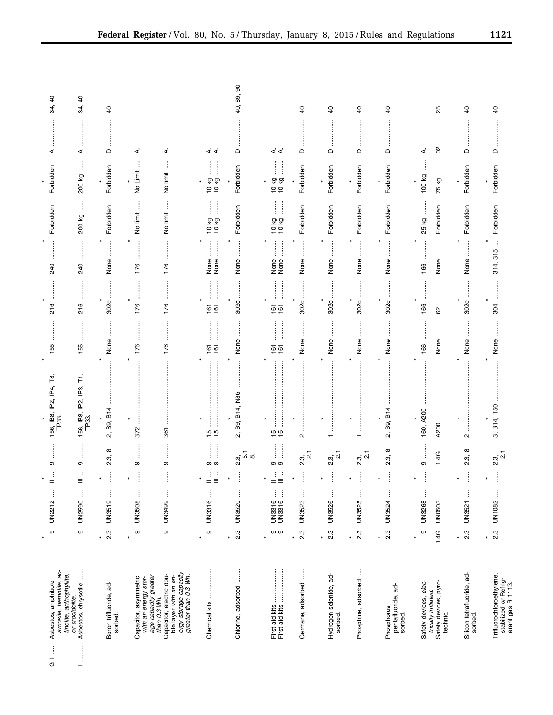| ţ<br>$\bar{c}$        | amosite, tremolite, ac-<br>Asbestos, amphibole                                                                                             | თ                           | UN2212           | $=$                    | თ                                                                                                                                                                            | 156, IB8, IP2, IP4, T3,<br>TP33. | 155               | 216                            | 240                                                                                                                                                                                                            | Forbidden                                                                                                             | Forbidden                | ⋖                 | $\overline{6}$<br>34, |
|-----------------------|--------------------------------------------------------------------------------------------------------------------------------------------|-----------------------------|------------------|------------------------|------------------------------------------------------------------------------------------------------------------------------------------------------------------------------|----------------------------------|-------------------|--------------------------------|----------------------------------------------------------------------------------------------------------------------------------------------------------------------------------------------------------------|-----------------------------------------------------------------------------------------------------------------------|--------------------------|-------------------|-----------------------|
| —                     | j<br>tinolite, anthophyllite,<br>Asbestos, chrysotile<br>or crocidolite.                                                                   | თ                           | UN2590           | Ξ                      | j<br>თ                                                                                                                                                                       | 156, IB8, IP2, IP3, T1,<br>TP33. | 155               | 216                            | 240                                                                                                                                                                                                            | j<br>200 kg                                                                                                           | $\vdots$<br>200 kg       | ⋖                 | $\overline{a}$<br>34, |
| sorbed.               | Boron trifluoride, ad-                                                                                                                     | 2.3<br>¥                    | ŧ<br>UN3519      | $\vdots$<br>÷          | ∞<br>2.3,                                                                                                                                                                    | B9, B14<br>ςî                    | None              | 302c                           | $\ddot{\phantom{a}}$<br>None                                                                                                                                                                                   | Forbidden                                                                                                             | Forbidden                | $\mathsf{\Omega}$ | $\overline{a}$        |
|                       | Capacitor, asymmetric<br>with an energy stor-                                                                                              | $\, \circ \,$<br>$\star$    | UN3508           | ÷                      | ļ<br>თ                                                                                                                                                                       | 372                              | 176               | <br>176                        | 176                                                                                                                                                                                                            | j<br>No limit                                                                                                         | No Limit                 | ∢                 |                       |
|                       | ergy storage capacity<br>greater than 0.3 Wh.<br>Capacitor, electric dou-<br>ble layer with an en-<br>age capacity greater<br>than 0.3 Wh. | ၜ                           | UN3499           | ÷                      | İ<br>თ                                                                                                                                                                       | 361                              | 176               | 176                            | 176                                                                                                                                                                                                            | j<br>No limit                                                                                                         | No limit                 | ∢                 |                       |
|                       | Chemical kits                                                                                                                              | $\circ$<br>$\star$          | UN3316           | $=$ $\equiv$           | $\frac{1}{2}$<br>တ တ                                                                                                                                                         | <b>15</b><br>15                  | $\frac{161}{161}$ | <br> <br> <br> <br>$rac{6}{6}$ | $\begin{array}{c} \begin{array}{c} \begin{array}{c} \begin{array}{c} \begin{array}{c} \end{array} \end{array} \\ \begin{array}{c} \end{array} \end{array} \end{array} \end{array} \end{array}$<br>None<br>None | $\begin{array}{c} \begin{array}{c} 1 \\ 1 \end{array} \\ \begin{array}{c} 1 \end{array} \end{array}$<br>50 KG<br>0 KG | İ<br>l<br>10 kg<br>10 kg | خ≺                |                       |
|                       | Chlorine, adsorbed                                                                                                                         | 2.3<br>$\star$              | UN3520           | ÷                      | $2.\overline{3}, 1, 6.\overline{8}$                                                                                                                                          | B9, B14, N86<br>2.               | None              | 302c                           | None                                                                                                                                                                                                           | Forbidden                                                                                                             | Forbidden                | $\Omega$          | 8<br>40, 89,          |
|                       |                                                                                                                                            | တ တ<br>×                    | UN3316           | $\sim$<br>$=$ $\equiv$ | ļ<br>$\begin{array}{c} \begin{array}{c} \begin{array}{c} \begin{array}{c} \begin{array}{c} \end{array}\\ \end{array} \end{array} \end{array} \end{array} \end{array}$<br>တ တ | $\ddot{}}$<br>$\frac{5}{10}$     | $\frac{161}{61}$  | $rac{6}{6}$                    | $\frac{1}{2}$<br>j<br>None<br>None                                                                                                                                                                             | Î<br>j<br>50<br>63<br>10<br>63                                                                                        | İ<br>10 kg<br>10 kg      | خ <               |                       |
|                       | j<br>Germane, adsorbed                                                                                                                     | $2.\overline{3}$<br>¥       | UN3523           | ł                      | $2.\overline{3}, 1.$                                                                                                                                                         | $\sim$                           | None              | 3020                           | $\ddot{\phantom{a}}$<br>None                                                                                                                                                                                   | Forbidden                                                                                                             | Forbidden                | $\Omega$          | $\overline{a}$        |
| sorbed.               | Hydrogen selenide, ad-                                                                                                                     | $2.\overline{3}$<br>$\star$ | UN3526           | ļ                      | $2.3$ , 1.                                                                                                                                                                   |                                  | None              | 3020                           | None                                                                                                                                                                                                           | Forbidden                                                                                                             | Forbidden                | $\Box$            | đ                     |
|                       | Phosphine, adsorbed                                                                                                                        | 2.3<br>$\star$              | UN3525           | İ                      | 2.3, 2.1                                                                                                                                                                     | :<br>:<br>:<br>:                 | None              | 302c                           | None                                                                                                                                                                                                           | Forbidden                                                                                                             | Forbidden                | $\mathsf{\Omega}$ | $\overline{6}$        |
| Phosphorus<br>sorbed. | pentafluoride, ad-                                                                                                                         | 2.3<br>$\star$              | UN3524           | ÷                      | $^\infty$<br>23.                                                                                                                                                             | B9, B14<br>ΩÎ                    | None              | 302c                           | None                                                                                                                                                                                                           | Forbidden                                                                                                             | Forbidden                | $\Omega$          | $\overline{a}$        |
| technic.              | trically initiated.<br>Safety devices, pyro-<br>Safety devices, elec-                                                                      | თ<br>1.4G<br>$\ast$         | UN3268<br>UN0503 | $\vdots$<br>÷<br>÷     | ÷<br>1.4G<br>Φ                                                                                                                                                               | 160, A200<br>A200                | None<br>166       | $\frac{1}{2}$<br>166<br>62     | None<br>166                                                                                                                                                                                                    | Forbidden<br>25 kg                                                                                                    | l<br>100 kg<br>75 kg     | 8<br>⋖            | 25                    |
| sorbed.               | Silicon tetrafluoride, ad-                                                                                                                 | $2.\overline{3}$<br>$\star$ | UN3521           | İ                      | $^\infty$<br>2.3,                                                                                                                                                            | N                                | None              | 3020                           | $\ddot{\phantom{a}}$<br>None                                                                                                                                                                                   | Forbidden                                                                                                             | Forbidden                | $\Omega$          | $\theta$              |
|                       | Trifluorochloroethylene,<br>stabilized or Refrig-<br>erant gas R 1113.                                                                     | <u>ვ</u><br>$\star$         | UN1082           | ÷                      | 2.3, 2.1                                                                                                                                                                     | 3, B14, T50                      | None              | <br> <br> <br> <br> <br>304    | $\vdots$<br>314, 315                                                                                                                                                                                           | Forbidden                                                                                                             | Forbidden                | $\Omega$          | $\overline{6}$        |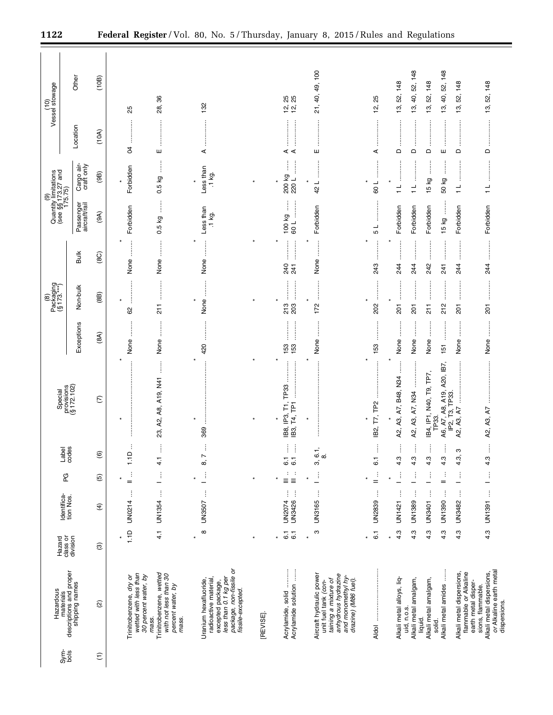|                 | Hazardous                                                                                                                                    | Hazard                  |                                   |                                           |                                           | Special                                               |                                                                                                                                                                                                                                                                                                                                            | Packaging<br>(§ 173.***)<br>$\circledast$     |                                                                     | Quantity limitations<br>(see $\S$ §173.27 and<br>175.75) |                             |                              | (10)<br>Vessel stowage                                    |  |
|-----------------|----------------------------------------------------------------------------------------------------------------------------------------------|-------------------------|-----------------------------------|-------------------------------------------|-------------------------------------------|-------------------------------------------------------|--------------------------------------------------------------------------------------------------------------------------------------------------------------------------------------------------------------------------------------------------------------------------------------------------------------------------------------------|-----------------------------------------------|---------------------------------------------------------------------|----------------------------------------------------------|-----------------------------|------------------------------|-----------------------------------------------------------|--|
| Sym-<br>bols    | materials<br>descriptions and proper<br>shipping names                                                                                       | class or<br>division    | Identifica-<br>tion Nos.          | PG                                        | Label<br>codes                            | provisions<br>(§ 172.102)                             | Exceptions                                                                                                                                                                                                                                                                                                                                 | Non-bulk                                      | <b>Bulk</b>                                                         | Passenger<br>aircraft/rail                               | Cargo air-<br>craft only    | Location                     | <b>Other</b>                                              |  |
| $\widehat{\Xi}$ | $\widehat{\omega}$                                                                                                                           | ල                       | E)                                | $\widehat{\mathfrak{G}}$                  | $\widehat{\mathbf{e}}$                    | ε                                                     | (8A)                                                                                                                                                                                                                                                                                                                                       | (8B)                                          | (8C)                                                                | (9A)                                                     | (9B)                        | (10A)                        | (10B)                                                     |  |
|                 | wetted with less than<br>30 percent water, by<br>Trinitrobenzene, dry or                                                                     | 1.1D                    | ţ<br><b>UN0214</b>                | ÷<br>$=$                                  | 1.1D                                      |                                                       | None                                                                                                                                                                                                                                                                                                                                       | 62                                            | None                                                                | Forbidden                                                | Forbidden                   | Ŕ                            | 25                                                        |  |
|                 | Trinitrobenzene, wetted<br>with not less than 30<br>percent water, by<br>mass.<br>mass.                                                      | 4.1                     | $\vdots$<br>UN1354                | $\vdots$<br>$\overline{\phantom{0}}$      | j<br>$\frac{1}{4}$                        | j<br>23, A2, A8, A19, N41                             | None                                                                                                                                                                                                                                                                                                                                       | $\frac{1}{2}$                                 | $\begin{array}{c}\n\vdots \\ \vdots \\ \vdots\n\end{array}$<br>None | $\frac{1}{2}$<br>0.5 kg                                  | j<br>0.5 kg                 | ш                            | 86<br><u>න්</u>                                           |  |
|                 | package, non-fissile or<br>less than 0.1 kg per<br>Uranium hexafluoride,<br>radioactive material<br>excepted package,<br>fissile-excepted.   | $\infty$                | $\vdots$<br>UN3507                | $\frac{1}{2}$<br>$\overline{\phantom{0}}$ | $\vdots$<br>8, 7                          | $\ast$<br>369                                         | 420                                                                                                                                                                                                                                                                                                                                        | $\vdots$<br>None<br>×                         | $\star$<br>None                                                     | Less than<br>$.1$ kg.                                    | Less than<br>.1 kg.<br>×    | ⋖                            | 132                                                       |  |
|                 | [REVISE]                                                                                                                                     |                         |                                   | ×                                         |                                           |                                                       |                                                                                                                                                                                                                                                                                                                                            |                                               |                                                                     |                                                          |                             |                              |                                                           |  |
|                 | Acrylamide solution<br>Acrylamide, solid                                                                                                     | $\overline{6}$ .<br>6.1 | $\vdots$<br>ŧ<br>UN3426<br>UN2074 | :<br>≣≣<br>$\equiv$                       | Ĵ<br>$\overline{6}$ .<br>$\overline{6}$ . | TP33<br>$\overline{r}$<br>IB3, T4, TP1<br>IB8, IP3,   | $\begin{bmatrix} 1 & 0 & 0 & 0 \\ 0 & 0 & 0 & 0 \\ 0 & 0 & 0 & 0 \\ 0 & 0 & 0 & 0 \\ 0 & 0 & 0 & 0 \\ 0 & 0 & 0 & 0 \\ 0 & 0 & 0 & 0 \\ 0 & 0 & 0 & 0 & 0 \\ 0 & 0 & 0 & 0 & 0 \\ 0 & 0 & 0 & 0 & 0 \\ 0 & 0 & 0 & 0 & 0 \\ 0 & 0 & 0 & 0 & 0 & 0 \\ 0 & 0 & 0 & 0 & 0 & 0 \\ 0 & 0 & 0 & 0 & 0 & 0 \\ 0 & 0 & 0 & 0 & 0 & $<br>153<br>153 | 213<br>203                                    | 240<br>241                                                          | Î<br> <br> <br> <br> <br>100 kg<br>109                   | 200 kg<br>220L              | ∢ ∢                          | 25<br>26<br>Ξ,<br>نڊ<br>ڊ                                 |  |
|                 | Aircraft hydraulic power<br>anhydrous hydrazine<br>and monomethyl hy-<br>taining a mixture of<br>drazine) (M86 fuel)<br>unit fuel tank (con- | ო<br>$\star$            | ŧ<br><b>UN3165</b>                | $\vdots$                                  | $3, 6.1,$<br>$8, 1$                       | $\ast$<br>$\ast$                                      | j<br>None                                                                                                                                                                                                                                                                                                                                  | :<br>:<br>:<br>:<br>172                       | $\ddot{\phantom{a}}$<br>None                                        | Forbidden                                                | :<br>:<br>:<br>42 L         | ш                            | 21, 40, 49, 100                                           |  |
|                 | <b>Aldol</b>                                                                                                                                 | $\overline{6}$          | j<br>UN2839                       | $\frac{1}{2}$                             | i<br>$\overline{6}$ .                     | <b>P<sub>2</sub></b><br>IB2, T7,<br>¥                 | 153                                                                                                                                                                                                                                                                                                                                        | 202                                           | 243                                                                 | 1 م                                                      | 109                         | .<br>.<br>.<br>.<br>.<br>⋖   | 25<br><u>يہ</u>                                           |  |
|                 | Alkali metal alloys, liq-<br>uid, n.o.s.                                                                                                     | 4.3                     | j<br>UN1421                       | ŧ                                         | ļ<br>4.3                                  | j<br>A2, A3, A7, B48, N34                             | j<br>None                                                                                                                                                                                                                                                                                                                                  | 201                                           | :<br>:<br>:<br>:<br>244                                             | Forbidden                                                | ┙                           | $\Box$                       | 148<br>52,<br>13,                                         |  |
|                 | Alkali metal amalgam,<br>Alkali metal amalgam,<br>liquid.                                                                                    | 4.3<br>4.3              | ÷<br>j<br>UN1389<br>UN3401        | ŧ<br>ŧ                                    | Î<br>j<br>4.3<br>4.3                      | IB4, IP1, N40, T9, TP7,<br>A2, A3, A7, N34            | ÷<br>None<br>None                                                                                                                                                                                                                                                                                                                          | :<br>:<br>:<br>:<br>:<br>:<br>:<br>211<br>201 | :<br>:<br>:<br>:<br>:<br>:<br>:<br>242<br>244                       | Forbidden<br>Forbidden                                   | ļ<br>15 kg<br>$\frac{1}{1}$ | ŧ<br>$\Box$<br>$\hfill \Box$ | 52, 148<br>148<br>52,<br>40,<br>$\frac{3}{2}$<br><u>უ</u> |  |
|                 | Alkali metal amides<br>solid.                                                                                                                | 4.3                     | ŧ<br>UN1390                       | ÷<br>$=$                                  | j<br>4.3                                  | A6, A7, A8, A19, A20, IB7,<br>IP2, T3, TP33.<br>TP33. | :<br>:<br>:<br>$\frac{15}{15}$                                                                                                                                                                                                                                                                                                             | :<br>:<br>212                                 | $\overline{24}$                                                     | $\frac{1}{2}$<br>15 kg                                   | l<br>50 kg                  | ш                            | 52, 148<br>40,<br><u>უ</u>                                |  |
|                 | Alkali metal dispersions,<br>flammable or Alkaline                                                                                           | 4.3                     | j<br>UN3482                       | $\vdots$<br>—                             | ო<br>4.3,                                 | A2, A3, A7                                            | ÷<br>None                                                                                                                                                                                                                                                                                                                                  | :<br>:<br>:<br>:<br>$\overline{201}$          | .<br>.<br>.<br>.<br>.<br>.<br>244                                   | Forbidden                                                | ┙<br>÷                      | ļ<br>$\Omega$                | 148<br>52,<br><u>უ</u>                                    |  |
|                 | or Alkaline earth metal<br>Alkali metal dispersions,<br>earth metal disper-<br>sions, flammable.<br>dispersions.                             | 4.3                     | UN1391                            | $\frac{1}{\gamma}$                        | i<br>4.3                                  | A2, A3, A7                                            | None                                                                                                                                                                                                                                                                                                                                       | <br>$\overline{201}$                          | <br>244                                                             | Forbidden                                                | $\frac{1}{\tau}$            | $\mathsf{\Omega}$            | 13, 52, 148                                               |  |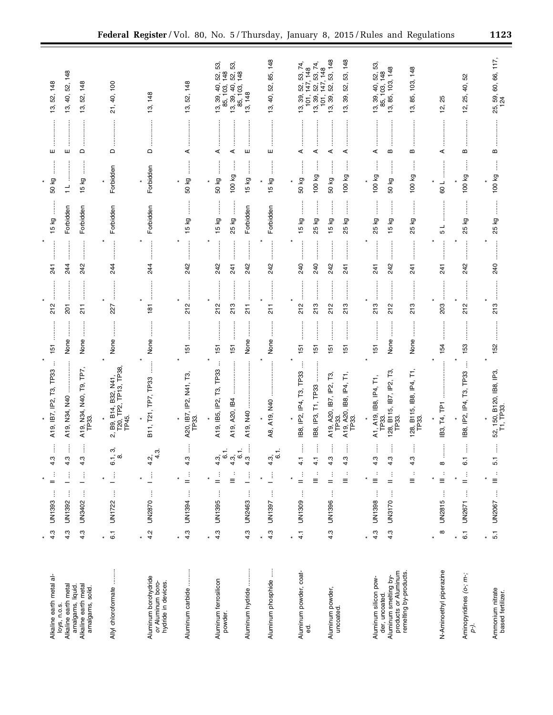| Alkaline earth metal al-                                                                                           | 4.3                            | ĵ<br>UN1393                | ÷<br>$=$                                   | 4.3                                       | TP33<br>$\overline{13}$<br>A19, IB7, IP2,                                                                    | 151                               | 212                               | 241               | 15 kg                          | 50 kg         |                       | ш             | 148<br>52,<br>စ္ပ                                                                                       |
|--------------------------------------------------------------------------------------------------------------------|--------------------------------|----------------------------|--------------------------------------------|-------------------------------------------|--------------------------------------------------------------------------------------------------------------|-----------------------------------|-----------------------------------|-------------------|--------------------------------|---------------|-----------------------|---------------|---------------------------------------------------------------------------------------------------------|
| Alkaline earth metal<br>loys, n.o.s.                                                                               | 4.3                            | ŧ<br>UN1392                | ĵ                                          | 4.3                                       | A19, N34, N40                                                                                                | None                              | 201                               | 244               | Forbidden                      | $\frac{1}{1}$ |                       | ш             | 52, 148<br>40,<br>13,                                                                                   |
| amalgams, liquid.<br>Alkaline earth metal<br>amalgams, solid.                                                      | 4.3                            | ŧ<br>UN3402                |                                            | 4.3                                       | A19, N34, N40, T9, TP7,<br>TP33.                                                                             | None                              | $\overline{211}$                  | 242               | Forbidden                      | 15 kg         |                       | $\hfill \Box$ | 148<br>52,<br>13,                                                                                       |
| Allyl chloroformate                                                                                                | $\overline{6}$<br>$\pmb{\ast}$ | $\vdots$<br>UN1722         | j.                                         | ω,<br>œ<br>$\overline{6}$                 | B9, B14, B32, N41,<br>T20, TP2, TP13, TP38,<br>TP45.<br>ΩÎ                                                   | None                              | 227                               | 24                | Forbidden                      |               | Forbidden             | $\Omega$      | 21, 40, 100                                                                                             |
| Aluminum borohydride<br>or Aluminum boro-<br>hydride in devices.                                                   | 4.2<br>$\star$                 | $\vdots$<br><b>UN2870</b>  | $\frac{1}{2}$                              | က္<br>$4.\overline{2}$                    | B11, T21, TP7, TP33                                                                                          | None                              | $\frac{18}{1}$                    | 244               | Forbidden                      |               | Forbidden             | $\Omega$      | 13, 148                                                                                                 |
| Aluminum carbide                                                                                                   | 4.3<br>$\star$                 | $\vdots$<br>UN1394         | $\frac{1}{2}$                              | 4.3                                       | A20, IB7, IP2, N41, T3,<br>TP33.                                                                             | 151                               | 212                               | 242               | 15 kg                          | 50 kg         | j                     | ⋖             | 148<br>52,<br>13,                                                                                       |
| Aluminum ferrosilicon<br>powder.                                                                                   | 4.3<br>$\star$                 | $\vdots$<br>UN1395         | Ĵ<br>Ξ<br>$=$                              | ÷<br>$4.\overline{3}$<br>$4.\overline{3}$ | ÷<br>TP33<br>Τ3,<br>A19, IB5, IP2,<br>A19, A20, IB4                                                          | 151<br>151                        | 212<br>213                        | 242<br>241        | <b>15 kg</b><br>25 kg          | 50 kg         | j<br>100 kg           | ⋖<br>⋖        | 53,<br>53,<br>148<br>69.48<br>52,<br>$13, 39, 40,$<br>$85, 103,$<br>40,<br>85, 103,<br>39,<br><u>က်</u> |
| Aluminum hydride                                                                                                   | 4.3                            | ŧ<br>UN2463                | j                                          | j<br>$\overline{6}$ .<br>4.3              | A19, N40                                                                                                     | ÷<br>None                         | $\frac{1}{2}$                     | 242               | Forbidden                      | 15 kg         | ŧ                     | ш             | 13, 148                                                                                                 |
| j<br>Aluminum phosphide                                                                                            | 4.3<br>$\star$                 | ŧ<br>UN1397                | ŧ                                          | ÷<br>4.3,                                 | A8, A19, N40                                                                                                 | j<br>None                         | :<br>:<br>:<br>:<br>$\frac{1}{2}$ | 242               | Forbidden                      | 15 kg         | l                     | ш             | 52, 85, 148<br>13, 40,                                                                                  |
| Aluminum powder, coat-<br>ಕ್ಷ                                                                                      | 4.1<br>$\star$                 | ĵ<br>UN1309                | $\ddot{\phantom{a}}$<br>÷<br>Ξ<br>$=$      | 4.1<br>$\frac{1}{4}$                      | TP <sub>33</sub><br>IB8, IP3, T1, TP33<br>င်္က<br>IB8, IP2, IP4,                                             | $\frac{15}{2}$<br>151             | 212<br>213                        | 240<br>240        | 15 kg<br>25 kg                 | 50 kg         | j<br>100 kg           | ⋖<br>⋖        | 74,<br>53, 74,<br>147, 148<br>53,<br>52,<br>52,<br>$\frac{1}{2}$<br>ఇ<br>13, 39,<br>ഇ                   |
| Aluminum powder,<br>uncoated.                                                                                      | 4.3                            | ŧ<br><b>UN1396</b>         | $\cdot$<br>÷<br>$\equiv$<br>$=$            | 4.3<br>4.3                                | A19, A20, IB8, IP4, T1,<br>TP33.<br>A19, A20, IB7, IP2, T3,<br>TP33.                                         | $\frac{15}{15}$<br>$\frac{5}{10}$ | 213<br>212                        | 242<br>241        | 15 kg<br>25 kg<br>             | 50 kg         | 100 kg                | ⋖<br>⋖        | 53, 148<br>13, 39, 52, 53, 148<br>147, 148<br>52,<br>39,<br>101,<br><u>რ</u>                            |
| products or Aluminum<br>remelting by-products.<br>Aluminum smelting by-<br>Aluminum silicon pow-<br>der, uncoated. | 4.3<br>4.3                     | ŧ<br>Î<br>UN3170<br>UN1398 | $\colon$<br>÷<br>÷<br>$\equiv$<br>Ξ<br>$=$ | i<br>4.3<br>4.3<br>$4.\overline{3}$       | Ė<br>ಗ್ರ<br>A1, A19, IB8, IP4, T1<br>128, B115, IB7, IP2,<br>128, B115, IB8, IP4,<br>TP33.<br>TP33.<br>TP33. | ÷<br>None<br>None<br>151          | 213<br>213<br>212                 | 242<br>241<br>241 | 25 kg<br>δă<br>25 kg<br>15<br> | 50 kg         | ļ<br>100 kg<br>100 kg | B<br>⋖<br>B   | 53,<br>85, 103, 148<br>13, 85, 103, 148<br>103, 148<br>S2.<br>40,<br>39,<br>85,<br>19,<br>13,           |
| N-Aminoethyl piperazine                                                                                            | $\infty$<br>$\star$            | $\vdots$<br><b>UN2815</b>  | ÷<br>$\equiv$                              | $\infty$                                  | TP <sub>1</sub><br>$\mathsf{T4}^{\cdot}$<br>$\overline{B}3$                                                  | 154                               | 203                               | $\overline{5}$    | ┙<br>5                         | 109           |                       | ⋖             | 25<br><b>ʻ</b> ة                                                                                        |
| Aminopyridines (o-; m-;<br>p-).                                                                                    | $\overline{6}$<br>¥            | ĵ<br>UN2671                | $\frac{1}{2}$                              | $\overline{6}$                            | IB8, IP2, IP4, T3, TP33                                                                                      | 153                               | 212                               | 242               | 25 kg                          |               | 100 kg                | Б             | SS<br>₽,<br>25,<br><u>ੱਹ</u>                                                                            |
| Ammonium nitrate<br>based fertilizer.                                                                              | 5.1<br>$\star$                 | $\vdots$<br>UN2067         | $\colon$<br>$\equiv$                       | 5.1                                       | 52, 150, B120, IB8, IP3,<br>T1, TP33.                                                                        | 152                               | 213                               | 240               | 25 kg                          |               | ļ<br>100 kg           | m             | 5, 59, 60, 66, 117<br>124<br>25,                                                                        |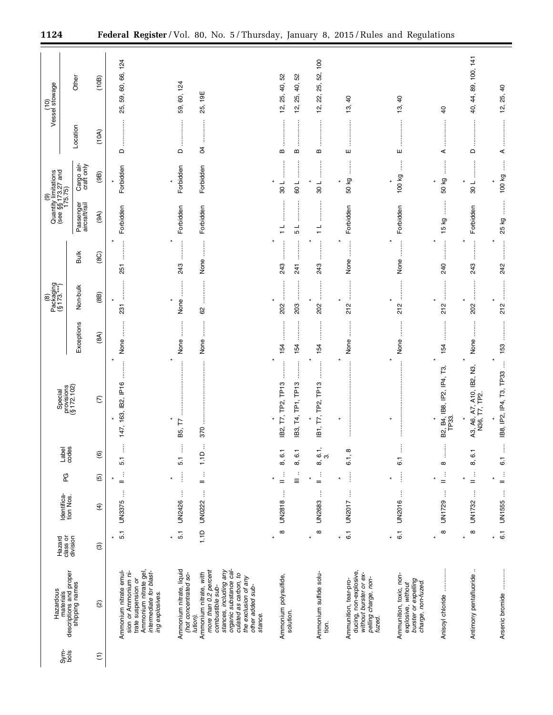|                 | Hazardous                                                                                                                                                                                                           |                                |                          |                                                     |                       |                                                        |                             | Packaging<br>(§ 173.***)<br>$\circlede$                                                                                                                                                                                                                                                                                                                                                                                                                                                      |                                     | Quantity limitations<br>(see $\S$ §173.27 and<br>175.75) |                          |                           | (10)<br>Vessel stowage                         |
|-----------------|---------------------------------------------------------------------------------------------------------------------------------------------------------------------------------------------------------------------|--------------------------------|--------------------------|-----------------------------------------------------|-----------------------|--------------------------------------------------------|-----------------------------|----------------------------------------------------------------------------------------------------------------------------------------------------------------------------------------------------------------------------------------------------------------------------------------------------------------------------------------------------------------------------------------------------------------------------------------------------------------------------------------------|-------------------------------------|----------------------------------------------------------|--------------------------|---------------------------|------------------------------------------------|
| Sym-<br>Dog     | materials<br>descriptions and proper<br>shipping names                                                                                                                                                              | class or<br>division<br>Hazard | Identifica-<br>tion Nos. | PG                                                  | Label<br>codes        | Special<br>provisions<br>(§ 172.102)                   | Exceptions                  | Non-bulk                                                                                                                                                                                                                                                                                                                                                                                                                                                                                     | <b>Bulk</b>                         | Passenger<br>aircraft/rail                               | Cargo air-<br>craft only | Location                  | Other                                          |
| $\widehat{\Xi}$ | $\widehat{\omega}$                                                                                                                                                                                                  | $\circledR$                    | $\widehat{f}$            | $\widehat{\mathfrak{G}}$                            | $\circlede$           | $\widehat{\omega}$                                     | (8A)                        | (8B)                                                                                                                                                                                                                                                                                                                                                                                                                                                                                         | (8C)                                | (9A)                                                     | (9B)                     | (10A)                     | (10B)                                          |
|                 |                                                                                                                                                                                                                     | $\star$                        |                          | $\star$                                             |                       |                                                        |                             |                                                                                                                                                                                                                                                                                                                                                                                                                                                                                              |                                     |                                                          |                          |                           |                                                |
|                 | Ammonium nitrate emul-<br>Ammonium nitrate gel,<br>sion or Ammonium ni-<br>intermediate for blast-<br>trate suspension or<br>ing explosives.                                                                        | 5.1                            | j<br>UN3375              | ÷<br>$=$                                            | ÷<br>5.1              | $\star$<br>147, 163, IB2, IP16                         | :<br>None                   | $\vdots$<br>ļ<br>$\star$<br>231                                                                                                                                                                                                                                                                                                                                                                                                                                                              | $\star$<br>$\vdots$<br>251          | Forbidden                                                | Forbidden                | <br>$\Omega$              | 59, 60, 66, 124<br>25,                         |
|                 | Ammonium nitrate, liquid<br>(hot concentrated so-                                                                                                                                                                   | 5.1<br>$\star$                 | UN2426                   | $\vdots$<br>$\star$                                 | Ť,<br>5.1             | B5, T7                                                 | None                        | None                                                                                                                                                                                                                                                                                                                                                                                                                                                                                         | <br>243                             | Forbidden                                                | Forbidden                | $\frac{1}{2}$<br>$\Omega$ | 59, 60, 124                                    |
|                 | organic substance cal-<br>stances, including any<br>more than 0.2 percent<br>Ammonium nitrate, with<br>culated as carbon, to<br>the exclusion of any<br>other added sub-<br>combustible sub-<br>stance.<br>lution). | $\frac{0}{1}$                  | UN0222                   | $\vdots$<br>$=$                                     | ÷<br>$\frac{1}{2}$    | 370                                                    | :<br>:<br>None              | 62                                                                                                                                                                                                                                                                                                                                                                                                                                                                                           | j<br>None                           | Forbidden                                                | Forbidden                | :<br>:<br>:<br>:<br>S4    | 19E<br>25,                                     |
|                 | Ammonium polysulfide,<br>solution.                                                                                                                                                                                  | $\infty$<br>$\star$            | j<br><b>UN2818</b>       | $\vdots$<br>$\ddot{\phantom{a}}$<br>$\equiv$<br>$=$ | 8, 6.1<br>8, 6, 1     | :<br>:<br>:<br>B2, T7, TP2, TP13<br>IB3, T4, TP1, TP13 | 154<br>154                  | 202<br>203                                                                                                                                                                                                                                                                                                                                                                                                                                                                                   | :<br>:<br>:<br>:<br>İ<br>243<br>241 | $\overline{\phantom{0}}$<br>5                            | 108<br>109               | $\bf{m}$<br>m             | 12, 25, 40, 52<br>52<br>₽,<br>25,<br><u>يہ</u> |
|                 | Ammonium sulfide solu-<br>tion.                                                                                                                                                                                     | $\infty$<br>$\star$            | $\vdots$<br>UN2683       | $\frac{1}{2}$<br>$\ast$                             | 8, 6.1,<br>ຕ່         | $\star$<br>:<br>:<br>:<br>:<br>IB1, T7, TP2, TP13      | 154                         | $\begin{array}{ccccccccccccc} \multicolumn{2}{c}{} & \multicolumn{2}{c}{} & \multicolumn{2}{c}{} & \multicolumn{2}{c}{} & \multicolumn{2}{c}{} & \multicolumn{2}{c}{} & \multicolumn{2}{c}{} & \multicolumn{2}{c}{} & \multicolumn{2}{c}{} & \multicolumn{2}{c}{} & \multicolumn{2}{c}{} & \multicolumn{2}{c}{} & \multicolumn{2}{c}{} & \multicolumn{2}{c}{} & \multicolumn{2}{c}{} & \multicolumn{2}{c}{} & \multicolumn{2}{c}{} & \multicolumn{2}{c}{} & \multicolumn{2}{c}{} & \$<br>202 | :<br>:<br>:<br>243                  | $\frac{1}{\tau}$                                         | $\frac{1}{8}$            | B                         | 22, 25, 52, 100<br><u>يہ</u>                   |
|                 | ducing, non-explosive,<br>without burster or ex-<br>pelling charge, non-<br>fuzed.<br>Ammunition, tear-pro-                                                                                                         | $\overline{6}$ .<br>$\ast$     | ŧ<br>UN2017              | $\vdots$<br>×                                       | 6.1, 8                | $\star$                                                | $\ddot{}}$<br>None          | :<br>:<br>:<br>:<br>212                                                                                                                                                                                                                                                                                                                                                                                                                                                                      | j<br>None                           | Forbidden                                                | $\vdots$<br>50 kg        | ш                         | $\theta$<br>19,                                |
|                 | Ammunition, toxic, non-<br>burster or expelling<br>charge, non-fuzed.<br>explosive, without                                                                                                                         | $\overline{6}$ .<br>¥          | j<br>UN2016              | $\vdots$<br>¥                                       | Ì<br>$\overline{6}$ . | $\star$<br>×                                           | None                        | $\star$<br>212                                                                                                                                                                                                                                                                                                                                                                                                                                                                               | $\vdots$<br>None                    | Forbidden                                                | 100 kg                   | ш                         | $\overline{a}$<br><u>ය</u>                     |
|                 | Anisoyl chloride                                                                                                                                                                                                    | $\infty$<br>$\star$            | ŧ<br>UN1729              | $\frac{1}{n}$                                       | ļ<br>$\infty$         | B2, B4, IB8, IP2, IP4, T3,<br>TP33.<br>×               | <br> <br> <br> <br> <br>154 | ¥<br>212                                                                                                                                                                                                                                                                                                                                                                                                                                                                                     | <b></b><br>240                      | $\frac{1}{2}$<br>15 kg                                   | $\vdots$<br>50 kg        | ⋖                         | dd                                             |
|                 | Antimony pentafluoride                                                                                                                                                                                              | $\infty$<br>$\star$            | ŧ<br>UN1732              | $\frac{1}{2}$<br>×                                  | 8, 6.1                | A3, A6, A7, A10, IB2, N3,<br>N36, T7, TP2.             | None                        | 202                                                                                                                                                                                                                                                                                                                                                                                                                                                                                          | 243                                 | Forbidden                                                | <br> <br> <br> <br>108   | <br>$\Omega$              | 40, 44, 89, 100, 141                           |
|                 | Arsenic bromide                                                                                                                                                                                                     | $\overline{6}$ .<br>$\star$    | UN1555                   | $\frac{1}{n}$                                       | ł<br>$\overline{6}$ . | ŧ<br>IB8, IP2, IP4, T3, TP33                           | <br>153                     | $\frac{1}{2}$<br>212                                                                                                                                                                                                                                                                                                                                                                                                                                                                         | <br>242                             | 25 kg                                                    | $\frac{1}{2}$<br>100 kg  | ⋖                         | 12, 25, 40                                     |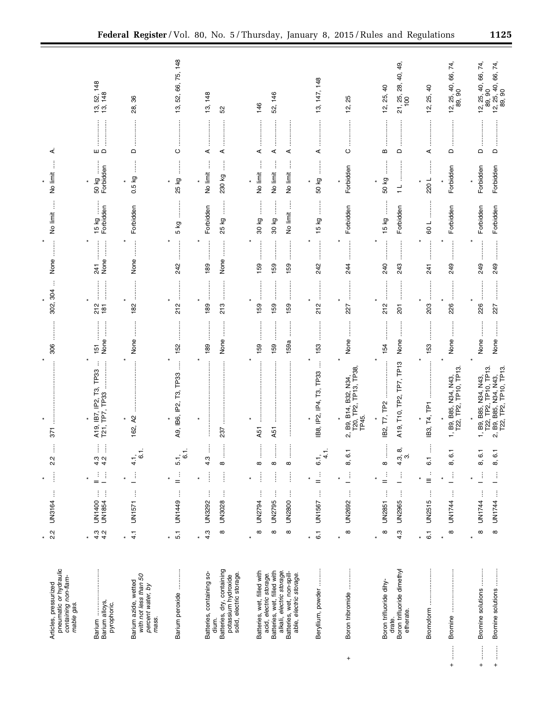|                                                                                                                                                                             | $\star$                                    |                                                         | ¥                                                                        |                                                                                                             |                                        |                                     |                               |                                 |                                            |                                        |                                                                  |
|-----------------------------------------------------------------------------------------------------------------------------------------------------------------------------|--------------------------------------------|---------------------------------------------------------|--------------------------------------------------------------------------|-------------------------------------------------------------------------------------------------------------|----------------------------------------|-------------------------------------|-------------------------------|---------------------------------|--------------------------------------------|----------------------------------------|------------------------------------------------------------------|
| pneumatic or hydraulic<br>containing non-flam-<br>Articles, pressurized<br>mable gas.                                                                                       | 2.2                                        | ŧ<br>UN3164                                             | 2.2<br>j                                                                 | 371                                                                                                         | 306                                    | ÷<br>302, 304                       | None                          | j<br>No limit                   | ļ<br>No limit                              | ∢                                      |                                                                  |
| Barium<br>Barium alloys,<br>pyrophoric.                                                                                                                                     | $\frac{3}{4}$ $\frac{3}{4}$<br>$\star$     | $\vdots$<br>$\vdots$<br>UN1400<br>UN1854                | ĺ<br>j<br>$44$<br>$44$<br>Ì<br>3                                         | T3, TP33<br>TP7, TP33<br>lP2,<br>$\ddot{\phantom{0}}$<br>$\overline{B}$<br>$\frac{A19}{T21}$ ,              | $\vdots$<br>None<br>$\frac{15}{15}$    | <br>212<br>181                      | $\vdots$<br>None<br>241       | 15 kg<br>Forbidden              | İ<br>50 kg<br>Forbidden                    | $\Box$                                 | 148<br><u>ನ್ಗೆ 48</u><br>້າ<br>13,                               |
| with not less than 50<br>Barium azide, wetted<br>percent water, by<br>mass.                                                                                                 | $\frac{1}{4}$<br>$\pmb{\ast}$              | ĵ<br>UN1571                                             | $\overline{6}$<br>$\frac{1}{4}$<br>j.                                    | $\boldsymbol{\mathsf{R}}$<br>162,                                                                           | None                                   | 182                                 | $\ddot{\ddot{\cdot}}$<br>None | Forbidden                       | İ<br>0.5 kg                                | $\Omega$                               | 86<br>28,                                                        |
| Barium peroxide                                                                                                                                                             | 5.1<br>$\star$                             | $\vdots$<br>UN1449                                      | $\overline{5}$ .<br>5.1<br>$\mathbf{u} = \mathbf{v}$                     | A9, IB6, IP2, T3, TP33                                                                                      | 152                                    | .<br>.<br>.<br>.<br>.<br>212        | 242                           | 5 kg                            | 25 kg                                      | $\circ$                                | 13, 52, 66, 75, 148                                              |
| Batteries, dry, containing<br>potassium hydroxide<br>solid, electric storage.<br>Batteries, containing so-<br>dium.                                                         | 4.3<br>$\infty$<br>$\star$                 | j<br>ŧ<br><b>UN3028</b><br>UN3292                       | 4.3<br>$\infty$<br>İ<br>j                                                | 237                                                                                                         | <b>.</b><br>.<br>.<br>j<br>None<br>189 | ¥<br>189<br>213                     | None<br>189                   | Forbidden<br>25 kg              | ļ<br>Î<br>No limit<br>230 kg               | ⋖<br>⋖                                 | 13, 148<br>S <sub>2</sub>                                        |
| Batteries, wet, filled with<br>Batteries, wet, filled with<br>alkali, electric storage.<br>Batteries, wet, non-spill-<br>acid, electric storage.<br>able, electric storage. | $\infty$<br>$\infty$<br>$\infty$<br>$\ast$ | ŧ<br>ŧ<br>j<br>UN2794<br><b>UN2800</b><br><b>UN2795</b> | ${}^{\circ}$<br>$^\infty$<br>${}^{\circ}$<br>İ<br>j                      | $\vdots$<br>A51<br>A51                                                                                      | l<br>159a<br>159<br>159                | <br><br>159<br>159<br>159           | <br>159<br>159<br>159         | ļ<br>No limit<br>30 kg<br>30 kg | ļ<br>ļ<br>No limit<br>No limit<br>No limit | ⋖<br>⋖<br>⋖                            | 52, 146<br>146                                                   |
| Beryllium, powder                                                                                                                                                           | $\overline{6}$ .<br>$\star$                | $\vdots$<br>UN1567                                      | $\frac{1}{\sqrt{2}}$<br>6.1<br>$\frac{1}{2}$                             | ļ<br>TP <sub>33</sub><br>IB8, IP2, IP4, T3,                                                                 | 153                                    | <br>212                             | :<br>:<br>:<br>:<br>242       | j<br>15 kg                      | İ<br>50 kg                                 | <br>⋖                                  | 13, 147, 148                                                     |
| Boron tribromide<br>$^{+}$                                                                                                                                                  | $\infty$<br>$\star$                        | $\vdots$<br><b>UN2692</b>                               | $\overline{6}$<br>ထ<br>$\frac{1}{\alpha}$                                | 2, B9, B14, B32, N34,<br>T20, TP2, TP13, TP38,<br>TP45.                                                     | None                                   | 227                                 | $\vdots$<br>244               | Forbidden                       | Forbidden                                  | O                                      | 25<br><u>يہ</u>                                                  |
| Boron trifluoride dimethyl<br>Boron trifluoride dihy-<br>etherate.<br>drate.                                                                                                | $\infty$<br>4.3<br>×                       | ŧ<br>ŧ<br><b>UN2965</b><br><b>UN2851</b>                | ∞,<br>$4.\overline{3}$<br>$\infty$<br>Ĵ,<br>$\frac{1}{2}$                | TP7, TP13<br>A19, T10, TP2,<br>IB2, T7, TP2                                                                 | None<br>154                            | <br>212<br>201                      | 240<br>243                    | Forbidden<br>15 kg              | l<br>50 kg<br>$\frac{1}{1}$                | B<br>$\mathrel{\mathsf{d}}$            | 49,<br>40,<br>28,<br>12, 25, 40<br>21, 25,<br>100                |
| Bromoform                                                                                                                                                                   | $\overline{6}$<br>$\star$                  | $\vdots$<br><b>UN2515</b>                               | j<br>$\overline{6.1}$<br>÷<br>$\equiv$                                   | IB3, T4, TP1                                                                                                | 153                                    | <b><i><u><u></u></u></i></b><br>203 | 241                           | 109                             | j<br>220L                                  | ⋖                                      | $\overline{a}$<br>25,<br><u>ية</u>                               |
| j<br>$\ddot{}$                                                                                                                                                              | $\infty$<br>$\star$                        | ł<br>UN1744                                             | $\overline{6}$ .<br>$\dot{\infty}$<br>Ĵ.                                 | 1, B9, B85, N34, N43,<br>T22, TP2, TP10, TP13                                                               | None                                   | <br>226                             | 249                           | Forbidden                       | Forbidden                                  | $\mathsf{\Omega}$                      | 40, 66, 74,<br>$12, 25, 40$<br>89, 90                            |
| Bromine solutions<br>Bromine solutions<br>$\begin{array}{c}\n\vdots \\ \downarrow \\ \downarrow\n\end{array}$<br>İ<br>$\boldsymbol{+}$                                      | $\infty$<br>$\infty$<br>$\star$            | Ĵ<br>ŧ<br>UN1744<br>UN1744                              | $\overline{6}$<br>$\overline{6}$ .<br>$\infty$<br>ထ<br>$\mathbb{E}$<br>ŧ | B9, B85, N34, N43,<br>T22, TP2, TP10, TP13.<br>2, B9, B85, N34, N43,<br>T22, TP2, TP10, TP13<br>1, B9, B85, | None<br>None                           | 226<br>227                          | 249<br>249                    | Forbidden<br>Forbidden          | Forbidden<br>Forbidden                     | $\mathsf{\Omega}$<br>$\mathsf{\Omega}$ | $12, 25, 40, 66, 74,$<br>89, 90<br>12, 25, 40, 66, 74,<br>89, 90 |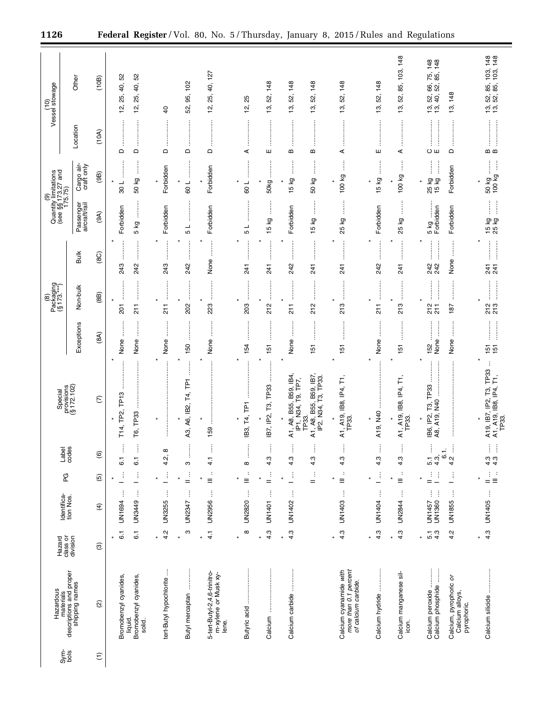|                 | Hazardous                                                                                                |                                    |                                           |                                       |                                           | Special                                                                   |                                              | Packaging<br>(§ 173.***)<br>$\circledR$   |                                                                                                                                                                                                                                                                                                                                                                             |                                  | Quantity limitations<br>(see §§173.27 and<br>175.75)<br>ම    |                                    | Vessel stowage<br>$\frac{1}{2}$                                                       |
|-----------------|----------------------------------------------------------------------------------------------------------|------------------------------------|-------------------------------------------|---------------------------------------|-------------------------------------------|---------------------------------------------------------------------------|----------------------------------------------|-------------------------------------------|-----------------------------------------------------------------------------------------------------------------------------------------------------------------------------------------------------------------------------------------------------------------------------------------------------------------------------------------------------------------------------|----------------------------------|--------------------------------------------------------------|------------------------------------|---------------------------------------------------------------------------------------|
| Sym-<br>Dog     | materials<br>descriptions and proper<br>shipping names                                                   | Hazard<br>class or<br>division     | Identifica-<br>tion Nos.                  | PG                                    | Label<br>codes                            | provisions<br>(§ 172.102)                                                 | Exceptions                                   | Non-bulk                                  | <b>Bulk</b>                                                                                                                                                                                                                                                                                                                                                                 | Passenger<br>aircraft/rail       | Cargo air-<br>craft only                                     | Location                           | Other                                                                                 |
| $\widehat{\Xi}$ | $\widehat{\omega}$                                                                                       | $\circledR$                        | $\widehat{f}$                             | $\widehat{\mathfrak{G}}$              | $\widehat{\mathbf{e}}$                    | $\widehat{\in}$                                                           | (8A)                                         | (8B)                                      | (8C)                                                                                                                                                                                                                                                                                                                                                                        | (9A)                             | (9B)                                                         | (10A)                              | (10B)                                                                                 |
|                 | Bromobenzyl cyanides,<br>Bromobenzyl cyanides,<br>solid.<br>liquid.                                      | $\overline{6}$ .<br>6.1<br>$\star$ | $\vdots$<br>ŧ<br>UN1694<br>UN3449         | $\vdots$<br>÷<br>$\star$<br>-         | ÷<br>$\overline{6}$ .<br>$\overline{6}$ . | TP <sub>13</sub><br>ŧ<br>T14, TP2,<br>T6, TP33<br>$\star$                 | ÷<br>None<br>None<br>$\star$                 | <br>$\star$<br>$\frac{1}{2}$<br>201       | ŧ<br>243<br>242                                                                                                                                                                                                                                                                                                                                                             | :<br>:<br>:<br>Forbidden<br>5 kg | $\vdots$<br>50 kg<br>$\star$<br>108                          | $\hfill \Box$<br>$\mathsf{\Omega}$ | 52<br>40, 52<br>40,<br>25,<br>25,<br><u>ʻzi</u><br>2,                                 |
|                 | tert-Butyl hypochlorite                                                                                  | 4.2<br>$\star$                     | ŧ<br>UN3255                               | ŧ                                     | $\infty$<br>4.2,                          |                                                                           | None                                         | $\frac{1}{2}$                             | 243                                                                                                                                                                                                                                                                                                                                                                         | Forbidden                        | Forbidden                                                    | $\Omega$                           | $\overline{a}$                                                                        |
|                 | j<br>Butyl mercaptan                                                                                     | ო<br>$\star$                       | ŧ<br>UN2347                               | ÷<br>¥<br>$=$                         | S                                         | <b>T4, TP1</b><br>A3, A6, IB2,                                            | 150<br>$\star$                               | ļ<br>202                                  | 242                                                                                                                                                                                                                                                                                                                                                                         | $\overline{\phantom{a}}$<br>Б    | 109                                                          | $\hfill \Box$                      | 95, 102<br>52,                                                                        |
|                 | 5-tert-Butyl-2,4,6-trinitro-<br>m-xylene or Musk xy-<br>lene.                                            | $\frac{1}{4}$<br>$\star$           | ŧ<br><b>UN2956</b>                        | $\colon$<br>×<br>$\equiv$             | ÷<br>$\frac{1}{4}$                        | 159                                                                       | İ<br>None                                    | $\ast$<br>223                             | None                                                                                                                                                                                                                                                                                                                                                                        | Forbidden                        | Forbidden                                                    | $\hfill\square$                    | 40, 127<br>25,<br>12,                                                                 |
|                 | Butyric acid                                                                                             | ∞<br>$\star$                       | ŧ<br>UN2820                               | $\ddot{\phantom{a}}$<br>٠<br>$\equiv$ | j<br>8                                    | IB3, T4, TP1<br>$\star$                                                   | 154                                          | ļ<br>203                                  | 241                                                                                                                                                                                                                                                                                                                                                                         | 5                                | ┙<br>80                                                      | ⋖                                  | 25<br><u>يہ</u>                                                                       |
|                 | Calcium                                                                                                  | 4.3<br>$\star$                     | ŧ<br><b>UN1401</b>                        | $\frac{1}{2}$<br>$\star$              | ŧ<br>4.3                                  | IB7, IP2, T3, TP33                                                        | $\frac{15}{1}$<br>$\star$                    | $\vdots$<br>212                           | 241                                                                                                                                                                                                                                                                                                                                                                         | j<br>15 kg                       | j<br>50kg                                                    | ш                                  | 148<br>52,<br>13,                                                                     |
|                 | Calcium carbide                                                                                          | 4.3<br>$\star$                     | $\vdots$<br>UN1402                        | $\vdots$<br>—                         | ŧ<br>4.3                                  | A1, A8, B55, B59, IB4<br>IP1, N34, T9, TP7,                               | None                                         | :<br>:<br>:<br>:<br>$\frac{1}{2}$         | 242                                                                                                                                                                                                                                                                                                                                                                         | Forbidden                        | $\vdots$<br>15 kg                                            | B                                  | 148<br>52,<br>13,                                                                     |
|                 |                                                                                                          |                                    |                                           | $\vdots$<br>$=$                       | ŧ<br>4.3                                  | A1, A8, B55, B59, IB7,<br>IP2, N34, T3, TP33.<br>TP33.                    | 151                                          | ļ<br>212                                  | 741<br>j                                                                                                                                                                                                                                                                                                                                                                    | j<br>δ<br>$\frac{10}{2}$         | ŧ<br>50 kg                                                   | B                                  | 148<br>52,<br>13,                                                                     |
|                 | Calcium cyanamide with<br>more than 0.1 percent<br>of calcium carbide.                                   | 4.3<br>$\star$                     | j<br>UN1403                               | ÷<br>$\equiv$                         | ŧ<br>4.3                                  | A1, A19, IB8, IP4, T1<br>TP33.<br>$\star$                                 | 151                                          | 213                                       | 241                                                                                                                                                                                                                                                                                                                                                                         | δX<br>25                         | 100 kg<br>×                                                  | ⋖                                  | 148<br>52,<br>19,                                                                     |
|                 | Calcium hydride                                                                                          | 4.3<br>$\star$                     | ŧ<br>UN1404                               | $\vdots$                              | ÷<br>4.3                                  | A19, N40                                                                  | None                                         | $\frac{1}{2}$                             | 242                                                                                                                                                                                                                                                                                                                                                                         | Forbidden                        | 15 kg                                                        | ш                                  | 148<br>52,<br>13,                                                                     |
|                 | Calcium manganese sil-<br>icon.                                                                          | 4.3<br>$\star$                     | ţ<br><b>UN2844</b>                        | $\ddot{\cdot}$<br>$\star$<br>$\equiv$ | ŧ<br>4.3                                  | A1, A19, IB8, IP4, T1<br>TP33.<br>$\star$                                 | 151<br>$\ast$                                | ļ<br>$\ast$<br>213                        | ŧ<br>241<br>ļ                                                                                                                                                                                                                                                                                                                                                               | 25 kg                            | j<br>100 kg                                                  | ⋖                                  | 85, 103, 148<br>52,<br>13,                                                            |
|                 | Calcium peroxide<br>Calcium phosphide<br>Calcium, pyrophoric <i>or</i><br>Calcium alloys,<br>pyrophoric. | 5.1<br>4.3<br>4.2<br>¥             | j<br>ŧ<br>÷<br>UN1360<br>UN1855<br>UN1457 | $\frac{1}{2}$<br>ł<br>-               | ŧ<br>$6.1$ .<br>Ĵ<br>4.3,<br>4.2<br>5.1   | IB6, IP2, T3, TP33<br>A8, A19, N40                                        | j<br>:<br>:<br>:<br>:<br>None<br>None<br>152 | <br>:<br>:<br>:<br>:<br>212<br>187<br>211 | :<br>:<br>:<br>:<br>$\vdots$<br>:<br>:<br>:<br>None<br>242<br>242                                                                                                                                                                                                                                                                                                           | Forbidden<br>Forbidden<br>5 kg   | $\vdots$<br>Forbidden<br>25 kg<br>15 kg                      | $\vdots$<br>Oш<br>$\Box$           | 148<br>148<br>85,<br>66, 75,<br>52,<br>13, 148<br>52,<br>$\overline{40}$<br>ia.<br>15 |
|                 | Calcium silicide                                                                                         | 4.3<br>$\star$                     | UN1405                                    | $\vdots$<br>$\equiv$<br>×<br>$=$      | Ħ<br>$\frac{3}{4}$ $\frac{3}{4}$          | TP33<br>A1, A19, IB8, IP4, T1,<br>TP33.<br>rs,<br>, IP2,<br>A19, IB7<br>× | <u>ត្</u><br>គ្                              | 213<br>213                                | <b>.</b><br>.<br>.<br>.<br>.<br>$\begin{bmatrix} 1 & 0 & 0 & 0 \\ 0 & 0 & 0 & 0 \\ 0 & 0 & 0 & 0 \\ 0 & 0 & 0 & 0 \\ 0 & 0 & 0 & 0 \\ 0 & 0 & 0 & 0 & 0 \\ 0 & 0 & 0 & 0 & 0 \\ 0 & 0 & 0 & 0 & 0 \\ 0 & 0 & 0 & 0 & 0 \\ 0 & 0 & 0 & 0 & 0 & 0 \\ 0 & 0 & 0 & 0 & 0 & 0 \\ 0 & 0 & 0 & 0 & 0 & 0 & 0 \\ 0 & 0 & 0 & 0 & 0 & 0 & 0 \\ 0 & 0 & 0 & 0 & 0 & $<br>य प्र<br>व्य | $\mathbb{I}$<br>15 kg<br>25 kg   | $\frac{50 \text{ kg} \dots}{100 \text{ kg} \dots}$<br>$\ast$ | m m                                | 13, 52, 85, 103, 148<br>13, 52, 85, 103, 148                                          |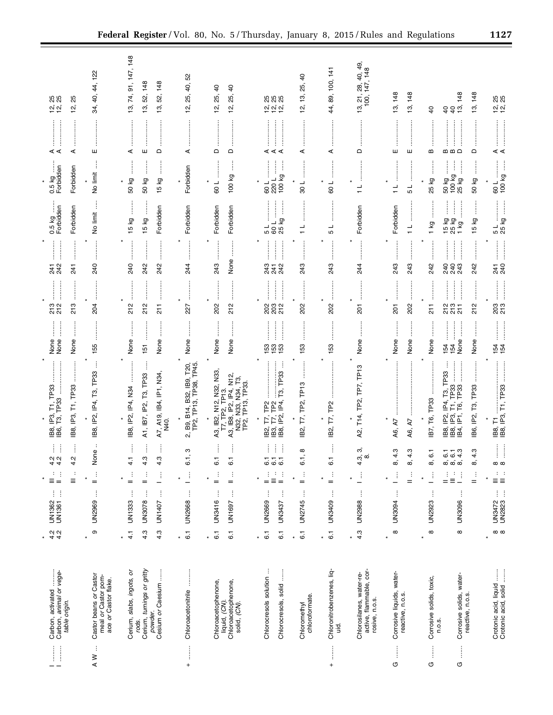| Ħ                                                    | Carbon, activated<br>Carbon, animal or vege-<br>table origin.         | 2<br>4<br>4<br>4            | ţ<br>÷<br>UN1362<br>UN1361  | ÷<br>Ì<br>$\equiv$<br>$=$                         | $\frac{1}{4}$ $\frac{1}{4}$                       | IB8, IP3, T1, TP33<br>IB6, T3, TP33                                                                            | None<br>None                                         | 213<br>212                                                   | 247<br>242                                       | 0.5 kg<br>Forbidden           | 0.5 kg<br>Forbidden                                                     | ⋖⋖                                       | 88<br><u>ರ್ ರ</u>                                            |
|------------------------------------------------------|-----------------------------------------------------------------------|-----------------------------|-----------------------------|---------------------------------------------------|---------------------------------------------------|----------------------------------------------------------------------------------------------------------------|------------------------------------------------------|--------------------------------------------------------------|--------------------------------------------------|-------------------------------|-------------------------------------------------------------------------|------------------------------------------|--------------------------------------------------------------|
|                                                      |                                                                       |                             |                             | ÷<br>$\equiv$                                     | ļ<br>4.2                                          | IB8, IP3, T1, TP33                                                                                             | $\vdots$<br>None                                     | <br>213                                                      | <br>241                                          | Forbidden                     | Forbidden                                                               | ⋖                                        | 25<br><u>يہ</u>                                              |
| ÷<br>$\geq$                                          | Castor beans or Castor<br>meal or Castor pom-<br>ace or Castor flake. | $\circ$<br>$\star$          | ŧ<br>UN2969                 | $\frac{1}{2}$<br>$\ast$                           | $\pmb{\mathsf{\scriptstyle{O}}}$<br>$\frac{5}{2}$ | IB8, IP2, IP4, T3, TP33                                                                                        | 155                                                  | 204                                                          | 240                                              | No limit                      | No limit                                                                | ш                                        | ,122<br>4<br>34, 40,                                         |
|                                                      | Cerium, slabs, ingots, or                                             | 4.1<br>$\star$              | ĵ<br>UN1333                 | ĵ<br>$=$                                          | 4.1                                               | IB8, IP2, IP4, N34                                                                                             | None                                                 | 212                                                          | 240                                              | 15 kg                         | 50 kg                                                                   | ⋖                                        | 13, 74, 91, 147, 148                                         |
|                                                      | Cerium, turnings or gritty<br>rods.                                   | 4.3                         | ÷<br>UN3078                 | ÷<br>$=$                                          | ļ<br>4.3                                          | A1, IB7, IP2, T3, TP33                                                                                         | 151                                                  | 212                                                          | 242                                              | 15 kg                         | 50 kg                                                                   | ш                                        | 148<br>52,<br>13,                                            |
|                                                      | Cesium or Caesium<br>powder.                                          | 4.3                         | j<br>UN1407                 | $\mathbb{E}$                                      | i<br>4.3                                          | A7, A19, IB4, IP1, N34,<br>N40                                                                                 | None                                                 | :<br>:<br>:<br>:<br>$\frac{1}{2}$                            | 242                                              | Forbidden                     | İ<br>15 kg                                                              | $\Omega$                                 | 148<br>52,<br>లో                                             |
| $\vdots$<br>$^{+}$                                   | Chloroacetonitrile                                                    | $\overline{6}$<br>$\ast$    | Ĵ<br><b>UN2668</b>          | $\frac{1}{2}$                                     | S<br>$\overline{6}$ .                             | 2, B9, B14, B32, IB9, T20,<br>TP2, TP13, TP38, TP45.                                                           | None                                                 | 227                                                          | 244                                              | Forbidden                     | Forbidden                                                               | ⋖                                        | 52<br>₽,<br>25,<br>'n,                                       |
|                                                      | Chloroacetophenone,                                                   | $\overline{6}$              | j<br><b>UN3416</b>          | ÷<br>$=$                                          | İ<br>$\overline{6}$                               |                                                                                                                | None                                                 | 202                                                          | 243                                              | Forbidden                     | 109                                                                     | $\mathsf{\Omega}$                        | $\overline{a}$<br>25,<br><u>يہ</u>                           |
|                                                      | Chloroacetophenone,<br>liquid, (CN).<br>solid, (CN).                  | $\overline{6}$ .            | ŧ<br>UN1697                 | ÷<br>$=$                                          | 6.1                                               | A3, IB2, N12, N32, N33,<br>T7, TP2, TP13.<br>A3, IB8, IP2, IP4, N12,<br>N32, N33, N34, T3,<br>TP2, TP13, TP33. | None                                                 | 212                                                          | None                                             | Forbidden                     | 100 kg                                                                  | $\Box$                                   | ੩<br>25,<br>Ξ,                                               |
|                                                      | Chlorocresols solution                                                | $\overline{6}$ .<br>$\star$ | j<br>UN2669                 | ÷<br>$=$                                          | ł<br>$\overline{6}\,\overline{6}\,\overline{6}$   | F,                                                                                                             | 153                                                  |                                                              | $\vdots$<br>243                                  | 1 م                           | <br>220L<br>109                                                         |                                          | 8<br>8<br>8<br>8<br><u>ನ್ನ ನ ನ</u>                           |
|                                                      | Chlorocresols, solid                                                  | 5                           | Ĵ<br>UN3437                 | $\stackrel{\rightarrow}{\equiv}$<br>$\frac{1}{1}$ | j<br>ŧ                                            | B2, T7, TP2<br> B3, T7, TP2<br> B8,  P2, IP4, T3, TP33                                                         | 153<br>153                                           | ខ្លួ ខ្លួ ង្គ                                                | 241<br>242                                       | j<br>25 kg<br>100             | ļ<br>Ĵ<br>100 kg                                                        | ⋖⋖⋖                                      |                                                              |
|                                                      | chloroformate.<br>Chloromethyl                                        | $\overline{6}$ .<br>$\star$ | $\vdots$<br>UN2745          | $\frac{1}{2}$                                     | $\infty$<br>6.1,                                  | T7, TP2, TP13<br><u>в2,</u>                                                                                    | 153                                                  | 202                                                          | 243                                              |                               | $\frac{1}{30}$                                                          | $\ddot{}}$<br>⋖                          | $\overline{6}$<br>25,<br>12, 13,                             |
| ļ<br>$\ddot{}$                                       | Chloronitrobenzenes, liq-<br>ġ                                        | $\overline{6}$ .<br>$\ast$  | ł<br>UN3409                 | $\frac{1}{2}$                                     | 6.1                                               | T7, TP2<br>IB2,                                                                                                | j<br>153                                             | <br>202                                                      | 243                                              | ┙<br>Б                        | 109                                                                     | ⋖                                        | 44, 89, 100, 141                                             |
|                                                      | active, flammable, cor-<br>Chlorosilanes, water-re-<br>rosive, n.o.s. | 4.3                         | j<br><b>UN2988</b>          | Ì                                                 | ω.<br>$rac{1}{4}$ $\infty$                        | A2, T14, TP2, TP7, TP13                                                                                        | None                                                 | 201                                                          | 244                                              | Forbidden                     | $\frac{1}{1}$                                                           | $\mathsf{d}$                             | 49.<br>$3, 21, 28, 40, 49$<br>100, 147, 148<br>$\frac{3}{2}$ |
| j<br>O                                               | Corrosive liquids, water-                                             | $\infty$<br>¥               | ŧ<br>UN3094                 | ŧ<br>¥                                            | ω.<br>$\frac{4}{6}$                               | A6, A7                                                                                                         | None                                                 | <b>201</b>                                                   | $\vdots$<br>243                                  | Forbidden                     | $\frac{1}{1}$                                                           | ш                                        | 13, 148                                                      |
|                                                      | reactive, n.o.s.                                                      |                             |                             | ÷<br>$=$                                          | က္<br>4<br>ထ                                      | A6, A7                                                                                                         | None                                                 | 202                                                          | 243                                              | $\frac{1}{\tau}$              | 51                                                                      | ш                                        | 148<br>ഇ്                                                    |
| j<br>G                                               | Corrosive solids, toxic,<br>n.o.s.                                    | $\infty$<br>$\ast$          | j<br>UN2923                 | j                                                 | $\mathbf -$<br>8, 6                               | IB7, T6, TP33                                                                                                  | $\ddot{\phantom{a}}$<br>None                         | <br>$\frac{1}{2}$                                            | 242                                              | $\frac{1}{6}$                 | $\vdots$<br>25 kg                                                       | w                                        | $\overline{a}$                                               |
| $\begin{array}{c} \vdots \\ \vdots \end{array}$<br>O | Corrosive solids, water-<br>reactive, n.o.s.                          | $\infty$                    | j<br><b>UN3096</b>          | ÷<br>$\frac{1}{2}$<br>$\vdots$<br>$=$             | က္<br>ပြစ်<br>ပြစ်ထိ                              | $\vdots$<br>T1, TP33<br>$\vdots$<br>TP33<br>T6, TP33<br>IP4, T3,<br>E<br><u>ନ୍ମ ରୁ</u><br>88.<br>884.          | $\frac{1}{2}$<br>None<br>$\frac{1}{4}$ $\frac{1}{4}$ | :<br>:<br>:<br>:<br>ļ<br>.<br>.<br>.<br>.<br>.<br>225<br>235 | <b></b><br>:<br>:<br>:<br>:<br>240<br>243<br>243 | ļ<br>15 kg<br>25 kg<br>$1$ kg | $\frac{50 \text{ kg} \dots}{100 \text{ kg} \dots}$<br>$\vdots$<br>25 kg | $\vdots$<br>.<br>.<br>.<br>.<br>.<br>മമമ | 148<br>$\frac{4}{9}$<br>$\overline{6}$                       |
|                                                      |                                                                       |                             |                             | ÷<br>$=$                                          | က္<br>$\frac{4}{6}$                               | T3, TP33<br>IB6, IP2,                                                                                          | None                                                 | 212                                                          | <br>242                                          | 15 kg                         | 50 kg                                                                   | $\Box$                                   | 148<br>ഇ                                                     |
|                                                      | Crotonic acid, liquid<br>Crotonic acid, solid                         | $\infty$                    | ŧ,<br>ŧ<br>UN3472<br>UN2823 | $\mathbb{C}^n$ .<br>$\equiv \equiv$               | $\ddot{z}$<br>$\infty$                            | IB8, T1<br>IB8, IP3, T1, TP33                                                                                  | $\frac{154}{154}$                                    | ខ្លួ<br>213                                                  | 241<br>240                                       | 5 L<br>25 kg                  | 100 kg<br>109                                                           | ⋖⋖                                       | 12, 25<br>12, 25                                             |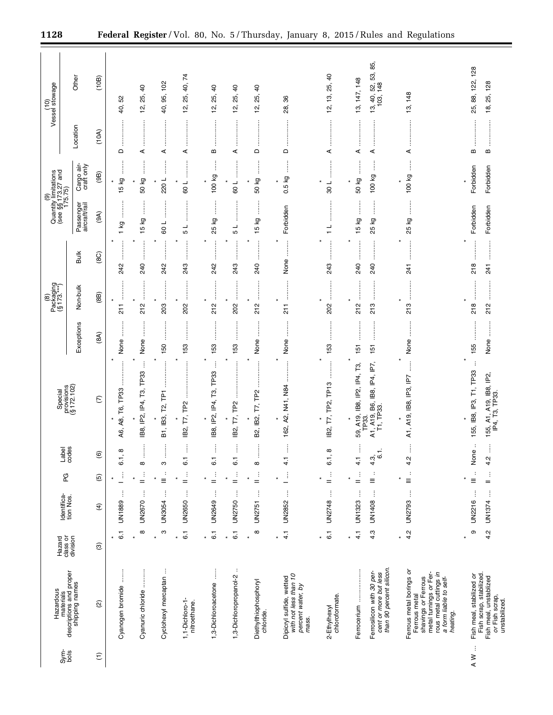| Vessel stowage<br>$\frac{1}{2}$                             | Other<br>Location                                      | (10B)<br>(10A)           | 52<br>40,<br>$\Box$                               | $\overline{a}$<br>25,<br><u>يہ</u><br>⋖<br>İ | 102<br>95,<br>₽,<br>⋖<br>$\vdots$ | 40,74<br>25,<br>έņ<br>⋖         | $\overline{a}$<br>25,<br><u>يہ</u><br>B<br>ļ | $\overline{6}$<br>25,<br>2,<br>⋖ | $\overline{6}$<br>25,<br><u>ية</u><br>$\Box$<br>j                                                                                                                                                                | 86<br>28,<br>$\Omega$                                                           | $\overline{a}$<br>12, 13, 25,<br>⋖<br>:<br>:<br>:     | 13, 147, 148<br>j<br>⋖               | 85,<br>53,<br>$13, 40, 52, 9$<br>$103, 148$<br>⋖<br>ļ                          | 13, 148<br>⋖<br>j                                                                                                                                          | 25, 88, 122, 128<br>B             | 25, 128<br>¤,<br>m                                                                   |
|-------------------------------------------------------------|--------------------------------------------------------|--------------------------|---------------------------------------------------|----------------------------------------------|-----------------------------------|---------------------------------|----------------------------------------------|----------------------------------|------------------------------------------------------------------------------------------------------------------------------------------------------------------------------------------------------------------|---------------------------------------------------------------------------------|-------------------------------------------------------|--------------------------------------|--------------------------------------------------------------------------------|------------------------------------------------------------------------------------------------------------------------------------------------------------|-----------------------------------|--------------------------------------------------------------------------------------|
| (9)<br>Quantity limitations<br>(see §§173.27 and<br>175.75) | Cargo air-<br>craft only<br>Passenger<br>aircraft/rail | (9B)<br>(9A)             | δă<br>$\frac{15}{1}$<br>İ<br>δŽ<br>$\overline{ }$ | 50 kg<br>ļ<br>15 kg                          | 220L<br>109                       | 109<br>┙<br>Б                   | 100 kg<br>İ<br>25 kg                         | ┙<br>80<br>┙<br>5                | 50 kg<br>$\begin{array}{c} \begin{array}{c} \begin{array}{c} \begin{array}{c} \begin{array}{c} \end{array} \end{array} \\ \begin{array}{c} \end{array} \end{array} \end{array} \end{array} \end{array}$<br>15 kg | 0.5 kg<br>Forbidden                                                             | $\overline{\phantom{0}}$<br>30<br>┙<br>$\overline{ }$ | 50 kg<br>$\ast$<br>İ<br>15 kg        | 100 kg<br>j<br>25 kg                                                           | 100 kg<br>ļ<br>25 kg                                                                                                                                       | Forbidden<br>Forbidden            | Forbidden<br>Forbidden                                                               |
|                                                             | <b>Bulk</b>                                            | (8C)                     | 242                                               | 240                                          | 242                               | j<br>243                        | 242                                          | 243                              | ŧ<br>240                                                                                                                                                                                                         | None                                                                            | 243                                                   | 240                                  | 240                                                                            | 241                                                                                                                                                        | 218                               | <br>241                                                                              |
| Packaging<br>(§ 173.***)<br>$\widehat{\mathbf{e}}$          | Non-bulk                                               | (8B)                     | $\frac{1}{2}$<br>$\ddot{}}$                       | <br>212<br>İ                                 | :<br>:<br>:<br>:<br>203           | ŧ<br>202                        | :<br>:<br>212                                | j<br>202                         | :<br>:<br>:<br>:<br>212                                                                                                                                                                                          | ŧ<br>$\frac{1}{2}$                                                              | <br>202                                               | ļ<br>×<br>212                        | <br>213                                                                        | 213                                                                                                                                                        | j<br>218                          | :<br>:<br>:<br>:<br>212                                                              |
|                                                             | Exceptions                                             | (8A)                     | None<br>$\star$                                   | None                                         | 150                               | 153                             | 153<br>j                                     | 153                              | None<br>$\ast$                                                                                                                                                                                                   | None                                                                            | 153<br>:<br>:<br>:<br>:                               | $\frac{15}{15}$<br>×                 | 151                                                                            | None<br>$\star$<br>j                                                                                                                                       | 155<br>÷                          | None                                                                                 |
| Special                                                     | provisions<br>(§ 172.102)                              | E                        | TP <sub>33</sub><br>T6,<br>A8,<br>А6,             | TP33<br>Τ3,<br>IP2, IP4,<br><u>ва,</u>       | Ě<br>۲2j<br>B1, IB3,              | TP <sub>2</sub><br>T,<br>IB2,   | TP33<br>Τ3,<br>IP2, IP4,<br>$\star$<br>IB8,  | TP <sub>2</sub><br>F,<br>lB2,    | T7, TP2<br>B2, IB2,                                                                                                                                                                                              | A2, N41, N84<br>162,                                                            | T7, TP2, TP13<br>$\star$<br>IB2,                      | 59, A19, IB8, IP2, IP4, T3,<br>TP33. | A1, A19, B6, IB8, IP4, IP7,<br>T1, TP33.                                       | A1, A19, IB8, IP3, IP7                                                                                                                                     | 155, IB8, IP3, T1, TP33           | 155, A1, A19, IB8, IP2,<br>IP4, T3, TP33.                                            |
|                                                             | Label<br>codes                                         | $\widehat{\mathfrak{G}}$ | $^\infty$<br>$\dot{\rm o}$                        | $\infty$                                     | ო<br>÷                            | İ<br>ဖ                          | Î<br>$\ddot{\circ}$                          | İ<br>6                           | $\infty$                                                                                                                                                                                                         | 4.                                                                              | œ<br>.<br>ف                                           | j<br>$\frac{1}{4}$                   | $\overline{6}$ .<br>$4.\overline{3}$<br>$\cdot$                                | j<br>4.2                                                                                                                                                   | ÷<br>None<br>$\ddot{\phantom{a}}$ | $\vdots$<br>4.2                                                                      |
|                                                             | PG                                                     | $\widehat{\mathfrak{G}}$ | ŧ<br>$\star$<br>ŧ                                 | Ĵ<br>$=$<br>ŧ                                | Ξ<br>j                            | $\vdots$<br>$=$<br>ŧ            | $\frac{1}{2}$<br>ĵ                           | $\frac{1}{2}$<br>ŧ               | ÷<br>$\ast$<br>$=$<br>ŧ                                                                                                                                                                                          | Ť<br>ŧ                                                                          | $\vdots$<br>$=$<br>ĵ                                  | $\frac{1}{2}$<br>$\ast$<br>ŧ         | $\equiv$<br>$\vdots$                                                           | $\equiv$<br>ŧ                                                                                                                                              | $\star$<br>Ξ<br>ŧ                 | $\vdots$<br>$=$                                                                      |
|                                                             | Identifica-<br>tion Nos.                               | $\widehat{f}$            | UN1889                                            | UN2670                                       | UN3054                            | UN2650                          | UN2649                                       | UN2750                           | <b>UN2751</b>                                                                                                                                                                                                    | UN2852                                                                          | UN2748                                                | UN1323                               | UN1408                                                                         | <b>UN2793</b>                                                                                                                                              | <b>UN2216</b>                     | UN1374                                                                               |
|                                                             | Hazard<br>class or<br>division                         | $\circledcirc$           | 6.1                                               | $\infty$<br>$\star$                          | ო                                 | $\overline{6}$ .                | $\overline{6}$ .                             | $\overline{6}$ .<br>¥            | $\infty$<br>$\star$                                                                                                                                                                                              | $\frac{1}{4}$                                                                   | $\overline{6}$                                        | 4.1<br>×                             | 4.3                                                                            | 4.2                                                                                                                                                        | თ                                 | 4.2                                                                                  |
| Hazardous                                                   | materials<br>descriptions and proper<br>shipping names | $\widehat{\omega}$       | Cyanogen bromide                                  | Cyanuric chloride                            | Cyclohexyl mercaptan              | 1,1-Dichloro-1-<br>nitroethane. | j<br>1,3-Dichloroacetone                     | ÷<br>1,3-Dichloropropanol-2      | Diethylthiophosphoryl<br>chloride.                                                                                                                                                                               | Dipicryl sulfide, wetted<br>with not less than 10<br>percent water, by<br>mass. | chloroformate.<br>2-Ethylhexyl                        | Ferrocerium                          | than 90 percent silicon.<br>Ferrosilicon with 30 per-<br>cent or more but less | Ferrous metal borings or<br>rous metal cuttings in<br>metal turnings or Fer-<br>shavings or Ferrous<br>a form liable to self-<br>Ferrous metal<br>heating. | Fish meal, stabilized or          | Fish scrap, stabilized.<br>Fish meal, unstablized<br>or Fish scrap,<br>unstabilized. |
|                                                             | $rac{\xi}{\delta}$                                     | $\widehat{\Xi}$          |                                                   |                                              |                                   |                                 |                                              |                                  |                                                                                                                                                                                                                  |                                                                                 |                                                       |                                      |                                                                                |                                                                                                                                                            | $\sim$ W $\sim$                   |                                                                                      |

÷.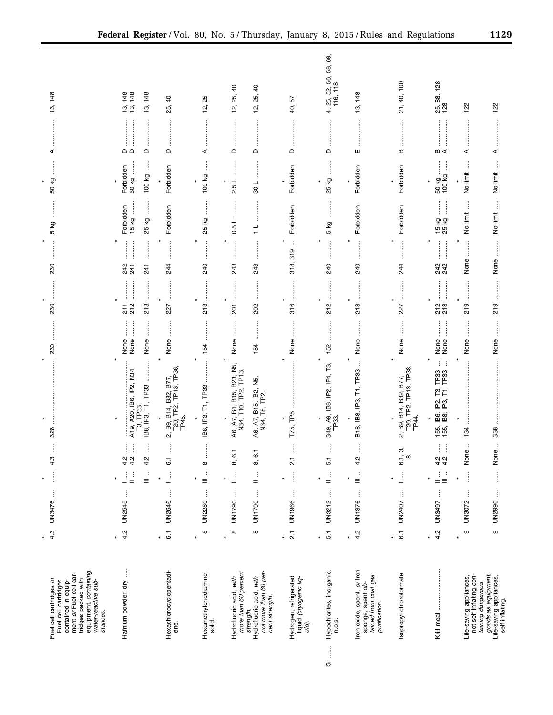| equipment, containing<br>ment or Fuel cell car-<br>tridges packed with<br>Fuel cell cartridges or<br>Fuel cell cartridges<br>contained in equip-<br>water-reactive sub-<br>stances. | 4.3<br>$\ast$              | j<br>UN3476               | $\vdots$<br>$\ast$                                        | 4.3                                                              | 328                                                                       | 230                          | 230                     | 230                                                                                                                                                                                                                                                                                                                                                                                                                                                                                          | <br> <br> <br>5 kg          | 50 kg                                  | ⋖                                                           | 148<br><u>ය</u>                            |
|-------------------------------------------------------------------------------------------------------------------------------------------------------------------------------------|----------------------------|---------------------------|-----------------------------------------------------------|------------------------------------------------------------------|---------------------------------------------------------------------------|------------------------------|-------------------------|----------------------------------------------------------------------------------------------------------------------------------------------------------------------------------------------------------------------------------------------------------------------------------------------------------------------------------------------------------------------------------------------------------------------------------------------------------------------------------------------|-----------------------------|----------------------------------------|-------------------------------------------------------------|--------------------------------------------|
| Hafnium powder, dry                                                                                                                                                                 | 4.2                        | ĵ<br><b>UN2545</b>        | $\frac{1}{n}$<br>$\equiv$<br>Ľ,                           | Ĵ<br>ŧ<br>ļ<br>$\begin{array}{c} 2 \\ 4 \\ 3 \end{array}$<br>4.2 | A19, A20, IB6, IP2, N34,<br>T3, TP33.<br>IB8, IP3, T1, TP33               | j<br>None<br>None<br>None    | 213<br>$\frac{7}{2}$ 12 | 241<br>241<br>241                                                                                                                                                                                                                                                                                                                                                                                                                                                                            | 15 kg<br>Forbidden<br>25 kg | 50 kg<br>Forbidden<br>100 kg           | .<br>.<br>.<br>.<br>.<br>$\Omega$<br>$\mathrel{\mathsf{d}}$ | 13, 148<br>13, 148<br>148<br>$\frac{1}{2}$ |
| Hexachlorocyclopentadi-<br>ene.                                                                                                                                                     | $\overline{6}$ .<br>¥      | $\vdots$<br><b>UN2646</b> | Ĵ,                                                        | İ<br>6.1                                                         | 2, B9, B14, B32, B77,<br>T20, TP2, TP13, TP38<br>TP45.                    | None                         | <br>227                 | $\begin{array}{ccccccccccccc} \multicolumn{2}{c}{} & \multicolumn{2}{c}{} & \multicolumn{2}{c}{} & \multicolumn{2}{c}{} & \multicolumn{2}{c}{} & \multicolumn{2}{c}{} & \multicolumn{2}{c}{} & \multicolumn{2}{c}{} & \multicolumn{2}{c}{} & \multicolumn{2}{c}{} & \multicolumn{2}{c}{} & \multicolumn{2}{c}{} & \multicolumn{2}{c}{} & \multicolumn{2}{c}{} & \multicolumn{2}{c}{} & \multicolumn{2}{c}{} & \multicolumn{2}{c}{} & \multicolumn{2}{c}{} & \multicolumn{2}{c}{} & \$<br>244 | Forbidden                   | Forbidden                              | $\Box$                                                      | 9<br>25,                                   |
| Hexamethylenediamine,<br>solid.                                                                                                                                                     | $\infty$<br>$\star$        | j<br><b>UN2280</b>        | ÷<br>$\equiv$                                             | $\infty$                                                         | IB8, IP3, T1, TP33                                                        | 154                          | 213                     | :<br>240                                                                                                                                                                                                                                                                                                                                                                                                                                                                                     | 25 kg                       | j<br>100 kg                            | ⋖                                                           | 25<br><u>يہ</u>                            |
| more than 60 percent<br>Hydrofluoric acid, with                                                                                                                                     | $\infty$<br>$\ast$         | ł<br>UN1790               | Ì                                                         | 8, 6.1                                                           | A6, A7, B4, B15, B23, N5,<br>N34, T10, TP2, TP13.                         | j<br>None                    | 201                     | <b>.</b><br>.<br>.<br>.<br>.<br>243                                                                                                                                                                                                                                                                                                                                                                                                                                                          | 0.5L                        | 2.5L                                   | $\mathsf \Omega$                                            | $\overline{6}$<br>25,<br><u>يہ</u>         |
| not more than 60 per-<br>Hydrofluoric acid, with<br>cent strength.<br>strength.                                                                                                     | $\infty$                   | ŧ<br>UN1790               | ÷<br>$=$                                                  | 8, 6.1                                                           | ر<br>گا<br>A6, A7, B15, IB2,<br>N34, T8, TP2.                             | 154                          | 202                     | .<br>.<br>.<br>.<br>.<br>243                                                                                                                                                                                                                                                                                                                                                                                                                                                                 | $\frac{1}{1}$               | 108                                    | $\hfill \Box$                                               | $\overline{a}$<br>25,<br>12,               |
| Hydrogen, refrigerated<br>liquid (cryogenic liq-<br>uid).                                                                                                                           | $\overline{21}$<br>$\star$ | ŧ<br>UN1966               | $\begin{array}{c} \vdots \\ \vdots \\ \vdots \end{array}$ | Î<br>$\overline{21}$                                             | T75, TP5                                                                  | None                         | <br> <br> <br> <br>316  | ÷<br>318, 319                                                                                                                                                                                                                                                                                                                                                                                                                                                                                | Forbidden                   | Forbidden                              | $\Omega$                                                    | 57<br>40,                                  |
| Hypochlorites, inorganic,<br>n.o.s.<br>$\begin{array}{c} \vdots \\ \vdots \end{array}$<br>G                                                                                         | 5.1<br>$\star$             | UN3212                    | $\frac{1}{n}$<br>$\vdots$                                 | Î<br>5.1                                                         | 349, A9, IB8, IP2, IP4, T3,<br>TP33.<br>$\pmb{\ast}$                      | 152                          | 212                     | 240                                                                                                                                                                                                                                                                                                                                                                                                                                                                                          | 5 kg                        | $\frac{1}{2}$<br>25 kg<br>$\star$      | $\mathsf{\Omega}$                                           | 4, 25, 52, 56, 58, 69,<br>116, 118         |
| Iron oxide, spent, <i>or</i> Iron<br>sponge, spent <i>ob</i> -<br>tained from coal gas<br>purification.                                                                             | 4.2                        | $\vdots$<br>UN1376        | $\ddot{\cdot}$<br>$\equiv$                                | ļ<br>4.2                                                         | $\vdots$<br>T1, TP33<br>B18, IB8, IP3,                                    | j<br>None                    | 213                     | $\begin{array}{ccccccccccccc} \multicolumn{2}{c}{} & \multicolumn{2}{c}{} & \multicolumn{2}{c}{} & \multicolumn{2}{c}{} & \multicolumn{2}{c}{} & \multicolumn{2}{c}{} & \multicolumn{2}{c}{} & \multicolumn{2}{c}{} & \multicolumn{2}{c}{} & \multicolumn{2}{c}{} & \multicolumn{2}{c}{} & \multicolumn{2}{c}{} & \multicolumn{2}{c}{} & \multicolumn{2}{c}{} & \multicolumn{2}{c}{} & \multicolumn{2}{c}{} & \multicolumn{2}{c}{} & \multicolumn{2}{c}{} & \multicolumn{2}{c}{} & \$<br>240 | Forbidden                   | Forbidden                              | ш                                                           | 148<br><u>ო</u>                            |
| Isopropyl chloroformate                                                                                                                                                             | $\overline{6}$ .           | $\vdots$<br>UN2407        | $\mathbb{E}$                                              | က်<br>÷, ∞<br>⊙                                                  | 2, B9, B14, B32, B77,<br>T20, TP2, TP13, TP38,<br>TP44.                   | None                         | 227                     | 244                                                                                                                                                                                                                                                                                                                                                                                                                                                                                          | Forbidden                   | Forbidden                              | B                                                           | $^{100}$<br>40,<br>21,                     |
|                                                                                                                                                                                     | 4.2<br>$\star$             | $\vdots$<br><b>L675NN</b> | $\mathop{=}^{\mathbb{I}}$<br>÷<br>$\equiv$                | ĺ<br>ŧ<br>$\frac{1}{4}$ $\frac{1}{4}$                            | $\vdots$<br>$\cdot$<br>155, IB6, IP2, T3, TP33<br>155, IB8, IP3, T1, TP33 | <b>:</b><br>None<br>None     | <br>213<br>213          | <b></b><br>242<br>242                                                                                                                                                                                                                                                                                                                                                                                                                                                                        | ļ<br>j<br>15 kg<br>25 kg    | $\frac{50 \text{ kg}}{100 \text{ kg}}$ | $m \leq$                                                    | 25, 88, 128<br>128                         |
| Life-saving appliances,<br>not self inflating <i>con</i> -                                                                                                                          | $\circ$<br>$\star$         | ŧ<br>UN3072               | Î<br>٠                                                    | $\ddot{\phantom{a}}$<br>$\pmb{\Phi}$<br>δ                        | $\vdots$<br>134                                                           | $\ddot{\phantom{a}}$<br>None | 219                     | None                                                                                                                                                                                                                                                                                                                                                                                                                                                                                         | Ĵ<br>No limit               | ļ<br>No limit                          | ⋖                                                           | 122                                        |
| goods as equipment.<br>Life-saving appliances,<br>taining dangerous<br>self inflating.                                                                                              | $\circ$                    | UN2990                    | İ                                                         | $\underline{\mathbb{O}}$<br>5<br>No                              | 338                                                                       | None                         | 219                     | $\begin{array}{c} \begin{array}{c} \begin{array}{c} \begin{array}{c} \begin{array}{c} \end{array} \\ \end{array} \end{array} \end{array} \end{array} \end{array}$<br>None                                                                                                                                                                                                                                                                                                                    | j<br>No limit               | No limit                               | ⋖                                                           | 122                                        |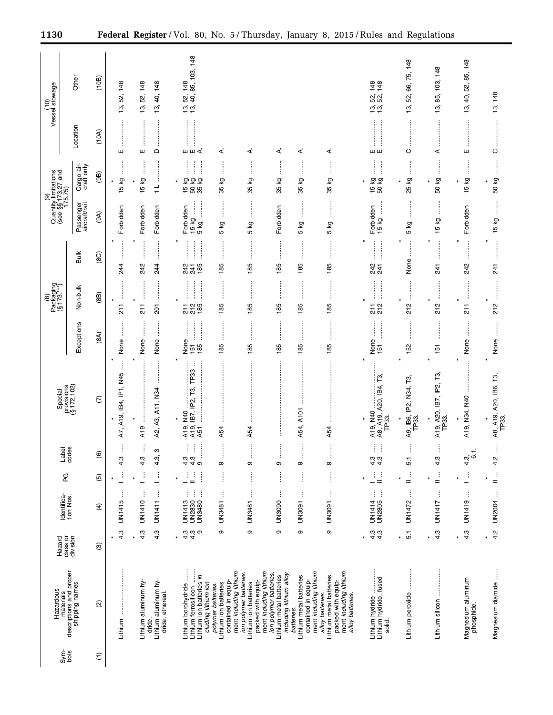| (10)<br>Vessel stowage |                                                             | Other<br>Location          | (10B)<br>(10A)         | 148<br>52,<br><u>ය</u>    | 148<br>52,<br>13,    | 148<br>₽,<br>19,                                  | 13, 52, 148<br>13, 40, 85, 103, 148                                                             |                                                                    |                                                                                                                           |                                                                              |                                                                                        |                                                                                                                 | 52, 148<br>52, 148<br><u>າ</u><br>1ອີງ                                                                                                                                                                                                                                                                                                                        | 66, 75, 148<br>52,<br>13,         | 85, 103, 148<br>13,                 | 40, 52, 85, 148<br>13,              | 148<br>13,                      |
|------------------------|-------------------------------------------------------------|----------------------------|------------------------|---------------------------|----------------------|---------------------------------------------------|-------------------------------------------------------------------------------------------------|--------------------------------------------------------------------|---------------------------------------------------------------------------------------------------------------------------|------------------------------------------------------------------------------|----------------------------------------------------------------------------------------|-----------------------------------------------------------------------------------------------------------------|---------------------------------------------------------------------------------------------------------------------------------------------------------------------------------------------------------------------------------------------------------------------------------------------------------------------------------------------------------------|-----------------------------------|-------------------------------------|-------------------------------------|---------------------------------|
|                        |                                                             |                            |                        | ш                         | ш                    | $\mathsf{\Omega}$                                 | шш∢<br>$\vdots$<br>ļ<br>j                                                                       | ⋖<br>$\vdots$                                                      | ∢                                                                                                                         | ₹<br>İ                                                                       | ∢                                                                                      | ∢                                                                                                               | шш<br>$\vdots$<br>$\begin{array}{c} \begin{array}{c} \begin{array}{c} \begin{array}{c} \end{array}\\ \end{array} \end{array} \end{array}$                                                                                                                                                                                                                     | $\circ$<br>$\ddot{}}$             | ⋖<br>$\ddot{}}$                     | ш                                   | $\circ$                         |
|                        | (9)<br>Quantity limitations<br>(see §§173.27 and<br>175.75) | Cargo air-<br>craft only   | (9B)                   | 5 kg<br>÷                 | δą<br>$\frac{15}{2}$ | ÷<br>$\frac{1}{1}$                                | 15 kg<br>50 kg<br>35 kg                                                                         | 35 kg                                                              | ତ୍ର<br>35                                                                                                                 | δă<br>35                                                                     | ξQ<br>35 <sub>1</sub>                                                                  | ÷<br>kg<br>35                                                                                                   | 15 kg<br>50 kg                                                                                                                                                                                                                                                                                                                                                | Γð<br>25                          | 50 kg                               | Κĝ<br>ъ<br>$\overline{\phantom{0}}$ | 50 kg                           |
|                        |                                                             | Passenger<br>aircraft/rail | (9A)                   | Forbidden                 | Forbidden            | Forbidden                                         | 15 kg<br>:<br>:<br>:<br>:<br>Forbidden<br>5 kg                                                  | j<br>δz<br>Ю                                                       | :<br>:<br>:<br>:<br>δĀ<br>Б                                                                                               | Forbidden                                                                    | ξğ<br>5                                                                                | :<br>:<br>δ<br>ъ                                                                                                | j<br>Forbidden<br>15 kg                                                                                                                                                                                                                                                                                                                                       | ÷<br>kg<br>5                      | İ<br>δ<br>10                        | Forbidden                           | 15 kg                           |
|                        |                                                             | Bulk                       | (8C)                   | <br>244                   | j<br>242             | 244                                               | <br>$\frac{1}{2}$<br>241<br>241<br>185                                                          | $\vdots$<br>ŧ<br>185                                               | 185                                                                                                                       | 185                                                                          | 185                                                                                    | <br>185                                                                                                         | :<br>:<br>:<br>:<br>247<br>241                                                                                                                                                                                                                                                                                                                                | None                              | ÷<br>241                            | 242                                 | 241                             |
| $\circledast$          | Packaging<br>(§173.***)                                     | Non-bulk                   | (8B)                   | <br>$\frac{1}{2}$         | $\frac{1}{2}$        | :<br>:<br>:<br>:<br>$\overline{5}$                | <br>$212$<br>$185$<br>21                                                                        | <br>185                                                            | 185                                                                                                                       | <br>185                                                                      | 185                                                                                    | 185                                                                                                             | $\begin{bmatrix} 1 & 0 & 0 & 0 \\ 0 & 0 & 0 & 0 \\ 0 & 0 & 0 & 0 \\ 0 & 0 & 0 & 0 \\ 0 & 0 & 0 & 0 \\ 0 & 0 & 0 & 0 \\ 0 & 0 & 0 & 0 & 0 \\ 0 & 0 & 0 & 0 & 0 \\ 0 & 0 & 0 & 0 & 0 \\ 0 & 0 & 0 & 0 & 0 & 0 \\ 0 & 0 & 0 & 0 & 0 & 0 \\ 0 & 0 & 0 & 0 & 0 & 0 & 0 \\ 0 & 0 & 0 & 0 & 0 & 0 & 0 \\ 0 & 0 & 0 & 0 & 0 & 0 & $<br>:<br>:<br>:<br>:<br>211<br>212 | 212                               | 212                                 | 211                                 | 212                             |
|                        |                                                             | Exceptions                 | (8A)                   | :<br>None                 | None                 | ÷<br>None                                         | :<br>:<br>:<br>None<br>151<br>185                                                               | ļ<br>İ<br>185                                                      | 185                                                                                                                       | <br>185                                                                      | 185                                                                                    | 185                                                                                                             | None<br>151                                                                                                                                                                                                                                                                                                                                                   | 152                               | 151                                 | None                                | None                            |
|                        | Special<br>provisions<br>(§ 172.102)                        |                            | $\widehat{\in}$        | A19, IB4, IP1, N45<br>A7, | A19                  | A2, A3, A11, N34                                  | ÷<br>T3, TP33<br>A19, IB7, IP2,<br>N40<br>A19,<br>A51                                           | A54                                                                | A54                                                                                                                       | $\vdots$                                                                     | A54, A101                                                                              | A54                                                                                                             | A8, A19, A20, IB4, T3,<br>A19, N40<br>TP33.                                                                                                                                                                                                                                                                                                                   | N34, T3<br>A9, IB6, IP2,<br>TP33. | Г3,<br>A19, A20, IB7, IP2,<br>TP33. | $\ast$<br>A19, N34, N40             | A8, A19, A20, IB6, T3,<br>TP33. |
|                        | Label<br>codes                                              |                            | $\widehat{\mathbf{e}}$ | 4.3                       | ŧ<br>4.3             | S<br>$4.\overline{3}$                             | ļ<br>ļ<br>Ť<br>$440$<br>$\ddot{u}$                                                              | ÷<br>თ                                                             | ၜ                                                                                                                         | i<br>თ                                                                       | Φ                                                                                      | ÷<br>Φ                                                                                                          | Ĵ<br>ŧ<br>$4.3$<br>$4.3$                                                                                                                                                                                                                                                                                                                                      | i<br>5.1                          | ļ<br>4.3                            | ÷<br>ဖ<br>$4.\overline{3}$          | 4.2                             |
|                        | PG                                                          |                            | $\widehat{\mathbf{e}}$ | Ĵ                         | ŧ                    | ŧ                                                 | j<br>j<br>÷<br>$=$                                                                              | İ                                                                  | İ                                                                                                                         | j                                                                            | İ                                                                                      | İ                                                                                                               | $\frac{1}{2}$<br>Ť                                                                                                                                                                                                                                                                                                                                            | $\mathop{=}^{\mathbb{I}}$         | $\frac{1}{n}$                       | Ĵ                                   | ÷<br>$=$                        |
|                        | Identifica-                                                 | tion Nos.                  | $\widehat{f}$          | Î<br>UN1415               | ÷<br>UN1410          | $\vdots$<br>UN1411                                | ļ<br>ŧ<br>ŧ<br><b>UN2830</b><br>UN1413<br>UN3480                                                | ŧ<br><b>UN3481</b>                                                 | ŧ<br><b>UN3481</b>                                                                                                        | ŧ<br><b>UN3090</b>                                                           | $\vdots$<br><b>L60SNN</b>                                                              | ŧ<br><b>UN3091</b>                                                                                              | j<br>į<br><b>UN2805</b><br>UN1414                                                                                                                                                                                                                                                                                                                             | ł<br>UN1472                       | ţ<br>UN1417                         | ŧ<br>UN1419                         | ŧ<br><b>UN2004</b>              |
|                        | class or<br>Hazard                                          | division                   | ම                      | 4.3                       | 4.3                  | 4.3                                               | $\frac{3}{4}$ $\frac{3}{4}$<br>ၜ                                                                | တ                                                                  | ၜ                                                                                                                         | ၜ                                                                            | თ                                                                                      | თ                                                                                                               | 4.3<br>4.3                                                                                                                                                                                                                                                                                                                                                    | 5.1<br>¥                          | 4.3                                 | 4.3<br>¥                            | 4.2                             |
|                        | materials<br>descriptions and proper<br>Hazardous           | shipping names             | $\widehat{\omega}$     | Lithium                   | Lithium aluminum hy- | Lithium aluminum hy-<br>dride, ethereal<br>dride. | Lithium borohydride<br>Lithium ferrosilicon<br>Lithium ion batteries in-<br>cluding lithium ion | contained in equip-<br>Lithium ion batteries<br>polymer batteries. | ment including lithium<br>ment including lithium<br>ion polymer batteries.<br>packed with equip-<br>Lithium ion batteries | ion polymer batteries.<br>including lithium alloy<br>Lithium metal batteries | ment including lithium<br>Lithium metal batteries<br>contained in equip-<br>batteries. | ment including lithium<br>Lithium metal batteries<br>packed with equip-<br>alloy batteries.<br>alloy batteries. | Lithium hydride, fused<br>Lithium hydride<br>solid.                                                                                                                                                                                                                                                                                                           | Lithium peroxide                  | Lithium silicon                     | Magnesium aluminum<br>phosphide.    | j<br>Magnesium diamide          |
|                        | $rac{\text{m}}{\text{S}}$                                   |                            | $\widehat{\tau}$       |                           |                      |                                                   |                                                                                                 |                                                                    |                                                                                                                           |                                                                              |                                                                                        |                                                                                                                 |                                                                                                                                                                                                                                                                                                                                                               |                                   |                                     |                                     |                                 |

÷.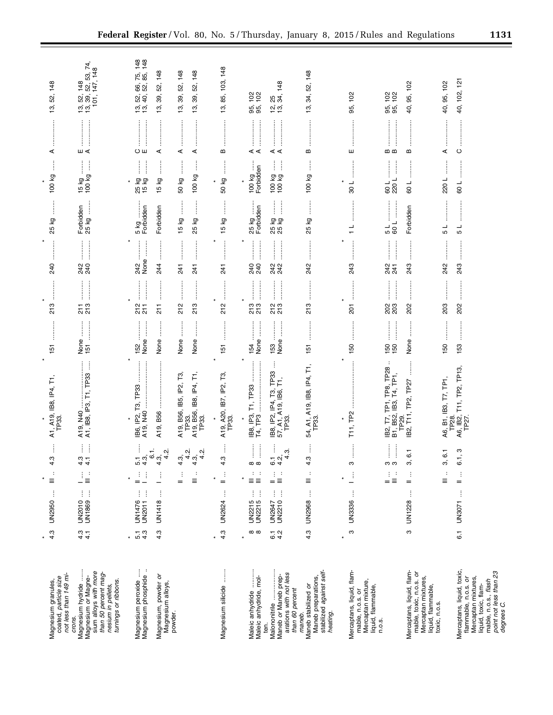|                                                                                                                                                                   |                  |                                   | $\star$                                      |                                                                                                                                                                                                                                |                                                                                                                                                                                                                                                                                                                                                                                                                                                                                                                                         |                                             | $\star$                                  |                                                                                                                                                                                                                                                                                                                                                                                                                                                                                                     |                                            | $\star$                                                                                                                                         |                                                                                                                                                                                                                                                                                                                                                                                                                                                                                                                                                                          |                                                                            |
|-------------------------------------------------------------------------------------------------------------------------------------------------------------------|------------------|-----------------------------------|----------------------------------------------|--------------------------------------------------------------------------------------------------------------------------------------------------------------------------------------------------------------------------------|-----------------------------------------------------------------------------------------------------------------------------------------------------------------------------------------------------------------------------------------------------------------------------------------------------------------------------------------------------------------------------------------------------------------------------------------------------------------------------------------------------------------------------------------|---------------------------------------------|------------------------------------------|-----------------------------------------------------------------------------------------------------------------------------------------------------------------------------------------------------------------------------------------------------------------------------------------------------------------------------------------------------------------------------------------------------------------------------------------------------------------------------------------------------|--------------------------------------------|-------------------------------------------------------------------------------------------------------------------------------------------------|--------------------------------------------------------------------------------------------------------------------------------------------------------------------------------------------------------------------------------------------------------------------------------------------------------------------------------------------------------------------------------------------------------------------------------------------------------------------------------------------------------------------------------------------------------------------------|----------------------------------------------------------------------------|
| not less than 149 mi-<br>Magnesium granules,<br>coated, <i>particle size</i>                                                                                      | 4.3              | ŧ<br>UN2950                       | $\ddot{\phantom{a}}$<br>$\equiv$             | Î<br>S<br>4                                                                                                                                                                                                                    | Ē<br>A1, A19, IB8, IP4,<br>TP33.                                                                                                                                                                                                                                                                                                                                                                                                                                                                                                        | 151                                         | 213                                      | $\begin{bmatrix} 1 & 0 & 0 & 0 \\ 0 & 0 & 0 & 0 \\ 0 & 0 & 0 & 0 \\ 0 & 0 & 0 & 0 \\ 0 & 0 & 0 & 0 \\ 0 & 0 & 0 & 0 \\ 0 & 0 & 0 & 0 & 0 \\ 0 & 0 & 0 & 0 & 0 \\ 0 & 0 & 0 & 0 & 0 \\ 0 & 0 & 0 & 0 & 0 & 0 \\ 0 & 0 & 0 & 0 & 0 & 0 \\ 0 & 0 & 0 & 0 & 0 & 0 & 0 \\ 0 & 0 & 0 & 0 & 0 & 0 & 0 \\ 0 & 0 & 0 & 0 & 0 & 0 & $<br>240                                                                                                                                                                  | Î<br>δ<br>25                               | $\vdots$<br>100 kg                                                                                                                              | ⋖                                                                                                                                                                                                                                                                                                                                                                                                                                                                                                                                                                        | 148<br>52,<br>13,                                                          |
| Magnesium hydride<br>sium alloys with more<br>than 50 percent mag-<br>Magnesium or Magne-<br>turnings or ribbons.<br>nesium in pellets,<br>crons.                 | $4.3$<br>$4.7$   | j.<br>ŧ<br>UN2010<br>UN1869       | ŧ<br>$\frac{1}{2}$                           | ļ<br>đ<br>$\omega$ $-$<br>44                                                                                                                                                                                                   | Ĵ<br>A19, N40<br>A1, IB8, IP3, T1, TP33                                                                                                                                                                                                                                                                                                                                                                                                                                                                                                 | j<br>$\frac{15}{151}$ .                     | $\frac{7}{2}$ 73                         | 242<br>240                                                                                                                                                                                                                                                                                                                                                                                                                                                                                          | $\frac{1}{2}$<br>Forbidden<br>25 kg        | Ĵ<br>ļ<br>15 kg .<br>100 kg                                                                                                                     | $\begin{minipage}{0.9\linewidth} \begin{tabular}{l} \hline \multicolumn{3}{c}{\textbf{0.9\linewidth}} \end{tabular} \end{minipage} \end{minipage} \vspace{-0.08\linewidth} \begin{minipage}{0.9\linewidth} \begin{tabular}{l} \multicolumn{3}{c}{\textbf{0.9\linewidth}} \end{tabular} \end{minipage} \vspace{-0.08\linewidth} \caption{Example of the \textbf{0.9\linewidth} \textbf{0.9\linewidth} \begin{tabular}{l} \multicolumn{3}{c}{\textbf{0.9\linewidth}} \end{tabular} \caption{Example of the \textbf{0.9\linewidth} \textbf{0.9$<br>$\blacksquare$<br>$\lhd$ | 74,<br>$3, 52, 148$<br>$3, 39, 52, 53, 74$<br>$101, 147, 148$<br>້າ.<br>ມີ |
| Magnesium peroxide<br>Magnesium phosphide                                                                                                                         | $5.\overline{3}$ | ŧ<br>ŧ<br>UN1476<br>UN2011        | ł<br>j                                       | Ì<br>104                                                                                                                                                                                                                       | IB6, IP2, T3, TP33<br>A19, N40                                                                                                                                                                                                                                                                                                                                                                                                                                                                                                          | j<br>None<br>152                            | 277                                      | None<br>242                                                                                                                                                                                                                                                                                                                                                                                                                                                                                         | .<br>.<br>.<br>.<br>.<br>5 kg<br>Forbidden | İ<br>$\begin{array}{c} \begin{array}{c} \begin{array}{c} \begin{array}{c} \end{array} \\ \end{array} \end{array} \end{array}$<br>25 kg<br>15 kg | İ<br>Oш                                                                                                                                                                                                                                                                                                                                                                                                                                                                                                                                                                  | 66, 75, 148<br><u>ន</u> ្ល<br><u>າ</u> ອີງ                                 |
| Magnesium, powder or<br>Magnesium alloys,                                                                                                                         | 4.3              | ŧ<br>UN1418                       | ŧ                                            | نا با تو ته د<br>نا با تو ته با<br>4                                                                                                                                                                                           | $\begin{array}{ccccccccccccc} \multicolumn{2}{c}{} & \multicolumn{2}{c}{} & \multicolumn{2}{c}{} & \multicolumn{2}{c}{} & \multicolumn{2}{c}{} & \multicolumn{2}{c}{} & \multicolumn{2}{c}{} & \multicolumn{2}{c}{} & \multicolumn{2}{c}{} & \multicolumn{2}{c}{} & \multicolumn{2}{c}{} & \multicolumn{2}{c}{} & \multicolumn{2}{c}{} & \multicolumn{2}{c}{} & \multicolumn{2}{c}{} & \multicolumn{2}{c}{} & \multicolumn{2}{c}{} & \multicolumn{2}{c}{} & \multicolumn{2}{c}{} & \$<br>A19, B56                                       | ÷<br>None                                   | $\frac{1}{2}$<br>$\frac{1}{2}$           | $\begin{array}{ccccccccccccc} \multicolumn{2}{c}{} & \multicolumn{2}{c}{} & \multicolumn{2}{c}{} & \multicolumn{2}{c}{} & \multicolumn{2}{c}{} & \multicolumn{2}{c}{} & \multicolumn{2}{c}{} & \multicolumn{2}{c}{} & \multicolumn{2}{c}{} & \multicolumn{2}{c}{} & \multicolumn{2}{c}{} & \multicolumn{2}{c}{} & \multicolumn{2}{c}{} & \multicolumn{2}{c}{} & \multicolumn{2}{c}{} & \multicolumn{2}{c}{} & \multicolumn{2}{c}{} & \multicolumn{2}{c}{} & \multicolumn{2}{c}{} & \$<br>244        | Forbidden                                  | İ<br>Σò<br>$\frac{6}{1}$                                                                                                                        | $\vdots$<br>$\vdots$<br>⋖                                                                                                                                                                                                                                                                                                                                                                                                                                                                                                                                                | 148<br>52,<br>ఇ,<br>13,                                                    |
| powder.                                                                                                                                                           |                  |                                   | ÷<br>$\frac{1}{2}$<br>$=$                    | ف جو نه<br>سيد به<br>سيد بن<br>Ņ٠<br>4<br>4                                                                                                                                                                                    | A19, B56, IB5, IP2, T3,<br>TP33.<br>A19, B56, IB8, IP4, T1,<br>TP33.                                                                                                                                                                                                                                                                                                                                                                                                                                                                    | $\ddot{\phantom{a}}$<br>None<br>None        | .<br>.<br>.<br>.<br>.<br>.<br>212<br>213 | $\begin{array}{ccccccccccccc} \multicolumn{2}{c}{} & \multicolumn{2}{c}{} & \multicolumn{2}{c}{} & \multicolumn{2}{c}{} & \multicolumn{2}{c}{} & \multicolumn{2}{c}{} & \multicolumn{2}{c}{} & \multicolumn{2}{c}{} & \multicolumn{2}{c}{} & \multicolumn{2}{c}{} & \multicolumn{2}{c}{} & \multicolumn{2}{c}{} & \multicolumn{2}{c}{} & \multicolumn{2}{c}{} & \multicolumn{2}{c}{} & \multicolumn{2}{c}{} & \multicolumn{2}{c}{} & \multicolumn{2}{c}{} & \multicolumn{2}{c}{} & \$<br>241<br>241 | ļ<br>ΔÃ<br>Γð<br>$\frac{10}{2}$<br>25      | ļ<br>100 kg<br>50 kg                                                                                                                            | $\vdots$<br>⋖<br>⋖                                                                                                                                                                                                                                                                                                                                                                                                                                                                                                                                                       | 148<br>52, 148<br>52,<br>39,<br>39,<br>$\tilde{\mathfrak{b}}$<br>13,       |
| Magnesium silicide                                                                                                                                                | 4.3              | j<br>UN2624                       | $\frac{1}{n}$                                | Î<br>ო<br>4                                                                                                                                                                                                                    | $\star$<br>A19, A20, IB7, IP2, T3<br>TP33.                                                                                                                                                                                                                                                                                                                                                                                                                                                                                              | 151                                         | 212                                      | $\begin{array}{ccccccccccccc} \multicolumn{2}{c}{} & \multicolumn{2}{c}{} & \multicolumn{2}{c}{} & \multicolumn{2}{c}{} & \multicolumn{2}{c}{} & \multicolumn{2}{c}{} & \multicolumn{2}{c}{} & \multicolumn{2}{c}{} & \multicolumn{2}{c}{} & \multicolumn{2}{c}{} & \multicolumn{2}{c}{} & \multicolumn{2}{c}{} & \multicolumn{2}{c}{} & \multicolumn{2}{c}{} & \multicolumn{2}{c}{} & \multicolumn{2}{c}{} & \multicolumn{2}{c}{} & \multicolumn{2}{c}{} & \multicolumn{2}{c}{} & \$<br>241        | ļ<br>Γð<br>$\frac{10}{2}$                  | ļ<br>50 kg                                                                                                                                      | $\,\underline{\mathrm{m}}\,$                                                                                                                                                                                                                                                                                                                                                                                                                                                                                                                                             | 103, 148<br>85,<br>13,                                                     |
| <br> <br> <br> <br>Maleic anhydride, mol-<br>Maleic anhydride                                                                                                     | $\infty$         | $\vdots$<br>÷<br>UN2215<br>UN2215 | $\mathbb{C}^n \times \mathbb{C}^n$<br>Ξ<br>Ξ | $\begin{array}{c} \vdots \\ \vdots \\ \vdots \end{array}$<br>$\begin{array}{c} \begin{array}{c} \begin{array}{c} \begin{array}{c} \end{array} \end{array} \\ \begin{array}{c} \end{array} \end{array} \end{array}$<br>$\infty$ | $\star$<br>$\begin{array}{cccccccccc} \multicolumn{2}{c}{} & \multicolumn{2}{c}{} & \multicolumn{2}{c}{} & \multicolumn{2}{c}{} & \multicolumn{2}{c}{} & \multicolumn{2}{c}{} & \multicolumn{2}{c}{} & \multicolumn{2}{c}{} & \multicolumn{2}{c}{} & \multicolumn{2}{c}{} & \multicolumn{2}{c}{} & \multicolumn{2}{c}{} & \multicolumn{2}{c}{} & \multicolumn{2}{c}{} & \multicolumn{2}{c}{} & \multicolumn{2}{c}{} & \multicolumn{2}{c}{} & \multicolumn{2}{c}{} & \multicolumn{2}{c}{} & \mult$<br>İ<br>IB8, IP3, T1, TP33<br>T4, TP3 | None<br>154                                 | $\frac{1}{2}$<br>213<br>213              | $\frac{1}{2}$<br>240                                                                                                                                                                                                                                                                                                                                                                                                                                                                                | ∠3 Ky<br>Forbidden<br>25 kg                | i vv Kg<br>Forbidden<br>100 kg                                                                                                                  | $\frac{1}{2}$<br>⋖⋖                                                                                                                                                                                                                                                                                                                                                                                                                                                                                                                                                      | $\frac{5}{2}$<br><u>မှာ်</u>                                               |
| arations with not less<br>Malononitrile<br>Maneb <i>or</i> Maneb prep-<br>than 60 percent<br>ten.                                                                 | $6.1$<br>$4.2$   | j<br>Î<br>UN2647<br>UN2210        | $\frac{1}{2}$ , $\frac{1}{2}$<br>Ξ<br>$=$    | ļ<br>$ \frac{1}{2}$ $\frac{1}{2}$ $\frac{1}{2}$<br>$\sim 4$                                                                                                                                                                    | ŧ<br>IB8, IP2, IP4, T3, TP33<br>57, A1, A19, IB6, T1,<br>TP33.                                                                                                                                                                                                                                                                                                                                                                                                                                                                          | <b><i><u><u></u></u></i></b><br>153<br>None | $\frac{1}{2}$<br>213<br>213              | $\begin{bmatrix} 1 & 0 & 0 & 0 \\ 0 & 0 & 0 & 0 \\ 0 & 0 & 0 & 0 \\ 0 & 0 & 0 & 0 \\ 0 & 0 & 0 & 0 \\ 0 & 0 & 0 & 0 \\ 0 & 0 & 0 & 0 & 0 \\ 0 & 0 & 0 & 0 & 0 \\ 0 & 0 & 0 & 0 & 0 \\ 0 & 0 & 0 & 0 & 0 & 0 \\ 0 & 0 & 0 & 0 & 0 & 0 \\ 0 & 0 & 0 & 0 & 0 & 0 & 0 \\ 0 & 0 & 0 & 0 & 0 & 0 & 0 \\ 0 & 0 & 0 & 0 & 0 & 0 & $<br>242<br>242                                                                                                                                                           | H<br>25 kg<br>25 kg                        | Ħ<br>100 kg<br>00 kg                                                                                                                            | ⋖⋖                                                                                                                                                                                                                                                                                                                                                                                                                                                                                                                                                                       | 148<br>ದ<br>ನಿ ನ<br><u>ນີ້</u> ຜູ້                                         |
| stabilized against self-<br>Maneb preparations,<br>Maneb stabilized or<br>heating.<br>maneb.                                                                      | 4.3              | ţ<br><b>UN2968</b>                | ÷<br>$\equiv$                                | ļ<br>ო<br>4                                                                                                                                                                                                                    | 54, A1, A19, IB8, IP4, T1,<br>TP33.                                                                                                                                                                                                                                                                                                                                                                                                                                                                                                     | 57<br>÷                                     | <br>213                                  | :<br>:<br>:<br>:<br>242                                                                                                                                                                                                                                                                                                                                                                                                                                                                             | $\vdots$<br>δY<br>25                       | ļ<br>δÃ<br>$\frac{8}{100}$                                                                                                                      | $\bf{m}$                                                                                                                                                                                                                                                                                                                                                                                                                                                                                                                                                                 | 148<br>52,<br>34,<br>ω.                                                    |
| Mercaptans, liquid, flam-<br>Mercaptan mixture,<br>liquid, flammable,<br>mable, n.o.s. or<br>n.o.s.                                                               | ო                | $\vdots$<br><b>UN3336</b>         | đ<br>—                                       | ო                                                                                                                                                                                                                              | T11, TP2                                                                                                                                                                                                                                                                                                                                                                                                                                                                                                                                | 150                                         | 201                                      | 243                                                                                                                                                                                                                                                                                                                                                                                                                                                                                                 | $\frac{1}{1}$                              | $-108$                                                                                                                                          | ш                                                                                                                                                                                                                                                                                                                                                                                                                                                                                                                                                                        | 102<br>95,                                                                 |
|                                                                                                                                                                   |                  |                                   | ÷<br>$\cdot$<br>Ξ<br>$=$                     | $\begin{array}{c} \vdots \\ \vdots \\ \vdots \end{array}$<br>$\ddot{\phantom{a}}$<br>ო ო                                                                                                                                       | $\colon$<br>IB2, T7, TP1, TP8, TP28<br>T4, TP1,<br>B1, B52, IB3,                                                                                                                                                                                                                                                                                                                                                                                                                                                                        | $\frac{1}{2}$<br>150                        | 203                                      | $\begin{array}{ccccccccccccc} \multicolumn{2}{c}{} & \multicolumn{2}{c}{} & \multicolumn{2}{c}{} & \multicolumn{2}{c}{} & \multicolumn{2}{c}{} & \multicolumn{2}{c}{} & \multicolumn{2}{c}{} & \multicolumn{2}{c}{} & \multicolumn{2}{c}{} & \multicolumn{2}{c}{} & \multicolumn{2}{c}{} & \multicolumn{2}{c}{} & \multicolumn{2}{c}{} & \multicolumn{2}{c}{} & \multicolumn{2}{c}{} & \multicolumn{2}{c}{} & \multicolumn{2}{c}{} & \multicolumn{2}{c}{} & \multicolumn{2}{c}{} & \$<br>241<br>241 | 109<br>5                                   | ļ<br>220L<br>109                                                                                                                                | ļ<br>m m                                                                                                                                                                                                                                                                                                                                                                                                                                                                                                                                                                 | $\frac{8}{5}$<br>95,                                                       |
| Mercaptans, liquid, flam-<br>mable, toxic, n.o.s. or<br>Mercaptan mixtures,<br>liquid, flammable,                                                                 | ო                | $\vdots$<br>UN1228                | ÷<br>$=$                                     | $\overline{6}$ .<br>က                                                                                                                                                                                                          | TP <sub>27</sub><br>IB2, T11, TP2,<br>TP29.                                                                                                                                                                                                                                                                                                                                                                                                                                                                                             | $\vdots$<br>÷<br>None                       | <br>202                                  | 243                                                                                                                                                                                                                                                                                                                                                                                                                                                                                                 | Forbidden                                  | 109                                                                                                                                             | m                                                                                                                                                                                                                                                                                                                                                                                                                                                                                                                                                                        | 102<br>95,<br>40,                                                          |
| toxic, n.o.s.                                                                                                                                                     |                  |                                   | $\ddot{\phantom{a}}$<br>Ξ                    | $\overline{6}$ .<br>က                                                                                                                                                                                                          | T7, TP1,<br>A6, B1, IB3, TP28.                                                                                                                                                                                                                                                                                                                                                                                                                                                                                                          | SO                                          | 203                                      | $\vdots$<br>ŧ<br>242                                                                                                                                                                                                                                                                                                                                                                                                                                                                                | ┙<br>Б                                     | İ<br>┙<br>220                                                                                                                                   | ⋖                                                                                                                                                                                                                                                                                                                                                                                                                                                                                                                                                                        | 102<br>95,<br>40,                                                          |
| Mercaptans, liquid, toxic,<br>point not less than 23<br>Mercaptan mixtures,<br>flammable, n.o.s. or<br>mable, n.o.s., flash<br>liquid, toxic, flam-<br>degrees C. | $\overline{6}$ . | $\vdots$<br>UN3071                | ÷<br>$=$                                     | $\frac{3}{2}$<br>ဖ                                                                                                                                                                                                             | A6, IB2, T11, TP2, TP13,<br>TP27.                                                                                                                                                                                                                                                                                                                                                                                                                                                                                                       | 153                                         | 202                                      | <br>243                                                                                                                                                                                                                                                                                                                                                                                                                                                                                             | $\overline{\phantom{a}}$<br>Ю              | 109                                                                                                                                             | $\circ$                                                                                                                                                                                                                                                                                                                                                                                                                                                                                                                                                                  | 40, 102, 121                                                               |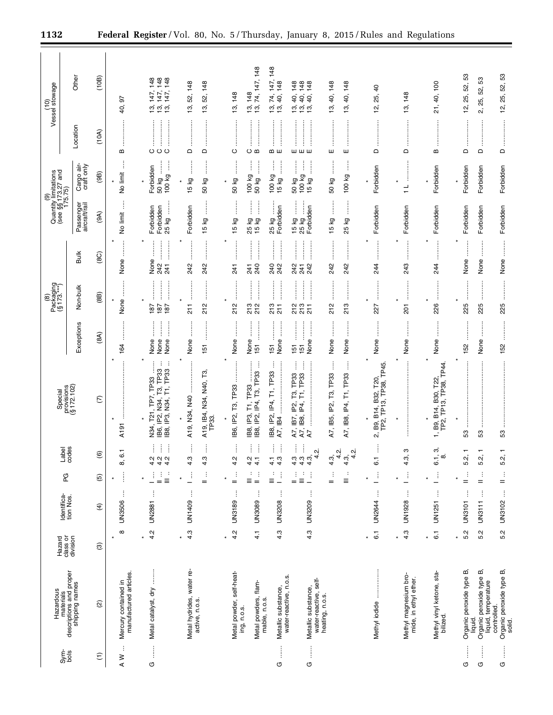|                    |                                                                        |                                |                            |                                                            |                                                                       |                                                                                                                       |                                                      | $\circledR$                                                                              |                                                                                                   | $\widehat{\mathbf{e}}$                |                                                       |                    | Vessel stowage<br>$\frac{1}{2}$                                              |  |
|--------------------|------------------------------------------------------------------------|--------------------------------|----------------------------|------------------------------------------------------------|-----------------------------------------------------------------------|-----------------------------------------------------------------------------------------------------------------------|------------------------------------------------------|------------------------------------------------------------------------------------------|---------------------------------------------------------------------------------------------------|---------------------------------------|-------------------------------------------------------|--------------------|------------------------------------------------------------------------------|--|
| $rac{\xi}{\delta}$ | materials<br>descriptions and proper<br>shipping names<br>Hazardous    | Hazard<br>class or<br>division | Identifica-<br>tion Nos.   | PG                                                         | Bes<br>1es<br>용                                                       | provisions<br>(§ 172.102)<br>Special                                                                                  |                                                      | Packaging<br>(§ 173.***)                                                                 |                                                                                                   |                                       | Quantity limitations<br>(see §§ 173.27 and<br>175.75) |                    |                                                                              |  |
|                    |                                                                        |                                |                            |                                                            |                                                                       |                                                                                                                       | Exceptions                                           | Non-bulk                                                                                 | Bulk                                                                                              | Passenger<br>aircraft/rail            | Cargo air-<br>craft only                              | Location           | Other                                                                        |  |
| $\widehat{E}$      | $\widehat{\omega}$                                                     | $\circledcirc$                 | $\widehat{f}$              | $\widehat{\mathfrak{G}}$                                   | $\widehat{\mathbf{e}}$                                                | $\mathcal{E}$                                                                                                         | (8A)                                                 | (8B)                                                                                     | (8C)                                                                                              | (9A)                                  | (96)                                                  | (10A)              | (10B)                                                                        |  |
| ÷<br>$\geq$        | manufactured articles.<br>Mercury contained in                         | $^\infty$                      | ŧ<br><b>UN3506</b>         | j<br>$\star$                                               | 8,6                                                                   | $\star$<br>$\star$<br>A191                                                                                            | .<br>.<br>.<br>.<br>.<br>164                         | $\ddot{\ddot{\cdot}}$<br>None<br>$\ast$                                                  | $\star$<br>None                                                                                   | Î<br>No limit                         | ļ<br>No limit                                         | B                  | 5<br>40,                                                                     |  |
| ļ<br>O             | ļ<br>Metal catalyst, dry                                               | 4.2<br>$\star$                 | ĵ<br><b>UN2881</b>         | $\frac{1}{2}$<br>÷<br>1<br>$=$                             | j<br>ŧ<br>$\begin{array}{ccc}\n 4 & 4 & 4 \\  4 & 4 & 4\n\end{array}$ | $\vdots$<br>÷<br>TP33<br>IB8, IP3, N34, T1, TP33<br>T21, TP7, TP33<br>່ອົ<br>IB6, IP2, N34,<br>N34,                   | İ<br>j<br>None<br>None<br>None                       | 187<br>187<br>187                                                                        | $\frac{1}{2}$<br><br>None<br>242<br>241                                                           | 25 kg<br>Forbidden<br>Forbidden       | 100 kg<br>ļ<br>Forbidden<br>50 kg                     | <br>$O$ $O$ $O$    | 147, 148<br>147, 148<br>147, 148<br>13,<br>້າ.<br>ມີ                         |  |
|                    | Metal hydrides, water re-<br>active, n.o.s.                            | 4.3<br>$\star$                 | ŧ<br>UN1409                | ÷<br>ŧ<br>$\ast$<br>$=$                                    | 4.3<br>4.3                                                            | $\star$<br>A19, IB4, N34, N40, T3,<br>A19, N34, N40<br>TP <sub>33</sub>                                               | None<br>51                                           | :<br>:<br>:<br>:<br>212<br>$\frac{1}{2}$                                                 | :<br>:<br>:<br>:<br>242<br>242                                                                    | $\vdots$<br>Forbidden<br>15 kg        | j<br>50 kg<br>15 kg                                   | $\Box$<br>$\Box$   | 148<br>148<br>52,<br>52,<br>13,<br>13,                                       |  |
|                    | Metal powder, self-heat-<br>ing, n.o.s.                                | 4.2<br>$\ast$                  | ŧ<br>UN3189                | ÷<br>÷<br>Ξ<br>$=$                                         | ŧ<br>İ<br>4.2<br>4.2                                                  | j<br>T3, TP33<br>TP33<br>.<br>ד<br>IB6, IP2,<br>IP3,<br>188,<br>188,                                                  | İ<br>None<br>None                                    | 213<br>212<br>212                                                                        | 741<br>241                                                                                        | İ<br>15 kg<br>kg<br>25                | ļ<br>$\vdots$<br>100 kg<br>50 kg                      | <br>O<br>$O$ $m$   | 13, 148<br>148<br><u>າ</u><br>ລີ່                                            |  |
| Î<br>O             | Metal powders, flam-<br>mable, n.o.s.<br>Metallic substance,           | 4.3<br>$\frac{1}{4}$           | ŧ<br>ŧ<br>UN3089<br>UN3208 | ÷<br>÷<br>ŧ<br>$\equiv$<br>$=$                             | ŧ<br>j<br>ļ<br>4.3<br>4.1<br>$\overline{4}$ .                         | ł<br>ŧ<br>IP4, T3, TP33<br>IB8, IP2, IP4, T1, TP33<br>$\mathbb{P}^2$<br>A7, IB4                                       | <br> <br> <br> <br> <br>:<br>:<br>None<br>151<br>151 | <br> <br> <br> <br> <br>:<br>:<br>:<br>:<br>213<br>$\frac{1}{2}$                         | :<br>:<br>:<br>:<br> <br> <br> <br> <br>:<br>:<br>:<br>240<br>240<br>242                          | İ<br>Forbidden<br>15 kg<br>25 kg      | $\vdots$<br>ļ<br>$\vdots$<br>100 kg<br>50 kg<br>15 kg | <br><b>ம</b> ய     | 74, 147, 148<br>147, 148<br>148<br>74,<br>40,<br>$\frac{1}{2}$ $\frac{1}{2}$ |  |
| $\vdots$<br>O      | water-reactive, n.o.s.<br>water-reactive, self-<br>Metallic substance, | 4.3                            | ţ<br>UN3209                | $\vdots$<br>÷<br>÷<br>Ξ<br>$=$<br>$\overline{\phantom{0}}$ | ŧ<br>ŧ<br>ςi<br>$\frac{4}{4}$ $\frac{3}{4}$<br>4<br>4.3               | Î<br>:<br>:<br>:<br>:<br>j<br>TP33<br>T1, TP33<br>T3,<br>A7, IB7, IP2,<br>A7, IB8, IP4,<br>$\vdots$<br>$\overline{A}$ | :<br>:<br>:<br>:<br>İ<br>None<br>151<br>5            | $\frac{1}{2}$<br>$\ddot{\phantom{a}}$<br>:<br>:<br>:<br>:<br>213<br>213<br>$\frac{1}{2}$ | <br>İ<br>242<br>242<br>241                                                                        | j<br>l<br>Forbidden<br>15 kg<br>25 kg | İ<br>ļ<br>:<br>:<br>100 kg<br>50 kg<br>15 kg          | <br>шшш            | 148<br>148<br>148<br>40,<br>40,<br>40,                                       |  |
|                    | heating, n.o.s.                                                        |                                |                            | ŧ<br>Ξ<br>$=$                                              | N<br>N<br>4<br>4<br>4.3,<br>$4.\overline{3}$                          | j<br>ŧ<br>A7, IB5, IP2, T3, TP33<br>A7, IB8, IP4, T1, TP33                                                            | None<br>None                                         | :<br>:<br>:<br>:<br>213<br>212                                                           | 242<br>242                                                                                        | <b>15 kg</b><br>δX<br>25              | ļ<br>$\vdots$<br>100 kg<br>50 kg                      | $\vdots$<br>ш<br>ш | 40, 148<br>148<br>₽,<br>စ္<br>13,                                            |  |
|                    | Methyl iodide                                                          | $\overline{6}$ .               | ŧ<br>UN2644                | đ,                                                         | $\overline{6}$                                                        | 2, B9, B14, B32, T20,<br>TP2, TP13, TP38, TP45                                                                        | None                                                 | <br>227                                                                                  | $\vdots$<br>244                                                                                   | Forbidden                             | Forbidden                                             | $\Omega$           | $\overline{a}$<br>25,<br><u>يہ</u>                                           |  |
|                    | Methyl magnesium bro-<br>mide, in ethyl ether.                         | 4.3                            | ŧ<br>UN1928                | $\mathbb{E}$                                               | ო<br>4.3,                                                             | $\star$                                                                                                               | None                                                 | 201                                                                                      | j<br>ŧ<br>243                                                                                     | Forbidden                             | $\frac{1}{1}$                                         | $\Omega$           | 148<br><u>უ</u>                                                              |  |
|                    | Methyl vinyl ketone, sta-<br>bilized.                                  | $\overline{6}$ .<br>$\star$    | ŧ<br>UN1251                | Ľ,                                                         | က်<br>6.1,<br>$\infty$                                                | TP2, TP13, TP38, TP44<br>1, B9, B14, B30, T22                                                                         | j<br>None                                            | 226                                                                                      | 244                                                                                               | Forbidden                             | Forbidden                                             | $\mathbf{m}$       | 40, 100<br>21,                                                               |  |
| Î<br>U             | Organic peroxide type B,<br>liquid.                                    | 5.2                            | ŧ<br><b>UN3101</b>         | ÷<br>$=$                                                   | 5.2,                                                                  | İ<br>53                                                                                                               | 152                                                  | :<br>:<br>:<br>:<br>225                                                                  | None                                                                                              | Forbidden                             | Forbidden                                             | $\Omega$           | S3<br>52,<br>25,<br>12,                                                      |  |
| j<br>O             | Organic peroxide type B,<br>liquid, temperature                        | 5.2                            | ŧ<br><b>UN3111</b>         | ÷<br>$=$                                                   | 5.2,                                                                  | 53                                                                                                                    | None                                                 | 225                                                                                      | None                                                                                              | Forbidden                             | Forbidden                                             | $\Omega$           | 3<br>52,<br>25,<br>$\mathbf{c}$                                              |  |
| İ<br>U             | Organic peroxide type B,<br>controlled.<br>solid.                      | 5.2                            | $\vdots$<br>UN3102         | $\frac{1}{n}$                                              | 5.2,                                                                  | $\ddot{\phantom{a}}$<br>53                                                                                            | 152                                                  | 225                                                                                      | $\begin{array}{c} \begin{array}{c} \bullet \\ \bullet \\ \bullet \end{array} \end{array}$<br>None | Forbidden                             | Forbidden                                             | $\Omega$           | 12, 25, 52, 53                                                               |  |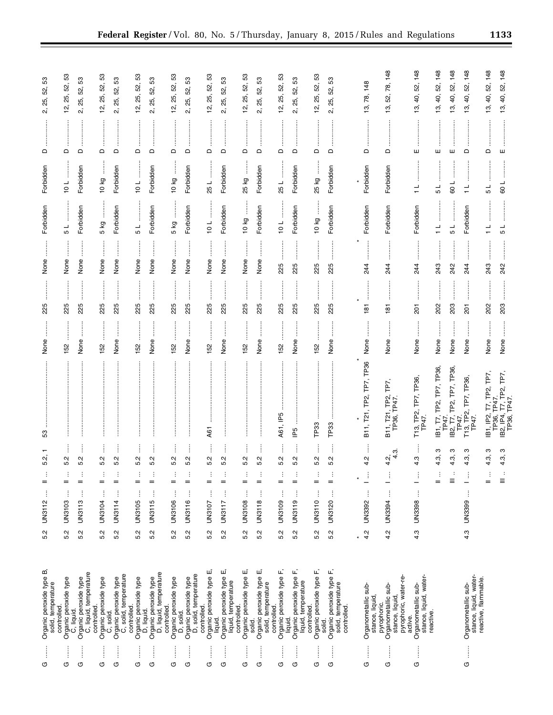| j<br>O | Organic peroxide type B,<br>solid, temperature                                           | 5.2 | ŧ<br>UN3112        | $=$                           | $\mathbf$<br>νj.<br>LO.<br>÷    | 53                                       | None                              | 225                               | None                                  | Forbidden                  | Forbidden                                                                                                                                                                                             | $\mathsf{\Omega}$                  | S3<br>52,<br>25,<br>2.         |
|--------|------------------------------------------------------------------------------------------|-----|--------------------|-------------------------------|---------------------------------|------------------------------------------|-----------------------------------|-----------------------------------|---------------------------------------|----------------------------|-------------------------------------------------------------------------------------------------------------------------------------------------------------------------------------------------------|------------------------------------|--------------------------------|
| ļ<br>O | Organic peroxide type<br>C, liquid.<br>controlled                                        | 5.2 | ĵ<br>UN3103        | $=$                           | 5.2<br>÷                        |                                          | 152                               | 225                               | None                                  | 5                          | 10L                                                                                                                                                                                                   | $\Box$                             | S3<br>52,<br>25,<br>í,         |
| İ<br>G | C, liquid, temperature<br>Organic peroxide type                                          | 5.2 | ĵ<br><b>UN3113</b> | $=$                           | j<br>Ņ<br>LO.<br>÷              |                                          | None                              | 225                               | None                                  | Forbidden                  | Forbidden                                                                                                                                                                                             | $\Omega$                           | 53<br>52,<br>25,<br>2.         |
| ļ<br>Φ | Organic peroxide type<br>C, solid.<br>controlled.                                        | 5.2 | ÷<br>UN3104        | $=$                           | 5.2<br>÷                        |                                          | <br>152                           | 225                               | :<br>None                             | 5 kg                       | j<br>10 kg                                                                                                                                                                                            | $\mathsf \Omega$                   | 53<br>52,<br>25,<br><u>ʻN,</u> |
| İ<br>O | C, solid, temperature<br>Organic peroxide type                                           | 5.2 | j<br><b>UN3114</b> | $=$                           | ļ<br>5.2<br>÷                   |                                          | j<br>None                         | .<br>.<br>.<br>.<br>.<br>.<br>225 | $\ddot{\ddot{\phantom{a}}}\,$<br>None | Forbidden                  | Forbidden                                                                                                                                                                                             | $\hfill \Box$                      | 33<br>52,<br>25,<br>2.         |
| ļ<br>O | Organic peroxide type<br>D, liquid.<br>controlled                                        | 5.2 | ŧ<br>UN3105        | $=$                           | j<br>Ņ<br>πó.<br>÷              |                                          | 152                               | 225                               | None                                  | 5 L                        | $\begin{array}{c} \begin{array}{c} \begin{array}{c} \begin{array}{c} \begin{array}{c} \end{array} \end{array} \\ \begin{array}{c} \end{array} \end{array} \end{array} \end{array} \end{array}$<br>10L | $\Omega$                           | S3<br>52,<br>25,<br><u>يہ</u>  |
| j<br>G | D, liquid, temperature<br>Organic peroxide type<br>controlled.                           | 5.2 | ŧ<br><b>UN3115</b> | $=$                           | 5.2<br>÷                        |                                          | j<br>None                         | 225                               | None                                  | Forbidden                  | Forbidden                                                                                                                                                                                             | $\Box$                             | S3<br>52,<br>25,<br>2.         |
| İ<br>O | Organic peroxide type<br>D, solid.                                                       | 5.2 | ŧ<br><b>UN3106</b> | $=$                           | j<br>5.2<br>÷                   |                                          | .<br>.<br>.<br>.<br>.<br>.<br>152 | 225                               | None                                  | j<br>5 kg                  | ļ<br>10 kg                                                                                                                                                                                            | $\vdots$<br>$\mathrel{\mathsf{d}}$ | 52, 53<br>25,<br><u>يہ</u>     |
| İ<br>O | Organic peroxide type<br>D, solid, temperature                                           | 5.2 | j<br><b>UN3116</b> | $=$                           | ļ<br>5.2<br>÷                   |                                          | <br> <br> <br>None                | 225                               | None                                  | Forbidden                  | Forbidden                                                                                                                                                                                             | $\Omega$                           | 53<br>52,<br>25,<br>ςî         |
| j<br>O | Organic peroxide type E,<br>controlled.<br>liquid.                                       | 5.2 | ŧ<br>UN3107        | $=$                           | j<br>5.2<br>÷                   | A61                                      | 152                               | 225                               | None                                  | $\frac{1}{2}$              | $\begin{array}{c} \begin{array}{c} \begin{array}{c} \begin{array}{c} \begin{array}{c} \end{array}\\ \end{array} \end{array} \end{array} \end{array} \end{array}$<br>25 L                              | $\Omega$                           | S3<br>12, 25, 52,              |
| İ<br>O | Organic peroxide type E,<br>liquid, temperature<br>controlled                            | 5.2 | ĵ<br>UN3117        | $=$                           | Î<br>Ņ<br>πó.                   |                                          | j<br>None                         | 225                               | None                                  | Forbidden                  | Forbidden                                                                                                                                                                                             | $\mathsf{\Omega}$                  | 53<br>52,<br>25,<br>2.         |
| İ<br>O | Organic peroxide type E,<br>solid.                                                       | 5.2 | ŧ<br>UN3108        | $=$                           | 5.2<br>÷                        |                                          | 152                               | 225                               | None                                  | ļ<br>10 kg                 | ļ<br>25 kg                                                                                                                                                                                            | $\mathsf{\Omega}$                  | යි<br>52,<br>25,<br><u>يہ</u>  |
| İ<br>O | யி<br>Organic peroxide type<br>solid, temperature                                        | 5.2 | ŧ<br>UN3118        | $=$                           | 5.2<br>÷                        |                                          | None                              | 225                               | None                                  | Forbidden                  | Forbidden                                                                                                                                                                                             | $\Box$                             | S3<br>52,<br>25,<br>2.         |
| Î<br>O | Organic peroxide type F,<br>controlled                                                   | 5.2 | UN3109             | $=$                           | 5.2<br>÷                        | A61, IP5                                 | 152                               | $\ddot{}}$<br>225                 | 225                                   | 10L                        | 25L                                                                                                                                                                                                   | $\hfill \Box$                      | 53<br>52,<br>25,<br>12,        |
| Î<br>G | Organic peroxide type F,<br>liquid, temperature<br>liquid.                               | 5.2 | j<br>UN3119        | $=$                           | j<br>Ņ<br>۱ó                    | P5                                       | İ<br>None                         | 225                               | .<br>.<br>.<br>.<br>.<br>.<br>225     | Forbidden                  | Forbidden                                                                                                                                                                                             | $\Box$                             | S3<br>52,<br>25,<br>2,         |
| Î<br>Φ | Organic peroxide type F,<br>controlled<br>solid.                                         | 5.2 | j<br>UN3110        | $=$                           | ŧ<br>5.2<br>÷                   | TP33                                     | ļ<br>152                          | 225                               | 225                                   | 10 kg                      | 25 kg                                                                                                                                                                                                 | $\Omega$                           | S3<br>52,<br>25,<br>έņ         |
| İ<br>O | Organic peroxide type F,<br>solid, temperature<br>controlled                             | 5.2 | $\vdots$<br>UN3120 | $=$                           | $\vdots$<br>Ņ<br>τò<br>÷        | TP33                                     | j<br>None                         | <br> <br> <br> <br>225            | <br>225                               | Forbidden                  | Forbidden                                                                                                                                                                                             | $\mathsf{\Omega}$                  | 3<br>52,<br>25,<br>2.          |
|        |                                                                                          |     |                    |                               |                                 |                                          |                                   |                                   |                                       |                            |                                                                                                                                                                                                       |                                    |                                |
| İ<br>O | Organometallic sub-<br>stance, liquid,                                                   | 4.2 | ŧ<br>UN3392        | j.                            | ÷<br>Ņ<br>4                     | B11, T21, TP2, TP7, TP36                 | None                              | 181                               | ļ<br>244                              | Forbidden                  | Forbidden                                                                                                                                                                                             | $\Box$                             | 148<br>78,<br>13,              |
| İ<br>O | pyrophoric, water-re-<br>pyrophoric.<br>Organometallic sub-<br>stance, liquid<br>active. | 4.2 | ŧ<br>UN3394        | Ť<br>—                        | က<br>$\omega$ <sub>4</sub><br>4 | TP7,<br>B11, T21, TP2,<br>TP36, TP47.    | None                              | <br>181                           | 244                                   | Forbidden                  | Forbidden                                                                                                                                                                                             | $\mathsf{\Omega}$                  | 148<br>78,<br>52,<br>13,       |
| İ<br>O | stance, liquid, water-<br>Organometallic sub-<br>reactive.                               | 4.3 | ŧ<br>UN3398        | Ť<br>-                        | ŧ<br>Ċ,<br>4                    | T13, TP2, TP7, TP36,<br>TP47.            | ļ<br>None                         | 201                               | 244                                   | Forbidden                  | $\frac{1}{1}$                                                                                                                                                                                         | ш                                  | 148<br>52,<br>40,<br>19,       |
|        |                                                                                          |     |                    | ÷<br>$=$                      | ო<br>4.3,                       | IB1, T7, TP2, TP7, TP36,<br>TP47         | None                              | 202                               | 243                                   | $\frac{1}{1}$              | 5 L                                                                                                                                                                                                   | ш                                  | 148<br>40, 52,<br><u>უ</u>     |
|        |                                                                                          |     |                    | $\equiv$                      | ო<br>4.3,<br>÷                  | IB2, T7, TP2, TP7, TP36,<br>TP47.        | None                              | 203                               | 242                                   | .<br>.<br>.<br>.<br>.<br>5 | 109                                                                                                                                                                                                   | ш                                  | 148<br>52,<br>40,<br>ల్లే      |
| Î<br>O | Organometallic sub-<br>stance, liquid, water-<br>reactive, flammable.                    | 4.3 | $\vdots$<br>UN3399 | ŧ<br>$\overline{\phantom{0}}$ | ო<br>4.3,                       | T13, TP2, TP7, TP36,<br>TP47.            | İ<br>None                         | <br> <br> <br> <br>201            | $\frac{1}{2}$<br>244                  | Forbidden                  | $\frac{1}{1}$                                                                                                                                                                                         | $\Box$                             | 52, 148<br>40,<br>13,          |
|        |                                                                                          |     |                    | $=$                           | ო<br>4.3,<br>÷                  | IB1, IP2, T7, TP2, TP7,<br>TP36, TP47    | None                              | 202                               | 243                                   | $\frac{1}{1}$              | 1 5                                                                                                                                                                                                   | $\Omega$                           | 40, 52, 148<br><u>უ</u>        |
|        |                                                                                          |     |                    | Ξ                             | ო<br>4.3,                       | TP7,<br>B2, IP4, T7, TP2,<br>TP36, TP47. | None                              | 203                               | 242                                   | 5                          | 109                                                                                                                                                                                                   | ш                                  | 52, 148<br>40,<br>13,          |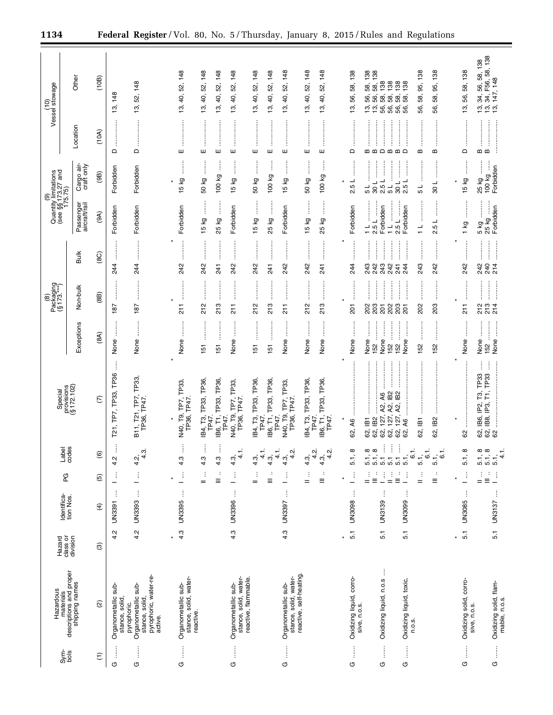|                                                                | Hazardous                                                                                |                                |                           |                                        |                                                   | Special                                                                                                                      |                                                                          | Packaging<br>(§ 173.***)<br>$\circledast$                                     |                                                                                   |                                                                       | (9)<br>Quantity limitations<br>(see §§173.27 and<br>175.75)          |                                            | (10)<br>Vessel stowage                                                               |
|----------------------------------------------------------------|------------------------------------------------------------------------------------------|--------------------------------|---------------------------|----------------------------------------|---------------------------------------------------|------------------------------------------------------------------------------------------------------------------------------|--------------------------------------------------------------------------|-------------------------------------------------------------------------------|-----------------------------------------------------------------------------------|-----------------------------------------------------------------------|----------------------------------------------------------------------|--------------------------------------------|--------------------------------------------------------------------------------------|
| $rac{\text{time}}{\text{cos}}$                                 | materials<br>descriptions and proper<br>shipping names                                   | Hazard<br>class or<br>division | Identifica-<br>tion Nos.  | PG                                     | Label<br>codes                                    | provisions<br>(§ 172.102)                                                                                                    | Exceptions                                                               | Non-bulk                                                                      | <b>Bulk</b>                                                                       | Passenger<br>aircraft/rail                                            | Cargo air-<br>craft only                                             | Location                                   | Other                                                                                |
| $\widehat{\Xi}$                                                | $\widehat{a}$                                                                            | ම                              | $\widehat{f}$             | $\widehat{\mathfrak{g}}$               | $\widehat{\mathbf{e}}$                            | $\widehat{C}$                                                                                                                | (8A)                                                                     | (8B)                                                                          | (8C)                                                                              | (9A)                                                                  | (9B)                                                                 | (10A)                                      | (10B)                                                                                |
| O                                                              | $\frac{1}{2}$<br>Organometallic<br>stance, solid,                                        | Ņ<br>4                         | j<br><b>UN3391</b>        | ŧ                                      | 4.2                                               | T21, TP7, TP33, TP36                                                                                                         | İ<br>None                                                                | 187                                                                           | <br> <br> <br> <br> <br> <br>244                                                  | Forbidden                                                             | Forbidden                                                            | $\Omega$                                   | 148<br><u>සු</u>                                                                     |
| Î<br>O                                                         | pyrophoric, water-re-<br>Organometallic sub-<br>stance, solid,<br>pyrophoric.<br>active. | 4.2                            | ŧ<br><b>UN3393</b>        | ŧ                                      | ო<br>4<br>$4.\overline{2}$                        | B11, T21, TP7, TP33,<br>TP36, TP47.                                                                                          | $\frac{1}{2}$<br>None                                                    | <br> <br> <br> <br>187                                                        | 24                                                                                | Forbidden                                                             | Forbidden                                                            | $\Box$                                     | 148<br>52,<br>13,                                                                    |
| ļ<br>O                                                         | stance, solid, water-<br>Organometallic sub-<br>reactive.                                | 4.3<br>$\star$                 | $\vdots$<br><b>UN3395</b> | Ť                                      | 4.3                                               | N40, T9, TP7, TP33,<br>TP36, TP47                                                                                            | None                                                                     | $\frac{1}{2}$                                                                 | 242                                                                               | Forbidden                                                             | 15 kg                                                                | ш                                          | 52, 148<br>₽,<br><u>ය</u>                                                            |
|                                                                |                                                                                          |                                |                           | ÷<br>$=$                               | ļ<br>4.3                                          | IB4, T3, TP33, TP36,<br>TP47                                                                                                 | 151                                                                      | 212                                                                           | 242                                                                               | 15 kg                                                                 | ļ<br>50 kg                                                           | ļ<br>ш                                     | 52, 148<br>₽,<br>5.                                                                  |
|                                                                |                                                                                          |                                |                           | ÷<br>Ξ                                 | ļ<br>4.3                                          | IB6, T1, TP33, TP36,<br>TP47.                                                                                                | $\frac{15}{15}$                                                          | <br>213                                                                       | :<br>:<br>:<br>:<br>241                                                           | 25 kg                                                                 | ł<br>100 kg                                                          | <br>ш                                      | 148<br>52,<br>40,<br>13,                                                             |
| j<br>O                                                         | stance, solid, water-<br>Organometallic sub-                                             | 4.3                            | j<br><b>UN3396</b>        | ŧ                                      | $\overline{\phantom{0}}$<br>4<br>$4.\overline{3}$ | TP33,<br>TP7,<br>TP36, TP47<br>N40, T9,                                                                                      | j<br>None                                                                | $\frac{1}{2}$                                                                 | <br>242                                                                           | Forbidden                                                             | j<br>15 kg                                                           | <br>ш                                      | 148<br>52,<br>40,<br>లే,                                                             |
|                                                                | reactive, flammable.                                                                     |                                |                           | ÷<br>$=$                               | $\frac{1}{4}$<br>$4.\overline{3}$                 | IB4, T3, TP33, TP36,<br>TP47.                                                                                                | <b>.</b><br>.<br>.<br>.<br>151                                           | 212                                                                           | :<br>:<br>:<br>:<br>242                                                           | j<br>15 kg                                                            | j<br>50 kg                                                           | ш                                          | 52, 148<br>13, 40,                                                                   |
|                                                                |                                                                                          |                                |                           | Ξ                                      | $\frac{1}{4}$<br>$4.\overline{3}$                 | IB6, T1, TP33, TP36,<br>TP47.                                                                                                | 151                                                                      | :<br>:<br>:<br>213                                                            | :<br>:<br>:<br>:<br>241                                                           | İ<br>25 kg                                                            | 100 kg                                                               | :<br>:<br>:<br>:<br>ш                      | 148<br>52,<br>13, 40,                                                                |
| ļ<br>O                                                         | reactive, self-heating.<br>stance, solid, water-<br>Organometallic sub-                  | 4.3                            | ŧ<br>UN3397               | ŧ                                      | ٻَم<br>4<br>4.3                                   | TP33,<br>TP7,<br>TP36, TP47<br>N40, T9,                                                                                      | $\frac{1}{2}$<br>None                                                    | 211                                                                           | 242                                                                               | Forbidden                                                             | l<br>15 kg                                                           | ш                                          | 148<br>52,<br>40,<br>$\overline{3}$                                                  |
|                                                                |                                                                                          |                                |                           | ÷<br>$=$                               | Ņ٠<br>4.3,<br>4                                   | IB4, T3, TP33, TP36,<br>TP47                                                                                                 | None                                                                     | 212                                                                           | 242                                                                               | 15 kg                                                                 | 50 kg                                                                | ш                                          | 52, 148<br>40,<br>13,                                                                |
|                                                                |                                                                                          |                                |                           | Ξ                                      | Ν<br>$4.\overline{3}$<br>4                        | B6, T1, TP33, TP36,<br>TP47                                                                                                  | None                                                                     | <br>213                                                                       | 241                                                                               | j<br>25 kg                                                            | ł<br>100 kg                                                          | ш                                          | 52, 148<br>40,<br><u>ය</u>                                                           |
| O                                                              | Oxidizing liquid, corro-                                                                 | $\overline{5}$ .               | <b>UN3098</b>             |                                        | $\infty$<br>$\overline{5}$ .                      | 62, A6                                                                                                                       | None                                                                     | 201                                                                           | 244                                                                               | Forbidden                                                             | 2.5L                                                                 | $\Omega$                                   | 58, 138<br>56,<br>13,                                                                |
| Î                                                              | sive, n.o.s.                                                                             |                                | $\vdots$                  | ł                                      |                                                   |                                                                                                                              |                                                                          |                                                                               | j                                                                                 |                                                                       |                                                                      | ļ                                          |                                                                                      |
| j<br>G                                                         | j<br>Oxidizing liquid, n.o.s                                                             | 5.1                            | ĵ<br>UN3139               | ÷<br>$\frac{1}{2}$<br>Ì<br>÷           | İ<br>İ<br>$\infty$ $\infty$<br>ក្នុងក្នុងក្នុ     | <br>$\overline{B}$<br>A2, IB2<br>$\overline{A}6$<br>Æ,<br>7, A2,<br>62, 127,<br>62, 127,<br>127<br>62, IB1<br>62, IB2<br>62, | None<br>:<br>:<br>:<br>:<br> <br> <br> <br> <br>None<br>152<br>152<br>52 | <br>$\frac{1}{2}$<br>.<br>.<br>.<br>.<br>.<br>202<br>203<br>202<br>203<br>201 | :<br>:<br>:<br>:<br>:<br>:<br>:<br>:<br>:<br>:<br>243<br>242<br>243<br>242<br>241 | <br>j<br>$11$ and $-$<br>Forbidden<br>2.5 L<br>2.5 L<br>$\frac{1}{1}$ | :<br>:<br>:<br>İ<br>2.5L<br>108<br>$\frac{1}{5}$<br>$\overline{5}$ L | $\Omega$<br>മ മ<br>$\mathbf m$<br>$\bf{m}$ | 58, 138<br>58, 138<br>138<br>138<br>58,<br>58,<br>56,<br>56,<br>56,<br><u>ದ</u> ್ದ ಪ |
| ļ<br>O                                                         | Oxidizing liquid, toxic,<br>n.o.s.                                                       | 5.1                            | ŧ<br>UN3099               | $\frac{1}{2}$<br>Ĵ                     | ŧ<br>$\overline{6}$ .                             | 62, A6                                                                                                                       | :<br>:<br>:<br>:<br>None                                                 | :<br>:<br>:<br>:<br>$\ddot{\phantom{a}}$<br>201                               | :<br>:<br>:<br>:<br>244                                                           | Forbidden                                                             | $\frac{1}{2}$<br>İ<br>2.5L<br>108                                    | $\Omega$                                   | 138<br>138<br><u>යි හි</u><br>56,<br>56,                                             |
|                                                                |                                                                                          |                                |                           | ÷<br>$=$                               | ÷,<br>6<br>51                                     | 62, IB1                                                                                                                      | 152                                                                      | :<br>:<br>:<br>:<br>202                                                       | :<br>:<br>:<br>:<br>243                                                           | $\frac{1}{1}$                                                         | ┙<br>دی                                                              | $\vdots$<br>ω                              | 95, 138<br>58,<br>56,                                                                |
|                                                                |                                                                                          |                                |                           | $\equiv$                               | ဖ<br>5.1,                                         | 62, IB2                                                                                                                      | 152                                                                      | 203                                                                           | <b>.</b><br>.<br>.<br>242                                                         | ┙<br>Ю<br>N                                                           | ┙<br>30                                                              | m                                          | 95, 138<br>58,<br>56,                                                                |
| j<br>U                                                         |                                                                                          | $\overline{5}$ .<br>×          | $\vdots$<br><b>UN3085</b> | Ĵ                                      | œ<br>5.1,                                         | 62                                                                                                                           | None                                                                     | <br> <br> <br> <br>$\frac{1}{21}$                                             | 242                                                                               | <br> <br> <br> <br>1 kg                                               | İ<br>15 kg<br>¥                                                      | $\mathsf{\Omega}$                          | 56, 58, 138<br>5.                                                                    |
|                                                                | Oxidizing solid, corro-<br>sive, n.o.s.                                                  |                                |                           | j                                      | ထ ထ                                               | ļ<br>T3, TP33<br>62, IB6, IP2, T<br>62, IB8, IP3, T                                                                          | None                                                                     |                                                                               | —<br>;<br>;<br>;<br>;<br>242<br>240                                               | 5 kg                                                                  | j<br>25 kg                                                           | m m                                        | 34, 56, 58, 138<br>34, F56, 58, 138                                                  |
| $\begin{array}{c} \vdots \\ \vdots \\ \vdots \end{array}$<br>U | Oxidizing solid, flam-<br>mable, n.o.s.                                                  | 5.1                            | ŧ<br>UN3137               | $\stackrel{\rightarrow}{\equiv}$<br>Ĵ, | 4<br>$-5.7$                                       | İ<br>T1, TP33<br>:<br>:<br>:<br>62                                                                                           | None<br>152                                                              | <br> <br> <br> <br>2<br>2<br>2<br>2<br>2                                      | .<br>.<br>.<br>.<br>214                                                           | İ<br>Forbidden<br>25 kg                                               | ļ<br>100 kg<br>Forbidden                                             |                                            | 147, 148<br>$\tilde{\mathrm{t}}$ $\mathrm{t}$ $\mathrm{t}$ $\mathrm{t}$              |

Ξ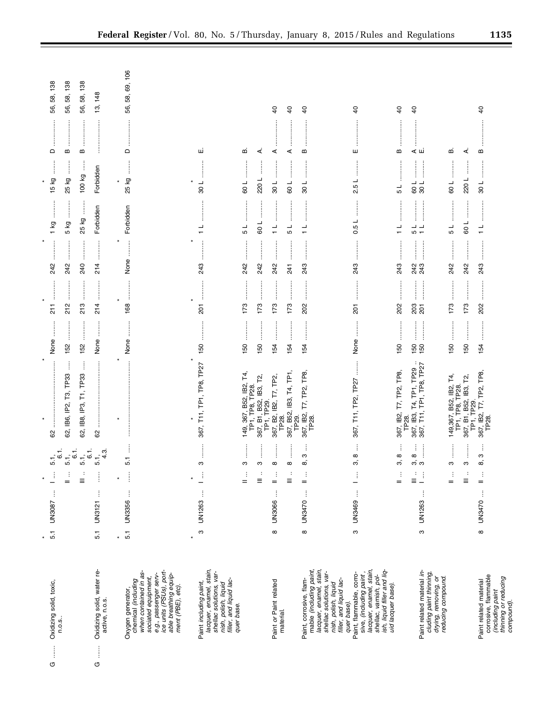|                                                                                                                                                                                                   | ¥        |             | $\star$                                                                                                                                                                          | ¥                                                                                  | $\star$                                      | ¥                                     |                                  |                                        | $\star$                        |              |                   |
|---------------------------------------------------------------------------------------------------------------------------------------------------------------------------------------------------|----------|-------------|----------------------------------------------------------------------------------------------------------------------------------------------------------------------------------|------------------------------------------------------------------------------------|----------------------------------------------|---------------------------------------|----------------------------------|----------------------------------------|--------------------------------|--------------|-------------------|
| Oxidizing solid, toxic,<br>Î<br>O                                                                                                                                                                 | 5.1      | UN3087      | $-61$<br>.<br>ما<br>$\frac{1}{2}$                                                                                                                                                | 62                                                                                 | None                                         | j<br>$\frac{1}{2}$                    | ÷<br>242                         | $1$ kg                                 | $\vdots$<br>15 kg              | $\mathsf{D}$ | 138<br>58,<br>56, |
| n.o.s.                                                                                                                                                                                            |          |             | $= 5.7$<br>$\frac{1}{2}$                                                                                                                                                         | j<br>62, IB6, IP2, T3, TP33                                                        | 152                                          | j<br>212                              | <br> <br> <br> <br> <br> <br>242 | :<br>:<br>:<br>:<br>5 kg               | ŧ<br>25 kg                     | m            | 138<br>58,<br>56, |
|                                                                                                                                                                                                   |          |             |                                                                                                                                                                                  |                                                                                    |                                              |                                       |                                  |                                        |                                |              |                   |
|                                                                                                                                                                                                   |          |             | $6 + 1$<br>$5 + 1$<br>$\stackrel{\rightarrow}{\equiv}$                                                                                                                           | Î<br>62, IB8, IP3, T1, TP33                                                        | 152                                          | j<br>213                              | 240                              | j<br>25 kg                             | 100 kg                         | $\bf{m}$     | 58, 138<br>56,    |
| Oxidizing solid, water re-<br>active, n.o.s.<br>$\vdots$<br><b>ს</b>                                                                                                                              | 5.1      | j<br>UN3121 | 5.1, 4.3<br>j                                                                                                                                                                    | :<br>:<br>:<br>8                                                                   | None                                         | 214                                   | .<br>.<br>.<br>.<br>.<br>214     | Forbidden                              | Forbidden                      |              | 13, 148           |
|                                                                                                                                                                                                   | $\star$  |             | $\star$                                                                                                                                                                          | $\star$                                                                            |                                              | $\star$                               |                                  |                                        | $\star$                        |              |                   |
| e.g., passenger serv-<br>ice units (PSUs), port-<br>when contained in as-<br>able breathing equip-<br>ment (PBE), etc).<br>sociated equipment,<br>Oxygen generator,<br>chemical <i>(including</i> | 5.1      | UN3356      | İ<br>5.1<br>$\vdots$                                                                                                                                                             |                                                                                    | $\ddot{\ddot{\phantom{}}\phantom{}}$<br>None | <b><i><u><u></u></u></i></b><br>168   | None                             | Forbidden                              | İ<br>25 kg                     | ≏            | 56, 58, 69, 106   |
| lacquer, enamel, stain,<br>shellac solutions, var-<br>nish, polish, liquid<br>filler, and liquid lac-<br>Paint including paint,<br>quer base.                                                     | ო        | UN1263      | ო<br>$\frac{1}{\gamma}$                                                                                                                                                          | 367, T11, TP1, TP8, TP27                                                           | 150                                          | ŧ<br>201                              | 243                              | ┙<br>$\overline{\phantom{0}}$          | ┙<br>$\overline{30}$           | ші           |                   |
|                                                                                                                                                                                                   |          |             | ĺ<br>ო<br>$\frac{1}{\pi}$                                                                                                                                                        | 367, B52, IB2, T4,<br>149,                                                         | 150                                          | 173                                   | <br> <br> <br> <br>242           | <br>5                                  | 50 L                           | ഥാ           |                   |
|                                                                                                                                                                                                   |          |             | İ<br>S<br>÷<br>$\equiv$                                                                                                                                                          | TP1, TP8, TP28                                                                     | 150                                          | 173                                   | 242                              | ┙<br>60                                | ŧ<br>220L                      | ∢            |                   |
| Paint or Paint related                                                                                                                                                                            | $\infty$ | j<br>UN3066 | İ<br>$\infty$<br>$\frac{1}{2}$                                                                                                                                                   | 367, B1, 552, IB3, T2,<br>TP1, TP29.<br>367, B2, IB2, T7, TP2,<br>TP28.            | :<br>:<br>:<br>:<br>154                      | İ<br>173                              | :<br>:<br>:<br>:<br>242          | $\frac{1}{1}$                          | $-108$                         | ⋖            | $\overline{4}$    |
| material.                                                                                                                                                                                         |          |             | $\ddot{}}$<br>$\infty$<br>$\colon$<br>Ξ                                                                                                                                          | 367, B52, IB3, T4, TP1,<br>TP29.                                                   | 154                                          | 173                                   | 241                              | 1 5                                    | 109                            | ⋖            | $\overline{40}$   |
| lacquer, enamel, stain,<br>shellac solutions, var-<br>mable (including paint,<br>Paint, corrosive, flam-<br>nish, polish, liquid<br>filler, and liquid lac-                                       | $\infty$ | UN3470      | $\vdots$<br>ო<br>ထဲ<br>$\frac{1}{n}$                                                                                                                                             | 367, IB2, T7, TP2, TP8,<br>TP <sub>28</sub>                                        | <br>154                                      | .<br>.<br>.<br>.<br>.<br>202          | :<br>:<br>:<br>:<br>243          | .<br>.<br>.<br>.<br>.<br>$\frac{1}{1}$ | 108                            | B            | $\overline{0}$    |
| quer base).                                                                                                                                                                                       |          |             |                                                                                                                                                                                  |                                                                                    |                                              |                                       |                                  |                                        |                                |              |                   |
| lacquer, enamel, stain,<br>shellac, vamish, pol-<br>ish, liquid filler and liq-<br>uid lacquer base).<br>Paint, flammable, corro-<br>sive, (including paint,                                      | ო        | UN3469      | ŧ<br>$\infty$<br>က်<br>$\frac{1}{\gamma}$                                                                                                                                        | $\frac{1}{2}$<br>367, T11, TP2, TP27                                               | j<br>None                                    | $\overline{201}$                      | 243                              | 0.5L                                   | $\frac{1}{2}$<br>N             | ш            | $\overline{a}$    |
|                                                                                                                                                                                                   |          |             | ŧ<br>$^\infty$<br>က်<br>$\vdots$<br>$=$                                                                                                                                          | 367, IB2, T7, TP2, TP8<br>TP <sub>28</sub>                                         | <br>150                                      | <u>:</u><br>202                       | 243                              | $\frac{1}{\tau}$                       | ┙<br>5                         | Б            | $\overline{0}$    |
|                                                                                                                                                                                                   |          |             | ŧ<br>$\infty$<br>ຕ໌ຕ<br>$\stackrel{1}{\equiv}$                                                                                                                                   | 267, T11, TP1, TP8, TP27<br>367, T11, TP1, TP8, TP27<br>T4, TP1, TP29<br>367, IB3, | :<br>:<br>:<br>150<br>150                    | <b>.</b><br>.<br>.<br>.<br>203<br>201 | :<br>:<br>:<br>:<br>243<br>243   | $\frac{1}{5}$                          | İ<br>109                       | ⊲ ші         | $\overline{6}$    |
| Paint related material in-<br>cluding paint thinning,<br>drying, removing, or<br>reducing compound.                                                                                               | ო        | ĵ<br>UN1263 | $\begin{array}{c} \begin{array}{c} \begin{array}{c} \begin{array}{c} \begin{array}{c} \end{array}\\ \end{array} \end{array} \end{array} \end{array} \end{array}$<br>$\mathbb{E}$ |                                                                                    | .<br>.<br>.<br>.<br>.<br>.                   |                                       | <br> <br> <br>                   |                                        | $-108$                         |              |                   |
|                                                                                                                                                                                                   |          |             | S<br>$\mathbb{I}$                                                                                                                                                                |                                                                                    | 150                                          | .<br>.<br>.<br>.<br>.<br>173          | 242                              | 5 L                                    | 109                            | m            |                   |
|                                                                                                                                                                                                   |          |             | j<br>ო<br>$\cdot$<br>$\equiv$                                                                                                                                                    | 149,367, B52, IB2, T4,<br>TP1, TP8, TP28.<br>367, B1, B52, IB3, T2,<br>TP1, TP29.  | j<br>150                                     | <br>173                               | ŧ<br>242                         | 109                                    | 220L                           | ⋖            |                   |
| corrosive, flammable<br>(including paint<br>thinning or reducing<br>compound).<br>Paint related material                                                                                          | $\infty$ | UN3470      | ţ<br>ო<br>ထ<br>$\frac{1}{n}$                                                                                                                                                     | 367, IB2, T7, TP2, TP8,<br>TP28.                                                   | $\frac{1}{2}$<br>154                         | <br>202                               | :<br>:<br>:<br>:<br>243          | $\frac{1}{2}$<br>$\frac{1}{\tau}$      | $\frac{1}{2}$<br>$\frac{1}{8}$ | m            | $\overline{a}$    |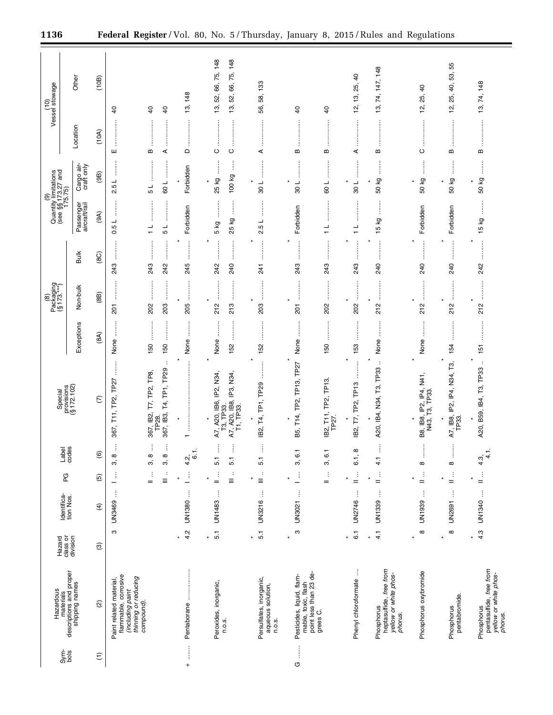|                                   | Hazardous                                                                                   | Hazard                      | Identifica-<br>tion Nos. | PG<br>P                          | Label<br>codes                                         | Special<br>provisions<br>(§ 172.102)                                                                                                                                                                                                                                                                                                                                                                                                                                                                                  |                                         | $P^{ackaging}_{[8]173,***]}$     |                                | (9)<br>Quantity limitations<br>(see §§173.27 and<br>175.75) |                                                     |               | (10)<br>Vessel stowage                                    |
|-----------------------------------|---------------------------------------------------------------------------------------------|-----------------------------|--------------------------|----------------------------------|--------------------------------------------------------|-----------------------------------------------------------------------------------------------------------------------------------------------------------------------------------------------------------------------------------------------------------------------------------------------------------------------------------------------------------------------------------------------------------------------------------------------------------------------------------------------------------------------|-----------------------------------------|----------------------------------|--------------------------------|-------------------------------------------------------------|-----------------------------------------------------|---------------|-----------------------------------------------------------|
| Sym-<br>bols                      | materials<br>descriptions and proper<br>shipping names                                      | class or<br>division        |                          |                                  |                                                        |                                                                                                                                                                                                                                                                                                                                                                                                                                                                                                                       | Exceptions                              | Non-bulk                         | Bulk                           | Passenger<br>aircraft/rail                                  | Cargo air-<br>craft only                            | Location      | Other                                                     |
| $\widehat{\tau}$                  | $\widehat{\omega}$                                                                          | ම                           | $\widehat{f}$            | $\widehat{\mathfrak{G}}$         | $\widehat{\circ}$                                      | $\widehat{\omega}$                                                                                                                                                                                                                                                                                                                                                                                                                                                                                                    | (8A)                                    | (8B)                             | (8C)                           | (9A)                                                        | (9B)                                                | (10A)         | (10B)                                                     |
|                                   | flammable, corrosive<br>(including paint<br>thinning or reducing<br>Paint related material, | ო                           | UN3469                   | Ĵ<br>—                           | $\infty$<br>$\mathfrak{S}$                             | j<br>367, T11, TP2, TP27                                                                                                                                                                                                                                                                                                                                                                                                                                                                                              | $\ddot{\ddot{\phantom{a}}}\,\,$<br>None | 201                              | <br> <br> <br> <br>243         | $\ddot{\phantom{a}}$<br>$\sqcup$<br>rú<br>ö                 | l<br>$\overline{\phantom{a}}$<br>rÚ<br>$\mathbf{a}$ | ш             | $\overline{a}$                                            |
|                                   | compound).                                                                                  |                             |                          | ÷<br>$\colon$<br>$\equiv$<br>$=$ | ŧ<br>$\vdots$<br>8<br>$\infty$<br>$\mathfrak{S}$<br>က် | T4, TP1, TP29<br>367, IB2, T7, TP2, TP8,<br>367, IB3,<br>TP28.                                                                                                                                                                                                                                                                                                                                                                                                                                                        | 150<br>150                              | Î<br>$\vdots$<br>ļ<br>203<br>202 | $\vdots$<br>ŧ<br>243<br>242    | $\frac{1}{1}$<br>┙<br>ъ                                     | ┙<br>┙<br>60<br>Б                                   | $\bf{m}$<br>⋖ | $\overline{a}$<br>$\overline{40}$                         |
| $\begin{array}{c}\n+ \end{array}$ | Pentaborane                                                                                 | 4.2                         | ŧ<br>UN1380              | $\vdots$                         | $\overline{6}$<br>$\frac{5}{4}$                        | :<br>$\star$                                                                                                                                                                                                                                                                                                                                                                                                                                                                                                          | ÷<br>None                               | <br>205                          | :<br>:<br>:<br>:<br>245        | Forbidden                                                   | Forbidden                                           | $\Omega$      | 148<br>ద్ర                                                |
|                                   | Peroxides, inorganic,<br>n.o.s.                                                             | $\overline{5}$ .<br>$\star$ | j<br>UN1483              | $\vdots$<br>÷<br>$\equiv$<br>$=$ | İ<br>ł<br>5.1<br>$\overline{5}$                        | $\star$<br>IB6, IP2, N34,<br>N34,<br>A7, A20, IB8, IP3,<br>T1, TP33.<br>T3, TP33.<br>A7, A20,                                                                                                                                                                                                                                                                                                                                                                                                                         | j<br>İ<br>None<br>152                   | $\vdots$<br>213<br>212           | :<br>:<br>:<br>:<br>240<br>242 | ΓŠ<br>5 kg<br>25                                            | ļ<br>100 kg<br>25 kg                                | $\circ$<br>ပ  | 66, 75, 148<br>75, 148<br>66,<br>52,<br>52,<br>13,<br>13, |
|                                   | Persulfates, inorganic,<br>aqueous solution,<br>n.o.s.                                      | $\overline{5}$ .<br>$\star$ | $\vdots$<br>UN3216       | $\ddot{\cdot}$<br>$\equiv$       | Î<br>5.1                                               | TP1, TP29<br>Т4,<br>IB2,                                                                                                                                                                                                                                                                                                                                                                                                                                                                                              | 152                                     | İ<br>$\vdots$<br>203             | ÷<br>241                       | ÷<br>$\overline{\phantom{a}}$<br>rú<br>N                    | ┙<br>30                                             | ⋖             | 133<br>58,<br>56,                                         |
| Î<br>U                            | point less than 23 de-<br>Pesticides, liquid, flam-<br>mable, toxic, flash                  | S<br>$\ast$                 | ł<br>UN3021              | $\vdots$                         | $\overline{6}$ .<br>က်                                 | TP <sub>2</sub> 7<br>TP13,<br>$\overline{P2}$<br>$\begin{array}{c} \nabla \cdot \mathbf{14} \cdot \mathbf{14} \cdot \mathbf{14} \cdot \mathbf{14} \cdot \mathbf{14} \cdot \mathbf{14} \cdot \mathbf{14} \cdot \mathbf{14} \cdot \mathbf{14} \cdot \mathbf{14} \cdot \mathbf{14} \cdot \mathbf{14} \cdot \mathbf{14} \cdot \mathbf{14} \cdot \mathbf{14} \cdot \mathbf{14} \cdot \mathbf{14} \cdot \mathbf{14} \cdot \mathbf{14} \cdot \mathbf{14} \cdot \mathbf{14} \cdot \mathbf{14} \cdot \mathbf{14} \cdot$<br>B5, | None                                    | j<br>ŧ<br>201                    | 243                            | Forbidden                                                   | $\overline{\phantom{a}}$<br>30                      | $\bf{m}$      | $\overline{a}$                                            |
|                                   | grees C.                                                                                    |                             |                          | $\frac{1}{2}$                    | $\overline{6}$<br>က်                                   | TP <sub>13</sub><br>IB2, T11, TP2, T<br>TP27.                                                                                                                                                                                                                                                                                                                                                                                                                                                                         | 150                                     | ļ<br>202                         | ÷<br>243                       | $\frac{1}{1}$                                               | ┙<br>80                                             | B             | $\overline{a}$                                            |
|                                   | Ť<br>Phenyl chloroformate                                                                   | $\overline{6}$ .<br>$\star$ | ŧ<br>UN2746              | $\frac{1}{2}$                    | $\infty$<br>5                                          | $\ast$<br>TP <sub>13</sub><br>TP2,<br>IB2, T7,                                                                                                                                                                                                                                                                                                                                                                                                                                                                        | 153                                     | İ<br>202                         | 243                            | $\frac{1}{1}$                                               | ┙<br>30                                             | ⋖             | $\overline{a}$<br>25,<br><u>ය</u><br>'n,                  |
|                                   | heptasulfide, free from<br>yellow or white phos-<br>Phosphorus<br>phorus.                   | $\frac{1}{4}$<br>$\ast$     | UN1339                   | $\frac{1}{2}$<br>¥               | j<br>$\frac{1}{4}$                                     | $\cdot$<br>A20, IB4, N34, T3, TP33                                                                                                                                                                                                                                                                                                                                                                                                                                                                                    | None                                    | j<br>212                         | $\vdots$<br>240                | İ<br>15 kg                                                  | ÷<br>kg<br>50                                       | B             | 13, 74, 147, 148                                          |
|                                   | Phosphorus oxybromide                                                                       | $\infty$<br>$\ast$          | ĵ<br>UN1939              | $\frac{1}{n}$                    | ∞                                                      | 74<br>2<br>3, IB8, IP2, IP4,<br>N43, T3, TP33.<br>B8, IB8,                                                                                                                                                                                                                                                                                                                                                                                                                                                            | None                                    | ł<br>×<br>212                    | <br>240                        | Forbidden                                                   | İ<br>Κg<br>50                                       | $\vdots$<br>ပ | $\overline{a}$<br>25,<br><u>ية</u>                        |
|                                   | pentabromide.<br>Phosphorus                                                                 | $\infty$<br>¥               | ł<br><b>UN2691</b>       | $\frac{1}{n}$                    | j<br>$\infty$                                          | ¥<br>IP2, IP4, N34, T3,<br>A7, IB8,<br>TP33.                                                                                                                                                                                                                                                                                                                                                                                                                                                                          | 154                                     | <br>212                          | ÷<br>240                       | Forbidden                                                   | 50 kg                                               | $\bf{m}$      | 55<br>53,<br>₽,<br>25,<br><u>يہ</u>                       |
|                                   | pentasulfide, free from<br>yellow or white phos-<br>Phosphorus<br>phorus.                   | 4.3<br>$\ast$               | UN1340                   | $\frac{1}{n}$                    | $\frac{1}{4}$<br>$\frac{3}{4}$                         | ÷<br>A20, B59, IB4, T3, TP33                                                                                                                                                                                                                                                                                                                                                                                                                                                                                          | :<br>:<br>:<br>151                      | 212                              | 242                            | j<br>δ<br>10                                                | $\ddot{}}$<br>50 kg                                 | $\bf{m}$      | 74, 148<br><u>ო</u>                                       |

٠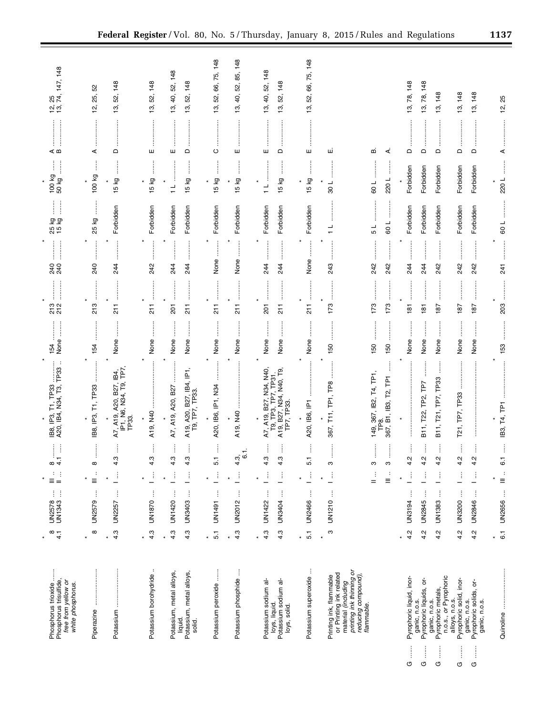| Phosphorus trioxide<br>Phosphorus trisulfide,<br>free from yellow or<br>white phosphorus.                                                  | $\frac{1}{4}$                    | ŧ<br>ŧ<br>UN2578<br>UN1343         | ÷<br>Ξ<br>$=$                                    | ļ<br>$\infty$ 4         | $\cdot$ :<br>IB8, IP3, T1, TP33<br>A20, IB4, N34, T3, TP33                              | None<br>154                                                                                       | .<br>.<br>.<br>.<br>.<br>.<br>213<br>212                                                                                                                                                                                                                                                                                                                                                                                                                                                               | .<br>.<br>.<br>.<br>.<br>240<br>240                                                                                                                                                                                                                                                                                                                                                                                                                                                          | ĺ<br>j<br>25 kg<br>15 kg | ł<br>ļ<br>100 kg<br>-<br>50 kg             | ≪ ഥ                       | 12, 25<br>13, 74, 147, 148                 |
|--------------------------------------------------------------------------------------------------------------------------------------------|----------------------------------|------------------------------------|--------------------------------------------------|-------------------------|-----------------------------------------------------------------------------------------|---------------------------------------------------------------------------------------------------|--------------------------------------------------------------------------------------------------------------------------------------------------------------------------------------------------------------------------------------------------------------------------------------------------------------------------------------------------------------------------------------------------------------------------------------------------------------------------------------------------------|----------------------------------------------------------------------------------------------------------------------------------------------------------------------------------------------------------------------------------------------------------------------------------------------------------------------------------------------------------------------------------------------------------------------------------------------------------------------------------------------|--------------------------|--------------------------------------------|---------------------------|--------------------------------------------|
| Piperazine                                                                                                                                 | $\infty$<br>$\star$              | ŧ<br>UN2579                        | $\equiv$                                         | $\infty$                | IB8, IP3, T1, TP33                                                                      | 154                                                                                               | 213                                                                                                                                                                                                                                                                                                                                                                                                                                                                                                    | 240                                                                                                                                                                                                                                                                                                                                                                                                                                                                                          | 25 kg                    | 100 kg                                     | ⋖                         | 52<br>25,<br><u>ية</u>                     |
| .<br>.<br>.<br>.<br>.<br>.<br>Potassium                                                                                                    | 4.3<br>$\star$                   | $\vdots$<br><b>UN2257</b>          | ĵ                                                | 4.3                     | A7, A19, A20, B27, IB4,<br>IP1, N6, N34, T9, TP7<br>TP33.                               | $\begin{array}{c} \vdots \\ \vdots \\ \vdots \end{array}$<br>None                                 | $\frac{1}{2}$                                                                                                                                                                                                                                                                                                                                                                                                                                                                                          | $\begin{array}{ccccccccccccc} \multicolumn{2}{c}{} & \multicolumn{2}{c}{} & \multicolumn{2}{c}{} & \multicolumn{2}{c}{} & \multicolumn{2}{c}{} & \multicolumn{2}{c}{} & \multicolumn{2}{c}{} & \multicolumn{2}{c}{} & \multicolumn{2}{c}{} & \multicolumn{2}{c}{} & \multicolumn{2}{c}{} & \multicolumn{2}{c}{} & \multicolumn{2}{c}{} & \multicolumn{2}{c}{} & \multicolumn{2}{c}{} & \multicolumn{2}{c}{} & \multicolumn{2}{c}{} & \multicolumn{2}{c}{} & \multicolumn{2}{c}{} & \$<br>244 | Forbidden                | 15 kg                                      | $\Box$                    | 13, 52, 148                                |
| Potassium borohydride                                                                                                                      | 4.3<br>$\star$                   | ŧ<br>UN1870                        | ŧ                                                | ļ<br>4.3                | A19, N40                                                                                | None                                                                                              | 211                                                                                                                                                                                                                                                                                                                                                                                                                                                                                                    | $\begin{bmatrix} 1 & 0 & 0 & 0 \\ 0 & 0 & 0 & 0 \\ 0 & 0 & 0 & 0 \\ 0 & 0 & 0 & 0 \\ 0 & 0 & 0 & 0 \\ 0 & 0 & 0 & 0 \\ 0 & 0 & 0 & 0 & 0 \\ 0 & 0 & 0 & 0 & 0 \\ 0 & 0 & 0 & 0 & 0 \\ 0 & 0 & 0 & 0 & 0 & 0 \\ 0 & 0 & 0 & 0 & 0 & 0 \\ 0 & 0 & 0 & 0 & 0 & 0 & 0 \\ 0 & 0 & 0 & 0 & 0 & 0 & 0 \\ 0 & 0 & 0 & 0 & 0 & 0 & $<br>242                                                                                                                                                           | Forbidden                | İ<br>15 kg                                 | ш                         | 148<br>52,<br>$\overline{3}$               |
| Potassium, metal alloys,<br>Potassium, metal alloys<br>liquid.<br>solid.                                                                   | 4.3<br>4.3<br>$\star$            | ŧ<br>ŧ<br>UN1420<br><b>COPSNIN</b> | j<br>ŧ                                           | j<br>4.3<br>4.3         | A20, B27, IB4, IP1,<br>A7, A19, A20, B27<br>A19, A20, pc.,<br>T9, TP7, TP33.            | None<br>None                                                                                      | <br><b>201</b><br>$\frac{1}{2}$                                                                                                                                                                                                                                                                                                                                                                                                                                                                        | <br>244<br>244                                                                                                                                                                                                                                                                                                                                                                                                                                                                               | Forbidden<br>Forbidden   | ļ<br>15 kg<br>$\frac{1}{1}$                | <br><br>$\Omega$<br>ш     | 52, 148<br>148<br>52,<br>40,<br>19,<br>13, |
| Potassium peroxide                                                                                                                         | $\overline{5}$ .<br>$\star$      | ŧ<br>UN1491                        | ŧ                                                | j<br>5.1                | A20, IB6, IP1, N34                                                                      | None                                                                                              | 211                                                                                                                                                                                                                                                                                                                                                                                                                                                                                                    | None                                                                                                                                                                                                                                                                                                                                                                                                                                                                                         | Forbidden                | 15 kg<br>×                                 | $\circ$                   | 13, 52, 66, 75, 148                        |
| ŧ<br>Potassium phosphide                                                                                                                   | 4.3<br>$\star$                   | ŧ<br><b>UN2012</b>                 | $\vdots$                                         | $\overline{6}$ .<br>4.3 | $\ast$<br>:<br>:<br>:<br>:<br>ŧ<br>A19, N40                                             | None                                                                                              | $\begin{array}{ccccccccccccc} \multicolumn{2}{c}{} & \multicolumn{2}{c}{} & \multicolumn{2}{c}{} & \multicolumn{2}{c}{} & \multicolumn{2}{c}{} & \multicolumn{2}{c}{} & \multicolumn{2}{c}{} & \multicolumn{2}{c}{} & \multicolumn{2}{c}{} & \multicolumn{2}{c}{} & \multicolumn{2}{c}{} & \multicolumn{2}{c}{} & \multicolumn{2}{c}{} & \multicolumn{2}{c}{} & \multicolumn{2}{c}{} & \multicolumn{2}{c}{} & \multicolumn{2}{c}{} & \multicolumn{2}{c}{} & \multicolumn{2}{c}{} & \$<br>$\frac{1}{2}$ | $\begin{array}{cccc}\n\vdots \\ \vdots \\ \vdots\n\end{array}$<br>None                                                                                                                                                                                                                                                                                                                                                                                                                       | Forbidden                | İ<br>15 kg                                 | ш                         | 52, 85, 148<br>13, 40,                     |
| ಕ<br>Potassium sodium al<br>Potassium sodium<br>loys, liquid.<br>loys, solid.                                                              | 4.3<br>4.3<br>$\ast$             | $\vdots$<br>UN3404<br>UN1422       | j<br>ŧ                                           | j<br>4.3<br>4.3         | A7, A19, B27, N34, N40,<br>T9, TP3, TP7, TP31.<br>A19, B27, N34, N40, T9,<br>TP7, TP33. | None<br>None                                                                                      | 201<br>$\frac{1}{2}$                                                                                                                                                                                                                                                                                                                                                                                                                                                                                   | 244<br>244                                                                                                                                                                                                                                                                                                                                                                                                                                                                                   | Forbidden<br>Forbidden   | İ<br>ŧ<br>15 kg<br>$\ast$<br>$\frac{1}{1}$ | $\Omega$<br>ш             | 13, 40, 52, 148<br>148<br>52,<br>13,       |
| Potassium superoxide                                                                                                                       | 5.1<br>$\star$                   | ŧ<br>UN2466                        | ŧ                                                | Î<br>5.1                | $\star$<br>A20, IB6, IP1                                                                | j<br>None                                                                                         | $\frac{1}{2}$                                                                                                                                                                                                                                                                                                                                                                                                                                                                                          | $\star$<br>None                                                                                                                                                                                                                                                                                                                                                                                                                                                                              | Forbidden                | İ<br>15 kg<br>$\star$                      | ш                         | 13, 52, 66, 75, 148                        |
| printing ink thinning or<br>or Printing ink related<br>material (including<br>reducing compound),<br>flammable.<br>Printing ink, flammable | ო<br>$\star$                     | ŧ<br>UN1210                        | ÷<br>j<br>$=$                                    | ო<br>ო                  | 149, 367, IB2, T4, TP1,<br>367, T11, TP1, TP8                                           | 150<br>150                                                                                        | 173<br>173                                                                                                                                                                                                                                                                                                                                                                                                                                                                                             | <br>243<br>242                                                                                                                                                                                                                                                                                                                                                                                                                                                                               | 51<br>$\frac{1}{1}$      | 108<br>109                                 | ші<br>മ                   |                                            |
|                                                                                                                                            |                                  |                                    | ÷<br>Ξ                                           | S                       | $\overline{\mathsf{F}}$<br>TP8.<br>367, B1, IB3, T2,                                    | 150                                                                                               | 173                                                                                                                                                                                                                                                                                                                                                                                                                                                                                                    | 242                                                                                                                                                                                                                                                                                                                                                                                                                                                                                          | 109                      | 220L                                       | ∢                         |                                            |
| Pyrophoric liquid, inor-<br>ļ<br>O                                                                                                         | 4.2<br>$\ast$                    | j<br>UN3194                        | ŧ                                                | $\frac{2}{4}$           |                                                                                         | None                                                                                              | <b></b><br>$\frac{18}{1}$                                                                                                                                                                                                                                                                                                                                                                                                                                                                              | 244                                                                                                                                                                                                                                                                                                                                                                                                                                                                                          | Forbidden                | Forbidden                                  | $\Box$                    | 13, 78, 148                                |
| Pyrophoric liquids, or-<br>ganic, n.o.s.<br>ganic, n.o.s.<br>ļ<br>O                                                                        | 4.2                              | j<br><b>UN2845</b>                 |                                                  | 4.2                     | B11, T22, TP2, TP7                                                                      | None                                                                                              | $\frac{181}{2}$                                                                                                                                                                                                                                                                                                                                                                                                                                                                                        | 244                                                                                                                                                                                                                                                                                                                                                                                                                                                                                          | Forbidden                | Forbidden                                  | $\Omega$                  | 13, 78, 148                                |
| n.o.s., or Pyrophoric<br>Pyrophoric metals,<br>ļ<br>O                                                                                      | 4.2                              | ļ<br>UN1383                        | ŧ                                                | ļ<br>4.2                | İ<br>B11, T21, TP7, TP33                                                                | $\begin{array}{c} \begin{array}{c} \bullet \\ \bullet \\ \bullet \end{array} \end{array}$<br>None | :<br>:<br>:<br>:<br>187                                                                                                                                                                                                                                                                                                                                                                                                                                                                                | 242                                                                                                                                                                                                                                                                                                                                                                                                                                                                                          | Forbidden                | Forbidden                                  | $\Omega$                  | 148<br>13,                                 |
| Pyrophoric solid, inor-<br>Pyrophoric solids, or-<br>alloys, n.o.s.<br>ganic, n.o.s.<br>ļ<br>O<br>O                                        | 4.2<br>4.2                       | UN3200<br><b>UN2846</b>            | $\vdots$                                         | 4.2<br>$\frac{2}{4}$    | $\ddot{}}$<br>TP7, TP33<br>T21,                                                         | j<br>None<br>None                                                                                 | 187<br>187                                                                                                                                                                                                                                                                                                                                                                                                                                                                                             | 242<br>242                                                                                                                                                                                                                                                                                                                                                                                                                                                                                   | Forbidden<br>Forbidden   | Forbidden<br>Forbidden                     | $\hfill \Box$<br>$\Omega$ | 13, 148<br>13, 148                         |
| ganic, n.o.s.<br>İ                                                                                                                         |                                  | Ĵ                                  | $\frac{1}{\alpha}$                               |                         | ÷<br>$\vdots$                                                                           |                                                                                                   |                                                                                                                                                                                                                                                                                                                                                                                                                                                                                                        | $\begin{array}{ccccccccccccc} \multicolumn{2}{c}{} & \multicolumn{2}{c}{} & \multicolumn{2}{c}{} & \multicolumn{2}{c}{} & \multicolumn{2}{c}{} & \multicolumn{2}{c}{} & \multicolumn{2}{c}{} & \multicolumn{2}{c}{} & \multicolumn{2}{c}{} & \multicolumn{2}{c}{} & \multicolumn{2}{c}{} & \multicolumn{2}{c}{} & \multicolumn{2}{c}{} & \multicolumn{2}{c}{} & \multicolumn{2}{c}{} & \multicolumn{2}{c}{} & \multicolumn{2}{c}{} & \multicolumn{2}{c}{} & \multicolumn{2}{c}{} & \$        |                          |                                            | ÷                         |                                            |
| Quinoline                                                                                                                                  | $\overline{6}$ .<br>$\pmb{\ast}$ | UN2656                             | $\mathbf{u}^{\mathbf{r}}_{\mathbf{r}}$<br>$\ast$ | $\overline{6}$ .        | IB3, T4, TP1                                                                            | 153                                                                                               | İ<br>203                                                                                                                                                                                                                                                                                                                                                                                                                                                                                               | 241                                                                                                                                                                                                                                                                                                                                                                                                                                                                                          | 109                      | 220L                                       | ⋖                         | 12, 25                                     |

 $\begin{array}{ccccccccccccccccc} \circ & \circ & \circ & \circ & \circ & \circ \end{array}$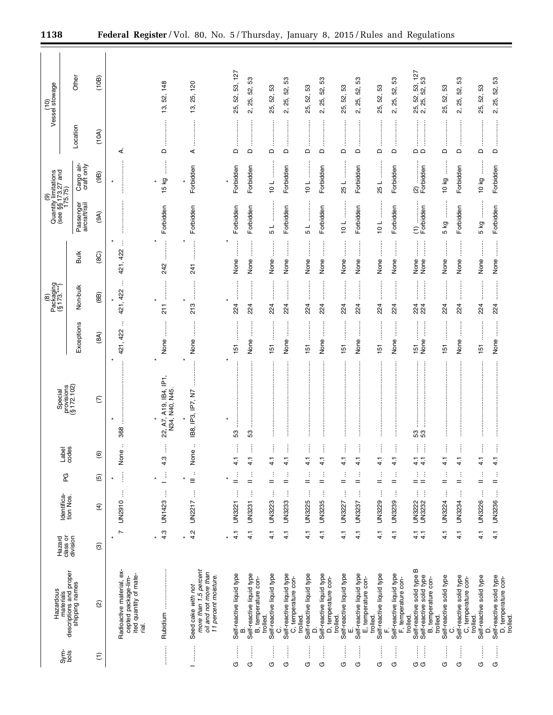| (10)<br>Vessel stowage                                      | Other<br>Location                                      | (10B)<br>(10A)    | ⋖                                                                                   | 52, 148<br>ద్ర<br>$\Omega$              | 25, 120<br><u>ය</u><br>.<br>.<br>.<br>.<br>.<br>⋖                                            | 53, 127<br>52,<br>25,<br>$\Box$ | S3<br>52,<br>25,<br>$\mathbf{c}$<br>$\Box$            | 25, 52, 53<br>$\Omega$               | S3<br>52,<br>25,<br>2,<br>$\Box$                      | S3<br>25, 52,<br>≏                               | 3<br>25, 52,<br>2.<br>$\Omega$                   | 53<br>52,<br>25,<br>$\hfill \Box$     | S3<br>25, 52,<br>2.<br>$\Box$                          | 53<br>25, 52,<br>$\Omega$             | 53<br>25, 52,<br>2.<br>$\Omega$                                  | 127<br>53<br>53,<br>25, 52, 53,<br>2, 25, 52, 1<br>$\Omega$                   | S3<br>52,<br>25,<br>$\Box$           | 53<br>25, 52,<br>$\mathcal{L}$<br>$\Box$                | S3<br>52,<br>25,<br><br>$\Omega$          | 2, 25, 52, 53<br>$\Box$                                     |
|-------------------------------------------------------------|--------------------------------------------------------|-------------------|-------------------------------------------------------------------------------------|-----------------------------------------|----------------------------------------------------------------------------------------------|---------------------------------|-------------------------------------------------------|--------------------------------------|-------------------------------------------------------|--------------------------------------------------|--------------------------------------------------|---------------------------------------|--------------------------------------------------------|---------------------------------------|------------------------------------------------------------------|-------------------------------------------------------------------------------|--------------------------------------|---------------------------------------------------------|-------------------------------------------|-------------------------------------------------------------|
|                                                             | Cargo air-<br>craft only                               | (9B)              | $\star$                                                                             | $\vdots$<br>15 kg                       | Forbidden<br>$\star$                                                                         | Forbidden                       | Forbidden                                             | $10 L \dots L$                       | Forbidden                                             | $\frac{1}{2}$<br>10L                             | Forbidden                                        | 25L                                   | Forbidden                                              | 25L                                   | Forbidden                                                        | (2)<br>Forbidden                                                              | 10 kg                                | Forbidden                                               | 10 kg                                     | Forbidden                                                   |
| (9)<br>Quantity limitations<br>(see §§173.27 and<br>175.75) | Passenger<br>aircraft/rail                             | (9A)              |                                                                                     | Forbidden                               | Forbidden                                                                                    | Forbidden                       | Forbidden                                             | $\frac{1}{5}$                        | Forbidden                                             | .<br>.<br>.<br>.<br>.<br>.<br>.<br>$\frac{1}{5}$ | Forbidden                                        | $\frac{1}{2}$                         | Forbidden                                              | <br> <br> <br> <br> <br>10L           | Forbidden                                                        |                                                                               | :<br>:<br>:<br>:<br>5 kg             | Forbidden                                               | :<br>:<br>:<br>5 kg                       | Forbidden                                                   |
|                                                             | <b>Bulk</b>                                            | (8C)              | Ì<br>421, 422                                                                       | <br>242                                 | <br>241                                                                                      | None                            | None                                                  | <br> <br> <br>None                   | $\vdots$<br>None                                      | ļ<br>None                                        | $\ddot{}}$<br>None                               | None                                  | None                                                   | :<br>None                             | $\vdots$<br>None                                                 | $\ddot{}}$<br>$\frac{1}{2}$<br>None<br>None                                   | :<br>:<br>:<br>None                  | None                                                    | None                                      | None                                                        |
| Packaging<br>(§ 173.***)<br>$\circledcirc$                  | Non-bulk                                               | (8B)              | ÷<br>421, 422<br>$\star$                                                            | <br>$\frac{1}{2}$                       | <br>$\ast$<br>213                                                                            | $\star$<br>224                  | 224                                                   | <br>224                              | :<br>:<br>:<br>:<br>224                               | 224                                              | $\vdots$<br>224                                  | 224                                   | 224                                                    | 224                                   | 224                                                              | <br>.<br>.<br>.<br>.<br>.<br>224<br>224                                       | 224                                  | 224                                                     | <br>224                                   | 224                                                         |
|                                                             | Exceptions                                             | (8A)              | ÷<br>421, 422                                                                       | :<br>:<br>:<br>None                     | None                                                                                         | 151                             | None                                                  | <br>$\frac{15}{15}$                  | :<br>:<br>None                                        | 151                                              | None                                             | 151                                   | :<br>:<br>:<br>None                                    | <br>151                               | None                                                             | .<br>.<br>.<br>.<br>.<br>j<br>None<br>5                                       | 5                                    | None                                                    | <br>151                                   | None                                                        |
|                                                             | Special<br>provisions<br>(§ 172.102)                   | $\mathcal{L}$     | 368                                                                                 | 22, A7, A19, IB4, IP1<br>N34, N40, N45. | $\star$<br>IB8, IP3, IP7, N7                                                                 | $\star$<br>53                   | 53                                                    |                                      | $\vdots$                                              |                                                  |                                                  |                                       |                                                        |                                       |                                                                  | 53<br>53                                                                      |                                      |                                                         |                                           | $\vdots$                                                    |
|                                                             | Label<br>codes                                         | $\widehat{\circ}$ | :<br>None                                                                           | Î<br>$3\frac{3}{4}$                     | $\ddot{\cdot}$<br>None                                                                       | $\frac{1}{4}$                   | $\frac{1}{4}$                                         | i<br>$\frac{1}{4}$                   | $\frac{1}{4}$                                         | $\frac{1}{4}$                                    | $\frac{1}{4}$                                    | $\frac{1}{4}$                         | $\frac{1}{4}$                                          | $\frac{1}{4}$                         | $\frac{1}{4}$                                                    | ļ<br>Î<br>$\frac{1}{4}$<br>$\frac{1}{4}$                                      | $\frac{1}{4}$                        | $\frac{1}{4}$                                           | $\vdots$<br>$\frac{1}{4}$                 | $\frac{1}{4}$                                               |
|                                                             | PG                                                     | $\widehat{5}$     | j<br>$\star$                                                                        | $\vdots$                                | $\frac{1}{2}$<br>$\star$                                                                     | ÷<br>$=$                        | ÷<br>$=$                                              | ÷<br>$=$                             | ÷<br>$=$                                              | $\vdots$<br>$=$                                  | ÷<br>$=$                                         | $=$                                   | ÷<br>$=$                                               | ÷<br>$=$                              | ÷<br>$=$                                                         | ÷<br>÷<br>$=$ $=$                                                             | ÷<br>$=$                             | $\vdots$<br>$=$                                         | ÷<br>$=$                                  | ÷<br>$=$                                                    |
|                                                             | Identifica-<br>tion Nos.                               | $\widehat{f}$     | ŧ<br><b>UN2910</b>                                                                  | ŧ<br>UN1423                             | $\vdots$<br>UN2217                                                                           | ÷<br>UN3221                     | ŧ<br>UN3231                                           | j<br>UN3223                          | ĵ<br>UN3233                                           | ŧ<br>UN3225                                      | ŧ<br><b>UN3235</b>                               | UN3227                                | ÷<br>UN3237                                            | ÷<br>UN3229                           | ŧ<br>UN3239                                                      | ŧ<br>÷<br><b>UN3232</b><br>UN3222                                             | ļ<br>UN3224                          | ĵ<br>UN3234                                             | ŧ<br>UN3226                               | ĵ<br>UN3236                                                 |
|                                                             | Hazard<br>class or<br>division                         | $\circledcirc$    | $\overline{ }$<br>$\star$                                                           | 4.3<br>$\star$                          | 4.2<br>$\star$                                                                               | 4.1<br>$\star$                  | $\frac{1}{4}$                                         | 4.1                                  | $\frac{1}{4}$                                         | $\frac{1}{4}$                                    | $\frac{1}{4}$                                    | 4.1                                   | 4.1                                                    | 4.1                                   | 4.1                                                              | $\frac{1}{4}$                                                                 | 4.1                                  | 4.1                                                     | $\frac{1}{4}$                             | 4.1                                                         |
| Hazardous                                                   | materials<br>descriptions and proper<br>shipping names | ହି                | Radioactive material, ex-<br>ited quantity of mate-<br>cepted package-lim-<br>rial. | Rubidium                                | more than 1.5 percent<br>oil and not more than<br>11 percent moisture.<br>Seed cake with not | Self-reactive liquid type       | Self-reactive liquid type<br>B, temperature con-<br>മ | Self-reactive liquid type<br>trolled | Self-reactive liquid type<br>C, temperature con-<br>ပ | Self-reactive liquid type<br>trolled.<br>≏       | Self-reactive liquid type<br>D, temperature con- | Self-reactive liquid type<br>trolled. | Self-reactive liquid type<br>E, temperature con-<br>ші | Self-reactive liquid type<br>trolled. | Self-reactive liquid type<br>F, temperature con-<br>trolled<br>щ | Self-reactive solid type B<br>Self-reactive solid type<br>B, temperature con- | Self-reactive solid type<br>trolled. | solid type<br>C, temperature con-<br>Self-reactive<br>ن | Self-reactive solid type<br>trolled.<br>Q | Self-reactive solid type<br>D, temperature con-<br>trolled. |
|                                                             | $rac{\text{time}}{\text{cos}}$                         | $\widehat{\tau}$  |                                                                                     |                                         | —                                                                                            | İ<br>O                          | ļ<br>O                                                | İ<br>O                               | İ<br>O                                                | İ<br>O                                           | j<br>O                                           | O                                     | j<br>O                                                 | j<br>O                                | İ<br>O                                                           | Î<br>ļ<br>கு கு                                                               | İ<br>G                               | ļ<br>O                                                  | j<br>U                                    | ļ<br>O                                                      |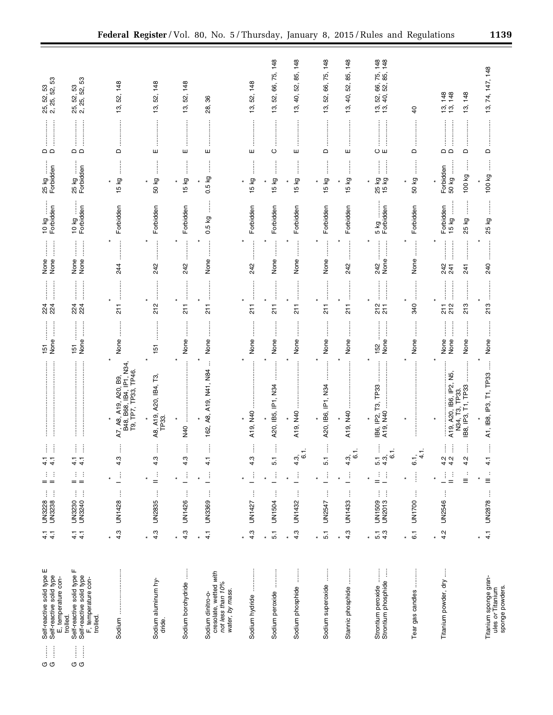| $\frac{1}{2}$<br>$\frac{1}{2}$<br>σσ | Self-reactive solid type E<br>Self-reactive solid type<br>E, temperature con-<br>trolled.                                                                                                                                                                                                                                                                                                                                                                                                                 | $\frac{1}{4}$ $\frac{1}{4}$        | j.<br>ŧ<br>UN3228<br>UN3238 | d.<br>$=$ $=$                   | ļ<br>4.1<br>4.1                                   |                                                                           | 151<br>None                         | 24<br>24          | j<br>$\begin{array}{c} \begin{array}{c} \bullet \\ \bullet \\ \bullet \end{array} \end{array}$<br>None<br>None<br> <br> <br> <br>            | ļ<br>10 kg<br>Forbidden               | İ<br>25 kg<br>Forbidden                                                                                                                        | $\mathop{\Box} \mathop{\Box}$     | 25, 52, 53<br>2, 25, 52, 53                            |
|--------------------------------------|-----------------------------------------------------------------------------------------------------------------------------------------------------------------------------------------------------------------------------------------------------------------------------------------------------------------------------------------------------------------------------------------------------------------------------------------------------------------------------------------------------------|------------------------------------|-----------------------------|---------------------------------|---------------------------------------------------|---------------------------------------------------------------------------|-------------------------------------|-------------------|----------------------------------------------------------------------------------------------------------------------------------------------|---------------------------------------|------------------------------------------------------------------------------------------------------------------------------------------------|-----------------------------------|--------------------------------------------------------|
| $\frac{1}{2}$<br>j<br>σσ             | щ<br>Self-reactive solid type<br>Self-reactive solid type<br>F, temperature con-<br>trolled.                                                                                                                                                                                                                                                                                                                                                                                                              | $\frac{1}{4}$ $\frac{1}{4}$        | Ĵ<br>ŧ<br>UN3240<br>UN3230  | ÷<br>÷<br>$=$ $=$               | i<br>j<br>$\frac{1}{4}$ $\frac{1}{4}$             | :<br>:<br>:<br>:                                                          | j<br>None<br>151                    | 224<br>224        | $\begin{array}{c} \vdots \\ \vdots \\ \vdots \end{array}$<br>j<br>None<br>None                                                               | Forbidden<br>10 kg                    | İ<br>25 kg<br>Forbidden                                                                                                                        | $\frac{1}{2}$<br>$\Omega$         | 25, 52, 53<br>2, 25, 52, 53                            |
|                                      |                                                                                                                                                                                                                                                                                                                                                                                                                                                                                                           | 4.3<br>$\star$                     | ŧ<br>UN1428                 | $\mathbb{E}$                    | 4.3                                               | A7, A8, A19, A20, B9,<br>B48, B68, IB4, IP1, N34,<br>T9, TP7, TP33, TP46. | None                                | 211               | 244                                                                                                                                          | Forbidden                             | 15 kg<br>$\star$                                                                                                                               | $\Omega$                          | 148<br>52,<br>13,                                      |
|                                      | Sodium aluminum hy-<br>dride.                                                                                                                                                                                                                                                                                                                                                                                                                                                                             | 4.3<br>$\star$                     | ŧ<br><b>UN2835</b>          | $\frac{1}{2}$                   | 4.3                                               | A8, A19, A20, IB4, T3<br>TP <sub>33</sub> .                               | 151                                 | 212               | $\ddot{\phantom{a}}$<br>242                                                                                                                  | Forbidden                             | :::::::<br>50 kg<br>$\star$                                                                                                                    | ш                                 | 148<br>52,<br>13,                                      |
|                                      | Ì<br>Sodium borohydride                                                                                                                                                                                                                                                                                                                                                                                                                                                                                   | 4.3<br>$\star$                     | $\vdots$<br>UN1426          | Ĵ                               | Î<br>4.3                                          | $\ast$<br>ļ<br>QPN                                                        | j<br>None                           | $\frac{1}{2}$     | ×<br>242                                                                                                                                     | Forbidden                             | İ<br>15 kg<br>×                                                                                                                                | ш                                 | 148<br>52,<br>13,                                      |
|                                      | cresolate, wetted with<br>not less than 10%<br>water, by mass.<br>Sodium dinitro-o-                                                                                                                                                                                                                                                                                                                                                                                                                       | $\frac{1}{4}$<br>$\star$           | ŧ<br>UN3369                 | Ĵ                               | Î<br>4.1                                          | $\vdots$<br>162, A8, A19, N41, N84                                        | $\ddot{\phantom{a}}$<br>None        | 211               | None                                                                                                                                         | ļ<br>0.5 kg                           | Î<br>0.5 kg                                                                                                                                    | ш                                 | 86<br>28,                                              |
|                                      | Sodium hydride                                                                                                                                                                                                                                                                                                                                                                                                                                                                                            | 4.3                                | ŧ<br>UN1427                 | Ĵ                               | 4.3                                               | A19, N40                                                                  | None                                | $\frac{1}{2}$     | 242                                                                                                                                          | Forbidden                             | 5 kg<br>$\mathbf{r}$                                                                                                                           | ш                                 | 148<br>52,<br>13,                                      |
|                                      | Sodium peroxide                                                                                                                                                                                                                                                                                                                                                                                                                                                                                           | 5.1<br>$\star$                     | ŧ<br>UN1504                 | ŧ                               | j<br>$\overline{5}$ .                             | ×<br><b><i><u><u></u></u></i></b><br>A20, IB5, IP1, N34                   | None                                | 211               | ¥<br>None                                                                                                                                    | Forbidden                             | $\ddot{}}$<br>ξQ<br>LO<br>$\mathbf -$                                                                                                          | j<br>$\circ$                      | 148<br>75,<br>66,<br>52,<br>13,                        |
|                                      | j<br>Sodium phosphide                                                                                                                                                                                                                                                                                                                                                                                                                                                                                     | 4.3<br>$\ast$                      | ĵ<br>UN1432                 | ŧ                               | ÷<br>$\frac{a}{4}$ 6                              | <br>A19, N40                                                              | None                                | $\frac{1}{2}$     | $\vdots$<br>None                                                                                                                             | Forbidden                             | $\ddot{}}$<br>Γð<br>LO.<br>$\overline{\phantom{0}}$                                                                                            | <br>ш                             | 148<br>85,<br>52,<br>Φ,<br>13,                         |
|                                      | j<br>Sodium superoxide                                                                                                                                                                                                                                                                                                                                                                                                                                                                                    | $\overline{5}$ .<br>$\star$        | $\vdots$<br>UN2547          | Ĵ                               | 5.1                                               | A20, IB6, IP1, N34                                                        | None                                | 211               | None                                                                                                                                         | Forbidden                             | 15 kg<br>$\star$                                                                                                                               | $\Box$                            | 66, 75, 148<br>52,<br>13,                              |
|                                      | Stannic phosphide                                                                                                                                                                                                                                                                                                                                                                                                                                                                                         | 4.3<br>$\star$                     | $\vdots$<br>UN1433          | Ĵ                               | 4.3,<br>O                                         | $\star$<br>A19, N40                                                       | None                                | $\frac{1}{2}$     | 242                                                                                                                                          | Forbidden                             | ļ<br>15 kg<br>÷                                                                                                                                | ш                                 | 85, 148<br>52,<br>₽,<br>13,                            |
|                                      | ļ<br>Ĵ<br>Strontium peroxide<br>Strontium phosphide                                                                                                                                                                                                                                                                                                                                                                                                                                                       | 4.3<br>$\overline{5}$ .<br>$\star$ | ĵ<br>ĵ<br>UN1509<br>UN2013  | Ľ,<br>÷<br>$=$                  | Î<br>÷<br>n 4<br>1940<br>1941                     | IB6, IP2, T3, TP33                                                        | None<br>152                         | $217$<br>$217$    | $\begin{array}{c} \begin{array}{c} \begin{array}{c} \begin{array}{c} \end{array} \\ \end{array} \end{array} \end{array}$<br>ĺ<br>None<br>242 | 5kg<br>Forbidden                      | İ<br>$\begin{array}{c} \begin{array}{c} \begin{array}{c} \begin{array}{c} \end{array}\\ \end{array} \end{array} \end{array}$<br>25 kg<br>15 kg | Oш                                | 52, 66, 75, 148<br>40, 52, 85, 148<br>52,<br>້າ.<br>ມີ |
|                                      | $\begin{array}{ccccccccccccc} \multicolumn{2}{c}{} & \multicolumn{2}{c}{} & \multicolumn{2}{c}{} & \multicolumn{2}{c}{} & \multicolumn{2}{c}{} & \multicolumn{2}{c}{} & \multicolumn{2}{c}{} & \multicolumn{2}{c}{} & \multicolumn{2}{c}{} & \multicolumn{2}{c}{} & \multicolumn{2}{c}{} & \multicolumn{2}{c}{} & \multicolumn{2}{c}{} & \multicolumn{2}{c}{} & \multicolumn{2}{c}{} & \multicolumn{2}{c}{} & \multicolumn{2}{c}{} & \multicolumn{2}{c}{} & \multicolumn{2}{c}{} & \$<br>Tear gas candles | $\overline{6}$ .<br>$\star$        | ţ<br>UN1700                 | j                               | G.i<br>4                                          |                                                                           | None                                | 340               | $\ddot{\phantom{a}}$<br>None<br>                                                                                                             | Forbidden                             | $\vdots$<br>50 kg<br>$\ast$                                                                                                                    | ┋<br>$\Omega$                     | $\overline{4}$                                         |
|                                      | Titanium powder, dry                                                                                                                                                                                                                                                                                                                                                                                                                                                                                      | 4.2<br>$\ast$                      | ŧ<br><b>UN2546</b>          | ÷<br>Ĵ.<br>÷<br>$\equiv$<br>$=$ | j<br>i<br>ļ<br>$\frac{1}{4}$ $\frac{1}{4}$<br>4.2 | A19, A20, IB6, IP2, N5,<br>IB8, IP3, T1, TP33<br>T3, TP33.<br>N34,        | j<br>j<br>j<br>None<br>None<br>None | 211<br>213<br>212 | <b>.</b><br>.<br>.<br>.<br><br>242<br>241<br>241<br><br>.<br>.<br>.<br>.<br>.<br>.                                                           | j<br>ļ<br>Forbidden<br>15 kg<br>25 kg | ļ<br>50 kg<br>Forbidden<br>100 kg                                                                                                              | <br>$\Omega$<br>$\mathsf{\Omega}$ | 13, 148<br>13, 148<br>13, 148                          |
|                                      | Titanium sponge gran-<br>sponge powders.<br>ules or Titanium                                                                                                                                                                                                                                                                                                                                                                                                                                              | $\overline{4}$ .<br>×              | UN2878                      | ÷<br>$\equiv$                   | $\frac{1}{4}$                                     | A1, IB8, IP3, T1, TP33                                                    | None                                | 213               | 240                                                                                                                                          | 25 kg                                 | 100 kg                                                                                                                                         | ≏                                 | 74, 147, 148<br>19,                                    |

 $\mathop{\mathop{\mathrm{H}}}\nolimits$ **σσ σσ**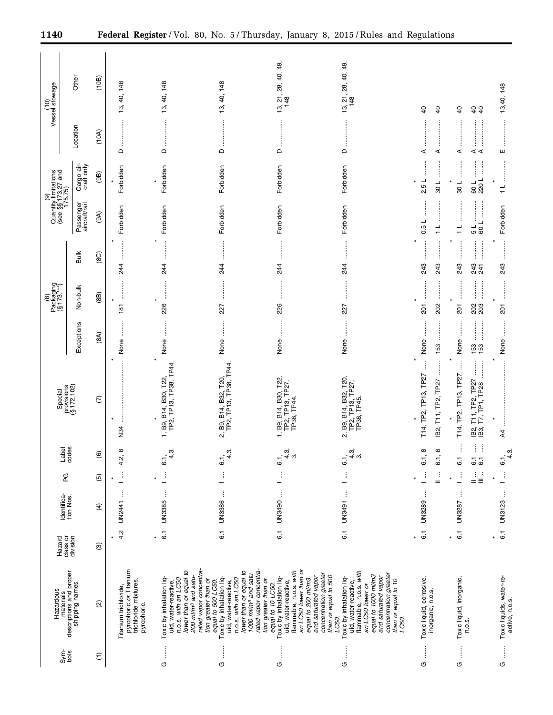| Vessel stowage<br>(10)                                      | Other                                                  | (10B)                     | 40, 148<br>13,                                                                                 | 13, 40, 148                                                                                                                                                                            | 13, 40, 148                                                                                                                                                                                                   | 13, 21, 28, 40, 49,<br>148<br>İ                                                                                                                                                                                        | 13, 21, 28, 40, 49,<br>148                                                                                                                                                                                     | $\overline{a}$<br>$\overline{a}$                     | $\overline{6}$<br>64<br>                                                                                        | 13,40, 148<br>                             |
|-------------------------------------------------------------|--------------------------------------------------------|---------------------------|------------------------------------------------------------------------------------------------|----------------------------------------------------------------------------------------------------------------------------------------------------------------------------------------|---------------------------------------------------------------------------------------------------------------------------------------------------------------------------------------------------------------|------------------------------------------------------------------------------------------------------------------------------------------------------------------------------------------------------------------------|----------------------------------------------------------------------------------------------------------------------------------------------------------------------------------------------------------------|------------------------------------------------------|-----------------------------------------------------------------------------------------------------------------|--------------------------------------------|
|                                                             | Location                                               | (10A)                     | $\mathsf{\Omega}$                                                                              | $\Omega$                                                                                                                                                                               | $\ddot{}}$<br>$\Omega$                                                                                                                                                                                        | $\Omega$                                                                                                                                                                                                               | $\Omega$                                                                                                                                                                                                       | ⋖<br>⋖                                               | ⋖⋖<br>⋖                                                                                                         | ш                                          |
| (9)<br>Quantity limitations<br>(see §§173.27 and<br>175.75) | Cargo air-<br>craft only                               | (9B)                      | Forbidden                                                                                      | Forbidden                                                                                                                                                                              | Forbidden                                                                                                                                                                                                     | Forbidden                                                                                                                                                                                                              | Forbidden                                                                                                                                                                                                      | 2.5 L<br>$\frac{1}{30}$                              | :<br>:<br>:<br>:<br>$\vdots$<br>103<br>109<br>220                                                               | $\frac{1}{\tau}$                           |
|                                                             | Passenger<br>aircraft/rail                             | (9A)                      | Forbidden                                                                                      | Forbidden                                                                                                                                                                              | Forbidden                                                                                                                                                                                                     | Forbidden                                                                                                                                                                                                              | Forbidden                                                                                                                                                                                                      | ┙<br>0.5<br>┙<br>$\overline{ }$                      | :<br>:<br>$\frac{1}{1}$<br>$\frac{1}{2}$ 0                                                                      | Forbidden                                  |
|                                                             | Bulk                                                   | $\widetilde{\mathrm{SO}}$ | <br>244                                                                                        | 244                                                                                                                                                                                    | 244                                                                                                                                                                                                           | 244                                                                                                                                                                                                                    | 244                                                                                                                                                                                                            | 243<br>243                                           | :<br>:<br>:<br>:<br><br>243<br>243<br>241                                                                       | <br>243                                    |
| $Packaging(§ 173,***)(§ 173,***)$                           | Non-bulk                                               | (8B)                      | 181                                                                                            | <br>$\ast$<br>226                                                                                                                                                                      | :<br>:<br>:<br>:<br>227                                                                                                                                                                                       | 226                                                                                                                                                                                                                    | 227                                                                                                                                                                                                            | $\vdots$<br>202<br>$\overline{5}$                    | :<br>:<br>:<br>:<br><br> <br> <br> <br> <br>201<br>20<br>20                                                     | <br>$\overline{5}$                         |
|                                                             | Exceptions                                             | (8A)                      | <br>None<br>$\star$                                                                            | None                                                                                                                                                                                   | None                                                                                                                                                                                                          | None                                                                                                                                                                                                                   | None                                                                                                                                                                                                           | None<br>153                                          | <br>None<br><u>្រី ប្ដី</u>                                                                                     | j<br>None                                  |
| Special                                                     | provisions<br>(§ 172.102)                              | E                         | N34                                                                                            | TP2, TP13, TP38, TP44<br>1, B9, B14, B30, T22,                                                                                                                                         | TP2, TP13, TP38, TP44.<br>B32, T20<br>B14,<br>2, B9,                                                                                                                                                          | 1, B9, B14, B30, T22,<br>TP2, TP13, TP27,<br>TP38, TP44.                                                                                                                                                               | B9, B14, B32, T20,<br>TP13, TP27,<br>TP2, TP13, T<br>TP38, TP45.<br>ΩÎ                                                                                                                                         | T14, TP2, TP13, TP27<br>T11, TP2, TP27<br><u>в2;</u> | $\ddot{}}$<br>:<br>:<br>:<br>:<br>T14, TP2, TP13, TP27<br>T11, TP2, TP27<br>T7, TP1, TP28<br><u>ය ය</u><br>මූ ස | j<br>$\overline{4}$                        |
|                                                             | Label<br>codes                                         | $\widehat{\mathbf{e}}$    | $^\infty$<br>4.2,                                                                              | $4.\overline{3}$<br>ۿ                                                                                                                                                                  | 4.3.<br>$\ddot{\circ}$                                                                                                                                                                                        | 4.3,<br>က<br>ڧ                                                                                                                                                                                                         | 4.3,<br>က<br>$\dot{\circ}$                                                                                                                                                                                     | œ<br>$\infty$<br>ڞ<br>.<br>ف                         | Î<br>ŧ<br>j<br>ဖ ဖ<br>ن                                                                                         | m<br>4<br>6                                |
|                                                             | PG                                                     | $\widehat{\mathbf{e}}$    | ĵ<br>$\star$                                                                                   | $\frac{1}{2}$                                                                                                                                                                          | ţ<br>—                                                                                                                                                                                                        | ţ<br>—                                                                                                                                                                                                                 | $\vdots$<br><sup>-</sup>                                                                                                                                                                                       | $\vdots$<br>$\frac{1}{2}$                            | j<br>$\frac{1}{2}$<br>÷<br>$\star$<br>Ξ                                                                         | $\frac{1}{2}$                              |
|                                                             | Identifica-<br>tion Nos.                               | $\widehat{f}$             | Ì<br>UN2441                                                                                    | ŧ<br><b>UN3385</b>                                                                                                                                                                     | UN3386                                                                                                                                                                                                        | UN3490                                                                                                                                                                                                                 | UN3491                                                                                                                                                                                                         | j<br>UN3289                                          | j<br>UN3287                                                                                                     | UN3123                                     |
|                                                             | Hazard<br>class or<br>division                         | ම                         | 4.2<br>$\star$                                                                                 | 6.1<br>$\star$                                                                                                                                                                         | $\overline{6}$ .                                                                                                                                                                                              | $\overline{6}$ .                                                                                                                                                                                                       | 6.1                                                                                                                                                                                                            | $\overline{6}$ .                                     | $\overline{6}$<br>×                                                                                             | $\overline{6}$ .                           |
| Hazardous                                                   | materials<br>descriptions and proper<br>shipping names | ହି                        | Titanium trichloride,<br>pyrophoric <i>or</i> Titanium<br>trichloride mixtures,<br>pyrophoric. | rated vapor concentra-<br>tion greater than or<br>lower than or equal to<br>200 ml/m <sup>3</sup> and satu-<br>Toxic by inhalation liq-<br>n.o.s. with an LC50<br>uid, water-reactive, | rated vapor concentra-<br>lower than or equal to<br>1000 ml/m <sup>3</sup> and satu-<br>Toxic by inhalation liq-<br>uid, water-reactive,<br>n.o.s. with an LC50<br>tion greater than or<br>equal to 500 LC50. | an LC50 lower than or<br>flammable, n.o.s. with<br>concentration greater<br>than or equal to 500<br>and saturated vapor<br>Toxic by inhalation liq-<br>uid, water-reactive,<br>equal to 200 ml/m3<br>equal to 10 LC50. | flammable, n.o.s. with<br>concentration greater<br>equal to 1000 ml/m3<br>Toxic by inhalation liq-<br>and saturated vapor<br>than or equal to 10<br>uid, water-reactive,<br>an LC50 lower or<br>LC50.<br>LC50. | Toxic liquid, corrosive,<br>inorganic, n.o.s.        | Toxic liquid, inorganic,<br>n.o.s.                                                                              | Toxic liquids, water-re-<br>active, n.o.s. |
|                                                             | $rac{\xi}{\delta}$                                     | $\widehat{\tau}$          |                                                                                                | j<br>O                                                                                                                                                                                 | $\vdots$<br>U                                                                                                                                                                                                 | j<br>$\circ$                                                                                                                                                                                                           | $\vdots$<br><b>დ</b>                                                                                                                                                                                           | $\vdots$<br>G                                        | j<br>O                                                                                                          | $\frac{1}{2}$<br>G                         |

 $\equiv$ 

÷.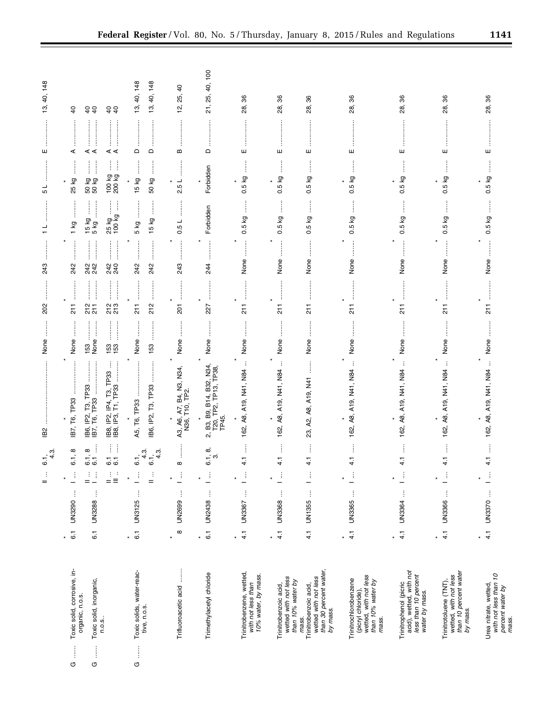|        |                                                                                                    |                             |             | $\frac{1}{2}$                               | 6.1, 3.                                        | IB <sub>2</sub>                                                                      | None             | 202                                                                                                                                                                                                                                                                                                                                                                                                                                                                                                    | 243                                                                                                                                                                                                                                                                                                                                                                                                                                                                                                 | ┙<br>$\overline{ }$                                | ┙<br>Ю                   | ш                                                | 40, 148<br>13,                     |
|--------|----------------------------------------------------------------------------------------------------|-----------------------------|-------------|---------------------------------------------|------------------------------------------------|--------------------------------------------------------------------------------------|------------------|--------------------------------------------------------------------------------------------------------------------------------------------------------------------------------------------------------------------------------------------------------------------------------------------------------------------------------------------------------------------------------------------------------------------------------------------------------------------------------------------------------|-----------------------------------------------------------------------------------------------------------------------------------------------------------------------------------------------------------------------------------------------------------------------------------------------------------------------------------------------------------------------------------------------------------------------------------------------------------------------------------------------------|----------------------------------------------------|--------------------------|--------------------------------------------------|------------------------------------|
| ļ<br>U | Toxic solid, corrosive, in-                                                                        | $\overline{6}$ .<br>$\ast$  | UN3290      | $\frac{1}{\gamma}$<br>$\ast$                | $\infty$<br>6.1                                | IB7, T6, TP33                                                                        | None             | $\frac{1}{2}$                                                                                                                                                                                                                                                                                                                                                                                                                                                                                          | 242                                                                                                                                                                                                                                                                                                                                                                                                                                                                                                 | $1$ kg                                             | İ<br>25 kg<br>$\star$    | j<br>ŧ<br>⋖                                      | $\overline{a}$                     |
| ļ<br>O | Toxic solid, inorganic,<br>organic, n.o.s.                                                         | $\overline{6}$ .            | Ĵ<br>UN3288 | ÷<br>$\frac{1}{2}$<br>$=$                   | ÷.<br>$\infty$<br>$\overline{6}\,\overline{6}$ | <b><i><u><u></u></u></i></b><br>$\frac{1}{2}$<br>IB6, IP2, T3, TP33<br>IB7, T6, TP33 | $\frac{153}{20}$ | $\frac{2}{2} \frac{1}{10}$                                                                                                                                                                                                                                                                                                                                                                                                                                                                             | 242<br>242                                                                                                                                                                                                                                                                                                                                                                                                                                                                                          | İ<br>$\ddot{\phantom{a}}$<br>$15 kg$ .<br>$5 kg$ . | ĺ<br>ļ<br>50 kg<br>50 kg | ⋖⋖                                               | 64                                 |
|        | n.o.s                                                                                              |                             |             | $\frac{1}{2}$<br>$\stackrel{\cdot}{\equiv}$ | Ħ<br>6.1                                       | ł<br>IP2, IP4, T3, TP33<br>IP3, T1, TP33<br><u>ම් හි</u>                             | <u>្រី ប្ដី</u>  | 213<br>213                                                                                                                                                                                                                                                                                                                                                                                                                                                                                             | $\frac{1}{2}$<br>240<br>240                                                                                                                                                                                                                                                                                                                                                                                                                                                                         | ļ<br>j<br>25 kg<br>100 kg                          | Ħ<br>100 kg<br>200 kg    | ⋖⋖                                               | $\frac{4}{3}$                      |
| ļ<br>O | Toxic solids, water-reac-<br>tive, n.o.s.                                                          | $\overline{6}$ .<br>$\star$ | UN3125      | ÷<br>È,                                     | 6.1, 4.3<br>$6.\dot{1}$ , 4.3.                 | IB6, IP2, T3, TP33<br>A5, T6, TP33                                                   | j<br>None<br>153 | <br>$\frac{1}{2}$<br>212                                                                                                                                                                                                                                                                                                                                                                                                                                                                               | $\begin{array}{ccccccccccccc} \multicolumn{2}{c}{} & \multicolumn{2}{c}{} & \multicolumn{2}{c}{} & \multicolumn{2}{c}{} & \multicolumn{2}{c}{} & \multicolumn{2}{c}{} & \multicolumn{2}{c}{} & \multicolumn{2}{c}{} & \multicolumn{2}{c}{} & \multicolumn{2}{c}{} & \multicolumn{2}{c}{} & \multicolumn{2}{c}{} & \multicolumn{2}{c}{} & \multicolumn{2}{c}{} & \multicolumn{2}{c}{} & \multicolumn{2}{c}{} & \multicolumn{2}{c}{} & \multicolumn{2}{c}{} & \multicolumn{2}{c}{} & \$<br>242<br>242 | İ<br>15 kg<br>5 kg                                 | j<br>l<br>15 kg<br>50 kg | İ<br>$\mathsf{\Omega}$<br>$\mathrel{\mathsf{d}}$ | 13, 40, 148<br>13, 40, 148         |
|        | Trifluoroacetic acid                                                                               | $\infty$<br>¥               | UN2699      | Ĵ.                                          | İ<br>$\infty$                                  | A3, A6, A7, B4, N3, N34,<br>N36, T10, TP2.                                           | None             | <b>201</b>                                                                                                                                                                                                                                                                                                                                                                                                                                                                                             | $\ast$<br>243                                                                                                                                                                                                                                                                                                                                                                                                                                                                                       | $\overline{\phantom{a}}$<br>0.5                    | 2.5L<br>$\star$          | $\bf{m}$                                         | $\overline{a}$<br>25,<br><u>أم</u> |
|        | Trimethylacetyl chloride                                                                           | $\overline{6}$ .<br>$\star$ | Ť<br>UN2438 | $\frac{1}{2}$                               | $\infty$<br><del>ં</del> છે.<br>હ              | 2, B3, B9, B14, B32, N34,<br>T20, TP2, TP13, TP38,<br>TP45.                          | None             | 227                                                                                                                                                                                                                                                                                                                                                                                                                                                                                                    | $\star$<br><b>.</b><br>.<br>.<br>.<br>244                                                                                                                                                                                                                                                                                                                                                                                                                                                           | Forbidden                                          | Forbidden                | $\mathrel{\mathsf{d}}$                           | 40, 100<br>21, 25,                 |
|        | Trinitrobenzene, wetted,<br>10% water, by mass.<br>with not less than                              | 4.1<br>$\star$              | UN3367      | $\frac{1}{\alpha}$                          | ţ<br>4.1                                       | $\colon$<br>162, A8, A19, N41, N84                                                   | None             | 211                                                                                                                                                                                                                                                                                                                                                                                                                                                                                                    | None                                                                                                                                                                                                                                                                                                                                                                                                                                                                                                | ļ<br>0.5 kg                                        | İ<br>$0.5$ kg<br>$\star$ | ш                                                | 86<br>28,                          |
|        | wetted with not less<br>than 10% water by<br>Trinitrobenzoic acid,                                 | 4.1                         | UN3368      | Ĵ,                                          | ŧ<br>4.1                                       | $\colon$<br>162, A8, A19, N41, N84                                                   | None             | $\begin{array}{ccccccccccccc} \multicolumn{2}{c}{} & \multicolumn{2}{c}{} & \multicolumn{2}{c}{} & \multicolumn{2}{c}{} & \multicolumn{2}{c}{} & \multicolumn{2}{c}{} & \multicolumn{2}{c}{} & \multicolumn{2}{c}{} & \multicolumn{2}{c}{} & \multicolumn{2}{c}{} & \multicolumn{2}{c}{} & \multicolumn{2}{c}{} & \multicolumn{2}{c}{} & \multicolumn{2}{c}{} & \multicolumn{2}{c}{} & \multicolumn{2}{c}{} & \multicolumn{2}{c}{} & \multicolumn{2}{c}{} & \multicolumn{2}{c}{} & \$<br>$\frac{1}{2}$ | $\ddot{}}$<br>None                                                                                                                                                                                                                                                                                                                                                                                                                                                                                  | İ<br>0.5 kg                                        | İ<br>0.5 kg              | ш                                                | 36<br>28,                          |
|        | than 30 percent water,<br>wetted with not less<br>Trinitrobenzoic acid,<br>by mass.<br>mass.       | 4.1                         | UN1355      | $\frac{1}{2}$                               | Ť<br>$\frac{1}{4}$                             | ļ<br>23, A2, A8, A19, N41                                                            | None             | <br>$\frac{1}{2}$                                                                                                                                                                                                                                                                                                                                                                                                                                                                                      | $\frac{1}{2}$<br>None                                                                                                                                                                                                                                                                                                                                                                                                                                                                               | ļ<br>0.5 kg                                        | ļ<br>0.5 kg              | ш                                                | 86<br>28,                          |
|        | (picryl chloride),<br>wetted, with not less<br>Trinitrochlorobenzene<br>than 10% water by<br>mass. | 4.1<br>¥                    | UN3365      | $\frac{1}{\alpha}$                          | ļ<br>$\frac{1}{4}$                             | $\vdots$<br>162, A8, A19, N41, N84                                                   | None             | 211                                                                                                                                                                                                                                                                                                                                                                                                                                                                                                    | None                                                                                                                                                                                                                                                                                                                                                                                                                                                                                                | 0.5 kg                                             | $0.5$ kg                 | ш                                                | 86<br>28,                          |
|        | acid), wetted, with not<br>less than 10 percent<br>Trinitrophenol (picric<br>water by mass.        | 4.1<br>$\star$              | UN3364      | $\frac{1}{\alpha}$<br>$\star$               | Ť<br>$\frac{1}{4}$                             | $\vdots$<br>162, A8, A19, N41, N84                                                   | None             | $\begin{array}{ccccccccccccc} \multicolumn{2}{c}{} & \multicolumn{2}{c}{} & \multicolumn{2}{c}{} & \multicolumn{2}{c}{} & \multicolumn{2}{c}{} & \multicolumn{2}{c}{} & \multicolumn{2}{c}{} & \multicolumn{2}{c}{} & \multicolumn{2}{c}{} & \multicolumn{2}{c}{} & \multicolumn{2}{c}{} & \multicolumn{2}{c}{} & \multicolumn{2}{c}{} & \multicolumn{2}{c}{} & \multicolumn{2}{c}{} & \multicolumn{2}{c}{} & \multicolumn{2}{c}{} & \multicolumn{2}{c}{} & \multicolumn{2}{c}{} & \$<br>$\frac{1}{2}$ | None                                                                                                                                                                                                                                                                                                                                                                                                                                                                                                | Σò<br>0.5                                          | İ<br>0.5 kg              | l<br>ш                                           | 8<br>28,                           |
|        | wetted, with not less<br>than 10 percent water<br>Trinitrotoluene (TNT),<br>by mass.               | 4.1<br>$\star$              | UN3366      | Ĵ,<br>¥                                     | Î<br>4.1                                       | $\colon$<br>162, A8, A19, N41, N84                                                   | None             | 211                                                                                                                                                                                                                                                                                                                                                                                                                                                                                                    | None                                                                                                                                                                                                                                                                                                                                                                                                                                                                                                | 0.5 kg                                             | 0.5 kg                   | ш                                                | 36<br>28,                          |
|        | with not less than 10<br>percent water by<br>mass.<br>Urea nitrate, wetted,                        | 4.1<br>$\ast$               | UN3370      | $\frac{1}{\gamma}$<br>$\ast$                | j<br>$\frac{1}{4}$                             | ÷<br>162, A8, A19, N41, N84                                                          | None             | $\frac{1}{2}$                                                                                                                                                                                                                                                                                                                                                                                                                                                                                          | None                                                                                                                                                                                                                                                                                                                                                                                                                                                                                                | $0.5$ kg                                           | ÷<br>0.5 kg              | ш                                                | 8<br>28,                           |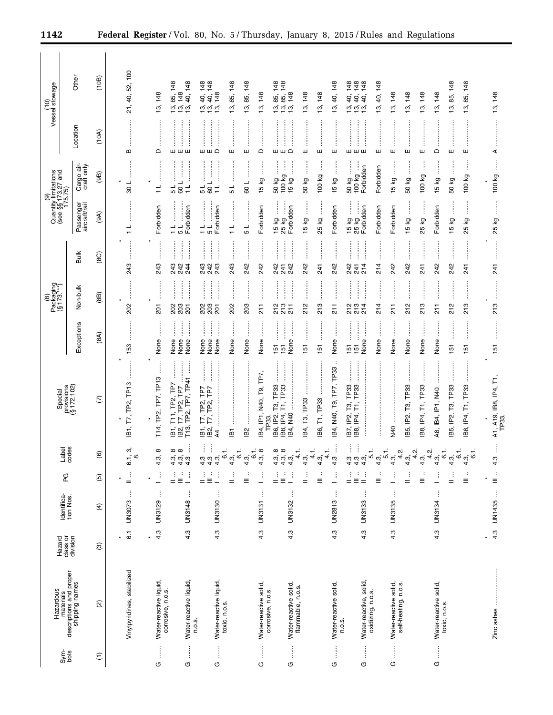|                                                                                                                               | Hazardous                                              | Hazard               | Identifica-<br>tion Nos.  | PG                                    |                                                                                       | Special                                                                                          |                                                                                                                                                                                                                                                                                                                                                                                                                                                       | Packaging<br>(§ 173.***)<br>$\circledR$                          |                                                                                                                                                                                                                                                                                                                                                                                                                                                                                                            | (9)<br>Quantity limitations<br>(see §§173.27 and<br>175.75)                                         |                                                                  |                                    | (10)<br>Vessel stowage                                                           |  |
|-------------------------------------------------------------------------------------------------------------------------------|--------------------------------------------------------|----------------------|---------------------------|---------------------------------------|---------------------------------------------------------------------------------------|--------------------------------------------------------------------------------------------------|-------------------------------------------------------------------------------------------------------------------------------------------------------------------------------------------------------------------------------------------------------------------------------------------------------------------------------------------------------------------------------------------------------------------------------------------------------|------------------------------------------------------------------|------------------------------------------------------------------------------------------------------------------------------------------------------------------------------------------------------------------------------------------------------------------------------------------------------------------------------------------------------------------------------------------------------------------------------------------------------------------------------------------------------------|-----------------------------------------------------------------------------------------------------|------------------------------------------------------------------|------------------------------------|----------------------------------------------------------------------------------|--|
| Sym-<br>bols                                                                                                                  | materials<br>descriptions and proper<br>shipping names | class or<br>division |                           |                                       | Label<br>codes                                                                        | provisions<br>(§ 172.102)                                                                        | Exceptions                                                                                                                                                                                                                                                                                                                                                                                                                                            | Non-bulk                                                         | <b>Bulk</b>                                                                                                                                                                                                                                                                                                                                                                                                                                                                                                | Passenger<br>aircraft/rail                                                                          | Cargo air-<br>craft only                                         | Location                           | Other                                                                            |  |
| $\widehat{\Xi}$                                                                                                               | $\widehat{\omega}$                                     | ල                    | $\widehat{f}$             | $\widehat{\mathfrak{G}}$              | $\widehat{\mathbf{e}}$                                                                | $\widehat{\in}$                                                                                  | (8A)                                                                                                                                                                                                                                                                                                                                                                                                                                                  | (8B)                                                             | (8C)                                                                                                                                                                                                                                                                                                                                                                                                                                                                                                       | (9A)                                                                                                | (9B)                                                             | (10A)                              | (10B)                                                                            |  |
|                                                                                                                               | Vinylpyridines, stabilized                             | $\overline{6}$       | ŧ<br>UN3073               | ÷<br>$=$                              | ຕົ<br>6.1,<br>ထံ                                                                      | IB1, T7, TP2, TP13                                                                               | 153                                                                                                                                                                                                                                                                                                                                                                                                                                                   | .<br>.<br>.<br>.<br>202                                          | :<br>:<br>:<br>:<br>243                                                                                                                                                                                                                                                                                                                                                                                                                                                                                    | $\frac{1}{1}$                                                                                       | 108                                                              | B                                  | 21, 40, 52, 100                                                                  |  |
| $\begin{array}{c} \begin{array}{c} \begin{array}{c} \begin{array}{c} \end{array} \\ \end{array} \end{array} \end{array}$<br>O | Water-reactive liquid,<br>corrosive, n.o.s.            | 4.3                  | j<br>UN3129               | ŧ<br>$\overline{\phantom{0}}$         | $\infty$<br>4.3,                                                                      | T14, TP2, TP7, TP13                                                                              | :<br>:<br>:<br>None                                                                                                                                                                                                                                                                                                                                                                                                                                   | :<br>:<br>:<br>:<br>$\star$<br>201                               | :<br>:<br>:<br>:<br>243                                                                                                                                                                                                                                                                                                                                                                                                                                                                                    | Forbidden                                                                                           | <br> <br> <br> <br> <br>$\frac{1}{1}$                            | $\vdots$<br>$\Omega$               | 13, 148                                                                          |  |
| j<br>O                                                                                                                        | Water-reactive liquid,                                 | 4.3                  | ÷<br>UN3148               | ÷<br>÷<br>İ<br>$\equiv$<br>$=$        | $\infty$<br>$\infty$<br>$4.\overline{3}, \overline{9}, \overline{1}$<br>$\frac{3}{4}$ | j<br>TP2, TP7, TP41<br>$T11, TP2, TP7$<br>T7, TP2, TP7<br>T13,<br>$\overline{B}$<br><u>в2</u> ,  | $\begin{array}{c} \begin{array}{c} \begin{array}{c} \begin{array}{c} \begin{array}{c} \end{array}\\ \end{array} \end{array} \end{array} \end{array} \end{array}$<br>None<br>None<br>None                                                                                                                                                                                                                                                              | <br> <br> <br> <br> <br> <br> <br> <br>28<br>28<br>201           | 243<br>242<br>244                                                                                                                                                                                                                                                                                                                                                                                                                                                                                          | .<br>.<br>.<br>.<br>.<br>.<br>Forbidden<br>$\frac{1}{1}$<br>$\frac{1}{5}$                           | 109<br>5<br>$\frac{1}{1}$                                        | шшш                                | 148<br>40, 148<br>148<br>85,<br>້າ.<br>ມີ<br><u>က</u>                            |  |
| ļ<br>O                                                                                                                        | Water-reactive liquid,<br>n.o.s.                       | 4.3                  | ĵ<br>UN3130               | j<br>÷<br>Ì<br>Ξ<br>$=$               | j<br>444<br>444                                                                       | :<br>:<br>:<br>T7, TP2, TP7<br>T7, TP2, TP7<br>$\vdots$<br>.<br>මු මු<br>මු මු<br>$\overline{4}$ | $\begin{bmatrix} 1 & 0 & 0 & 0 \\ 0 & 0 & 0 & 0 \\ 0 & 0 & 0 & 0 \\ 0 & 0 & 0 & 0 \\ 0 & 0 & 0 & 0 \\ 0 & 0 & 0 & 0 \\ 0 & 0 & 0 & 0 & 0 \\ 0 & 0 & 0 & 0 & 0 \\ 0 & 0 & 0 & 0 & 0 \\ 0 & 0 & 0 & 0 & 0 & 0 \\ 0 & 0 & 0 & 0 & 0 & 0 \\ 0 & 0 & 0 & 0 & 0 & 0 & 0 \\ 0 & 0 & 0 & 0 & 0 & 0 & 0 \\ 0 & 0 & 0 & 0 & 0 & 0 & $<br>$\begin{array}{c} \begin{array}{c} \bullet \\ \bullet \\ \bullet \end{array} \end{array}$<br>j<br>None<br>None<br>None | j<br>202<br>203<br>201                                           | $\begin{bmatrix} 1 & 0 & 0 & 0 \\ 0 & 0 & 0 & 0 \\ 0 & 0 & 0 & 0 \\ 0 & 0 & 0 & 0 \\ 0 & 0 & 0 & 0 \\ 0 & 0 & 0 & 0 \\ 0 & 0 & 0 & 0 & 0 \\ 0 & 0 & 0 & 0 & 0 \\ 0 & 0 & 0 & 0 & 0 \\ 0 & 0 & 0 & 0 & 0 & 0 \\ 0 & 0 & 0 & 0 & 0 & 0 \\ 0 & 0 & 0 & 0 & 0 & 0 & 0 \\ 0 & 0 & 0 & 0 & 0 & 0 & 0 \\ 0 & 0 & 0 & 0 & 0 & 0 & $<br><b>.</b><br>.<br>.<br>.<br>243<br>243<br>242                                                                                                                                | Forbidden<br>$\frac{1}{1}$<br>51                                                                    | <br> <br> <br> <br> <br>109<br>$\frac{1}{5}$<br>$\frac{1}{\tau}$ | <br><b>WWQ</b>                     | 40, 148<br>148<br>148<br>40,<br>$\frac{1}{6}$ $\frac{1}{6}$ $\frac{1}{6}$        |  |
|                                                                                                                               | toxic, n.o.s.                                          |                      |                           | ÷<br>Ξ<br>$=$                         | ဖ<br>$4.\overline{9}$ , $6.$<br>4.3,                                                  | iB2<br>Ĕί                                                                                        | None<br>None                                                                                                                                                                                                                                                                                                                                                                                                                                          | <br> <br> <br> <br>203<br>202                                    | :<br>:<br>:<br>:<br>243<br>242                                                                                                                                                                                                                                                                                                                                                                                                                                                                             | $\frac{1}{1}$<br>51                                                                                 | .<br>.<br>.<br>.<br>.<br>.<br>109<br>5                           | ш<br>ш                             | 85, 148<br>85, 148<br>တ္ပ<br>$\overline{13}$                                     |  |
| $\frac{1}{2}$<br>O                                                                                                            | Water-reactive solid,<br>corrosive, n.o.s.             | 4.3                  | ŧ<br>UN3131               | ŧ                                     | $^\infty$<br>ဖ<br>4.3,                                                                | IB4, IP1, N40, T9, TP7,<br>TP33.                                                                 | j<br>÷<br>None                                                                                                                                                                                                                                                                                                                                                                                                                                        | $\frac{1}{2}$                                                    | :<br>:<br>:<br>242                                                                                                                                                                                                                                                                                                                                                                                                                                                                                         | Forbidden                                                                                           | j<br><b>15 kg</b>                                                | $\Omega$                           | 148<br>13,                                                                       |  |
| $\vdots$<br>U                                                                                                                 | Water-reactive solid,                                  | 4.3                  | $\vdots$<br>UN3132        | ÷<br>$\vdots$<br>:<br>$\equiv$<br>$=$ | $\infty$<br>∞<br>$\frac{4}{4}$ $\frac{4}{9}$<br>้ 3.<br>4.3                           | T3, TP33<br>B8, IP4, T1, TP33<br>$\vdots$<br>B6, IP2,<br><b>DFN</b><br>IB4,                      | ļ<br>None<br>5<br>5                                                                                                                                                                                                                                                                                                                                                                                                                                   | <br> <br> <br> <br>:<br>:::::::<br>213<br>213<br>$\overline{21}$ | $\begin{array}{ccccccccccccc} \multicolumn{2}{c}{} & \multicolumn{2}{c}{} & \multicolumn{2}{c}{} & \multicolumn{2}{c}{} & \multicolumn{2}{c}{} & \multicolumn{2}{c}{} & \multicolumn{2}{c}{} & \multicolumn{2}{c}{} & \multicolumn{2}{c}{} & \multicolumn{2}{c}{} & \multicolumn{2}{c}{} & \multicolumn{2}{c}{} & \multicolumn{2}{c}{} & \multicolumn{2}{c}{} & \multicolumn{2}{c}{} & \multicolumn{2}{c}{} & \multicolumn{2}{c}{} & \multicolumn{2}{c}{} & \multicolumn{2}{c}{} & \$<br>242<br>242<br>241 | j<br>j<br>Forbidden<br>15 kg<br>25 kg                                                               | Ĵ<br>İ<br>50 kg<br>100 kg<br>15 kg                               | $\mathsf{m} \mathsf{m} \mathsf{c}$ | 85, 148<br>85, 148<br>148<br>້າ.<br>ມີ<br>ള്                                     |  |
|                                                                                                                               | flammable, n.o.s.                                      |                      |                           | ÷<br>$=$                              | Ą<br>4<br>4<br>4.3,                                                                   | IB4, T3, TP33                                                                                    | <br>57                                                                                                                                                                                                                                                                                                                                                                                                                                                | :<br>:<br>:<br>:<br>212                                          | <br>242                                                                                                                                                                                                                                                                                                                                                                                                                                                                                                    | ĺ<br>5 kg                                                                                           | j<br>50 kg                                                       | <br>ш                              | 148<br><u>ო</u>                                                                  |  |
|                                                                                                                               |                                                        |                      |                           | ÷<br>Ξ                                | 4<br>4.3,                                                                             | T1, TP33<br>IB6,                                                                                 | 5                                                                                                                                                                                                                                                                                                                                                                                                                                                     | l<br>213                                                         | 241                                                                                                                                                                                                                                                                                                                                                                                                                                                                                                        | j<br>25 kg                                                                                          | ļ<br>100 kg                                                      | ш                                  | 13, 148                                                                          |  |
| $\begin{array}{c} \vdots \\ \vdots \end{array}$<br>U                                                                          | Water-reactive solid,<br>n.o.s.                        | 4.3                  | $\vdots$<br><b>UN2813</b> | ŧ                                     | $4.\overline{3}$                                                                      | п.<br>IB4, N40, T9, TP7, TP33                                                                    | None                                                                                                                                                                                                                                                                                                                                                                                                                                                  | :<br>:<br>:<br>:<br>$\frac{1}{2}$                                | :<br>:<br>:<br>:<br>242                                                                                                                                                                                                                                                                                                                                                                                                                                                                                    | Forbidden                                                                                           | $15 kg$                                                          | ш                                  | 148<br>40,<br>စ္                                                                 |  |
| j<br>G                                                                                                                        | Water-reactive, solid,<br>oxidizing, n.o.s.            | 4.3                  | ŧ<br>UN3133               | $\frac{1}{2}$<br>÷<br>Ξ<br>$=$        | 444<br>444                                                                            | .<br>.<br>.<br>.<br>.<br>IB7, IP2, T3, TP33<br>T1, TP33<br>$\overline{P4}$<br>.<br>IB8,          | :<br>:<br>:<br>:<br>j<br>None<br>55                                                                                                                                                                                                                                                                                                                                                                                                                   | l<br>:<br>213<br>214                                             | <br>242<br>214<br>241                                                                                                                                                                                                                                                                                                                                                                                                                                                                                      | $\begin{array}{c}\n 15 kg \quad \text{and} \\  25 kg \quad \text{and} \\  \end{array}$<br>Forbidden | ļ<br>50 kg<br>Forbidden<br>100 kg                                | шшш                                | 148<br>148<br>40, 148<br>40,<br>40,<br>$\frac{1}{6}$ $\frac{1}{6}$ $\frac{1}{6}$ |  |
|                                                                                                                               |                                                        |                      |                           | ÷<br>Ξ                                | $\frac{1}{2}$<br>$\frac{1}{2}$<br>$\frac{1}{2}$                                       |                                                                                                  | None                                                                                                                                                                                                                                                                                                                                                                                                                                                  | 214                                                              | <br> <br> <br> <br> <br>214                                                                                                                                                                                                                                                                                                                                                                                                                                                                                | Forbidden                                                                                           | Forbidden                                                        | ш                                  | 40, 148<br><u>უ</u>                                                              |  |
| İ<br>O                                                                                                                        | self-heating, n.o.s.<br>Water-reactive solid,          | 4.3                  | j<br>UN3135               | Î<br><u>.</u>                         | Ņ٠<br>4<br>4.3,                                                                       | <b>N40</b>                                                                                       | None                                                                                                                                                                                                                                                                                                                                                                                                                                                  | $\frac{1}{2}$                                                    | 242                                                                                                                                                                                                                                                                                                                                                                                                                                                                                                        | Forbidden                                                                                           | İ<br>15 kg                                                       | ш                                  | 148<br><u>უ</u>                                                                  |  |
|                                                                                                                               |                                                        |                      |                           | ÷<br>$=$                              | Ņ٠<br>4<br>4.3,                                                                       | IB5, IP2, T3, TP33                                                                               | None                                                                                                                                                                                                                                                                                                                                                                                                                                                  | :<br>:<br>:<br>:<br>212                                          | 242                                                                                                                                                                                                                                                                                                                                                                                                                                                                                                        | İ<br>15 kg                                                                                          | İ<br>50 kg                                                       | ш                                  | 13, 148                                                                          |  |
|                                                                                                                               |                                                        |                      |                           | ÷<br>Ξ                                | نِہ<br>4<br>4.3,                                                                      | B8, IP4, T1, TP33                                                                                | None                                                                                                                                                                                                                                                                                                                                                                                                                                                  | 213                                                              | 241                                                                                                                                                                                                                                                                                                                                                                                                                                                                                                        | 25 kg                                                                                               | 100 kg                                                           | ш                                  | 13, 148                                                                          |  |
| j<br>O                                                                                                                        | Water-reactive solid,<br>toxic, n.o.s.                 | 4.3                  | ţ<br>UN3134               | ŧ                                     | $\overline{6}$ .<br>4.3                                                               | A8, IB4, IP1, N40                                                                                | $\vdots$<br>None                                                                                                                                                                                                                                                                                                                                                                                                                                      | :<br>:<br>:<br>:<br>$\frac{1}{2}$                                | 242                                                                                                                                                                                                                                                                                                                                                                                                                                                                                                        | Forbidden                                                                                           | j<br>15 kg                                                       | $\mathsf{\Omega}$                  | 13, 148                                                                          |  |
|                                                                                                                               |                                                        |                      |                           | ÷<br>$=$                              | $\overline{6}$ .<br>4.3,                                                              | IB5, IP2, T3, TP33                                                                               | 151                                                                                                                                                                                                                                                                                                                                                                                                                                                   | <u>:</u><br>212                                                  | :<br>:<br>:<br>:<br>242                                                                                                                                                                                                                                                                                                                                                                                                                                                                                    | ତୁ<br>15                                                                                            | İ<br>50 kg                                                       | $\vdots$<br>ш                      | 13, 85, 148                                                                      |  |
|                                                                                                                               |                                                        |                      |                           | ÷<br>Ξ                                | ဖ<br>4.3,                                                                             | IB8, IP4, T1, TP33                                                                               | 57                                                                                                                                                                                                                                                                                                                                                                                                                                                    | 213                                                              | 741                                                                                                                                                                                                                                                                                                                                                                                                                                                                                                        | δň<br>25                                                                                            | 100 kg                                                           | ш                                  | 85, 148<br>13,                                                                   |  |
|                                                                                                                               |                                                        | 4.3                  | $\vdots$<br>UN1435        | $\ddot{\cdot}$<br>$\equiv$            | 4.3                                                                                   | A1, A19, IB8, IP4, T1<br>TP33.                                                                   | 151                                                                                                                                                                                                                                                                                                                                                                                                                                                   | <br>213                                                          | $\overline{24}$                                                                                                                                                                                                                                                                                                                                                                                                                                                                                            | $\frac{1}{2}$<br>25 kg                                                                              | ļ<br>100 kg                                                      | ⋖                                  | 13, 148                                                                          |  |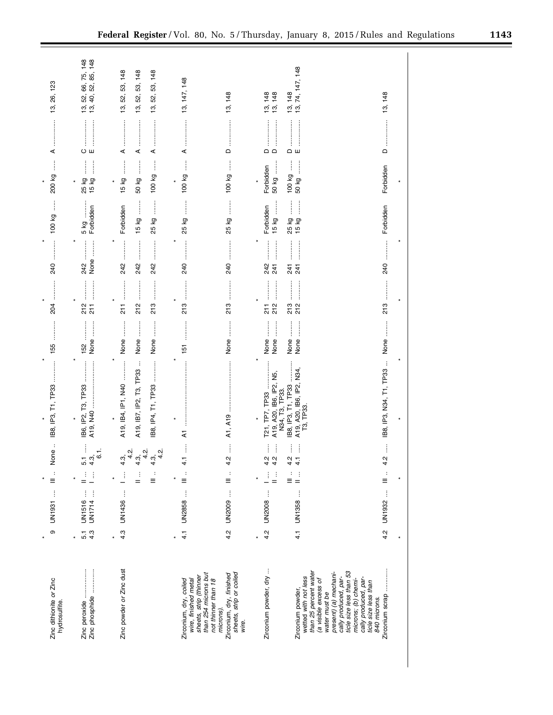| Zinc dithionite or Zinc<br>hydrosulfite.                                                                                                                                                | $\circ$              | UN1931                       | $\sum_{i=1}^{n}$               | :<br>ወ<br>δ<br>Ζ                                                  | IB8, IP3, T1, TP33                                                       | 155                             |                                                                   | <b><i><u><u></u></u></i></b><br>240                                                                                                                                                                                   | 100 kg                                                      | $\vdots$<br>200 kg                             | ⋖                                                                                        | 13, 26, 123                                                            |
|-----------------------------------------------------------------------------------------------------------------------------------------------------------------------------------------|----------------------|------------------------------|--------------------------------|-------------------------------------------------------------------|--------------------------------------------------------------------------|---------------------------------|-------------------------------------------------------------------|-----------------------------------------------------------------------------------------------------------------------------------------------------------------------------------------------------------------------|-------------------------------------------------------------|------------------------------------------------|------------------------------------------------------------------------------------------|------------------------------------------------------------------------|
|                                                                                                                                                                                         | 4.3<br>5.1           | UN1714<br>$\vdots$<br>UN1516 |                                | Î<br>$\overline{6.1}$<br>$5.\overline{4}.\overline{3}$            | IB6, IP2, T3, TP33<br>$\ast$                                             | <br>None<br>152                 | <br>:<br>:<br>:<br>:<br>212<br>$\frac{1}{2}$                      | <br>None<br>242                                                                                                                                                                                                       | Forbidden<br>5 kg                                           | $\vdots$<br>j<br>25 kg<br>15 kg                | Oш                                                                                       | 66, 75, 148<br>52, 85, 148<br>52,<br>$\ddot{a}$<br>້າ.<br>ມີ           |
| Zinc powder or Zinc dust                                                                                                                                                                | 4.3                  | UN1436                       | ÷<br>÷<br>$\equiv$             | نٖہ<br>ڹە<br>ٻہ<br>4<br>4.3,<br>4<br>4<br>$4.\overline{3}$<br>4.3 | $\vdots$<br>A19, IB7, IP2, T3, TP33<br>A19, IB4, IP1, N40<br>×           | None<br>None<br>None            | <br> <br> <br> <br>213<br>212<br>$\frac{1}{2}$                    | $\frac{1}{2}$<br>:<br>:<br>:<br>:<br><b></b><br>242<br>242<br>242                                                                                                                                                     | $\vdots$<br> <br> <br> <br> <br>Forbidden<br>15 kg<br>25 kg | j<br>$\vdots$<br>100 kg<br>15 kg<br>50 kg<br>¥ | ⋖<br>⋖<br>⋖                                                                              | 13, 52, 53, 148<br>53, 148<br>53, 148<br>52,<br>52,<br>13,<br><u>უ</u> |
| sheets, strip (thinner<br>than 254 microns but<br>Zirconium, dry, finished<br>Zirconium, dry, coiled<br>wire, finished metal<br>not thinner than 18<br>microns).                        | 4.2<br>$\frac{1}{4}$ | UN2009<br>Ì<br><b>UN2858</b> | ÷<br>$\equiv$<br>$\equiv$      | İ<br>ļ<br>4.2<br>$\vec{t}$                                        | A1, A19<br>$\overline{\mathbf{z}}$                                       | None<br>:<br>:<br>:<br>:<br>151 | .<br>.<br>.<br>.<br>.<br>.<br>213<br>213                          | :<br>:<br>:<br>:<br>:<br>:<br>:<br>240<br>240                                                                                                                                                                         | 25 kg<br>$\vdots$<br>25 kg                                  | $\vdots$<br>100 kg<br>100 kg                   | $\Omega$<br>⋖                                                                            | 13, 147, 148<br>13, 148                                                |
| Zirconium powder, dry<br>sheets, strip or coiled<br>wire.                                                                                                                               | 4.2                  | ĵ<br><b>UN2008</b>           | Ì<br>÷<br>$=$                  | i<br>Î<br>4.2<br>4.2                                              | Σņ<br>A19, A20, IB6, IP2,<br>N34, T3, TP33.<br>T21, TP7, TP33<br>$\star$ | j<br>None<br>None               | :<br>:<br>:<br>:<br> <br> <br> <br> <br> <br>212<br>$\frac{1}{2}$ | :<br>:<br>:<br>242<br>241                                                                                                                                                                                             | $15 kg$<br>Forbidden                                        | 50 kg<br>Forbidden                             | $\mathsf{\Omega}$<br>$\Box$                                                              | 148<br>148<br><u>უ</u><br>$\tilde{\mathfrak{b}}$                       |
| than 25 percent water<br>(a visible excess of<br>ticle size less than 53<br>present) (a) mechani-<br>wetted with not less<br>cally produced, par-<br>Zirconium powder,<br>water must be |                      | 4.1 UN1358                   | $\frac{1}{n}$<br>$\frac{1}{2}$ | $\vdots$<br>$\vdots$<br>4.2<br>$\frac{1}{4}$                      | A19, A20, IB6, IP2, N34,<br>B8, IP3, T1, TP33<br>T3, TP33                | None<br>None                    | <br><br>213<br>212                                                | य न<br>24 1                                                                                                                                                                                                           | 25 kg<br>15 kg                                              | 100 kg<br>50 kg                                | $\begin{array}{c} \hline \mathbf{0} & \mathbf{0} \\ \mathbf{0} & \mathbf{0} \end{array}$ | 13, 148<br>13, 74, 147, 148                                            |
| Zirconium scrap<br>cally produced, par-<br>microns; (b) chemi-<br>ticle size less than<br>840 microns.                                                                                  | 4.2                  | UN1932                       | $\frac{1}{2}$                  | į<br>4.2                                                          | IB8, IP3, N34, T1, TP33                                                  | None                            |                                                                   | $\begin{minipage}{0.9\linewidth} \begin{tabular}{l} \hline \multicolumn{3}{c}{\textbf{0.9\linewidth}} \end{tabular} \end{minipage} \end{minipage} \caption{A system of the model of the model.} \label{fig:1}$<br>240 | Forbidden                                                   | Forbidden                                      | ≏                                                                                        | 13, 148                                                                |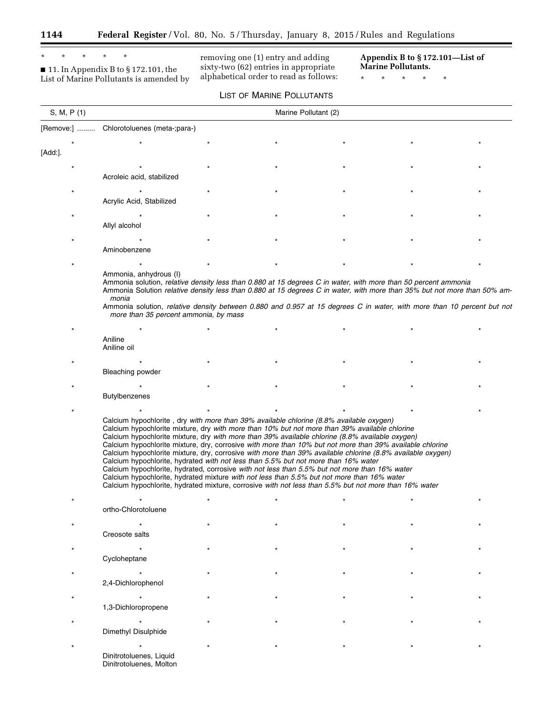۳

## \* \* \* \* \*

■ 11. In Appendix B to § 172.101, the List of Marine Pollutants is amended by

removing one (1) entry and adding sixty-two (62) entries in appropriate alphabetical order to read as follows: **Appendix B to § 172.101—List of Marine Pollutants.** 

۲

\* \* \* \* \*

|             |                                                                                                                                                                                                                                                                                                                                                                                                                                                                                                                                                                                                                                                                                                                                                                                                                                                                                                                     | LIST OF MARINE POLLUTANTS |  |  |
|-------------|---------------------------------------------------------------------------------------------------------------------------------------------------------------------------------------------------------------------------------------------------------------------------------------------------------------------------------------------------------------------------------------------------------------------------------------------------------------------------------------------------------------------------------------------------------------------------------------------------------------------------------------------------------------------------------------------------------------------------------------------------------------------------------------------------------------------------------------------------------------------------------------------------------------------|---------------------------|--|--|
| S, M, P (1) |                                                                                                                                                                                                                                                                                                                                                                                                                                                                                                                                                                                                                                                                                                                                                                                                                                                                                                                     | Marine Pollutant (2)      |  |  |
|             | [Remove:]  Chlorotoluenes (meta-;para-)                                                                                                                                                                                                                                                                                                                                                                                                                                                                                                                                                                                                                                                                                                                                                                                                                                                                             |                           |  |  |
|             |                                                                                                                                                                                                                                                                                                                                                                                                                                                                                                                                                                                                                                                                                                                                                                                                                                                                                                                     |                           |  |  |
| [Add:].     |                                                                                                                                                                                                                                                                                                                                                                                                                                                                                                                                                                                                                                                                                                                                                                                                                                                                                                                     |                           |  |  |
|             |                                                                                                                                                                                                                                                                                                                                                                                                                                                                                                                                                                                                                                                                                                                                                                                                                                                                                                                     |                           |  |  |
|             | Acroleic acid, stabilized                                                                                                                                                                                                                                                                                                                                                                                                                                                                                                                                                                                                                                                                                                                                                                                                                                                                                           |                           |  |  |
|             |                                                                                                                                                                                                                                                                                                                                                                                                                                                                                                                                                                                                                                                                                                                                                                                                                                                                                                                     |                           |  |  |
|             | Acrylic Acid, Stabilized                                                                                                                                                                                                                                                                                                                                                                                                                                                                                                                                                                                                                                                                                                                                                                                                                                                                                            |                           |  |  |
|             |                                                                                                                                                                                                                                                                                                                                                                                                                                                                                                                                                                                                                                                                                                                                                                                                                                                                                                                     |                           |  |  |
|             | Allyl alcohol                                                                                                                                                                                                                                                                                                                                                                                                                                                                                                                                                                                                                                                                                                                                                                                                                                                                                                       |                           |  |  |
|             |                                                                                                                                                                                                                                                                                                                                                                                                                                                                                                                                                                                                                                                                                                                                                                                                                                                                                                                     |                           |  |  |
|             | Aminobenzene                                                                                                                                                                                                                                                                                                                                                                                                                                                                                                                                                                                                                                                                                                                                                                                                                                                                                                        |                           |  |  |
|             |                                                                                                                                                                                                                                                                                                                                                                                                                                                                                                                                                                                                                                                                                                                                                                                                                                                                                                                     |                           |  |  |
|             | Ammonia, anhydrous (I)<br>Ammonia solution, relative density less than 0.880 at 15 degrees C in water, with more than 50 percent ammonia<br>Ammonia Solution relative density less than 0.880 at 15 degrees C in water, with more than 35% but not more than 50% am-<br>monia<br>Ammonia solution, relative density between 0.880 and 0.957 at 15 degrees C in water, with more than 10 percent but not<br>more than 35 percent ammonia, by mass                                                                                                                                                                                                                                                                                                                                                                                                                                                                    |                           |  |  |
|             |                                                                                                                                                                                                                                                                                                                                                                                                                                                                                                                                                                                                                                                                                                                                                                                                                                                                                                                     |                           |  |  |
|             | Aniline<br>Aniline oil                                                                                                                                                                                                                                                                                                                                                                                                                                                                                                                                                                                                                                                                                                                                                                                                                                                                                              |                           |  |  |
|             |                                                                                                                                                                                                                                                                                                                                                                                                                                                                                                                                                                                                                                                                                                                                                                                                                                                                                                                     |                           |  |  |
|             | <b>Bleaching powder</b>                                                                                                                                                                                                                                                                                                                                                                                                                                                                                                                                                                                                                                                                                                                                                                                                                                                                                             |                           |  |  |
|             |                                                                                                                                                                                                                                                                                                                                                                                                                                                                                                                                                                                                                                                                                                                                                                                                                                                                                                                     |                           |  |  |
|             | Butylbenzenes                                                                                                                                                                                                                                                                                                                                                                                                                                                                                                                                                                                                                                                                                                                                                                                                                                                                                                       |                           |  |  |
|             |                                                                                                                                                                                                                                                                                                                                                                                                                                                                                                                                                                                                                                                                                                                                                                                                                                                                                                                     |                           |  |  |
|             | Calcium hypochlorite, dry with more than 39% available chlorine (8.8% available oxygen)<br>Calcium hypochlorite mixture, dry with more than 10% but not more than 39% available chlorine<br>Calcium hypochlorite mixture, dry with more than 39% available chlorine (8.8% available oxygen)<br>Calcium hypochlorite mixture, dry, corrosive with more than 10% but not more than 39% available chlorine<br>Calcium hypochlorite mixture, dry, corrosive with more than 39% available chlorine (8.8% available oxygen)<br>Calcium hypochlorite, hydrated with not less than 5.5% but not more than 16% water<br>Calcium hypochlorite, hydrated, corrosive with not less than 5.5% but not more than 16% water<br>Calcium hypochlorite, hydrated mixture with not less than 5.5% but not more than 16% water<br>Calcium hypochlorite, hydrated mixture, corrosive with not less than 5.5% but not more than 16% water |                           |  |  |
|             |                                                                                                                                                                                                                                                                                                                                                                                                                                                                                                                                                                                                                                                                                                                                                                                                                                                                                                                     |                           |  |  |
|             | ortho-Chlorotoluene                                                                                                                                                                                                                                                                                                                                                                                                                                                                                                                                                                                                                                                                                                                                                                                                                                                                                                 |                           |  |  |
|             |                                                                                                                                                                                                                                                                                                                                                                                                                                                                                                                                                                                                                                                                                                                                                                                                                                                                                                                     |                           |  |  |
|             | Creosote salts                                                                                                                                                                                                                                                                                                                                                                                                                                                                                                                                                                                                                                                                                                                                                                                                                                                                                                      |                           |  |  |
|             |                                                                                                                                                                                                                                                                                                                                                                                                                                                                                                                                                                                                                                                                                                                                                                                                                                                                                                                     |                           |  |  |
|             | Cycloheptane                                                                                                                                                                                                                                                                                                                                                                                                                                                                                                                                                                                                                                                                                                                                                                                                                                                                                                        |                           |  |  |
|             |                                                                                                                                                                                                                                                                                                                                                                                                                                                                                                                                                                                                                                                                                                                                                                                                                                                                                                                     |                           |  |  |
|             | 2,4-Dichlorophenol                                                                                                                                                                                                                                                                                                                                                                                                                                                                                                                                                                                                                                                                                                                                                                                                                                                                                                  |                           |  |  |
|             |                                                                                                                                                                                                                                                                                                                                                                                                                                                                                                                                                                                                                                                                                                                                                                                                                                                                                                                     |                           |  |  |
|             | 1,3-Dichloropropene                                                                                                                                                                                                                                                                                                                                                                                                                                                                                                                                                                                                                                                                                                                                                                                                                                                                                                 |                           |  |  |
|             |                                                                                                                                                                                                                                                                                                                                                                                                                                                                                                                                                                                                                                                                                                                                                                                                                                                                                                                     |                           |  |  |
|             | Dimethyl Disulphide                                                                                                                                                                                                                                                                                                                                                                                                                                                                                                                                                                                                                                                                                                                                                                                                                                                                                                 |                           |  |  |
|             |                                                                                                                                                                                                                                                                                                                                                                                                                                                                                                                                                                                                                                                                                                                                                                                                                                                                                                                     |                           |  |  |
|             | Dinitrotoluenes, Liquid<br>Dinitrotoluenes, Molton                                                                                                                                                                                                                                                                                                                                                                                                                                                                                                                                                                                                                                                                                                                                                                                                                                                                  |                           |  |  |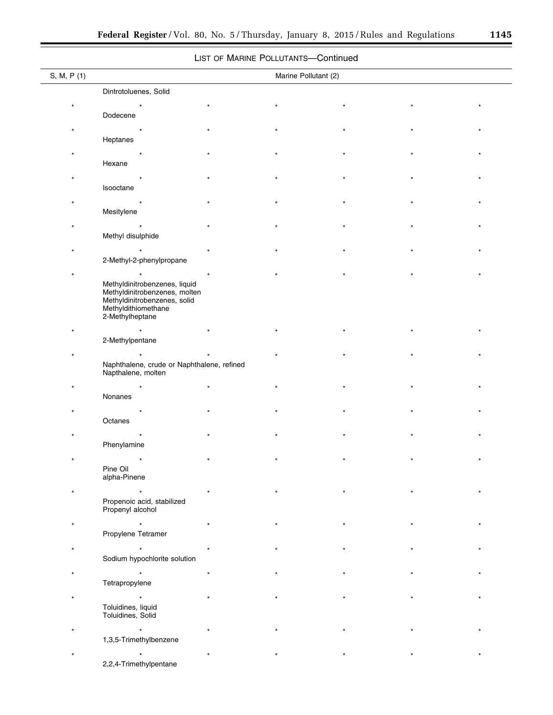▀

# LIST OF MARINE POLLUTANTS—Continued

| S, M, P (1) |                                                                | Marine Pollutant (2) |  |  |
|-------------|----------------------------------------------------------------|----------------------|--|--|
|             | Dintrotoluenes, Solid                                          |                      |  |  |
|             |                                                                |                      |  |  |
|             | Dodecene                                                       |                      |  |  |
|             |                                                                |                      |  |  |
|             | Heptanes                                                       |                      |  |  |
|             |                                                                |                      |  |  |
|             | Hexane                                                         |                      |  |  |
|             |                                                                |                      |  |  |
|             | Isooctane                                                      |                      |  |  |
|             |                                                                |                      |  |  |
|             | Mesitylene                                                     |                      |  |  |
|             |                                                                |                      |  |  |
|             | Methyl disulphide                                              |                      |  |  |
|             |                                                                |                      |  |  |
|             | 2-Methyl-2-phenylpropane                                       |                      |  |  |
|             |                                                                |                      |  |  |
|             | Methyldinitrobenzenes, liquid<br>Methyldinitrobenzenes, molten |                      |  |  |
|             | Methyldinitrobenzenes, solid                                   |                      |  |  |
|             | Methyldithiomethane<br>2-Methylheptane                         |                      |  |  |
|             |                                                                |                      |  |  |
|             | 2-Methylpentane                                                |                      |  |  |
|             |                                                                |                      |  |  |
|             | Naphthalene, crude or Naphthalene, refined                     |                      |  |  |
|             | Napthalene, molten                                             |                      |  |  |
|             |                                                                |                      |  |  |
|             | Nonanes                                                        |                      |  |  |
|             |                                                                |                      |  |  |
|             | Octanes                                                        |                      |  |  |
|             | Phenylamine                                                    |                      |  |  |
|             |                                                                |                      |  |  |
|             | Pine Oil                                                       |                      |  |  |
|             | alpha-Pinene                                                   |                      |  |  |
|             |                                                                |                      |  |  |
|             | Propenoic acid, stabilized                                     |                      |  |  |
|             | Propenyl alcohol                                               |                      |  |  |
|             |                                                                |                      |  |  |
|             | Propylene Tetramer                                             |                      |  |  |
|             |                                                                |                      |  |  |
|             | Sodium hypochlorite solution                                   |                      |  |  |
|             |                                                                |                      |  |  |
|             | Tetrapropylene                                                 |                      |  |  |
|             |                                                                |                      |  |  |
|             | Toluidines, liquid<br>Toluidines, Solid                        |                      |  |  |
|             |                                                                |                      |  |  |
|             | 1,3,5-Trimethylbenzene                                         |                      |  |  |
|             |                                                                |                      |  |  |
|             | 2,2,4-Trimethylpentane                                         |                      |  |  |
|             |                                                                |                      |  |  |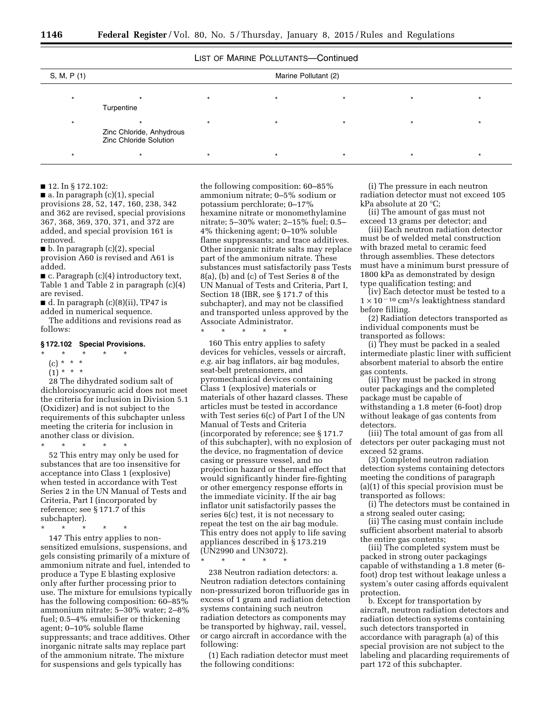# LIST OF MARINE POLLUTANTS-Continued

|             |                                                    |                      | ---------- |  |
|-------------|----------------------------------------------------|----------------------|------------|--|
| S, M, P (1) |                                                    | Marine Pollutant (2) |            |  |
|             | Turpentine                                         |                      |            |  |
|             | Zinc Chloride, Anhydrous<br>Zinc Chloride Solution |                      |            |  |
|             |                                                    |                      |            |  |

## ■ 12. In § 172.102:

 $\blacksquare$  a. In paragraph (c)(1), special provisions 28, 52, 147, 160, 238, 342 and 362 are revised, special provisions 367, 368, 369, 370, 371, and 372 are added, and special provision 161 is removed.

■ b. In paragraph (c)(2), special provision A60 is revised and A61 is added.

■ c. Paragraph (c)(4) introductory text, Table 1 and Table 2 in paragraph (c)(4) are revised.

 $\blacksquare$  d. In paragraph  $(c)(8)(ii)$ , TP47 is added in numerical sequence.

The additions and revisions read as follows:

# **§ 172.102 Special Provisions.**

# \* \* \* \* \*

- (c) \* \* \* \*
- $(1) * * * *$

28 The dihydrated sodium salt of dichloroisocyanuric acid does not meet the criteria for inclusion in Division 5.1 (Oxidizer) and is not subject to the requirements of this subchapter unless meeting the criteria for inclusion in another class or division.

\* \* \* \* \* 52 This entry may only be used for substances that are too insensitive for acceptance into Class 1 (explosive) when tested in accordance with Test Series 2 in the UN Manual of Tests and Criteria, Part I (incorporated by reference; see § 171.7 of this

subchapter). \* \* \* \* \*

147 This entry applies to nonsensitized emulsions, suspensions, and gels consisting primarily of a mixture of ammonium nitrate and fuel, intended to produce a Type E blasting explosive only after further processing prior to use. The mixture for emulsions typically has the following composition: 60–85% ammonium nitrate; 5–30% water; 2–8% fuel; 0.5–4% emulsifier or thickening agent; 0–10% soluble flame suppressants; and trace additives. Other inorganic nitrate salts may replace part of the ammonium nitrate. The mixture for suspensions and gels typically has

the following composition: 60–85% ammonium nitrate; 0–5% sodium or potassium perchlorate; 0–17% hexamine nitrate or monomethylamine nitrate; 5–30% water; 2–15% fuel; 0.5– 4% thickening agent; 0–10% soluble flame suppressants; and trace additives. Other inorganic nitrate salts may replace part of the ammonium nitrate. These substances must satisfactorily pass Tests 8(a), (b) and (c) of Test Series 8 of the UN Manual of Tests and Criteria, Part I, Section 18 (IBR, see § 171.7 of this subchapter), and may not be classified and transported unless approved by the Associate Administrator.

\* \* \* \* \*

160 This entry applies to safety devices for vehicles, vessels or aircraft, *e.g.* air bag inflators, air bag modules, seat-belt pretensioners, and pyromechanical devices containing Class 1 (explosive) materials or materials of other hazard classes. These articles must be tested in accordance with Test series 6(c) of Part I of the UN Manual of Tests and Criteria (incorporated by reference; see § 171.7 of this subchapter), with no explosion of the device, no fragmentation of device casing or pressure vessel, and no projection hazard or thermal effect that would significantly hinder fire-fighting or other emergency response efforts in the immediate vicinity. If the air bag inflator unit satisfactorily passes the series 6(c) test, it is not necessary to repeat the test on the air bag module. This entry does not apply to life saving appliances described in § 173.219 (UN2990 and UN3072).

\* \* \* \* \*

238 Neutron radiation detectors: a. Neutron radiation detectors containing non-pressurized boron trifluoride gas in excess of 1 gram and radiation detection systems containing such neutron radiation detectors as components may be transported by highway, rail, vessel, or cargo aircraft in accordance with the following:

(1) Each radiation detector must meet the following conditions:

(i) The pressure in each neutron radiation detector must not exceed 105 kPa absolute at 20 °C;

(ii) The amount of gas must not exceed 13 grams per detector; and

(iii) Each neutron radiation detector must be of welded metal construction with brazed metal to ceramic feed through assemblies. These detectors must have a minimum burst pressure of 1800 kPa as demonstrated by design type qualification testing; and

(iv) Each detector must be tested to a  $1 \times 10^{-10}$  cm<sup>3</sup>/s leaktightness standard before filling.

(2) Radiation detectors transported as individual components must be transported as follows:

(i) They must be packed in a sealed intermediate plastic liner with sufficient absorbent material to absorb the entire gas contents.

(ii) They must be packed in strong outer packagings and the completed package must be capable of withstanding a 1.8 meter (6-foot) drop without leakage of gas contents from detectors.

(iii) The total amount of gas from all detectors per outer packaging must not exceed 52 grams.

(3) Completed neutron radiation detection systems containing detectors meeting the conditions of paragraph (a)(1) of this special provision must be transported as follows:

(i) The detectors must be contained in a strong sealed outer casing;

(ii) The casing must contain include sufficient absorbent material to absorb the entire gas contents;

(iii) The completed system must be packed in strong outer packagings capable of withstanding a 1.8 meter (6 foot) drop test without leakage unless a system's outer casing affords equivalent protection.

b. Except for transportation by aircraft, neutron radiation detectors and radiation detection systems containing such detectors transported in accordance with paragraph (a) of this special provision are not subject to the labeling and placarding requirements of part 172 of this subchapter.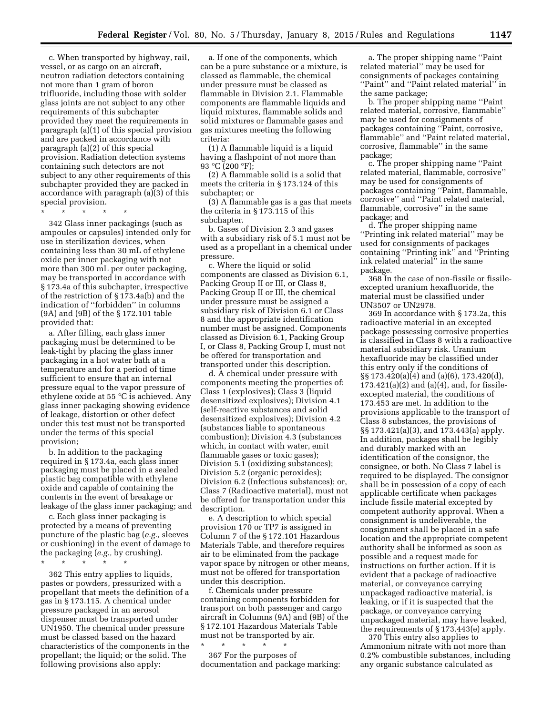c. When transported by highway, rail, vessel, or as cargo on an aircraft, neutron radiation detectors containing not more than 1 gram of boron trifluoride, including those with solder glass joints are not subject to any other requirements of this subchapter provided they meet the requirements in paragraph (a)(1) of this special provision and are packed in accordance with paragraph (a)(2) of this special provision. Radiation detection systems containing such detectors are not subject to any other requirements of this subchapter provided they are packed in accordance with paragraph (a)(3) of this special provision.

\* \* \* \* \*

342 Glass inner packagings (such as ampoules or capsules) intended only for use in sterilization devices, when containing less than 30 mL of ethylene oxide per inner packaging with not more than 300 mL per outer packaging, may be transported in accordance with § 173.4a of this subchapter, irrespective of the restriction of § 173.4a(b) and the indication of ''forbidden'' in columns (9A) and (9B) of the § 172.101 table provided that:

a. After filling, each glass inner packaging must be determined to be leak-tight by placing the glass inner packaging in a hot water bath at a temperature and for a period of time sufficient to ensure that an internal pressure equal to the vapor pressure of ethylene oxide at 55 °C is achieved. Any glass inner packaging showing evidence of leakage, distortion or other defect under this test must not be transported under the terms of this special provision;

b. In addition to the packaging required in § 173.4a, each glass inner packaging must be placed in a sealed plastic bag compatible with ethylene oxide and capable of containing the contents in the event of breakage or leakage of the glass inner packaging; and

c. Each glass inner packaging is protected by a means of preventing puncture of the plastic bag (*e.g.,* sleeves or cushioning) in the event of damage to the packaging (*e.g.,* by crushing).

\* \* \* \* \*

362 This entry applies to liquids, pastes or powders, pressurized with a propellant that meets the definition of a gas in § 173.115. A chemical under pressure packaged in an aerosol dispenser must be transported under UN1950. The chemical under pressure must be classed based on the hazard characteristics of the components in the propellant; the liquid; or the solid. The following provisions also apply:

a. If one of the components, which can be a pure substance or a mixture, is classed as flammable, the chemical under pressure must be classed as flammable in Division 2.1. Flammable components are flammable liquids and liquid mixtures, flammable solids and solid mixtures or flammable gases and gas mixtures meeting the following criteria:

(1) A flammable liquid is a liquid having a flashpoint of not more than 93 °C (200 °F);

(2) A flammable solid is a solid that meets the criteria in § 173.124 of this subchapter; or

(3) A flammable gas is a gas that meets the criteria in § 173.115 of this subchapter.

b. Gases of Division 2.3 and gases with a subsidiary risk of 5.1 must not be used as a propellant in a chemical under pressure.

c. Where the liquid or solid components are classed as Division 6.1, Packing Group II or III, or Class 8, Packing Group II or III, the chemical under pressure must be assigned a subsidiary risk of Division 6.1 or Class 8 and the appropriate identification number must be assigned. Components classed as Division 6.1, Packing Group I, or Class 8, Packing Group I, must not be offered for transportation and transported under this description.

d. A chemical under pressure with components meeting the properties of: Class 1 (explosives); Class 3 (liquid desensitized explosives); Division 4.1 (self-reactive substances and solid desensitized explosives); Division 4.2 (substances liable to spontaneous combustion); Division 4.3 (substances which, in contact with water, emit flammable gases or toxic gases); Division 5.1 (oxidizing substances); Division 5.2 (organic peroxides); Division 6.2 (Infectious substances); or, Class 7 (Radioactive material), must not be offered for transportation under this description.

e. A description to which special provision 170 or TP7 is assigned in Column 7 of the § 172.101 Hazardous Materials Table, and therefore requires air to be eliminated from the package vapor space by nitrogen or other means, must not be offered for transportation under this description.

f. Chemicals under pressure containing components forbidden for transport on both passenger and cargo aircraft in Columns (9A) and (9B) of the § 172.101 Hazardous Materials Table must not be transported by air.

\* \* \* \* \* 367 For the purposes of documentation and package marking:

a. The proper shipping name ''Paint related material'' may be used for consignments of packages containing ''Paint'' and ''Paint related material'' in the same package;

b. The proper shipping name ''Paint related material, corrosive, flammable'' may be used for consignments of packages containing ''Paint, corrosive, flammable'' and ''Paint related material, corrosive, flammable'' in the same package;

c. The proper shipping name ''Paint related material, flammable, corrosive'' may be used for consignments of packages containing ''Paint, flammable, corrosive'' and ''Paint related material, flammable, corrosive'' in the same package; and

d. The proper shipping name ''Printing ink related material'' may be used for consignments of packages containing ''Printing ink'' and ''Printing ink related material'' in the same package.

368 In the case of non-fissile or fissileexcepted uranium hexafluoride, the material must be classified under UN3507 or UN2978.

369 In accordance with § 173.2a, this radioactive material in an excepted package possessing corrosive properties is classified in Class 8 with a radioactive material subsidiary risk. Uranium hexafluoride may be classified under this entry only if the conditions of §§ 173.420(a)(4) and (a)(6), 173.420(d),  $173.421(a)(2)$  and  $(a)(4)$ , and, for fissileexcepted material, the conditions of 173.453 are met. In addition to the provisions applicable to the transport of Class 8 substances, the provisions of §§ 173.421(a)(3), and 173.443(a) apply. In addition, packages shall be legibly and durably marked with an identification of the consignor, the consignee, or both. No Class 7 label is required to be displayed. The consignor shall be in possession of a copy of each applicable certificate when packages include fissile material excepted by competent authority approval. When a consignment is undeliverable, the consignment shall be placed in a safe location and the appropriate competent authority shall be informed as soon as possible and a request made for instructions on further action. If it is evident that a package of radioactive material, or conveyance carrying unpackaged radioactive material, is leaking, or if it is suspected that the package, or conveyance carrying unpackaged material, may have leaked, the requirements of § 173.443(e) apply.

370 This entry also applies to Ammonium nitrate with not more than 0.2% combustible substances, including any organic substance calculated as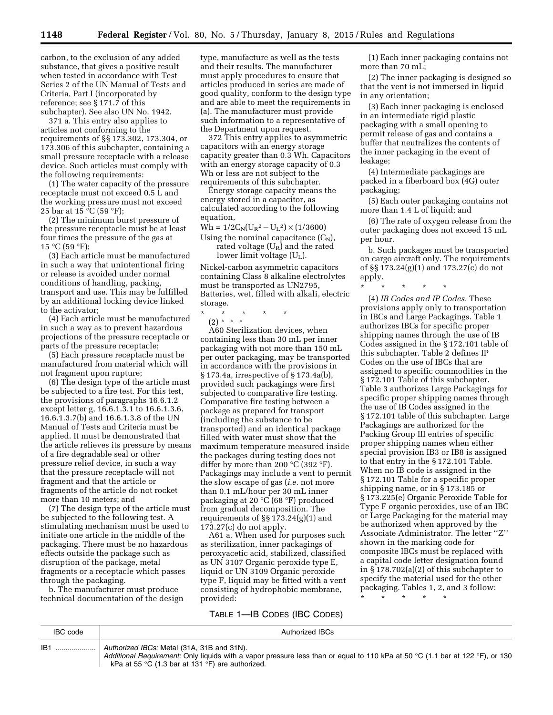carbon, to the exclusion of any added substance, that gives a positive result when tested in accordance with Test Series 2 of the UN Manual of Tests and Criteria, Part I (incorporated by reference; see § 171.7 of this subchapter). See also UN No. 1942.

371 a. This entry also applies to articles not conforming to the requirements of §§ 173.302, 173.304, or 173.306 of this subchapter, containing a small pressure receptacle with a release device. Such articles must comply with the following requirements:

(1) The water capacity of the pressure receptacle must not exceed 0.5 L and the working pressure must not exceed 25 bar at 15  $^{\circ}$ C (59  $^{\circ}$ F);

(2) The minimum burst pressure of the pressure receptacle must be at least four times the pressure of the gas at  $15 °C$  (59 °F);

(3) Each article must be manufactured in such a way that unintentional firing or release is avoided under normal conditions of handling, packing, transport and use. This may be fulfilled by an additional locking device linked to the activator;

(4) Each article must be manufactured in such a way as to prevent hazardous projections of the pressure receptacle or parts of the pressure receptacle;

(5) Each pressure receptacle must be manufactured from material which will not fragment upon rupture;

(6) The design type of the article must be subjected to a fire test. For this test, the provisions of paragraphs 16.6.1.2 except letter g, 16.6.1.3.1 to 16.6.1.3.6, 16.6.1.3.7(b) and 16.6.1.3.8 of the UN Manual of Tests and Criteria must be applied. It must be demonstrated that the article relieves its pressure by means of a fire degradable seal or other pressure relief device, in such a way that the pressure receptacle will not fragment and that the article or fragments of the article do not rocket more than 10 meters; and

(7) The design type of the article must be subjected to the following test. A stimulating mechanism must be used to initiate one article in the middle of the packaging. There must be no hazardous effects outside the package such as disruption of the package, metal fragments or a receptacle which passes through the packaging.

b. The manufacturer must produce technical documentation of the design

type, manufacture as well as the tests and their results. The manufacturer must apply procedures to ensure that articles produced in series are made of good quality, conform to the design type and are able to meet the requirements in (a). The manufacturer must provide such information to a representative of the Department upon request.

372 This entry applies to asymmetric capacitors with an energy storage capacity greater than 0.3 Wh. Capacitors with an energy storage capacity of 0.3 Wh or less are not subject to the requirements of this subchapter.

Energy storage capacity means the energy stored in a capacitor, as calculated according to the following equation,

 $Wh = 1/2C_N(U_R^2-U_L^2) \times (1/3600)$ Using the nominal capacitance  $(C_N)$ ,

rated voltage  $(U_R)$  and the rated lower limit voltage (UL).

Nickel-carbon asymmetric capacitors containing Class 8 alkaline electrolytes must be transported as UN2795, Batteries, wet, filled with alkali, electric storage.

\* \* \* \* \* (2) \* \* \*

A60 Sterilization devices, when containing less than 30 mL per inner packaging with not more than 150 mL per outer packaging, may be transported in accordance with the provisions in § 173.4a, irrespective of § 173.4a(b), provided such packagings were first subjected to comparative fire testing. Comparative fire testing between a package as prepared for transport (including the substance to be transported) and an identical package filled with water must show that the maximum temperature measured inside the packages during testing does not differ by more than 200  $^{\circ}$ C (392  $^{\circ}$ F). Packagings may include a vent to permit the slow escape of gas (*i.e.* not more than 0.1 mL/hour per 30 mL inner packaging at 20 °C (68 °F) produced from gradual decomposition. The requirements of §§ 173.24(g)(1) and  $173.27(c)$  do not apply.

A61 a. When used for purposes such as sterilization, inner packagings of peroxyacetic acid, stabilized, classified as UN 3107 Organic peroxide type E, liquid or UN 3109 Organic peroxide type F, liquid may be fitted with a vent consisting of hydrophobic membrane, provided:

(1) Each inner packaging contains not more than 70 mL;

(2) The inner packaging is designed so that the vent is not immersed in liquid in any orientation;

(3) Each inner packaging is enclosed in an intermediate rigid plastic packaging with a small opening to permit release of gas and contains a buffer that neutralizes the contents of the inner packaging in the event of leakage;

(4) Intermediate packagings are packed in a fiberboard box (4G) outer packaging;

(5) Each outer packaging contains not more than 1.4 L of liquid; and

(6) The rate of oxygen release from the outer packaging does not exceed 15 mL per hour.

b. Such packages must be transported on cargo aircraft only. The requirements of §§ 173.24(g)(1) and 173.27(c) do not apply.

\* \* \* \* \*

(4) *IB Codes and IP Codes.* These provisions apply only to transportation in IBCs and Large Packagings. Table 1 authorizes IBCs for specific proper shipping names through the use of IB Codes assigned in the § 172.101 table of this subchapter. Table 2 defines IP Codes on the use of IBCs that are assigned to specific commodities in the § 172.101 Table of this subchapter. Table 3 authorizes Large Packagings for specific proper shipping names through the use of IB Codes assigned in the § 172.101 table of this subchapter. Large Packagings are authorized for the Packing Group III entries of specific proper shipping names when either special provision IB3 or IB8 is assigned to that entry in the § 172.101 Table. When no IB code is assigned in the § 172.101 Table for a specific proper shipping name, or in § 173.185 or § 173.225(e) Organic Peroxide Table for Type F organic peroxides, use of an IBC or Large Packaging for the material may be authorized when approved by the Associate Administrator. The letter ''Z'' shown in the marking code for composite IBCs must be replaced with a capital code letter designation found in § 178.702(a)(2) of this subchapter to specify the material used for the other packaging. Tables 1, 2, and 3 follow:

\* \* \* \* \*

TABLE 1—IB CODES (IBC CODES)

| IBC code | Authorized IBCs                                                                                                                                                             |
|----------|-----------------------------------------------------------------------------------------------------------------------------------------------------------------------------|
| IB1      | Authorized IBCs: Metal (31A, 31B and 31N).<br>Additional Requirement: Only liquids with a vapor pressure less than or equal to 110 kPa at 50 °C (1.1 bar at 122 °F), or 130 |
|          | kPa at 55 °C (1.3 bar at 131 °F) are authorized.                                                                                                                            |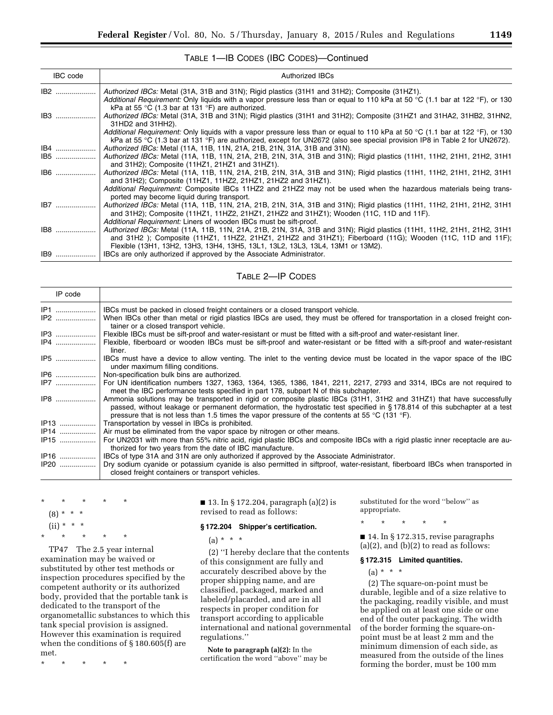# TABLE 1—IB CODES (IBC CODES)—Continued

| <b>IBC</b> code | <b>Authorized IBCs</b>                                                                                                                                                            |
|-----------------|-----------------------------------------------------------------------------------------------------------------------------------------------------------------------------------|
| IB2             | Authorized IBCs: Metal (31A, 31B and 31N); Rigid plastics (31H1 and 31H2); Composite (31HZ1).                                                                                     |
|                 | Additional Requirement: Only liquids with a vapor pressure less than or equal to 110 kPa at 50 °C (1.1 bar at 122 °F), or 130<br>kPa at 55 °C (1.3 bar at 131 °F) are authorized. |
| IB3             | Authorized IBCs: Metal (31A, 31B and 31N); Rigid plastics (31H1 and 31H2); Composite (31HZ1 and 31HA2, 31HB2, 31HN2,                                                              |
|                 | 31HD2 and 31HH2).                                                                                                                                                                 |
|                 | Additional Requirement: Only liquids with a vapor pressure less than or equal to 110 kPa at 50 °C (1.1 bar at 122 °F), or 130                                                     |
|                 | kPa at 55 °C (1.3 bar at 131 °F) are authorized, except for UN2672 (also see special provision IP8 in Table 2 for UN2672).                                                        |
| $IB4$           | Authorized IBCs: Metal (11A, 11B, 11N, 21A, 21B, 21N, 31A, 31B and 31N).                                                                                                          |
| <b>IB5</b>      | Authorized IBCs: Metal (11A, 11B, 11N, 21A, 21B, 21N, 31A, 31B and 31N); Rigid plastics (11H1, 11H2, 21H1, 21H2, 31H1<br>and 31H2); Composite (11HZ1, 21HZ1 and 31HZ1).           |
| IB6             | Authorized IBCs: Metal (11A, 11B, 11N, 21A, 21B, 21N, 31A, 31B and 31N); Rigid plastics (11H1, 11H2, 21H1, 21H2, 31H1                                                             |
|                 | and 31H2); Composite (11HZ1, 11HZ2, 21HZ1, 21HZ2 and 31HZ1).                                                                                                                      |
|                 | Additional Requirement: Composite IBCs 11HZ2 and 21HZ2 may not be used when the hazardous materials being trans-                                                                  |
|                 | ported may become liquid during transport.                                                                                                                                        |
| IB7             | Authorized IBCs: Metal (11A, 11B, 11N, 21A, 21B, 21N, 31A, 31B and 31N); Rigid plastics (11H1, 11H2, 21H1, 21H2, 31H1                                                             |
|                 | and 31H2); Composite (11HZ1, 11HZ2, 21HZ1, 21HZ2 and 31HZ1); Wooden (11C, 11D and 11F).                                                                                           |
|                 | Additional Requirement: Liners of wooden IBCs must be sift-proof.                                                                                                                 |
| IB8             | Authorized IBCs: Metal (11A, 11B, 11N, 21A, 21B, 21N, 31A, 31B and 31N); Rigid plastics (11H1, 11H2, 21H1, 21H2, 31H1                                                             |
|                 | and 31H2); Composite (11HZ1, 11HZ2, 21HZ1, 21HZ2 and 31HZ1); Fiberboard (11G); Wooden (11C, 11D and 11F);                                                                         |
|                 | Flexible (13H1, 13H2, 13H3, 13H4, 13H5, 13L1, 13L2, 13L3, 13L4, 13M1 or 13M2).                                                                                                    |
| IB9             | IBCs are only authorized if approved by the Associate Administrator.                                                                                                              |

TABLE 2—IP CODES

| IP code       |                                                                                                                                                                                                                                                                                                                                                      |
|---------------|------------------------------------------------------------------------------------------------------------------------------------------------------------------------------------------------------------------------------------------------------------------------------------------------------------------------------------------------------|
| IP1  !<br>IP2 | IBCs must be packed in closed freight containers or a closed transport vehicle.<br>When IBCs other than metal or rigid plastics IBCs are used, they must be offered for transportation in a closed freight con-<br>tainer or a closed transport vehicle.                                                                                             |
|               | Flexible IBCs must be sift-proof and water-resistant or must be fitted with a sift-proof and water-resistant liner.                                                                                                                                                                                                                                  |
| IP4           | Flexible, fiberboard or wooden IBCs must be sift-proof and water-resistant or be fitted with a sift-proof and water-resistant<br>liner.                                                                                                                                                                                                              |
| IP5           | IBCs must have a device to allow venting. The inlet to the venting device must be located in the vapor space of the IBC<br>under maximum filling conditions.                                                                                                                                                                                         |
| IP6           | Non-specification bulk bins are authorized.                                                                                                                                                                                                                                                                                                          |
| IP7           | For UN identification numbers 1327, 1363, 1364, 1365, 1386, 1841, 2211, 2217, 2793 and 3314, IBCs are not required to<br>meet the IBC performance tests specified in part 178, subpart N of this subchapter.                                                                                                                                         |
| IP8           | Ammonia solutions may be transported in rigid or composite plastic IBCs (31H1, 31H2 and 31HZ1) that have successfully<br>passed, without leakage or permanent deformation, the hydrostatic test specified in §178.814 of this subchapter at a test<br>pressure that is not less than 1.5 times the vapor pressure of the contents at 55 °C (131 °F). |
| IP13          | Transportation by vessel in IBCs is prohibited.                                                                                                                                                                                                                                                                                                      |
| IP14          | Air must be eliminated from the vapor space by nitrogen or other means.                                                                                                                                                                                                                                                                              |
| IP15          | For UN2031 with more than 55% nitric acid, rigid plastic IBCs and composite IBCs with a rigid plastic inner receptacle are au-<br>thorized for two years from the date of IBC manufacture.                                                                                                                                                           |
| IP16          | IBCs of type 31A and 31N are only authorized if approved by the Associate Administrator.                                                                                                                                                                                                                                                             |
| IP20          | Dry sodium cyanide or potassium cyanide is also permitted in siftproof, water-resistant, fiberboard IBCs when transported in<br>closed freight containers or transport vehicles.                                                                                                                                                                     |
|               |                                                                                                                                                                                                                                                                                                                                                      |

\* \* \* \* \*  $(8)$ 

- $(ii)$
- \* \* \* \* \*

TP47 The 2.5 year internal examination may be waived or substituted by other test methods or inspection procedures specified by the competent authority or its authorized body, provided that the portable tank is dedicated to the transport of the organometallic substances to which this tank special provision is assigned. However this examination is required when the conditions of § 180.605(f) are met.

\* \* \* \* \*

■ 13. In § 172.204, paragraph (a)(2) is revised to read as follows:

#### **§ 172.204 Shipper's certification.**

 $(a) * * * *$ 

(2) ''I hereby declare that the contents of this consignment are fully and accurately described above by the proper shipping name, and are classified, packaged, marked and labeled/placarded, and are in all respects in proper condition for transport according to applicable international and national governmental regulations.''

**Note to paragraph (a)(2):** In the certification the word ''above'' may be

substituted for the word ''below'' as appropriate.

\* \* \* \* \*

■ 14. In § 172.315, revise paragraphs  $(a)(2)$ , and  $(b)(2)$  to read as follows:

# **§ 172.315 Limited quantities.**

 $(a) * * * *$ 

(2) The square-on-point must be durable, legible and of a size relative to the packaging, readily visible, and must be applied on at least one side or one end of the outer packaging. The width of the border forming the square-onpoint must be at least 2 mm and the minimum dimension of each side, as measured from the outside of the lines forming the border, must be 100 mm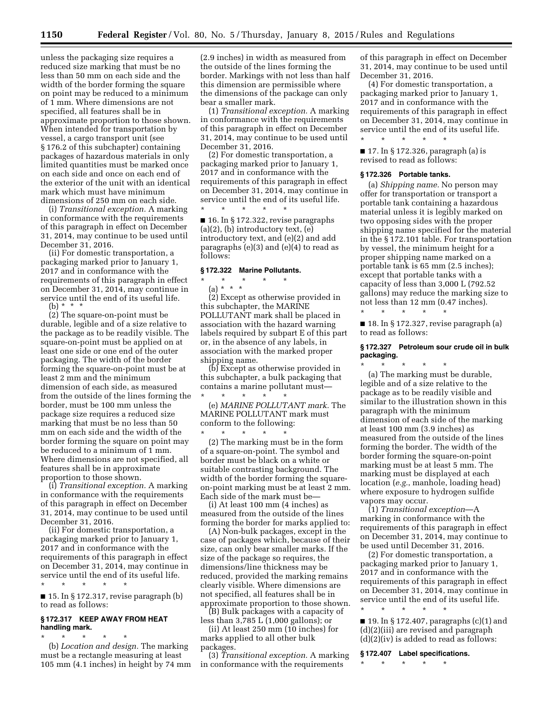unless the packaging size requires a reduced size marking that must be no less than 50 mm on each side and the width of the border forming the square on point may be reduced to a minimum of 1 mm. Where dimensions are not specified, all features shall be in approximate proportion to those shown. When intended for transportation by vessel, a cargo transport unit (see § 176.2 of this subchapter) containing packages of hazardous materials in only limited quantities must be marked once on each side and once on each end of the exterior of the unit with an identical mark which must have minimum dimensions of 250 mm on each side.

(i) *Transitional exception.* A marking in conformance with the requirements of this paragraph in effect on December 31, 2014, may continue to be used until December 31, 2016.

(ii) For domestic transportation, a packaging marked prior to January 1, 2017 and in conformance with the requirements of this paragraph in effect on December 31, 2014, may continue in service until the end of its useful life. (b) \* \* \*

(2) The square-on-point must be durable, legible and of a size relative to the package as to be readily visible. The square-on-point must be applied on at least one side or one end of the outer packaging. The width of the border forming the square-on-point must be at least 2 mm and the minimum dimension of each side, as measured from the outside of the lines forming the border, must be 100 mm unless the package size requires a reduced size marking that must be no less than 50 mm on each side and the width of the border forming the square on point may be reduced to a minimum of 1 mm. Where dimensions are not specified, all features shall be in approximate proportion to those shown.

(i) *Transitional exception.* A marking in conformance with the requirements of this paragraph in effect on December 31, 2014, may continue to be used until December 31, 2016.

(ii) For domestic transportation, a packaging marked prior to January 1, 2017 and in conformance with the requirements of this paragraph in effect on December 31, 2014, may continue in service until the end of its useful life. \* \* \* \* \*

 $\blacksquare$  15. In § 172.317, revise paragraph (b) to read as follows:

## **§ 172.317 KEEP AWAY FROM HEAT handling mark.**

\* \* \* \* \*

(b) *Location and design.* The marking must be a rectangle measuring at least 105 mm (4.1 inches) in height by 74 mm

(2.9 inches) in width as measured from the outside of the lines forming the border. Markings with not less than half this dimension are permissible where the dimensions of the package can only bear a smaller mark.

(1) *Transitional exception.* A marking in conformance with the requirements of this paragraph in effect on December 31, 2014, may continue to be used until December 31, 2016.

(2) For domestic transportation, a packaging marked prior to January 1, 2017 and in conformance with the requirements of this paragraph in effect on December 31, 2014, may continue in service until the end of its useful life. \* \* \* \* \*

■ 16. In § 172.322, revise paragraphs (a)(2), (b) introductory text, (e) introductory text, and (e)(2) and add paragraphs (e)(3) and (e)(4) to read as follows:

## **§ 172.322 Marine Pollutants.**

\* \* \* \* \*

(a) \* \* \* (2) Except as otherwise provided in this subchapter, the MARINE POLLUTANT mark shall be placed in association with the hazard warning labels required by subpart E of this part or, in the absence of any labels, in association with the marked proper shipping name.

(b) Except as otherwise provided in this subchapter, a bulk packaging that contains a marine pollutant must— \* \* \* \* \*

(e) *MARINE POLLUTANT mark.* The MARINE POLLUTANT mark must conform to the following: \* \* \* \* \*

(2) The marking must be in the form of a square-on-point. The symbol and border must be black on a white or suitable contrasting background. The width of the border forming the squareon-point marking must be at least 2 mm. Each side of the mark must be—

(i) At least 100 mm (4 inches) as measured from the outside of the lines forming the border for marks applied to:

(A) Non-bulk packages, except in the case of packages which, because of their size, can only bear smaller marks. If the size of the package so requires, the dimensions/line thickness may be reduced, provided the marking remains clearly visible. Where dimensions are not specified, all features shall be in approximate proportion to those shown.

(B) Bulk packages with a capacity of less than 3,785 L (1,000 gallons); or

(ii) At least 250 mm (10 inches) for marks applied to all other bulk packages.

(3) *Transitional exception.* A marking in conformance with the requirements

of this paragraph in effect on December 31, 2014, may continue to be used until December 31, 2016.

(4) For domestic transportation, a packaging marked prior to January 1, 2017 and in conformance with the requirements of this paragraph in effect on December 31, 2014, may continue in service until the end of its useful life.

■ 17. In § 172.326, paragraph (a) is revised to read as follows:

#### **§ 172.326 Portable tanks.**

\* \* \* \* \*

(a) *Shipping name.* No person may offer for transportation or transport a portable tank containing a hazardous material unless it is legibly marked on two opposing sides with the proper shipping name specified for the material in the § 172.101 table. For transportation by vessel, the minimum height for a proper shipping name marked on a portable tank is 65 mm (2.5 inches); except that portable tanks with a capacity of less than 3,000 L (792.52 gallons) may reduce the marking size to not less than 12 mm (0.47 inches). \* \* \* \* \*

■ 18. In § 172.327, revise paragraph (a) to read as follows:

#### **§ 172.327 Petroleum sour crude oil in bulk packaging.**

\* \* \* \* \*

(a) The marking must be durable, legible and of a size relative to the package as to be readily visible and similar to the illustration shown in this paragraph with the minimum dimension of each side of the marking at least 100 mm (3.9 inches) as measured from the outside of the lines forming the border. The width of the border forming the square-on-point marking must be at least 5 mm. The marking must be displayed at each location (*e.g.*, manhole, loading head) where exposure to hydrogen sulfide vapors may occur.

(1) *Transitional exception*—A marking in conformance with the requirements of this paragraph in effect on December 31, 2014, may continue to be used until December 31, 2016.

(2) For domestic transportation, a packaging marked prior to January 1, 2017 and in conformance with the requirements of this paragraph in effect on December 31, 2014, may continue in service until the end of its useful life.  $\star$   $\star$   $\star$ 

■ 19. In § 172.407, paragraphs (c)(1) and (d)(2)(iii) are revised and paragraph  $(d)(2)(iv)$  is added to read as follows:

**§ 172.407 Label specifications.** 

\* \* \* \* \*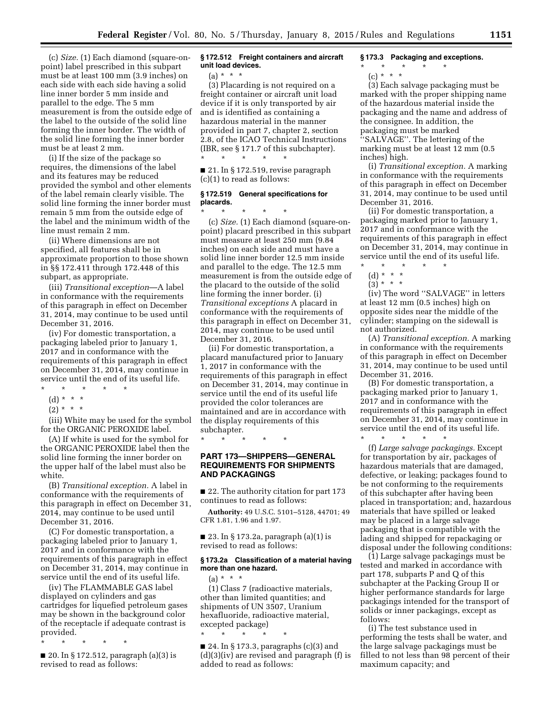(c) *Size.* (1) Each diamond (square-onpoint) label prescribed in this subpart must be at least 100 mm (3.9 inches) on each side with each side having a solid line inner border 5 mm inside and parallel to the edge. The 5 mm measurement is from the outside edge of the label to the outside of the solid line forming the inner border. The width of the solid line forming the inner border must be at least 2 mm.

(i) If the size of the package so requires, the dimensions of the label and its features may be reduced provided the symbol and other elements of the label remain clearly visible. The solid line forming the inner border must remain 5 mm from the outside edge of the label and the minimum width of the line must remain 2 mm.

(ii) Where dimensions are not specified, all features shall be in approximate proportion to those shown in §§ 172.411 through 172.448 of this subpart, as appropriate.

(iii) *Transitional exception*—A label in conformance with the requirements of this paragraph in effect on December 31, 2014, may continue to be used until December 31, 2016.

(iv) For domestic transportation, a packaging labeled prior to January 1, 2017 and in conformance with the requirements of this paragraph in effect on December 31, 2014, may continue in service until the end of its useful life. \* \* \* \* \*

- (d) \* \* \*
- $(2) * * * *$

(iii) White may be used for the symbol

for the ORGANIC PEROXIDE label. (A) If white is used for the symbol for the ORGANIC PEROXIDE label then the solid line forming the inner border on the upper half of the label must also be white.

(B) *Transitional exception.* A label in conformance with the requirements of this paragraph in effect on December 31, 2014, may continue to be used until December 31, 2016.

(C) For domestic transportation, a packaging labeled prior to January 1, 2017 and in conformance with the requirements of this paragraph in effect on December 31, 2014, may continue in service until the end of its useful life.

(iv) The FLAMMABLE GAS label displayed on cylinders and gas cartridges for liquefied petroleum gases may be shown in the background color of the receptacle if adequate contrast is provided.

\* \* \* \* \*

■ 20. In § 172.512, paragraph (a)(3) is revised to read as follows:

**§ 172.512 Freight containers and aircraft unit load devices.** 

 $(a) * * * *$ 

(3) Placarding is not required on a freight container or aircraft unit load device if it is only transported by air and is identified as containing a hazardous material in the manner provided in part 7, chapter 2, section 2.8, of the ICAO Technical Instructions (IBR, see § 171.7 of this subchapter). \* \* \* \* \*

■ 21. In § 172.519, revise paragraph (c)(1) to read as follows:

### **§ 172.519 General specifications for placards.**

\* \* \* \* \* (c) *Size.* (1) Each diamond (square-onpoint) placard prescribed in this subpart must measure at least 250 mm (9.84 inches) on each side and must have a solid line inner border 12.5 mm inside and parallel to the edge. The 12.5 mm measurement is from the outside edge of the placard to the outside of the solid line forming the inner border. (i) *Transitional exceptions* A placard in conformance with the requirements of this paragraph in effect on December 31, 2014, may continue to be used until December 31, 2016.

(ii) For domestic transportation, a placard manufactured prior to January 1, 2017 in conformance with the requirements of this paragraph in effect on December 31, 2014, may continue in service until the end of its useful life provided the color tolerances are maintained and are in accordance with the display requirements of this subchapter.

\* \* \* \* \*

### **PART 173—SHIPPERS—GENERAL REQUIREMENTS FOR SHIPMENTS AND PACKAGINGS**

■ 22. The authority citation for part 173 continues to read as follows:

**Authority:** 49 U.S.C. 5101–5128, 44701; 49 CFR 1.81, 1.96 and 1.97.

■ 23. In § 173.2a, paragraph (a)(1) is revised to read as follows:

#### **§ 173.2a Classification of a material having more than one hazard.**

 $(a) * * * *$ (1) Class 7 (radioactive materials, other than limited quantities; and shipments of UN 3507, Uranium hexafluoride, radioactive material, excepted package)

\* \* \* \* \*

■ 24. In § 173.3, paragraphs (c)(3) and (d)(3)(iv) are revised and paragraph (f) is added to read as follows:

### **§ 173.3 Packaging and exceptions.**

\* \* \* \* \*

(c) \* \* \*

(3) Each salvage packaging must be marked with the proper shipping name of the hazardous material inside the packaging and the name and address of the consignee. In addition, the packaging must be marked ''SALVAGE''. The lettering of the marking must be at least 12 mm (0.5

inches) high.

(i) *Transitional exception.* A marking in conformance with the requirements of this paragraph in effect on December 31, 2014, may continue to be used until December 31, 2016.

(ii) For domestic transportation, a packaging marked prior to January 1, 2017 and in conformance with the requirements of this paragraph in effect on December 31, 2014, may continue in service until the end of its useful life.

- \* \* \* \* \*
- (d) \* \* \*

 $(3)^{*}$  \* \*

(iv) The word ''SALVAGE'' in letters at least 12 mm (0.5 inches) high on opposite sides near the middle of the cylinder; stamping on the sidewall is not authorized.

(A) *Transitional exception.* A marking in conformance with the requirements of this paragraph in effect on December 31, 2014, may continue to be used until December 31, 2016.

(B) For domestic transportation, a packaging marked prior to January 1, 2017 and in conformance with the requirements of this paragraph in effect on December 31, 2014, may continue in service until the end of its useful life.

\* \* \* \* \* (f) *Large salvage packagings.* Except for transportation by air, packages of hazardous materials that are damaged, defective, or leaking; packages found to be not conforming to the requirements of this subchapter after having been placed in transportation; and, hazardous materials that have spilled or leaked may be placed in a large salvage packaging that is compatible with the lading and shipped for repackaging or disposal under the following conditions:

(1) Large salvage packagings must be tested and marked in accordance with part 178, subparts P and Q of this subchapter at the Packing Group II or higher performance standards for large packagings intended for the transport of solids or inner packagings, except as follows:

(i) The test substance used in performing the tests shall be water, and the large salvage packagings must be filled to not less than 98 percent of their maximum capacity; and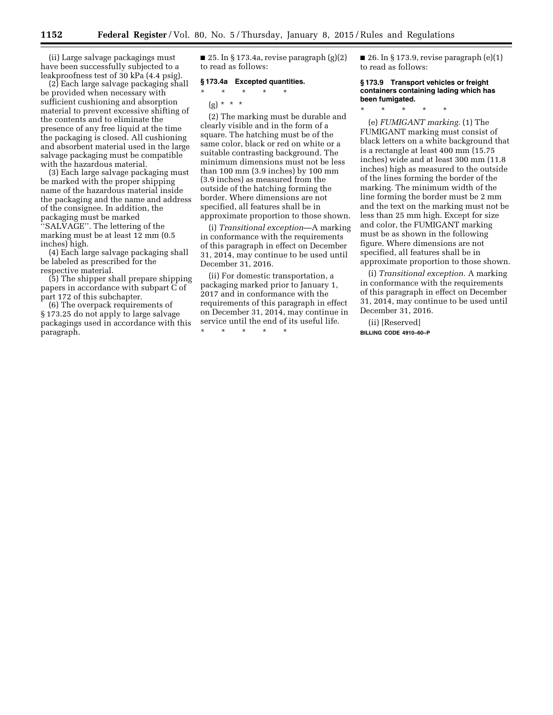(ii) Large salvage packagings must have been successfully subjected to a leakproofness test of 30 kPa (4.4 psig).

(2) Each large salvage packaging shall be provided when necessary with sufficient cushioning and absorption material to prevent excessive shifting of the contents and to eliminate the presence of any free liquid at the time the packaging is closed. All cushioning and absorbent material used in the large salvage packaging must be compatible with the hazardous material.

(3) Each large salvage packaging must be marked with the proper shipping name of the hazardous material inside the packaging and the name and address of the consignee. In addition, the packaging must be marked ''SALVAGE''. The lettering of the marking must be at least 12 mm (0.5 inches) high.

(4) Each large salvage packaging shall be labeled as prescribed for the respective material.

(5) The shipper shall prepare shipping papers in accordance with subpart C of part 172 of this subchapter.

(6) The overpack requirements of § 173.25 do not apply to large salvage packagings used in accordance with this paragraph.

■ 25. In § 173.4a, revise paragraph  $(g)(2)$ to read as follows:

#### **§ 173.4a Excepted quantities.**

\* \* \* \* \*

# (g) \* \* \*

(2) The marking must be durable and clearly visible and in the form of a square. The hatching must be of the same color, black or red on white or a suitable contrasting background. The minimum dimensions must not be less than 100 mm (3.9 inches) by 100 mm (3.9 inches) as measured from the outside of the hatching forming the border. Where dimensions are not specified, all features shall be in approximate proportion to those shown.

(i) *Transitional exception*—A marking in conformance with the requirements of this paragraph in effect on December 31, 2014, may continue to be used until December 31, 2016.

(ii) For domestic transportation, a packaging marked prior to January 1, 2017 and in conformance with the requirements of this paragraph in effect on December 31, 2014, may continue in service until the end of its useful life.

\* \* \* \* \*

 $\blacksquare$  26. In § 173.9, revise paragraph  $(e)(1)$ to read as follows:

#### **§ 173.9 Transport vehicles or freight containers containing lading which has been fumigated.**

\* \* \* \* \*

(e) *FUMIGANT marking.* (1) The FUMIGANT marking must consist of black letters on a white background that is a rectangle at least 400 mm (15.75 inches) wide and at least 300 mm (11.8 inches) high as measured to the outside of the lines forming the border of the marking. The minimum width of the line forming the border must be 2 mm and the text on the marking must not be less than 25 mm high. Except for size and color, the FUMIGANT marking must be as shown in the following figure. Where dimensions are not specified, all features shall be in approximate proportion to those shown.

(i) *Transitional exception.* A marking in conformance with the requirements of this paragraph in effect on December 31, 2014, may continue to be used until December 31, 2016.

(ii) [Reserved] **BILLING CODE 4910–60–P**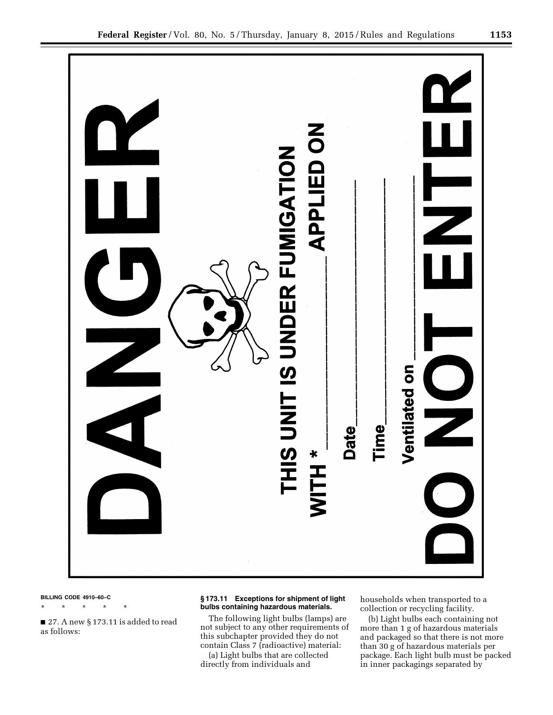

#### **BILLING CODE 4910–60–C**

\* \* \* \* \*

■ 27. A new § 173.11 is added to read as follows:

### **§ 173.11 Exceptions for shipment of light bulbs containing hazardous materials.**

The following light bulbs (lamps) are not subject to any other requirements of this subchapter provided they do not contain Class 7 (radioactive) material:

(a) Light bulbs that are collected directly from individuals and

households when transported to a collection or recycling facility.

(b) Light bulbs each containing not more than 1 g of hazardous materials and packaged so that there is not more than 30 g of hazardous materials per package. Each light bulb must be packed in inner packagings separated by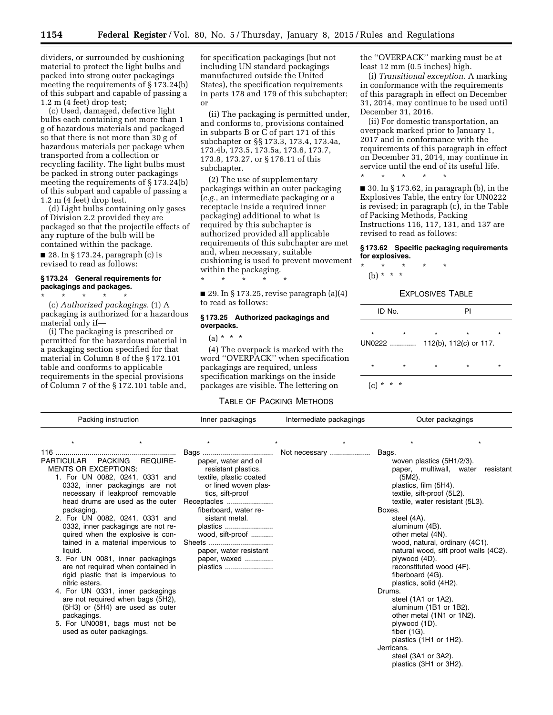dividers, or surrounded by cushioning material to protect the light bulbs and packed into strong outer packagings meeting the requirements of § 173.24(b) of this subpart and capable of passing a 1.2 m (4 feet) drop test;

(c) Used, damaged, defective light bulbs each containing not more than 1 g of hazardous materials and packaged so that there is not more than 30 g of hazardous materials per package when transported from a collection or recycling facility. The light bulbs must be packed in strong outer packagings meeting the requirements of § 173.24(b) of this subpart and capable of passing a 1.2 m (4 feet) drop test.

(d) Light bulbs containing only gases of Division 2.2 provided they are packaged so that the projectile effects of any rupture of the bulb will be contained within the package.  $\blacksquare$  28. In § 173.24, paragraph (c) is

revised to read as follows:

## **§ 173.24 General requirements for packagings and packages.**

\* \* \* \* \* (c) *Authorized packagings.* (1) A packaging is authorized for a hazardous material only if—

(i) The packaging is prescribed or permitted for the hazardous material in a packaging section specified for that material in Column 8 of the § 172.101 table and conforms to applicable requirements in the special provisions of Column 7 of the § 172.101 table and,

for specification packagings (but not including UN standard packagings manufactured outside the United States), the specification requirements in parts 178 and 179 of this subchapter; or

(ii) The packaging is permitted under, and conforms to, provisions contained in subparts B or C of part 171 of this subchapter or §§ 173.3, 173.4, 173.4a, 173.4b, 173.5, 173.5a, 173.6, 173.7, 173.8, 173.27, or § 176.11 of this subchapter.

(2) The use of supplementary packagings within an outer packaging (*e.g.,* an intermediate packaging or a receptacle inside a required inner packaging) additional to what is required by this subchapter is authorized provided all applicable requirements of this subchapter are met and, when necessary, suitable cushioning is used to prevent movement within the packaging.

\* \* \* \* \*

 $\blacksquare$  29. In § 173.25, revise paragraph (a)(4) to read as follows:

#### **§ 173.25 Authorized packagings and overpacks.**

 $(a) * * * *$ 

(4) The overpack is marked with the word ''OVERPACK'' when specification packagings are required, unless specification markings on the inside packages are visible. The lettering on

#### TABLE OF PACKING METHODS

the ''OVERPACK'' marking must be at least 12 mm (0.5 inches) high.

(i) *Transitional exception.* A marking in conformance with the requirements of this paragraph in effect on December 31, 2014, may continue to be used until December 31, 2016.

(ii) For domestic transportation, an overpack marked prior to January 1, 2017 and in conformance with the requirements of this paragraph in effect on December 31, 2014, may continue in service until the end of its useful life.

■ 30. In § 173.62, in paragraph (b), in the Explosives Table, the entry for UN0222 is revised; in paragraph (c), in the Table of Packing Methods, Packing Instructions 116, 117, 131, and 137 are revised to read as follows:

#### **§ 173.62 Specific packaging requirements for explosives.**

\* \* \* \* \* (b) \* \* \*

\* \* \* \* \*

#### EXPLOSIVES TABLE

| ID No.        |                   |         | PI                                |         |
|---------------|-------------------|---------|-----------------------------------|---------|
| $\star$       | $\star$<br>UN0222 | $\star$ | $\star$<br>112(b), 112(c) or 117. | $\star$ |
| $\star$       | $\star$           | $\star$ | $\star$                           | $\star$ |
| $(c) * * * *$ |                   |         |                                   |         |

| Packing instruction                                                                                                                                                                                                                                                                                                     |                                                                                                                                                                                                                                                                                                                                                                                                      | Inner packagings                                                                                                                                                                                                                                                   | Intermediate packagings | Outer packagings                                                                                                                                                                                                                                                                                                                                                                                                                                                                                                                                                                               |                                                    |  |  |
|-------------------------------------------------------------------------------------------------------------------------------------------------------------------------------------------------------------------------------------------------------------------------------------------------------------------------|------------------------------------------------------------------------------------------------------------------------------------------------------------------------------------------------------------------------------------------------------------------------------------------------------------------------------------------------------------------------------------------------------|--------------------------------------------------------------------------------------------------------------------------------------------------------------------------------------------------------------------------------------------------------------------|-------------------------|------------------------------------------------------------------------------------------------------------------------------------------------------------------------------------------------------------------------------------------------------------------------------------------------------------------------------------------------------------------------------------------------------------------------------------------------------------------------------------------------------------------------------------------------------------------------------------------------|----------------------------------------------------|--|--|
|                                                                                                                                                                                                                                                                                                                         |                                                                                                                                                                                                                                                                                                                                                                                                      |                                                                                                                                                                                                                                                                    |                         |                                                                                                                                                                                                                                                                                                                                                                                                                                                                                                                                                                                                |                                                    |  |  |
| PARTICULAR PACKING<br><b>MENTS OR EXCEPTIONS:</b><br>1. For UN 0082, 0241, 0331 and<br>packaging.<br>2. For UN 0082, 0241, 0331 and<br>liquid.<br>3. For UN 0081, inner packagings<br>nitric esters.<br>4. For UN 0331, inner packagings<br>packagings.<br>5. For UN0081, bags must not be<br>used as outer packagings. | <b>REQUIRE-</b><br>0332, inner packagings are not<br>necessary if leakproof removable<br>head drums are used as the outer<br>0332, inner packagings are not re-<br>quired when the explosive is con-<br>tained in a material impervious to<br>are not required when contained in<br>rigid plastic that is impervious to<br>are not required when bags (5H2),<br>$(5H3)$ or $(5H4)$ are used as outer | paper, water and oil<br>resistant plastics.<br>textile, plastic coated<br>or lined woven plas-<br>tics, sift-proof<br>Receptacles<br>fiberboard, water re-<br>sistant metal.<br>plastics<br>wood, sift-proof<br>paper, water resistant<br>paper, waxed<br>plastics | Not necessary           | Bags.<br>woven plastics (5H1/2/3).<br>paper, multiwall, water<br>(5M2).<br>plastics, film (5H4).<br>textile, sift-proof (5L2).<br>textile, water resistant (5L3).<br>Boxes.<br>steel (4A).<br>aluminum (4B).<br>other metal (4N).<br>wood, natural, ordinary (4C1).<br>plywood (4D).<br>reconstituted wood (4F).<br>fiberboard (4G).<br>plastics, solid (4H2).<br>Drums.<br>steel (1A1 or 1A2).<br>aluminum (1B1 or 1B2).<br>other metal (1N1 or 1N2).<br>plywood (1D).<br>fiber $(1G)$ .<br>plastics $(1H1 \text{ or } 1H2)$ .<br>Jerricans.<br>steel (3A1 or 3A2).<br>plastics (3H1 or 3H2). | resistant<br>natural wood, sift proof walls (4C2). |  |  |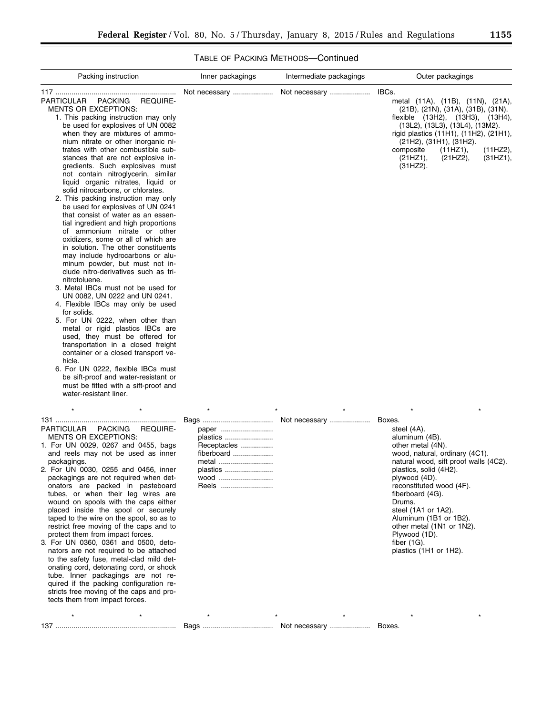# TABLE OF PACKING METHODS—Continued

| Packing instruction                                                                                                                                                                                                                                                                                                                                                                                                                                                                                                                                                                                                                                                                                                                                                                                                                                                                                                                                                                                                                                                                                                                                                                                                                                                                                                                               | Inner packagings                                                                     | Intermediate packagings | Outer packagings                                                                                                                                                                                                                                                                                                                                                                                   |
|---------------------------------------------------------------------------------------------------------------------------------------------------------------------------------------------------------------------------------------------------------------------------------------------------------------------------------------------------------------------------------------------------------------------------------------------------------------------------------------------------------------------------------------------------------------------------------------------------------------------------------------------------------------------------------------------------------------------------------------------------------------------------------------------------------------------------------------------------------------------------------------------------------------------------------------------------------------------------------------------------------------------------------------------------------------------------------------------------------------------------------------------------------------------------------------------------------------------------------------------------------------------------------------------------------------------------------------------------|--------------------------------------------------------------------------------------|-------------------------|----------------------------------------------------------------------------------------------------------------------------------------------------------------------------------------------------------------------------------------------------------------------------------------------------------------------------------------------------------------------------------------------------|
| PARTICULAR<br>PACKING<br><b>REQUIRE-</b><br><b>MENTS OR EXCEPTIONS:</b><br>1. This packing instruction may only<br>be used for explosives of UN 0082<br>when they are mixtures of ammo-<br>nium nitrate or other inorganic ni-<br>trates with other combustible sub-<br>stances that are not explosive in-<br>gredients. Such explosives must<br>not contain nitroglycerin, similar<br>liquid organic nitrates, liquid or<br>solid nitrocarbons, or chlorates.<br>2. This packing instruction may only<br>be used for explosives of UN 0241<br>that consist of water as an essen-<br>tial ingredient and high proportions<br>of ammonium nitrate or other<br>oxidizers, some or all of which are<br>in solution. The other constituents<br>may include hydrocarbons or alu-<br>minum powder, but must not in-<br>clude nitro-derivatives such as tri-<br>nitrotoluene.<br>3. Metal IBCs must not be used for<br>UN 0082, UN 0222 and UN 0241.<br>4. Flexible IBCs may only be used<br>for solids.<br>5. For UN 0222, when other than<br>metal or rigid plastics IBCs are<br>used, they must be offered for<br>transportation in a closed freight<br>container or a closed transport ve-<br>hicle.<br>6. For UN 0222, flexible IBCs must<br>be sift-proof and water-resistant or<br>must be fitted with a sift-proof and<br>water-resistant liner. | Not necessary                                                                        | Not necessary           | IBCs.<br>metal (11A), (11B), (11N), (21A),<br>(21B), (21N), (31A), (31B), (31N).<br>flexible (13H2), (13H3), (13H4),<br>(13L2), (13L3), (13L4), (13M2).<br>rigid plastics (11H1), (11H2), (21H1),<br>(21H2), (31H1), (31H2).<br>composite<br>(11HZ1),<br>(11HZ2),<br>(21HZ1),<br>(21HZ2),<br>(31HZ1),<br>(31HZ2).                                                                                  |
| $\star$<br><b>PARTICULAR</b><br><b>REQUIRE-</b><br><b>PACKING</b><br><b>MENTS OR EXCEPTIONS:</b><br>1. For UN 0029, 0267 and 0455, bags<br>and reels may not be used as inner<br>packagings.<br>2. For UN 0030, 0255 and 0456, inner<br>packagings are not required when det-<br>onators are packed in pasteboard<br>tubes, or when their leg wires are<br>wound on spools with the caps either<br>placed inside the spool or securely<br>taped to the wire on the spool, so as to<br>restrict free moving of the caps and to<br>protect them from impact forces.<br>3. For UN 0360, 0361 and 0500, deto-<br>nators are not required to be attached<br>to the safety fuse, metal-clad mild det-<br>onating cord, detonating cord, or shock<br>tube. Inner packagings are not re-<br>quired if the packing configuration re-<br>stricts free moving of the caps and pro-<br>tects them from impact forces.                                                                                                                                                                                                                                                                                                                                                                                                                                         | paper<br>plastics<br>Receptacles<br>fiberboard<br>metal<br>plastics<br>wood<br>Reels |                         | $\star$<br>Boxes.<br>steel (4A).<br>aluminum (4B).<br>other metal (4N).<br>wood, natural, ordinary (4C1).<br>natural wood, sift proof walls (4C2).<br>plastics, solid (4H2).<br>plywood (4D).<br>reconstituted wood (4F).<br>fiberboard (4G).<br>Drums.<br>steel (1A1 or 1A2).<br>Aluminum (1B1 or 1B2).<br>other metal (1N1 or 1N2).<br>Plywood (1D).<br>fiber $(1G)$ .<br>plastics (1H1 or 1H2). |
|                                                                                                                                                                                                                                                                                                                                                                                                                                                                                                                                                                                                                                                                                                                                                                                                                                                                                                                                                                                                                                                                                                                                                                                                                                                                                                                                                   |                                                                                      |                         |                                                                                                                                                                                                                                                                                                                                                                                                    |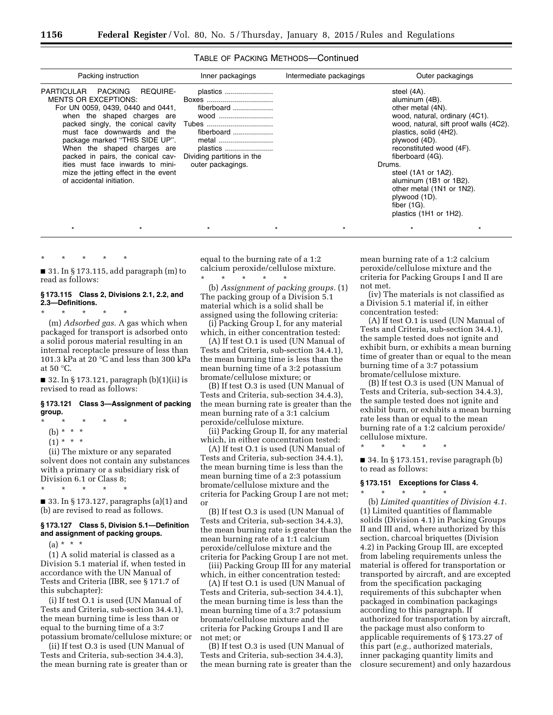#### TABLE OF PACKING METHODS—Continued

| Packing instruction                                                                                                                                                                                                                                                                                                                                                             | Inner packagings                                                                                                              | Intermediate packagings | Outer packagings                                                                                                                                                                                                                                                                                                                                                                                       |
|---------------------------------------------------------------------------------------------------------------------------------------------------------------------------------------------------------------------------------------------------------------------------------------------------------------------------------------------------------------------------------|-------------------------------------------------------------------------------------------------------------------------------|-------------------------|--------------------------------------------------------------------------------------------------------------------------------------------------------------------------------------------------------------------------------------------------------------------------------------------------------------------------------------------------------------------------------------------------------|
| PARTICULAR PACKING<br>REQUIRE-<br><b>MENTS OR EXCEPTIONS:</b><br>For UN 0059, 0439, 0440 and 0441,<br>when the shaped charges are<br>must face downwards and the<br>package marked "THIS SIDE UP".<br>When the shaped charges are<br>packed in pairs, the conical cav-<br>ities must face inwards to mini-<br>mize the jetting effect in the event<br>of accidental initiation. | plastics<br>Boxes<br>fiberboard<br>wood<br>fiberboard<br>metal<br>plastics<br>Dividing partitions in the<br>outer packagings. |                         | steel (4A).<br>aluminum (4B).<br>other metal (4N).<br>wood, natural, ordinary (4C1).<br>wood, natural, sift proof walls (4C2).<br>plastics, solid (4H2).<br>plywood (4D).<br>reconstituted wood (4F).<br>fiberboard (4G).<br>Drums.<br>steel $(1A1 \text{ or } 1A2)$ .<br>aluminum (1B1 or 1B2).<br>other metal (1N1 or 1N2).<br>plywood (1D).<br>fiber $(1G)$ .<br>plastics $(1H1 \text{ or } 1H2)$ . |

\* \* \* \* \*

■ 31. In § 173.115, add paragraph (m) to read as follows:

### **§ 173.115 Class 2, Divisions 2.1, 2.2, and 2.3—Definitions.**

\* \* \* \* \* (m) *Adsorbed gas.* A gas which when

packaged for transport is adsorbed onto a solid porous material resulting in an internal receptacle pressure of less than 101.3 kPa at 20 °C and less than 300 kPa at 50 °C.

■ 32. In § 173.121, paragraph (b)(1)(ii) is revised to read as follows:

#### **§ 173.121 Class 3—Assignment of packing group.**

\* \* \* \* \*

- (b) \* \* \*
- $(1) * * * *$

(ii) The mixture or any separated solvent does not contain any substances with a primary or a subsidiary risk of Division 6.1 or Class 8;

\* \* \* \* \*

■ 33. In § 173.127, paragraphs (a)(1) and (b) are revised to read as follows.

#### **§ 173.127 Class 5, Division 5.1—Definition and assignment of packing groups.**

 $(a) * * * *$ 

(1) A solid material is classed as a Division 5.1 material if, when tested in accordance with the UN Manual of Tests and Criteria (IBR, see § 171.7 of this subchapter):

(i) If test O.1 is used (UN Manual of Tests and Criteria, sub-section 34.4.1), the mean burning time is less than or equal to the burning time of a 3:7 potassium bromate/cellulose mixture; or

(ii) If test O.3 is used (UN Manual of Tests and Criteria, sub-section 34.4.3), the mean burning rate is greater than or equal to the burning rate of a 1:2 calcium peroxide/cellulose mixture. \* \* \* \* \*

\* \* \* \* \* \* \* \* \* \* \* \* \* \* \*

(b) *Assignment of packing groups.* (1) The packing group of a Division 5.1 material which is a solid shall be assigned using the following criteria:

(i) Packing Group I, for any material which, in either concentration tested:

(A) If test O.1 is used (UN Manual of Tests and Criteria, sub-section 34.4.1), the mean burning time is less than the mean burning time of a 3:2 potassium bromate/cellulose mixture; or

(B) If test O.3 is used (UN Manual of Tests and Criteria, sub-section 34.4.3), the mean burning rate is greater than the mean burning rate of a 3:1 calcium peroxide/cellulose mixture.

(ii) Packing Group II, for any material which, in either concentration tested:

(A) If test O.1 is used (UN Manual of Tests and Criteria, sub-section 34.4.1), the mean burning time is less than the mean burning time of a 2:3 potassium bromate/cellulose mixture and the criteria for Packing Group I are not met; or

(B) If test O.3 is used (UN Manual of Tests and Criteria, sub-section 34.4.3), the mean burning rate is greater than the mean burning rate of a 1:1 calcium peroxide/cellulose mixture and the criteria for Packing Group I are not met.

(iii) Packing Group III for any material which, in either concentration tested:

(A) If test O.1 is used (UN Manual of Tests and Criteria, sub-section 34.4.1), the mean burning time is less than the mean burning time of a 3:7 potassium bromate/cellulose mixture and the criteria for Packing Groups I and II are not met; or

(B) If test O.3 is used (UN Manual of Tests and Criteria, sub-section 34.4.3), the mean burning rate is greater than the mean burning rate of a 1:2 calcium peroxide/cellulose mixture and the criteria for Packing Groups I and II are not met.

(iv) The materials is not classified as a Division 5.1 material if, in either concentration tested:

(A) If test O.1 is used (UN Manual of Tests and Criteria, sub-section 34.4.1), the sample tested does not ignite and exhibit burn, or exhibits a mean burning time of greater than or equal to the mean burning time of a 3:7 potassium bromate/cellulose mixture.

(B) If test O.3 is used (UN Manual of Tests and Criteria, sub-section 34.4.3), the sample tested does not ignite and exhibit burn, or exhibits a mean burning rate less than or equal to the mean burning rate of a 1:2 calcium peroxide/ cellulose mixture.

 $\blacksquare$  34. In § 173.151, revise paragraph (b) to read as follows:

#### **§ 173.151 Exceptions for Class 4.**  \* \* \* \* \*

\* \* \* \* \*

(b) *Limited quantities of Division 4.1.*  (1) Limited quantities of flammable solids (Division 4.1) in Packing Groups II and III and, where authorized by this section, charcoal briquettes (Division 4.2) in Packing Group III, are excepted from labeling requirements unless the material is offered for transportation or transported by aircraft, and are excepted from the specification packaging requirements of this subchapter when packaged in combination packagings according to this paragraph. If authorized for transportation by aircraft, the package must also conform to applicable requirements of § 173.27 of this part (*e.g.,* authorized materials, inner packaging quantity limits and closure securement) and only hazardous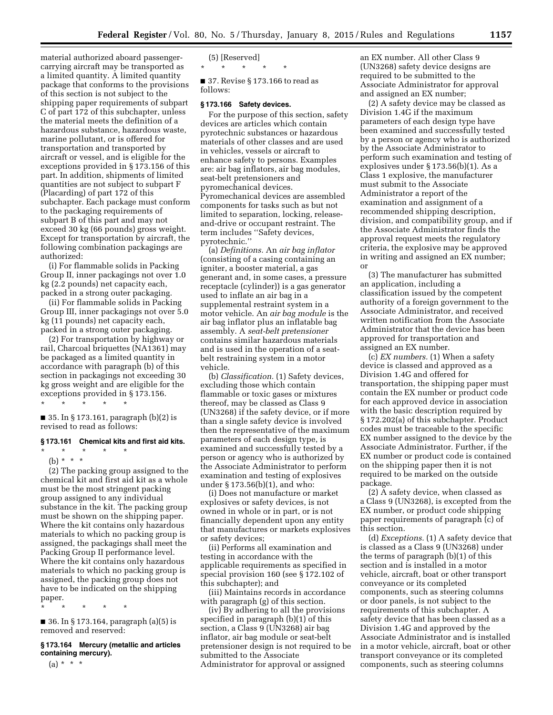material authorized aboard passengercarrying aircraft may be transported as a limited quantity. A limited quantity package that conforms to the provisions of this section is not subject to the shipping paper requirements of subpart C of part 172 of this subchapter, unless the material meets the definition of a hazardous substance, hazardous waste, marine pollutant, or is offered for transportation and transported by aircraft or vessel, and is eligible for the exceptions provided in § 173.156 of this part. In addition, shipments of limited quantities are not subject to subpart F (Placarding) of part 172 of this subchapter. Each package must conform to the packaging requirements of subpart B of this part and may not exceed 30 kg (66 pounds) gross weight. Except for transportation by aircraft, the following combination packagings are authorized:

(i) For flammable solids in Packing Group II, inner packagings not over 1.0 kg (2.2 pounds) net capacity each, packed in a strong outer packaging.

(ii) For flammable solids in Packing Group III, inner packagings not over 5.0 kg (11 pounds) net capacity each, packed in a strong outer packaging.

(2) For transportation by highway or rail, Charcoal briquettes (NA1361) may be packaged as a limited quantity in accordance with paragraph (b) of this section in packagings not exceeding 30 kg gross weight and are eligible for the exceptions provided in § 173.156. \* \* \* \* \*

■ 35. In § 173.161, paragraph (b)(2) is revised to read as follows:

#### **§ 173.161 Chemical kits and first aid kits.**

\* \* \* \* \* (b) \* \* \*

(2) The packing group assigned to the chemical kit and first aid kit as a whole must be the most stringent packing group assigned to any individual substance in the kit. The packing group must be shown on the shipping paper. Where the kit contains only hazardous materials to which no packing group is assigned, the packagings shall meet the Packing Group II performance level. Where the kit contains only hazardous materials to which no packing group is assigned, the packing group does not have to be indicated on the shipping paper.

\* \* \* \* \*

■ 36. In § 173.164, paragraph (a)(5) is removed and reserved:

#### **§ 173.164 Mercury (metallic and articles containing mercury).**

 $(a) * * * *$ 

(5) [Reserved]  $*$  \*

■ 37. Revise § 173.166 to read as follows:

#### **§ 173.166 Safety devices.**

For the purpose of this section, safety devices are articles which contain pyrotechnic substances or hazardous materials of other classes and are used in vehicles, vessels or aircraft to enhance safety to persons. Examples are: air bag inflators, air bag modules, seat-belt pretensioners and pyromechanical devices. Pyromechanical devices are assembled components for tasks such as but not limited to separation, locking, releaseand-drive or occupant restraint. The term includes ''Safety devices, pyrotechnic.''

(a) *Definitions.* An *air bag inflator*  (consisting of a casing containing an igniter, a booster material, a gas generant and, in some cases, a pressure receptacle (cylinder)) is a gas generator used to inflate an air bag in a supplemental restraint system in a motor vehicle. An *air bag module* is the air bag inflator plus an inflatable bag assembly. A *seat-belt pretensioner*  contains similar hazardous materials and is used in the operation of a seatbelt restraining system in a motor vehicle.

(b) *Classification.* (1) Safety devices, excluding those which contain flammable or toxic gases or mixtures thereof, may be classed as Class 9 (UN3268) if the safety device, or if more than a single safety device is involved then the representative of the maximum parameters of each design type, is examined and successfully tested by a person or agency who is authorized by the Associate Administrator to perform examination and testing of explosives under § 173.56(b)(1), and who:

(i) Does not manufacture or market explosives or safety devices, is not owned in whole or in part, or is not financially dependent upon any entity that manufactures or markets explosives or safety devices;

(ii) Performs all examination and testing in accordance with the applicable requirements as specified in special provision 160 (see § 172.102 of this subchapter); and

(iii) Maintains records in accordance with paragraph (g) of this section.

(iv) By adhering to all the provisions specified in paragraph (b)(1) of this section, a Class 9 (UN3268) air bag inflator, air bag module or seat-belt pretensioner design is not required to be submitted to the Associate Administrator for approval or assigned

an EX number. All other Class 9 (UN3268) safety device designs are required to be submitted to the Associate Administrator for approval and assigned an EX number;

(2) A safety device may be classed as Division 1.4G if the maximum parameters of each design type have been examined and successfully tested by a person or agency who is authorized by the Associate Administrator to perform such examination and testing of explosives under § 173.56(b)(1). As a Class 1 explosive, the manufacturer must submit to the Associate Administrator a report of the examination and assignment of a recommended shipping description, division, and compatibility group, and if the Associate Administrator finds the approval request meets the regulatory criteria, the explosive may be approved in writing and assigned an EX number; or

(3) The manufacturer has submitted an application, including a classification issued by the competent authority of a foreign government to the Associate Administrator, and received written notification from the Associate Administrator that the device has been approved for transportation and assigned an EX number.

(c) *EX numbers.* (1) When a safety device is classed and approved as a Division 1.4G and offered for transportation, the shipping paper must contain the EX number or product code for each approved device in association with the basic description required by § 172.202(a) of this subchapter. Product codes must be traceable to the specific EX number assigned to the device by the Associate Administrator. Further, if the EX number or product code is contained on the shipping paper then it is not required to be marked on the outside package.

(2) A safety device, when classed as a Class 9 (UN3268), is excepted from the EX number, or product code shipping paper requirements of paragraph (c) of this section.

(d) *Exceptions.* (1) A safety device that is classed as a Class 9 (UN3268) under the terms of paragraph (b)(1) of this section and is installed in a motor vehicle, aircraft, boat or other transport conveyance or its completed components, such as steering columns or door panels, is not subject to the requirements of this subchapter. A safety device that has been classed as a Division 1.4G and approved by the Associate Administrator and is installed in a motor vehicle, aircraft, boat or other transport conveyance or its completed components, such as steering columns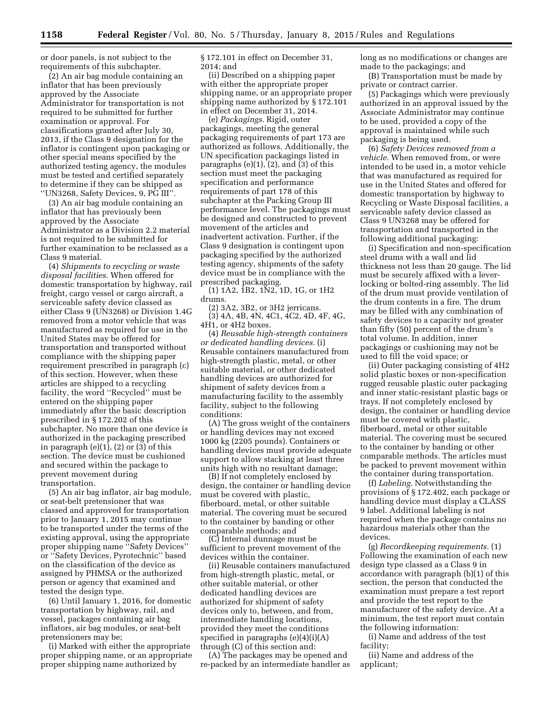or door panels, is not subject to the requirements of this subchapter.

(2) An air bag module containing an inflator that has been previously approved by the Associate Administrator for transportation is not required to be submitted for further examination or approval. For classifications granted after July 30, 2013, if the Class 9 designation for the inflator is contingent upon packaging or other special means specified by the authorized testing agency, the modules must be tested and certified separately to determine if they can be shipped as ''UN3268, Safety Devices, 9, PG III''.

(3) An air bag module containing an inflator that has previously been approved by the Associate Administrator as a Division 2.2 material is not required to be submitted for further examination to be reclassed as a Class 9 material.

(4) *Shipments to recycling or waste disposal facilities.* When offered for domestic transportation by highway, rail freight, cargo vessel or cargo aircraft, a serviceable safety device classed as either Class 9 (UN3268) or Division 1.4G removed from a motor vehicle that was manufactured as required for use in the United States may be offered for transportation and transported without compliance with the shipping paper requirement prescribed in paragraph (c) of this section. However, when these articles are shipped to a recycling facility, the word ''Recycled'' must be entered on the shipping paper immediately after the basic description prescribed in § 172.202 of this subchapter. No more than one device is authorized in the packaging prescribed in paragraph  $(e)(1)$ ,  $(2)$  or  $(3)$  of this section. The device must be cushioned and secured within the package to prevent movement during transportation.

(5) An air bag inflator, air bag module, or seat-belt pretensioner that was classed and approved for transportation prior to January 1, 2015 may continue to be transported under the terms of the existing approval, using the appropriate proper shipping name ''Safety Devices'' or ''Safety Devices, Pyrotechnic'' based on the classification of the device as assigned by PHMSA or the authorized person or agency that examined and tested the design type.

(6) Until January 1, 2016, for domestic transportation by highway, rail, and vessel, packages containing air bag inflators, air bag modules, or seat-belt pretensioners may be;

(i) Marked with either the appropriate proper shipping name, or an appropriate proper shipping name authorized by

§ 172.101 in effect on December 31, 2014; and

(ii) Described on a shipping paper with either the appropriate proper shipping name, or an appropriate proper shipping name authorized by § 172.101 in effect on December 31, 2014.

(e) *Packagings.* Rigid, outer packagings, meeting the general packaging requirements of part 173 are authorized as follows. Additionally, the UN specification packagings listed in paragraphs  $(e)(1)$ ,  $(2)$ , and  $(3)$  of this section must meet the packaging specification and performance requirements of part 178 of this subchapter at the Packing Group III performance level. The packagings must be designed and constructed to prevent movement of the articles and inadvertent activation. Further, if the Class 9 designation is contingent upon packaging specified by the authorized testing agency, shipments of the safety device must be in compliance with the prescribed packaging.

(1) 1A2, 1B2, 1N2, 1D, 1G, or 1H2 drums.

(2) 3A2, 3B2, or 3H2 jerricans. (3) 4A, 4B, 4N, 4C1, 4C2, 4D, 4F, 4G, 4H1, or 4H2 boxes.

(4) *Reusable high-strength containers or dedicated handling devices.* (i) Reusable containers manufactured from high-strength plastic, metal, or other suitable material, or other dedicated handling devices are authorized for shipment of safety devices from a manufacturing facility to the assembly facility, subject to the following conditions:

(A) The gross weight of the containers or handling devices may not exceed 1000 kg (2205 pounds). Containers or handling devices must provide adequate support to allow stacking at least three units high with no resultant damage;

(B) If not completely enclosed by design, the container or handling device must be covered with plastic, fiberboard, metal, or other suitable material. The covering must be secured to the container by banding or other comparable methods; and

(C) Internal dunnage must be sufficient to prevent movement of the devices within the container.

(ii) Reusable containers manufactured from high-strength plastic, metal, or other suitable material, or other dedicated handling devices are authorized for shipment of safety devices only to, between, and from, intermediate handling locations, provided they meet the conditions specified in paragraphs (e)(4)(i)(A) through (C) of this section and:

(A) The packages may be opened and re-packed by an intermediate handler as long as no modifications or changes are made to the packagings; and

(B) Transportation must be made by private or contract carrier.

(5) Packagings which were previously authorized in an approval issued by the Associate Administrator may continue to be used, provided a copy of the approval is maintained while such packaging is being used.

(6) *Safety Devices removed from a vehicle.* When removed from, or were intended to be used in, a motor vehicle that was manufactured as required for use in the United States and offered for domestic transportation by highway to Recycling or Waste Disposal facilities, a serviceable safety device classed as Class 9 UN3268 may be offered for transportation and transported in the following additional packaging:

(i) Specification and non-specification steel drums with a wall and lid thickness not less than 20 gauge. The lid must be securely affixed with a leverlocking or bolted-ring assembly. The lid of the drum must provide ventilation of the drum contents in a fire. The drum may be filled with any combination of safety devices to a capacity not greater than fifty (50) percent of the drum's total volume. In addition, inner packagings or cushioning may not be used to fill the void space; or

(ii) Outer packaging consisting of 4H2 solid plastic boxes or non-specification rugged reusable plastic outer packaging and inner static-resistant plastic bags or trays. If not completely enclosed by design, the container or handling device must be covered with plastic, fiberboard, metal or other suitable material. The covering must be secured to the container by banding or other comparable methods. The articles must be packed to prevent movement within the container during transportation.

(f) *Labeling.* Notwithstanding the provisions of § 172.402, each package or handling device must display a CLASS 9 label. Additional labeling is not required when the package contains no hazardous materials other than the devices.

(g) *Recordkeeping requirements.* (1) Following the examination of each new design type classed as a Class 9 in accordance with paragraph (b)(1) of this section, the person that conducted the examination must prepare a test report and provide the test report to the manufacturer of the safety device. At a minimum, the test report must contain the following information:

(i) Name and address of the test facility;

(ii) Name and address of the applicant;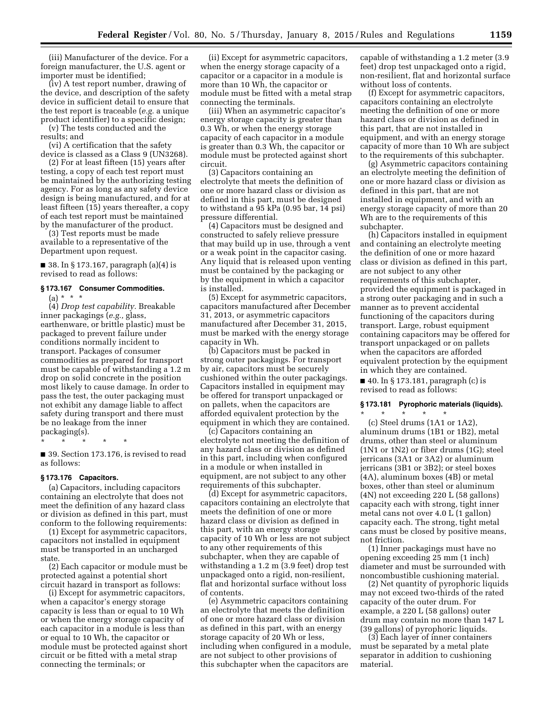(iii) Manufacturer of the device. For a foreign manufacturer, the U.S. agent or importer must be identified;

(iv) A test report number, drawing of the device, and description of the safety device in sufficient detail to ensure that the test report is traceable (*e.g.* a unique product identifier) to a specific design;

(v) The tests conducted and the results; and

(vi) A certification that the safety device is classed as a Class 9 (UN3268).

(2) For at least fifteen (15) years after testing, a copy of each test report must be maintained by the authorizing testing agency. For as long as any safety device design is being manufactured, and for at least fifteen (15) years thereafter, a copy of each test report must be maintained by the manufacturer of the product.

(3) Test reports must be made available to a representative of the Department upon request.

 $\blacksquare$  38. In § 173.167, paragraph (a)(4) is revised to read as follows:

## **§ 173.167 Consumer Commodities.**

 $(a) * * * *$ 

(4) *Drop test capability.* Breakable inner packagings (*e.g.,* glass, earthenware, or brittle plastic) must be packaged to prevent failure under conditions normally incident to transport. Packages of consumer commodities as prepared for transport must be capable of withstanding a 1.2 m drop on solid concrete in the position most likely to cause damage. In order to pass the test, the outer packaging must not exhibit any damage liable to affect safety during transport and there must be no leakage from the inner packaging(s).

\* \* \* \* \*

■ 39. Section 173.176, is revised to read as follows:

#### **§ 173.176 Capacitors.**

(a) Capacitors, including capacitors containing an electrolyte that does not meet the definition of any hazard class or division as defined in this part, must conform to the following requirements:

(1) Except for asymmetric capacitors, capacitors not installed in equipment must be transported in an uncharged state.

(2) Each capacitor or module must be protected against a potential short circuit hazard in transport as follows:

(i) Except for asymmetric capacitors, when a capacitor's energy storage capacity is less than or equal to 10 Wh or when the energy storage capacity of each capacitor in a module is less than or equal to 10 Wh, the capacitor or module must be protected against short circuit or be fitted with a metal strap connecting the terminals; or

(ii) Except for asymmetric capacitors, when the energy storage capacity of a capacitor or a capacitor in a module is more than 10 Wh, the capacitor or module must be fitted with a metal strap connecting the terminals.

(iii) When an asymmetric capacitor's energy storage capacity is greater than 0.3 Wh, or when the energy storage capacity of each capacitor in a module is greater than 0.3 Wh, the capacitor or module must be protected against short circuit.

(3) Capacitors containing an electrolyte that meets the definition of one or more hazard class or division as defined in this part, must be designed to withstand a 95 kPa (0.95 bar, 14 psi) pressure differential.

(4) Capacitors must be designed and constructed to safely relieve pressure that may build up in use, through a vent or a weak point in the capacitor casing. Any liquid that is released upon venting must be contained by the packaging or by the equipment in which a capacitor is installed.

(5) Except for asymmetric capacitors, capacitors manufactured after December 31, 2013, or asymmetric capacitors manufactured after December 31, 2015, must be marked with the energy storage capacity in Wh.

(b) Capacitors must be packed in strong outer packagings. For transport by air, capacitors must be securely cushioned within the outer packagings. Capacitors installed in equipment may be offered for transport unpackaged or on pallets, when the capacitors are afforded equivalent protection by the equipment in which they are contained.

(c) Capacitors containing an electrolyte not meeting the definition of any hazard class or division as defined in this part, including when configured in a module or when installed in equipment, are not subject to any other requirements of this subchapter.

(d) Except for asymmetric capacitors, capacitors containing an electrolyte that meets the definition of one or more hazard class or division as defined in this part, with an energy storage capacity of 10 Wh or less are not subject to any other requirements of this subchapter, when they are capable of withstanding a 1.2 m (3.9 feet) drop test unpackaged onto a rigid, non-resilient, flat and horizontal surface without loss of contents.

(e) Asymmetric capacitors containing an electrolyte that meets the definition of one or more hazard class or division as defined in this part, with an energy storage capacity of 20 Wh or less, including when configured in a module, are not subject to other provisions of this subchapter when the capacitors are

capable of withstanding a 1.2 meter (3.9 feet) drop test unpackaged onto a rigid, non-resilient, flat and horizontal surface without loss of contents.

(f) Except for asymmetric capacitors, capacitors containing an electrolyte meeting the definition of one or more hazard class or division as defined in this part, that are not installed in equipment, and with an energy storage capacity of more than 10 Wh are subject to the requirements of this subchapter.

(g) Asymmetric capacitors containing an electrolyte meeting the definition of one or more hazard class or division as defined in this part, that are not installed in equipment, and with an energy storage capacity of more than 20 Wh are to the requirements of this subchapter.

(h) Capacitors installed in equipment and containing an electrolyte meeting the definition of one or more hazard class or division as defined in this part, are not subject to any other requirements of this subchapter, provided the equipment is packaged in a strong outer packaging and in such a manner as to prevent accidental functioning of the capacitors during transport. Large, robust equipment containing capacitors may be offered for transport unpackaged or on pallets when the capacitors are afforded equivalent protection by the equipment in which they are contained.

■ 40. In § 173.181, paragraph (c) is revised to read as follows:

#### **§ 173.181 Pyrophoric materials (liquids).**

\* \* \* \* \* (c) Steel drums (1A1 or 1A2), aluminum drums (1B1 or 1B2), metal drums, other than steel or aluminum (1N1 or 1N2) or fiber drums (1G); steel jerricans (3A1 or 3A2) or aluminum jerricans (3B1 or 3B2); or steel boxes (4A), aluminum boxes (4B) or metal boxes, other than steel or aluminum (4N) not exceeding 220 L (58 gallons) capacity each with strong, tight inner metal cans not over 4.0 L (1 gallon) capacity each. The strong, tight metal cans must be closed by positive means, not friction.

(1) Inner packagings must have no opening exceeding 25 mm (1 inch) diameter and must be surrounded with noncombustible cushioning material.

(2) Net quantity of pyrophoric liquids may not exceed two-thirds of the rated capacity of the outer drum. For example, a 220 L (58 gallons) outer drum may contain no more than 147 L (39 gallons) of pyrophoric liquids.

(3) Each layer of inner containers must be separated by a metal plate separator in addition to cushioning material.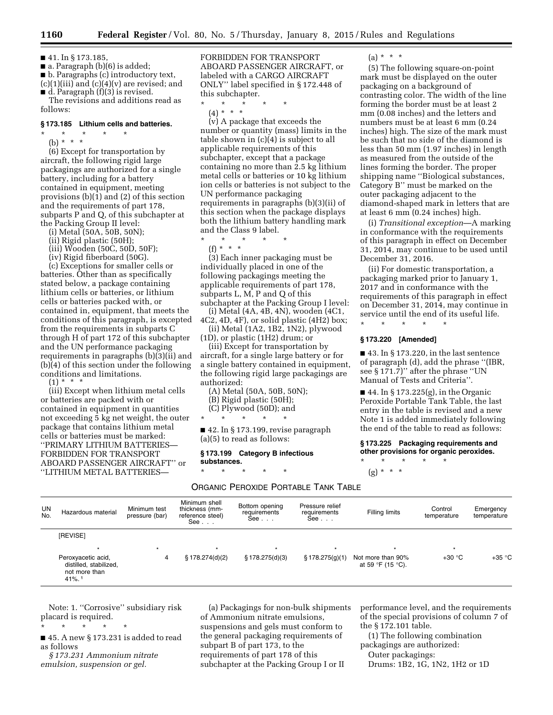■ 41. In § 173.185,

■ a. Paragraph (b)(6) is added; ■ b. Paragraphs (c) introductory text,

 $(c)(1)(iii)$  and  $(c)(4)(v)$  are revised; and ■ d. Paragraph (f)(3) is revised.

The revisions and additions read as follows:

### **§ 173.185 Lithium cells and batteries.**

#### \* \* \* \* \* (b) \* \* \*

(6) Except for transportation by aircraft, the following rigid large packagings are authorized for a single battery, including for a battery contained in equipment, meeting provisions (b)(1) and (2) of this section and the requirements of part 178, subparts P and Q, of this subchapter at the Packing Group II level:

- (i) Metal (50A, 50B, 50N);
- (ii) Rigid plastic (50H);
- (iii) Wooden (50C, 50D, 50F);
- (iv) Rigid fiberboard (50G).

(c) Exceptions for smaller cells or batteries. Other than as specifically stated below, a package containing lithium cells or batteries, or lithium cells or batteries packed with, or contained in, equipment, that meets the conditions of this paragraph, is excepted from the requirements in subparts C through H of part 172 of this subchapter and the UN performance packaging requirements in paragraphs (b)(3)(ii) and (b)(4) of this section under the following conditions and limitations.

 $(1) * * * *$ 

(iii) Except when lithium metal cells or batteries are packed with or contained in equipment in quantities not exceeding 5 kg net weight, the outer package that contains lithium metal cells or batteries must be marked: ''PRIMARY LITHIUM BATTERIES— FORBIDDEN FOR TRANSPORT ABOARD PASSENGER AIRCRAFT'' or ''LITHIUM METAL BATTERIES—

FORBIDDEN FOR TRANSPORT ABOARD PASSENGER AIRCRAFT, or labeled with a CARGO AIRCRAFT ONLY'' label specified in § 172.448 of this subchapter.

\* \* \* \* \*

(4) \* \* \* (v) A package that exceeds the number or quantity (mass) limits in the table shown in (c)(4) is subject to all applicable requirements of this subchapter, except that a package containing no more than 2.5 kg lithium metal cells or batteries or 10 kg lithium ion cells or batteries is not subject to the UN performance packaging requirements in paragraphs (b)(3)(ii) of this section when the package displays both the lithium battery handling mark and the Class 9 label.

\* \* \* \* \* (f) \* \* \*

(3) Each inner packaging must be individually placed in one of the following packagings meeting the applicable requirements of part 178, subparts L, M, P and Q of this subchapter at the Packing Group I level:

(i) Metal (4A, 4B, 4N), wooden (4C1, 4C2, 4D, 4F), or solid plastic (4H2) box;

(ii) Metal (1A2, 1B2, 1N2), plywood (1D), or plastic (1H2) drum; or

(iii) Except for transportation by aircraft, for a single large battery or for a single battery contained in equipment, the following rigid large packagings are authorized:

(A) Metal (50A, 50B, 50N);

- (B) Rigid plastic (50H);
- (C) Plywood (50D); and

\* \* \* \* \*

■ 42. In § 173.199, revise paragraph (a)(5) to read as follows:

#### **§ 173.199 Category B infectious substances.**

\* \* \* \* \* ORGANIC PEROXIDE PORTABLE TANK TABLE  $(a) * * * *$ 

(5) The following square-on-point mark must be displayed on the outer packaging on a background of contrasting color. The width of the line forming the border must be at least 2 mm (0.08 inches) and the letters and numbers must be at least 6 mm (0.24 inches) high. The size of the mark must be such that no side of the diamond is less than 50 mm (1.97 inches) in length as measured from the outside of the lines forming the border. The proper shipping name ''Biological substances, Category B'' must be marked on the outer packaging adjacent to the diamond-shaped mark in letters that are at least 6 mm (0.24 inches) high.

(i) *Transitional exception*—A marking in conformance with the requirements of this paragraph in effect on December 31, 2014, may continue to be used until December 31, 2016.

(ii) For domestic transportation, a packaging marked prior to January 1, 2017 and in conformance with the requirements of this paragraph in effect on December 31, 2014, may continue in service until the end of its useful life.

\* \* \* \* \*

### **§ 173.220 [Amended]**

■ 43. In § 173.220, in the last sentence of paragraph (d), add the phrase ''(IBR, see § 171.7)'' after the phrase ''UN Manual of Tests and Criteria''.

■ 44. In § 173.225(g), in the Organic Peroxide Portable Tank Table, the last entry in the table is revised and a new Note 1 is added immediately following the end of the table to read as follows:

**§ 173.225 Packaging requirements and other provisions for organic peroxides.**  \* \* \* \* \*

 $(g) * * * *$ 

UN<br>No. Hazardous material Minimum test pressure (bar) Minimum shell thickness (mmreference steel) See . . . Bottom opening requirements See . . . Pressure relief requirements See . . . Filling limits Control temperature Emergency temperature [REVISE] \* \* \* \* \* \* \* Peroxyacetic acid, distilled, stabilized, not more than 41%. 1 4 § 178.274(d)(2) § 178.275(d)(3) § 178.275(g)(1) Not more than 90% at 59 °F (15 °C).  $+30 °C$   $+35 °C$ 

Note: 1. ''Corrosive'' subsidiary risk placard is required.

■ 45. A new § 173.231 is added to read as follows

*§ 173.231 Ammonium nitrate emulsion, suspension or gel.* 

\* \* \* \* \*

(a) Packagings for non-bulk shipments of Ammonium nitrate emulsions, suspensions and gels must conform to the general packaging requirements of subpart B of part 173, to the requirements of part 178 of this subchapter at the Packing Group I or II

performance level, and the requirements of the special provisions of column 7 of the § 172.101 table.

(1) The following combination packagings are authorized:

Outer packagings:

Drums: 1B2, 1G, 1N2, 1H2 or 1D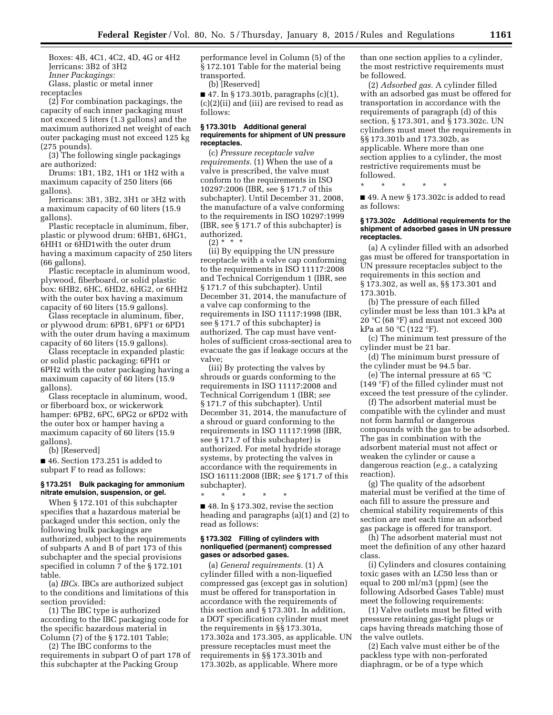Boxes: 4B, 4C1, 4C2, 4D, 4G or 4H2 Jerricans: 3B2 of 3H2 *Inner Packagings:* 

Glass, plastic or metal inner

receptacles

(2) For combination packagings, the capacity of each inner packaging must not exceed 5 liters (1.3 gallons) and the maximum authorized net weight of each outer packaging must not exceed 125 kg (275 pounds).

(3) The following single packagings are authorized:

Drums: 1B1, 1B2, 1H1 or 1H2 with a maximum capacity of 250 liters (66 gallons).

Jerricans: 3B1, 3B2, 3H1 or 3H2 with a maximum capacity of 60 liters (15.9 gallons).

Plastic receptacle in aluminum, fiber, plastic or plywood drum: 6HB1, 6HG1, 6HH1 or 6HD1with the outer drum having a maximum capacity of 250 liters (66 gallons).

Plastic receptacle in aluminum wood, plywood, fiberboard, or solid plastic box: 6HB2, 6HC, 6HD2, 6HG2, or 6HH2 with the outer box having a maximum capacity of 60 liters (15.9 gallons).

Glass receptacle in aluminum, fiber, or plywood drum: 6PB1, 6PF1 or 6PD1 with the outer drum having a maximum capacity of 60 liters (15.9 gallons).

Glass receptacle in expanded plastic or solid plastic packaging: 6PH1 or 6PH2 with the outer packaging having a maximum capacity of 60 liters (15.9 gallons).

Glass receptacle in aluminum, wood, or fiberboard box, or wickerwork hamper: 6PB2, 6PC, 6PG2 or 6PD2 with the outer box or hamper having a maximum capacity of 60 liters (15.9 gallons).

(b) [Reserved]

■ 46. Section 173.251 is added to subpart F to read as follows:

### **§ 173.251 Bulk packaging for ammonium nitrate emulsion, suspension, or gel.**

When § 172.101 of this subchapter specifies that a hazardous material be packaged under this section, only the following bulk packagings are authorized, subject to the requirements of subparts A and B of part 173 of this subchapter and the special provisions specified in column 7 of the § 172.101 table.

(a) *IBCs.* IBCs are authorized subject to the conditions and limitations of this section provided:

(1) The IBC type is authorized according to the IBC packaging code for the specific hazardous material in Column (7) of the § 172.101 Table;

(2) The IBC conforms to the requirements in subpart O of part 178 of this subchapter at the Packing Group

performance level in Column (5) of the § 172.101 Table for the material being transported.

(b) [Reserved]

■ 47. In § 173.301b, paragraphs  $(c)(1)$ , (c)(2)(ii) and (iii) are revised to read as follows:

#### **§ 173.301b Additional general requirements for shipment of UN pressure receptacles.**

(c) *Pressure receptacle valve requirements.* (1) When the use of a valve is prescribed, the valve must conform to the requirements in ISO 10297:2006 (IBR, see § 171.7 of this subchapter). Until December 31, 2008, the manufacture of a valve conforming to the requirements in ISO 10297:1999 (IBR, see § 171.7 of this subchapter) is authorized.

 $(2) * *$ 

(ii) By equipping the UN pressure receptacle with a valve cap conforming to the requirements in ISO 11117:2008 and Technical Corrigendum 1 (IBR, see § 171.7 of this subchapter). Until December 31, 2014, the manufacture of a valve cap conforming to the requirements in ISO 11117:1998 (IBR, see § 171.7 of this subchapter) is authorized. The cap must have ventholes of sufficient cross-sectional area to evacuate the gas if leakage occurs at the valve;

(iii) By protecting the valves by shrouds or guards conforming to the requirements in ISO 11117:2008 and Technical Corrigendum 1 (IBR; *see*  § 171.7 of this subchapter). Until December 31, 2014, the manufacture of a shroud or guard conforming to the requirements in ISO 11117:1998 (IBR, see § 171.7 of this subchapter) is authorized. For metal hydride storage systems, by protecting the valves in accordance with the requirements in ISO 16111:2008 (IBR; *see* § 171.7 of this subchapter).

\* \* \* \* \*

■ 48. In § 173.302, revise the section heading and paragraphs (a)(1) and (2) to read as follows:

#### **§ 173.302 Filling of cylinders with nonliquefied (permanent) compressed gases or adsorbed gases.**

(a) *General requirements.* (1) A cylinder filled with a non-liquefied compressed gas (except gas in solution) must be offered for transportation in accordance with the requirements of this section and § 173.301. In addition, a DOT specification cylinder must meet the requirements in §§ 173.301a, 173.302a and 173.305, as applicable. UN pressure receptacles must meet the requirements in §§ 173.301b and 173.302b, as applicable. Where more

than one section applies to a cylinder, the most restrictive requirements must be followed.

(2) *Adsorbed gas.* A cylinder filled with an adsorbed gas must be offered for transportation in accordance with the requirements of paragraph (d) of this section, § 173.301, and § 173.302c. UN cylinders must meet the requirements in §§ 173.301b and 173.302b, as applicable. Where more than one section applies to a cylinder, the most restrictive requirements must be followed.

\* \* \* \* \*

■ 49. A new § 173.302c is added to read as follows:

#### **§ 173.302c Additional requirements for the shipment of adsorbed gases in UN pressure receptacles.**

(a) A cylinder filled with an adsorbed gas must be offered for transportation in UN pressure receptacles subject to the requirements in this section and § 173.302, as well as, §§ 173.301 and 173.301b.

(b) The pressure of each filled cylinder must be less than 101.3 kPa at 20 °C (68 °F) and must not exceed 300 kPa at 50 °C (122 °F).

(c) The minimum test pressure of the cylinder must be 21 bar.

(d) The minimum burst pressure of the cylinder must be 94.5 bar.

(e) The internal pressure at 65 °C (149 °F) of the filled cylinder must not exceed the test pressure of the cylinder.

(f) The adsorbent material must be compatible with the cylinder and must not form harmful or dangerous compounds with the gas to be adsorbed. The gas in combination with the adsorbent material must not affect or weaken the cylinder or cause a dangerous reaction (*e.g.,* a catalyzing reaction).

(g) The quality of the adsorbent material must be verified at the time of each fill to assure the pressure and chemical stability requirements of this section are met each time an adsorbed gas package is offered for transport.

(h) The adsorbent material must not meet the definition of any other hazard class.

(i) Cylinders and closures containing toxic gases with an LC50 less than or equal to 200 ml/m3 (ppm) (see the following Adsorbed Gases Table) must meet the following requirements:

(1) Valve outlets must be fitted with pressure retaining gas-tight plugs or caps having threads matching those of the valve outlets.

(2) Each valve must either be of the packless type with non-perforated diaphragm, or be of a type which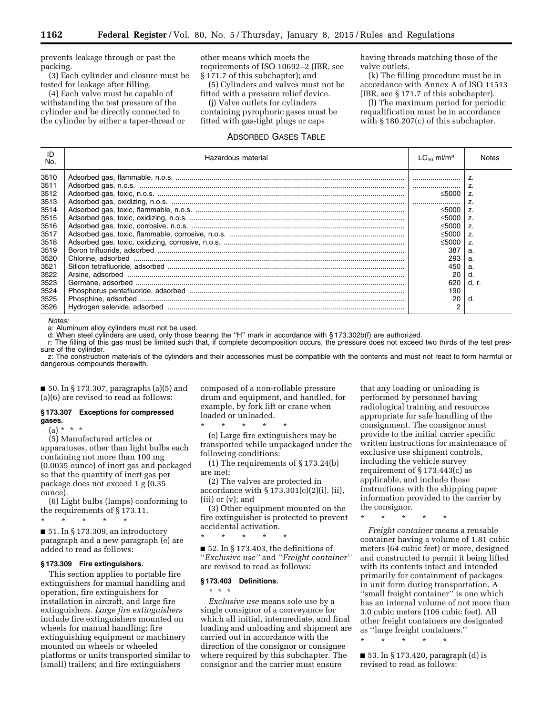prevents leakage through or past the packing.

(3) Each cylinder and closure must be tested for leakage after filling.

(4) Each valve must be capable of withstanding the test pressure of the cylinder and be directly connected to the cylinder by either a taper-thread or other means which meets the requirements of ISO 10692–2 (IBR, see § 171.7 of this subchapter); and

(5) Cylinders and valves must not be fitted with a pressure relief device.

(j) Valve outlets for cylinders containing pyrophoric gases must be fitted with gas-tight plugs or caps

#### ADSORBED GASES TABLE

having threads matching those of the valve outlets.

(k) The filling procedure must be in accordance with Annex A of ISO 11513 (IBR, see § 171.7 of this subchapter).

(l) The maximum period for periodic requalification must be in accordance with § 180.207(c) of this subchapter.

| ID<br>No. | Hazardous material | $LC_{50}$ ml/m <sup>3</sup> | Notes          |
|-----------|--------------------|-----------------------------|----------------|
| 3510      |                    |                             |                |
| 3511      |                    |                             |                |
| 3512      |                    | ≤5000                       | $\overline{z}$ |
| 3513      |                    |                             |                |
| 3514      |                    | ≤5000                       | Z.             |
| 3515      |                    | ≤5000                       |                |
| 3516      |                    | ≤5000                       | $\overline{z}$ |
| 3517      |                    | ≤5000                       | Z.             |
| 3518      |                    | ≤5000                       | Z.             |
| 3519      |                    | 387                         | а.             |
| 3520      |                    | 293                         |                |
| 3521      |                    | 450                         |                |
| 3522      |                    | 20                          |                |
| 3523      |                    | 620                         | d. r.          |
| 3524      |                    | 190                         |                |
| 3525      |                    | 20                          |                |
| 3526      |                    | 2                           |                |

*Notes:* 

a: Aluminum alloy cylinders must not be used.

d: When steel cylinders are used, only those bearing the ''H'' mark in accordance with § 173.302b(f) are authorized.

r: The filling of this gas must be limited such that, if complete decomposition occurs, the pressure does not exceed two thirds of the test pressure of the cylinder.

z: The construction materials of the cylinders and their accessories must be compatible with the contents and must not react to form harmful or dangerous compounds therewith.

■ 50. In § 173.307, paragraphs (a)(5) and (a)(6) are revised to read as follows:

#### **§ 173.307 Exceptions for compressed gases.**

(a) \* \* \*

(5) Manufactured articles or apparatuses, other than light bulbs each containing not more than 100 mg (0.0035 ounce) of inert gas and packaged so that the quantity of inert gas per package does not exceed 1 g (0.35 ounce).

(6) Light bulbs (lamps) conforming to the requirements of § 173.11.

\* \* \* \* \* ■ 51. In § 173.309, an introductory

paragraph and a new paragraph (e) are added to read as follows:

## **§ 173.309 Fire extinguishers.**

This section applies to portable fire extinguishers for manual handling and operation, fire extinguishers for installation in aircraft, and large fire extinguishers. *Large fire extinguishers*  include fire extinguishers mounted on wheels for manual handling; fire extinguishing equipment or machinery mounted on wheels or wheeled platforms or units transported similar to (small) trailers; and fire extinguishers

composed of a non-rollable pressure drum and equipment, and handled, for example, by fork lift or crane when loaded or unloaded.

\* \* \* \* \* (e) Large fire extinguishers may be transported while unpackaged under the following conditions:

(1) The requirements of § 173.24(b) are met;

(2) The valves are protected in accordance with  $\S 173.301(c)(2)(i)$ , (ii), (iii) or (v); and

(3) Other equipment mounted on the fire extinguisher is protected to prevent accidental activation.

 $\blacksquare$  52. In § 173.403, the definitions of ''*Exclusive use''* and ''*Freight container''*  are revised to read as follows:

#### **§ 173.403 Definitions.**

\* \* \*

\* \* \* \* \*

*Exclusive use* means sole use by a single consignor of a conveyance for which all initial, intermediate, and final loading and unloading and shipment are carried out in accordance with the direction of the consignor or consignee where required by this subchapter. The consignor and the carrier must ensure

that any loading or unloading is performed by personnel having radiological training and resources appropriate for safe handling of the consignment. The consignor must provide to the initial carrier specific written instructions for maintenance of exclusive use shipment controls, including the vehicle survey requirement of § 173.443(c) as applicable, and include these instructions with the shipping paper information provided to the carrier by the consignor.

\* \* \* \* \*

*Freight container* means a reusable container having a volume of 1.81 cubic meters (64 cubic feet) or more, designed and constructed to permit it being lifted with its contents intact and intended primarily for containment of packages in unit form during transportation. A "small freight container" is one which has an internal volume of not more than 3.0 cubic meters (106 cubic feet). All other freight containers are designated as ''large freight containers.''

\* \* \* \* \*

 $\blacksquare$  53. In § 173.420, paragraph (d) is revised to read as follows: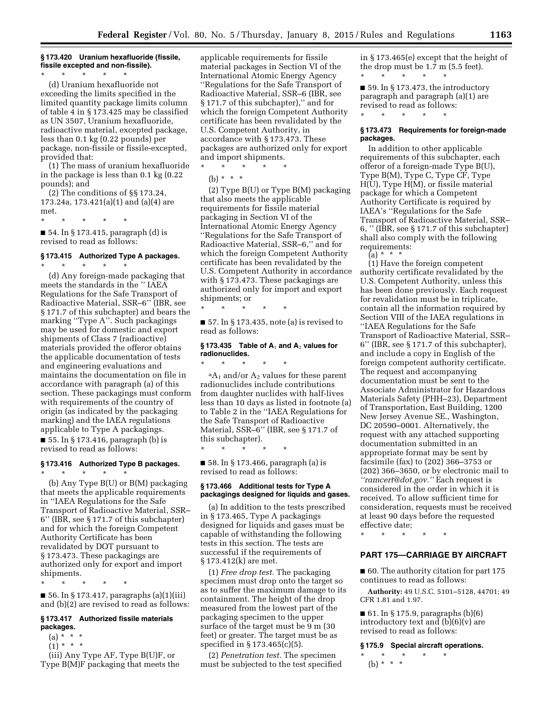### **§ 173.420 Uranium hexafluoride (fissile, fissile excepted and non-fissile).**

\* \* \* \* \* (d) Uranium hexafluoride not exceeding the limits specified in the limited quantity package limits column of table 4 in § 173.425 may be classified as UN 3507, Uranium hexafluoride, radioactive material, excepted package, less than 0.1 kg (0.22 pounds) per package, non-fissile or fissile-excepted, provided that:

(1) The mass of uranium hexafluoride in the package is less than 0.1 kg (0.22 pounds); and

(2) The conditions of §§ 173.24, 173.24a, 173.421(a)(1) and (a)(4) are met.

\* \* \* \* \*

 $\blacksquare$  54. In § 173.415, paragraph (d) is revised to read as follows:

#### **§ 173.415 Authorized Type A packages.**

\* \* \* \* \* (d) Any foreign-made packaging that meets the standards in the '' IAEA Regulations for the Safe Transport of Radioactive Material, SSR–6'' (IBR, see § 171.7 of this subchapter) and bears the marking ''Type A''. Such packagings may be used for domestic and export shipments of Class 7 (radioactive) materials provided the offeror obtains the applicable documentation of tests and engineering evaluations and maintains the documentation on file in accordance with paragraph (a) of this section. These packagings must conform with requirements of the country of origin (as indicated by the packaging marking) and the IAEA regulations applicable to Type A packagings.

■ 55. In § 173.416, paragraph (b) is revised to read as follows:

#### **§ 173.416 Authorized Type B packages.**

\* \* \* \* \*

(b) Any Type B(U) or B(M) packaging that meets the applicable requirements in ''IAEA Regulations for the Safe Transport of Radioactive Material, SSR– 6'' (IBR, see § 171.7 of this subchapter) and for which the foreign Competent Authority Certificate has been revalidated by DOT pursuant to § 173.473. These packagings are authorized only for export and import shipments.

\* \* \* \* \*

■ 56. In § 173.417, paragraphs  $(a)(1)(iii)$ and (b)(2) are revised to read as follows:

### **§ 173.417 Authorized fissile materials packages.**

- $(a) * * * *$
- $(1) * * * *$

(iii) Any Type AF, Type B(U)F, or Type B(M)F packaging that meets the applicable requirements for fissile material packages in Section VI of the International Atomic Energy Agency ''Regulations for the Safe Transport of Radioactive Material, SSR–6 (IBR, see § 171.7 of this subchapter)," and for which the foreign Competent Authority certificate has been revalidated by the U.S. Competent Authority, in accordance with § 173.473. These packages are authorized only for export and import shipments.

\* \* \* \* \*

(b) \* \* \*

(2) Type B(U) or Type B(M) packaging that also meets the applicable requirements for fissile material packaging in Section VI of the International Atomic Energy Agency ''Regulations for the Safe Transport of Radioactive Material, SSR–6,'' and for which the foreign Competent Authority certificate has been revalidated by the U.S. Competent Authority in accordance with § 173.473. These packagings are authorized only for import and export shipments; or

\* \* \* \* \*

 $\blacksquare$  57. In § 173.435, note (a) is revised to read as follows:

#### **§ 173.435 Table of A**1 **and A**2 **values for radionuclides.**

\* \* \* \* \*  $A_1$  and/or  $A_2$  values for these parent radionuclides include contributions from daughter nuclides with half-lives less than 10 days as listed in footnote (a) to Table 2 in the ''IAEA Regulations for the Safe Transport of Radioactive Material, SSR–6'' (IBR, see § 171.7 of this subchapter).

■ 58. In § 173.466, paragraph (a) is revised to read as follows:

\* \* \* \* \*

#### **§ 173.466 Additional tests for Type A packagings designed for liquids and gases.**

(a) In addition to the tests prescribed in § 173.465, Type A packagings designed for liquids and gases must be capable of withstanding the following tests in this section. The tests are successful if the requirements of § 173.412(k) are met.

(1) *Free drop test.* The packaging specimen must drop onto the target so as to suffer the maximum damage to its containment. The height of the drop measured from the lowest part of the packaging specimen to the upper surface of the target must be 9 m (30 feet) or greater. The target must be as specified in § 173.465(c)(5).

(2) *Penetration test.* The specimen must be subjected to the test specified in § 173.465(e) except that the height of the drop must be 1.7 m (5.5 feet). \* \* \* \* \*

■ 59. In § 173.473, the introductory paragraph and paragraph (a)(1) are revised to read as follows:

\* \* \* \* \*

#### **§ 173.473 Requirements for foreign-made packages.**

In addition to other applicable requirements of this subchapter, each offeror of a foreign-made Type B(U), Type B(M), Type C, Type CF, Type  $H(U)$ , Type  $H(M)$ , or fissile material package for which a Competent Authority Certificate is required by IAEA's ''Regulations for the Safe Transport of Radioactive Material, SSR– 6, '' (IBR, see § 171.7 of this subchapter) shall also comply with the following requirements:

 $(a) * * * *$ 

(1) Have the foreign competent authority certificate revalidated by the U.S. Competent Authority, unless this has been done previously. Each request for revalidation must be in triplicate, contain all the information required by Section VIII of the IAEA regulations in ''IAEA Regulations for the Safe Transport of Radioactive Material, SSR– 6'' (IBR, see § 171.7 of this subchapter), and include a copy in English of the foreign competent authority certificate. The request and accompanying documentation must be sent to the Associate Administrator for Hazardous Materials Safety (PHH–23), Department of Transportation, East Building, 1200 New Jersey Avenue SE., Washington, DC 20590–0001. Alternatively, the request with any attached supporting documentation submitted in an appropriate format may be sent by facsimile (fax) to (202) 366–3753 or (202) 366–3650, or by electronic mail to *[''ramcert@dot.gov.''](mailto:��ramcert@dot.gov)* Each request is considered in the order in which it is received. To allow sufficient time for consideration, requests must be received at least 90 days before the requested effective date;

\* \* \* \* \*

### **PART 175—CARRIAGE BY AIRCRAFT**

■ 60. The authority citation for part 175 continues to read as follows:

**Authority:** 49 U.S.C. 5101–5128, 44701; 49 CFR 1.81 and 1.97.

■ 61. In § 175.9, paragraphs (b)(6) introductory text and  $(b)(6)(v)$  are revised to read as follows:

**§ 175.9 Special aircraft operations.** 

\* \* \* \* \* (b) \* \* \*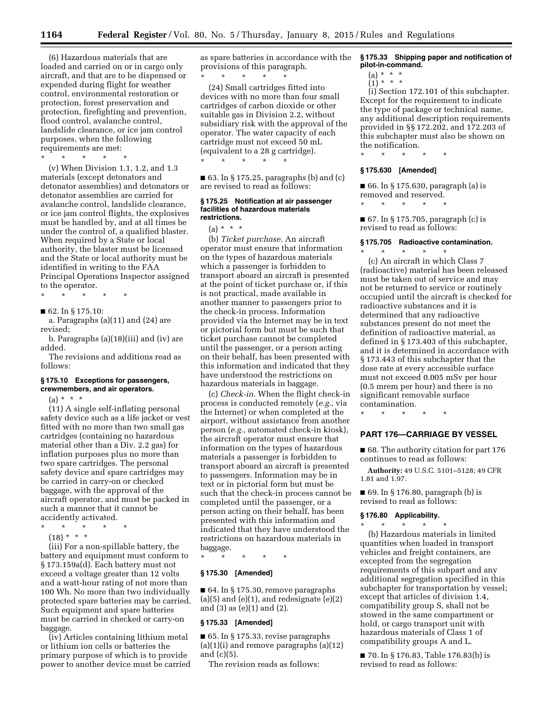(6) Hazardous materials that are loaded and carried on or in cargo only aircraft, and that are to be dispensed or expended during flight for weather control, environmental restoration or protection, forest preservation and protection, firefighting and prevention, flood control, avalanche control, landslide clearance, or ice jam control purposes, when the following requirements are met:

\* \* \* \* \*

(v) When Division 1.1, 1.2, and 1.3 materials (except detonators and detonator assemblies) and detonators or detonator assemblies are carried for avalanche control, landslide clearance, or ice jam control flights, the explosives must be handled by, and at all times be under the control of, a qualified blaster. When required by a State or local authority, the blaster must be licensed and the State or local authority must be identified in writing to the FAA Principal Operations Inspector assigned to the operator.

\* \* \* \* \*

■ 62. In § 175.10:

a. Paragraphs (a)(11) and (24) are revised;

b. Paragraphs (a)(18)(iii) and (iv) are added.

The revisions and additions read as follows:

#### **§ 175.10 Exceptions for passengers, crewmembers, and air operators.**

 $(a) * * * *$ 

(11) A single self-inflating personal safety device such as a life jacket or vest fitted with no more than two small gas cartridges (containing no hazardous material other than a Div. 2.2 gas) for inflation purposes plus no more than two spare cartridges. The personal safety device and spare cartridges may be carried in carry-on or checked baggage, with the approval of the aircraft operator, and must be packed in such a manner that it cannot be accidently activated.

- \* \* \* \* \*
	- $(18) * * * *$

(iii) For a non-spillable battery, the battery and equipment must conform to § 173.159a(d). Each battery must not exceed a voltage greater than 12 volts and a watt-hour rating of not more than 100 Wh. No more than two individually protected spare batteries may be carried. Such equipment and spare batteries must be carried in checked or carry-on baggage.

(iv) Articles containing lithium metal or lithium ion cells or batteries the primary purpose of which is to provide power to another device must be carried as spare batteries in accordance with the provisions of this paragraph. \* \* \* \* \*

(24) Small cartridges fitted into devices with no more than four small cartridges of carbon dioxide or other suitable gas in Division 2.2, without subsidiary risk with the approval of the operator. The water capacity of each cartridge must not exceed 50 mL (equivalent to a 28 g cartridge). \* \* \* \* \*

■ 63. In § 175.25, paragraphs (b) and (c) are revised to read as follows:

#### **§ 175.25 Notification at air passenger facilities of hazardous materials restrictions.**

 $(a) * * * *$ 

(b) *Ticket purchase.* An aircraft operator must ensure that information on the types of hazardous materials which a passenger is forbidden to transport aboard an aircraft is presented at the point of ticket purchase or, if this is not practical, made available in another manner to passengers prior to the check-in process. Information provided via the Internet may be in text or pictorial form but must be such that ticket purchase cannot be completed until the passenger, or a person acting on their behalf, has been presented with this information and indicated that they have understood the restrictions on hazardous materials in baggage.

(c) *Check-in.* When the flight check-in process is conducted remotely (*e.g.,* via the Internet) or when completed at the airport, without assistance from another person (*e.g.,* automated check-in kiosk), the aircraft operator must ensure that information on the types of hazardous materials a passenger is forbidden to transport aboard an aircraft is presented to passengers. Information may be in text or in pictorial form but must be such that the check-in process cannot be completed until the passenger, or a person acting on their behalf, has been presented with this information and indicated that they have understood the restrictions on hazardous materials in baggage.

\* \* \* \* \*

#### **§ 175.30 [Amended]**

■ 64. In § 175.30, remove paragraphs  $(a)(5)$  and  $(e)(1)$ , and redesignate  $(e)(2)$ and (3) as (e)(1) and (2).

#### **§ 175.33 [Amended]**

■ 65. In § 175.33, revise paragraphs  $(a)(1)(i)$  and remove paragraphs  $(a)(12)$ and (c)(5).

The revision reads as follows:

#### **§ 175.33 Shipping paper and notification of pilot-in-command.**

- (a) \* \* \*
- $\binom{1}{1}$  \* \* \*

(i) Section 172.101 of this subchapter. Except for the requirement to indicate the type of package or technical name, any additional description requirements provided in §§ 172.202, and 172.203 of this subchapter must also be shown on the notification.

# \* \* \* \* \* **§ 175.630 [Amended]**

■ 66. In § 175.630, paragraph (a) is removed and reserved.

\* \* \* \* \*

■ 67. In § 175.705, paragraph (c) is revised to read as follows:

#### **§ 175.705 Radioactive contamination.**  \* \* \* \* \*

(c) An aircraft in which Class 7 (radioactive) material has been released must be taken out of service and may not be returned to service or routinely occupied until the aircraft is checked for radioactive substances and it is determined that any radioactive substances present do not meet the definition of radioactive material, as defined in § 173.403 of this subchapter, and it is determined in accordance with § 173.443 of this subchapter that the dose rate at every accessible surface must not exceed 0.005 mSv per hour (0.5 mrem per hour) and there is no significant removable surface contamination.

\* \* \* \* \*

#### **PART 176—CARRIAGE BY VESSEL**

■ 68. The authority citation for part 176 continues to read as follows:

**Authority:** 49 U.S.C. 5101–5128; 49 CFR 1.81 and 1.97.

■ 69. In § 176.80, paragraph (b) is revised to read as follows:

### **§ 176.80 Applicability.**

\* \* \* \* \* (b) Hazardous materials in limited quantities when loaded in transport vehicles and freight containers, are excepted from the segregation requirements of this subpart and any additional segregation specified in this subchapter for transportation by vessel; except that articles of division 1.4, compatibility group S, shall not be stowed in the same compartment or hold, or cargo transport unit with hazardous materials of Class 1 of compatibility groups A and L.

■ 70. In § 176.83, Table 176.83(b) is revised to read as follows: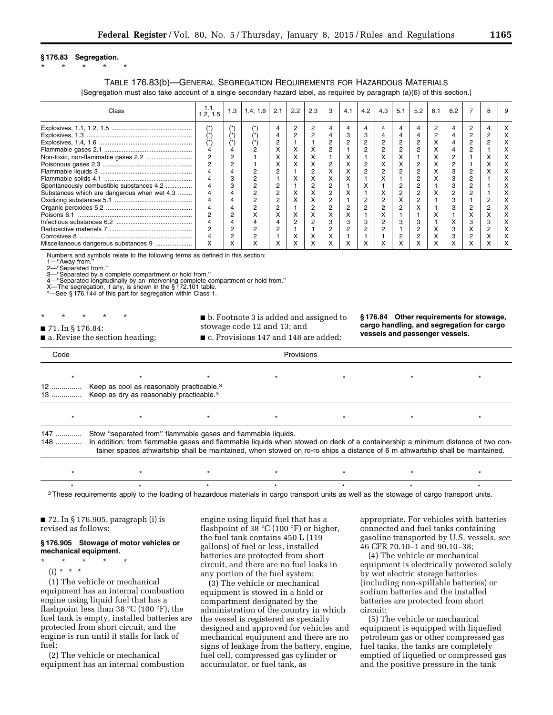#### **§ 176.83 Segregation.**

# \* \* \* \* \*

### TABLE 176.83(b)—GENERAL SEGREGATION REQUIREMENTS FOR HAZARDOUS MATERIALS [Segregation must also take account of a single secondary hazard label, as required by paragraph (a)(6) of this section.]

| Class                                       | 1.2.1.5 | 1.3                     | 1.4.16 | 2.1       | $2.2^{\circ}$ | 2.3       | 3              | 4.1 | 4.2 | 4.3 | 5.1 | 5.2        | 6.1       | 6.2 |   | 8 | 9 |
|---------------------------------------------|---------|-------------------------|--------|-----------|---------------|-----------|----------------|-----|-----|-----|-----|------------|-----------|-----|---|---|---|
|                                             |         |                         |        |           |               |           | 4              |     |     |     |     | 4          | n         |     | r |   |   |
|                                             |         | $(\tilde{\phantom{a}})$ |        |           |               |           |                |     |     |     |     | 4          | n         |     |   |   |   |
|                                             |         |                         |        |           |               |           | C              |     |     |     |     | c          |           |     |   |   |   |
|                                             |         |                         |        |           |               | ᄉ         | 2              |     |     |     |     | 2          |           |     |   |   |   |
| Non-toxic, non-flammable gases 2.2          |         | 2                       |        | $\lambda$ | ᄉ             | ⋏         |                | ́   |     | ⋏   | ⌒   |            | $\lambda$ |     |   |   |   |
|                                             |         | 2                       |        |           | ᄉ             | ⋏         | 2              |     |     | ⋏   | ⌒   | 2          | $\lambda$ |     |   |   |   |
|                                             |         |                         |        |           |               |           | л              |     |     |     |     | 2          |           |     |   |   |   |
|                                             |         | J.                      |        |           |               | $\lambda$ | ^              |     |     |     |     | c          |           |     |   |   |   |
| Spontaneously combustible substances 4.2    |         | C<br>-3                 |        |           |               |           |                |     |     |     |     |            |           |     |   |   |   |
| Substances which are dangerous when wet 4.3 |         |                         |        |           |               | $\lambda$ | $\overline{2}$ |     |     |     |     | 2          |           |     |   |   |   |
|                                             |         |                         |        |           | ́             | $\lambda$ | 2              |     |     |     |     | 2          |           |     |   |   |   |
|                                             |         |                         |        |           |               |           | 2              |     |     |     |     | v          |           |     |   |   |   |
|                                             |         |                         | ́      |           | ⋏             | ⋏         | л              | ∧   |     | ⋏   |     |            |           |     |   |   |   |
|                                             |         |                         |        |           |               |           | з              |     |     |     |     | З          |           |     |   |   |   |
|                                             |         | c                       |        |           |               |           | 2              |     |     |     |     | C          |           |     | ᄉ |   |   |
|                                             |         | C                       |        |           |               | ⋏         | ⋏              |     |     |     |     | $\sqrt{2}$ |           |     |   |   |   |
| Miscellaneous dangerous substances 9        |         |                         |        |           |               |           | ^              |     |     |     |     | x          |           |     |   |   |   |

Numbers and symbols relate to the following terms as defined in this section:

1—''Away from.'' 2—''Separated from.''

3—''Separated by a complete compartment or hold from.''

4—''Separated longitudinally by an intervening complete compartment or hold from.'' X—The segregation, if any, is shown in the § 172.101 table.

See § 176.144 of this part for segregation within Class 1.

- \* \* \* \* \*
- b. Footnote 3 is added and assigned to

■ 71. In § 176.84:

stowage code 12 and 13; and

■ a. Revise the section heading;

■ c. Provisions 147 and 148 are added:

**§ 176.84 Other requirements for stowage, cargo handling, and segregation for cargo vessels and passenger vessels.** 

| Code         | Provisions                                                                                                                                                                                                                                                                                                                    |  |  |  |  |  |  |  |  |  |  |  |
|--------------|-------------------------------------------------------------------------------------------------------------------------------------------------------------------------------------------------------------------------------------------------------------------------------------------------------------------------------|--|--|--|--|--|--|--|--|--|--|--|
|              |                                                                                                                                                                                                                                                                                                                               |  |  |  |  |  |  |  |  |  |  |  |
| 12           | Keep as cool as reasonably practicable. <sup>3</sup><br>13  Keep as dry as reasonably practicable. <sup>3</sup>                                                                                                                                                                                                               |  |  |  |  |  |  |  |  |  |  |  |
|              |                                                                                                                                                                                                                                                                                                                               |  |  |  |  |  |  |  |  |  |  |  |
| 147<br>$148$ | Stow "separated from" flammable gases and flammable liquids.<br>In addition: from flammable gases and flammable liquids when stowed on deck of a containership a minimum distance of two con-<br>tainer spaces athwartship shall be maintained, when stowed on ro-ro ships a distance of 6 m athwartship shall be maintained. |  |  |  |  |  |  |  |  |  |  |  |
|              |                                                                                                                                                                                                                                                                                                                               |  |  |  |  |  |  |  |  |  |  |  |
|              |                                                                                                                                                                                                                                                                                                                               |  |  |  |  |  |  |  |  |  |  |  |

<sup>3</sup>These requirements apply to the loading of hazardous materials in cargo transport units as well as the stowage of cargo transport units.

■ 72. In § 176.905, paragraph (i) is revised as follows:

### **§ 176.905 Stowage of motor vehicles or mechanical equipment.**

\* \* \* \* \*

 $(i) * * * *$ 

(1) The vehicle or mechanical equipment has an internal combustion engine using liquid fuel that has a flashpoint less than 38  $\mathrm{C}(100 \mathrm{~}^{\circ}\mathrm{F})$ , the fuel tank is empty, installed batteries are protected from short circuit, and the engine is run until it stalls for lack of fuel;

(2) The vehicle or mechanical equipment has an internal combustion engine using liquid fuel that has a flashpoint of 38  $°C$  (100  $°F$ ) or higher, the fuel tank contains 450 L (119 gallons) of fuel or less, installed batteries are protected from short circuit, and there are no fuel leaks in any portion of the fuel system;

(3) The vehicle or mechanical equipment is stowed in a hold or compartment designated by the administration of the country in which the vessel is registered as specially designed and approved for vehicles and mechanical equipment and there are no signs of leakage from the battery, engine, fuel cell, compressed gas cylinder or accumulator, or fuel tank, as

appropriate. For vehicles with batteries connected and fuel tanks containing gasoline transported by U.S. vessels, *see*  46 CFR 70.10–1 and 90.10–38;

(4) The vehicle or mechanical equipment is electrically powered solely by wet electric storage batteries (including non-spillable batteries) or sodium batteries and the installed batteries are protected from short circuit;

(5) The vehicle or mechanical equipment is equipped with liquefied petroleum gas or other compressed gas fuel tanks, the tanks are completely emptied of liquefied or compressed gas and the positive pressure in the tank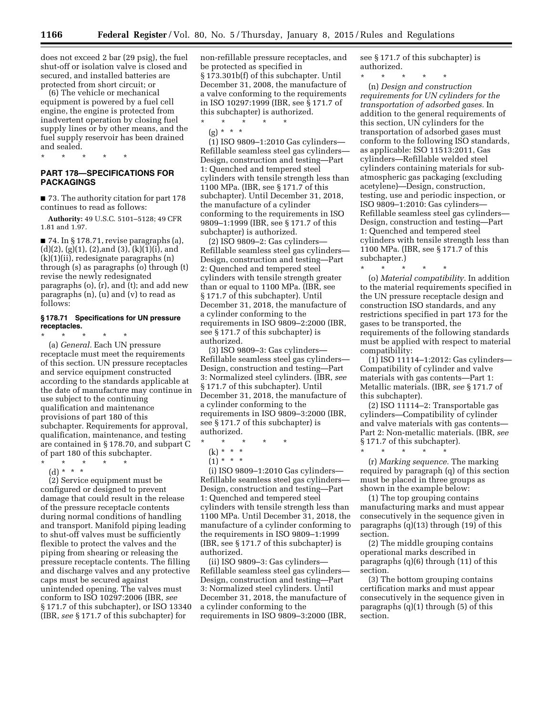does not exceed 2 bar (29 psig), the fuel shut-off or isolation valve is closed and secured, and installed batteries are protected from short circuit; or

(6) The vehicle or mechanical equipment is powered by a fuel cell engine, the engine is protected from inadvertent operation by closing fuel supply lines or by other means, and the fuel supply reservoir has been drained and sealed.

\* \* \* \* \*

# **PART 178—SPECIFICATIONS FOR PACKAGINGS**

■ 73. The authority citation for part 178 continues to read as follows:

**Authority:** 49 U.S.C. 5101–5128; 49 CFR 1.81 and 1.97.

 $\blacksquare$  74. In § 178.71, revise paragraphs (a),  $(d)(2)$ ,  $(g)(1)$ ,  $(2)$ , and  $(3)$ ,  $(k)(1)(i)$ , and (k)(1)(ii), redesignate paragraphs (n) through (s) as paragraphs (o) through (t) revise the newly redesignated paragraphs (o), (r), and (t); and add new paragraphs (n), (u) and (v) to read as follows:

### **§ 178.71 Specifications for UN pressure receptacles.**

\* \* \* \* \* (a) *General.* Each UN pressure receptacle must meet the requirements of this section. UN pressure receptacles and service equipment constructed according to the standards applicable at the date of manufacture may continue in use subject to the continuing qualification and maintenance provisions of part 180 of this subchapter. Requirements for approval, qualification, maintenance, and testing are contained in § 178.70, and subpart C of part 180 of this subchapter.

\* \* \* \* \* (d) \* \* \*

(2) Service equipment must be configured or designed to prevent damage that could result in the release of the pressure receptacle contents during normal conditions of handling and transport. Manifold piping leading to shut-off valves must be sufficiently flexible to protect the valves and the piping from shearing or releasing the pressure receptacle contents. The filling and discharge valves and any protective caps must be secured against unintended opening. The valves must conform to ISO 10297:2006 (IBR, *see*  § 171.7 of this subchapter), or ISO 13340 (IBR, *see* § 171.7 of this subchapter) for

non-refillable pressure receptacles, and be protected as specified in § 173.301b(f) of this subchapter. Until December 31, 2008, the manufacture of a valve conforming to the requirements in ISO 10297:1999 (IBR, see § 171.7 of this subchapter) is authorized.

\* \* \* \* \* (g) \* \* \*

(1) ISO 9809–1:2010 Gas cylinders— Refillable seamless steel gas cylinders— Design, construction and testing—Part 1: Quenched and tempered steel cylinders with tensile strength less than 1100 MPa. (IBR, see § 171.7 of this subchapter). Until December 31, 2018, the manufacture of a cylinder conforming to the requirements in ISO 9809–1:1999 (IBR, see § 171.7 of this subchapter) is authorized.

(2) ISO 9809–2: Gas cylinders— Refillable seamless steel gas cylinders— Design, construction and testing—Part 2: Quenched and tempered steel cylinders with tensile strength greater than or equal to 1100 MPa. (IBR, see § 171.7 of this subchapter). Until December 31, 2018, the manufacture of a cylinder conforming to the requirements in ISO 9809–2:2000 (IBR, see § 171.7 of this subchapter) is authorized.

(3) ISO 9809–3: Gas cylinders— Refillable seamless steel gas cylinders— Design, construction and testing—Part 3: Normalized steel cylinders. (IBR, *see*  § 171.7 of this subchapter). Until December 31, 2018, the manufacture of a cylinder conforming to the requirements in ISO 9809–3:2000 (IBR, see § 171.7 of this subchapter) is authorized.

- \* \* \* \* \*
- $(k) * * * *$
- $(1) * * * *$

(i) ISO 9809–1:2010 Gas cylinders— Refillable seamless steel gas cylinders— Design, construction and testing—Part 1: Quenched and tempered steel cylinders with tensile strength less than 1100 MPa. Until December 31, 2018, the manufacture of a cylinder conforming to the requirements in ISO 9809–1:1999 (IBR, see § 171.7 of this subchapter) is authorized.

(ii) ISO 9809–3: Gas cylinders— Refillable seamless steel gas cylinders— Design, construction and testing—Part 3: Normalized steel cylinders. Until December 31, 2018, the manufacture of a cylinder conforming to the requirements in ISO 9809–3:2000 (IBR,

see § 171.7 of this subchapter) is authorized.

\* \* \* \* \*

(n) *Design and construction requirements for UN cylinders for the transportation of adsorbed gases.* In addition to the general requirements of this section, UN cylinders for the transportation of adsorbed gases must conform to the following ISO standards, as applicable: ISO 11513:2011, Gas cylinders—Refillable welded steel cylinders containing materials for subatmospheric gas packaging (excluding acetylene)—Design, construction, testing, use and periodic inspection, or ISO 9809–1:2010: Gas cylinders— Refillable seamless steel gas cylinders— Design, construction and testing—Part 1: Quenched and tempered steel cylinders with tensile strength less than 1100 MPa. (IBR, see § 171.7 of this subchapter.)

\* \* \* \* \* (o) *Material compatibility.* In addition to the material requirements specified in the UN pressure receptacle design and construction ISO standards, and any restrictions specified in part 173 for the gases to be transported, the requirements of the following standards must be applied with respect to material compatibility:

(1) ISO 11114–1:2012: Gas cylinders— Compatibility of cylinder and valve materials with gas contents—Part 1: Metallic materials. (IBR, *see* § 171.7 of this subchapter).

(2) ISO 11114–2: Transportable gas cylinders—Compatibility of cylinder and valve materials with gas contents— Part 2: Non-metallic materials. (IBR, *see*   $\frac{1}{2}$  171.7 of this subchapter).

\* \* \* \* \* (r) *Marking sequence.* The marking required by paragraph (q) of this section must be placed in three groups as shown in the example below:

(1) The top grouping contains manufacturing marks and must appear consecutively in the sequence given in paragraphs (q)(13) through (19) of this section.

(2) The middle grouping contains operational marks described in paragraphs (q)(6) through (11) of this section.

(3) The bottom grouping contains certification marks and must appear consecutively in the sequence given in paragraphs (q)(1) through (5) of this section.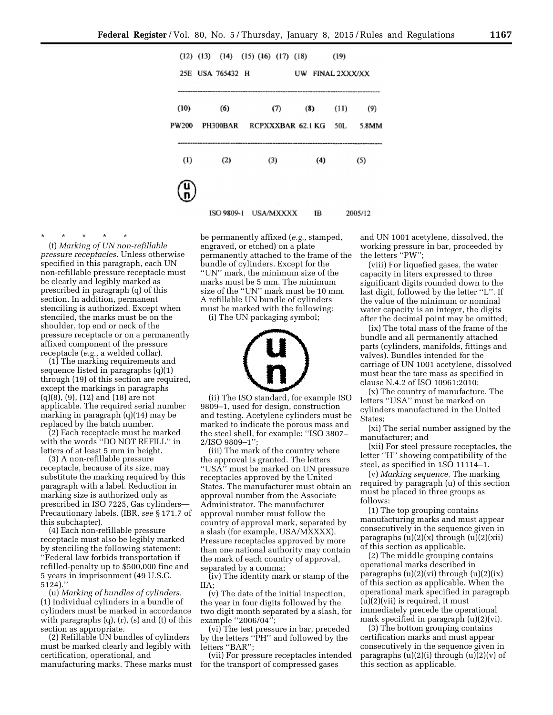|               |  | $(12)$ $(13)$ $(14)$ $(15)$ $(16)$ $(17)$ $(18)$ |  |     |     |                          | (19)                 |              |
|---------------|--|--------------------------------------------------|--|-----|-----|--------------------------|----------------------|--------------|
| 25E.          |  | <b>USA 765432 H</b>                              |  |     | UW  |                          | <b>FINAL 2XXX/XX</b> |              |
| (10)<br>PW200 |  | (6)<br>PH300BAR                                  |  | (T) |     | (8)<br>RCPXXXBAR 62.1 KG | (11)<br>50L          | (9)<br>5.8MM |
| (1)<br>(2)    |  | (3)                                              |  |     | (4) |                          | (5)                  |              |
|               |  |                                                  |  |     |     |                          |                      |              |
|               |  | ISO 9809-1 USA/MXXXX                             |  |     |     | IB                       |                      | 2005/12      |

\* \* \* \* \* (t) *Marking of UN non-refillable pressure receptacles.* Unless otherwise specified in this paragraph, each UN non-refillable pressure receptacle must be clearly and legibly marked as prescribed in paragraph (q) of this section. In addition, permanent stenciling is authorized. Except when stenciled, the marks must be on the shoulder, top end or neck of the pressure receptacle or on a permanently

affixed component of the pressure

receptacle (*e.g.,* a welded collar). (1) The marking requirements and sequence listed in paragraphs (q)(1) through (19) of this section are required, except the markings in paragraphs (q)(8), (9), (12) and (18) are not applicable. The required serial number marking in paragraph (q)(14) may be replaced by the batch number.

(2) Each receptacle must be marked with the words ''DO NOT REFILL'' in letters of at least 5 mm in height.

(3) A non-refillable pressure receptacle, because of its size, may substitute the marking required by this paragraph with a label. Reduction in marking size is authorized only as prescribed in ISO 7225, Gas cylinders— Precautionary labels. (IBR, *see* § 171.7 of this subchapter).

(4) Each non-refillable pressure receptacle must also be legibly marked by stenciling the following statement: ''Federal law forbids transportation if refilled-penalty up to \$500,000 fine and 5 years in imprisonment (49 U.S.C. 5124).''

(u) *Marking of bundles of cylinders.*  (1) Individual cylinders in a bundle of cylinders must be marked in accordance with paragraphs (q), (r), (s) and (t) of this section as appropriate.

(2) Refillable UN bundles of cylinders must be marked clearly and legibly with certification, operational, and manufacturing marks. These marks must

be permanently affixed (*e.g.,* stamped, engraved, or etched) on a plate permanently attached to the frame of the bundle of cylinders. Except for the ''UN'' mark, the minimum size of the marks must be 5 mm. The minimum size of the ''UN'' mark must be 10 mm. A refillable UN bundle of cylinders must be marked with the following:

(i) The UN packaging symbol;



(ii) The ISO standard, for example ISO 9809–1, used for design, construction and testing. Acetylene cylinders must be marked to indicate the porous mass and the steel shell, for example: ''ISO 3807– 2/ISO 9809–1'';

(iii) The mark of the country where the approval is granted. The letters ''USA'' must be marked on UN pressure receptacles approved by the United States. The manufacturer must obtain an approval number from the Associate Administrator. The manufacturer approval number must follow the country of approval mark, separated by a slash (for example, USA/MXXXX). Pressure receptacles approved by more than one national authority may contain the mark of each country of approval, separated by a comma;

(iv) The identity mark or stamp of the IIA;

(v) The date of the initial inspection, the year in four digits followed by the two digit month separated by a slash, for example ''2006/04'';

(vi) The test pressure in bar, preceded by the letters ''PH'' and followed by the letters "BAR";

(vii) For pressure receptacles intended for the transport of compressed gases

and UN 1001 acetylene, dissolved, the working pressure in bar, proceeded by the letters ''PW'';

(viii) For liquefied gases, the water capacity in liters expressed to three significant digits rounded down to the last digit, followed by the letter ''L''. If the value of the minimum or nominal water capacity is an integer, the digits after the decimal point may be omitted;

(ix) The total mass of the frame of the bundle and all permanently attached parts (cylinders, manifolds, fittings and valves). Bundles intended for the carriage of UN 1001 acetylene, dissolved must bear the tare mass as specified in clause N.4.2 of ISO 10961:2010;

(x) The country of manufacture. The letters ''USA'' must be marked on cylinders manufactured in the United States;

(xi) The serial number assigned by the manufacturer; and

(xii) For steel pressure receptacles, the letter ''H'' showing compatibility of the steel, as specified in 1SO 11114–1.

(v) *Marking sequence.* The marking required by paragraph (u) of this section must be placed in three groups as follows:

(1) The top grouping contains manufacturing marks and must appear consecutively in the sequence given in paragraphs  $(u)(2)(x)$  through  $(u)(2)(xii)$ of this section as applicable.

(2) The middle grouping contains operational marks described in paragraphs  $(u)(2)(vi)$  through  $(u)(2)(ix)$ of this section as applicable. When the operational mark specified in paragraph (u)(2)(vii) is required, it must immediately precede the operational mark specified in paragraph (u)(2)(vi).

(3) The bottom grouping contains certification marks and must appear consecutively in the sequence given in paragraphs  $(u)(2)(i)$  through  $(u)(2)(v)$  of this section as applicable.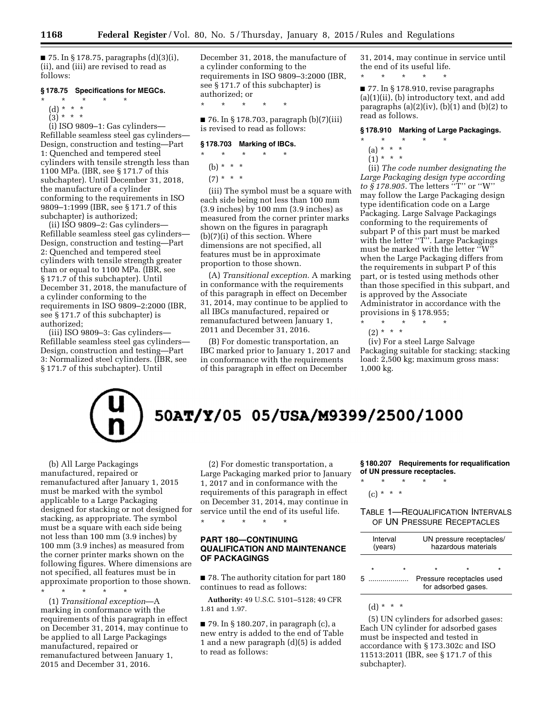$\blacksquare$  75. In § 178.75, paragraphs (d)(3)(i), (ii), and (iii) are revised to read as follows:

### **§ 178.75 Specifications for MEGCs.**

- $\star$   $\star$   $\star$
- (d) \* \* \*
- $(3)^{*}$  \* \*

(i) ISO 9809–1: Gas cylinders— Refillable seamless steel gas cylinders— Design, construction and testing—Part 1: Quenched and tempered steel cylinders with tensile strength less than 1100 MPa. (IBR, see § 171.7 of this subchapter). Until December 31, 2018, the manufacture of a cylinder conforming to the requirements in ISO 9809–1:1999 (IBR, see § 171.7 of this subchapter) is authorized;

(ii) ISO 9809–2: Gas cylinders— Refillable seamless steel gas cylinders— Design, construction and testing—Part 2: Quenched and tempered steel cylinders with tensile strength greater than or equal to 1100 MPa. (IBR, see § 171.7 of this subchapter). Until December 31, 2018, the manufacture of a cylinder conforming to the requirements in ISO 9809–2:2000 (IBR, see § 171.7 of this subchapter) is authorized;

(iii) ISO 9809–3: Gas cylinders— Refillable seamless steel gas cylinders— Design, construction and testing—Part 3: Normalized steel cylinders. (IBR, see § 171.7 of this subchapter). Until

December 31, 2018, the manufacture of a cylinder conforming to the requirements in ISO 9809–3:2000 (IBR, see § 171.7 of this subchapter) is authorized; or

\* \* \* \* \*

■ 76. In § 178.703, paragraph (b)(7)(iii) is revised to read as follows:

### **§ 178.703 Marking of IBCs.**

\* \* \* \* \*

(b)  $* * * *$ 

 $(7) * * * *$ 

(iii) The symbol must be a square with each side being not less than 100 mm (3.9 inches) by 100 mm (3.9 inches) as measured from the corner printer marks shown on the figures in paragraph (b)(7)(i) of this section. Where dimensions are not specified, all features must be in approximate proportion to those shown.

(A) *Transitional exception.* A marking in conformance with the requirements of this paragraph in effect on December 31, 2014, may continue to be applied to all IBCs manufactured, repaired or remanufactured between January 1, 2011 and December 31, 2016.

(B) For domestic transportation, an IBC marked prior to January 1, 2017 and in conformance with the requirements of this paragraph in effect on December

31, 2014, may continue in service until the end of its useful life.

\* \* \* \* \*

■ 77. In § 178.910, revise paragraphs (a)(1)(ii), (b) introductory text, and add paragraphs  $(a)(2)(iv)$ ,  $(b)(1)$  and  $(b)(2)$  to read as follows.

## **§ 178.910 Marking of Large Packagings.**

- \* \* \* \* \*
	- (a) \* \* \*
- $(1) * * * *$

(ii) *The code number designating the Large Packaging design type according to § 178.905.* The letters ''T'' or ''W'' may follow the Large Packaging design type identification code on a Large Packaging. Large Salvage Packagings conforming to the requirements of subpart P of this part must be marked with the letter "T"'. Large Packagings must be marked with the letter ''W'' when the Large Packaging differs from the requirements in subpart P of this part, or is tested using methods other than those specified in this subpart, and is approved by the Associate Administrator in accordance with the provisions in § 178.955;

\* \* \* \* \*

 $(2) * * * *$ 

(iv) For a steel Large Salvage Packaging suitable for stacking; stacking load: 2,500 kg; maximum gross mass: 1,000 kg.



(b) All Large Packagings manufactured, repaired or remanufactured after January 1, 2015 must be marked with the symbol applicable to a Large Packaging designed for stacking or not designed for stacking, as appropriate. The symbol must be a square with each side being not less than 100 mm (3.9 inches) by 100 mm (3.9 inches) as measured from the corner printer marks shown on the following figures. Where dimensions are not specified, all features must be in approximate proportion to those shown. \* \* \* \* \*

(1) *Transitional exception*—A marking in conformance with the requirements of this paragraph in effect on December 31, 2014, may continue to be applied to all Large Packagings manufactured, repaired or remanufactured between January 1, 2015 and December 31, 2016.

(2) For domestic transportation, a Large Packaging marked prior to January 1, 2017 and in conformance with the requirements of this paragraph in effect on December 31, 2014, may continue in service until the end of its useful life.

# **PART 180—CONTINUING QUALIFICATION AND MAINTENANCE OF PACKAGINGS**

\* \* \* \* \*

■ 78. The authority citation for part 180 continues to read as follows:

**Authority:** 49 U.S.C. 5101–5128; 49 CFR 1.81 and 1.97.

■ 79. In § 180.207, in paragraph (c), a new entry is added to the end of Table 1 and a new paragraph (d)(5) is added to read as follows:

**§ 180.207 Requirements for requalification of UN pressure receptacles.**  \* \* \* \* \*

 $(c) * * * *$ 

### TABLE 1—REQUALIFICATION INTERVALS OF UN PRESSURE RECEPTACLES

| Interval<br>(years) |   |  |                           | UN pressure receptacles/<br>hazardous materials |  |
|---------------------|---|--|---------------------------|-------------------------------------------------|--|
| ᡵ                   | ÷ |  | Pressure receptacles used |                                                 |  |
|                     |   |  | for adsorbed gases.       |                                                 |  |

(d) \* \* \*

(5) UN cylinders for adsorbed gases: Each UN cylinder for adsorbed gases must be inspected and tested in accordance with § 173.302c and ISO 11513:2011 (IBR, see § 171.7 of this subchapter).